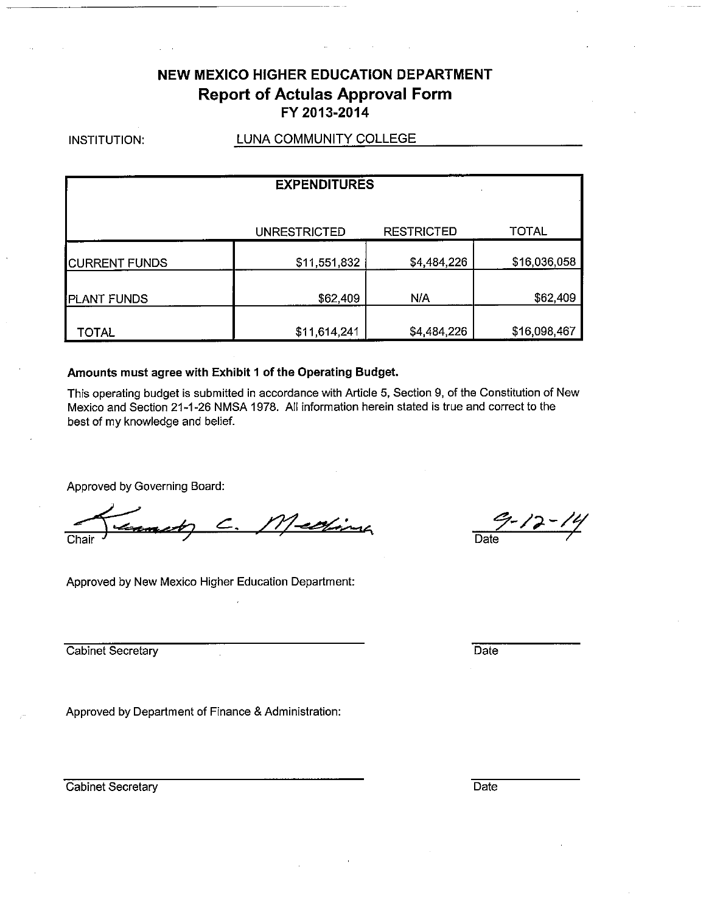# **NEW MEXICO HIGHER EDUCATION DEPARTMENT Report of Actulas Approval Form** FY 2013-2014

INSTITUTION:

### LUNA COMMUNITY COLLEGE

| <b>EXPENDITURES</b>  |                     |                   |              |  |  |  |  |  |  |
|----------------------|---------------------|-------------------|--------------|--|--|--|--|--|--|
|                      | <b>UNRESTRICTED</b> | <b>RESTRICTED</b> | TOTAL        |  |  |  |  |  |  |
| <b>CURRENT FUNDS</b> | \$11,551,832        | \$4,484,226       | \$16,036,058 |  |  |  |  |  |  |
| <b>PLANT FUNDS</b>   | \$62,409            | N/A               | \$62,409     |  |  |  |  |  |  |
| TOTAL                | \$11,614,241        | \$4,484,226       | \$16,098,467 |  |  |  |  |  |  |

### Amounts must agree with Exhibit 1 of the Operating Budget.

This operating budget is submitted in accordance with Article 5, Section 9, of the Constitution of New Mexico and Section 21-1-26 NMSA 1978. All information herein stated is true and correct to the best of my knowledge and belief.

Approved by Governing Board:

Medfina

Approved by New Mexico Higher Education Department:

 $7 - 12 - 14$ Date

Cabinet Secretary

Approved by Department of Finance & Administration:

Cabinet Secretary

Date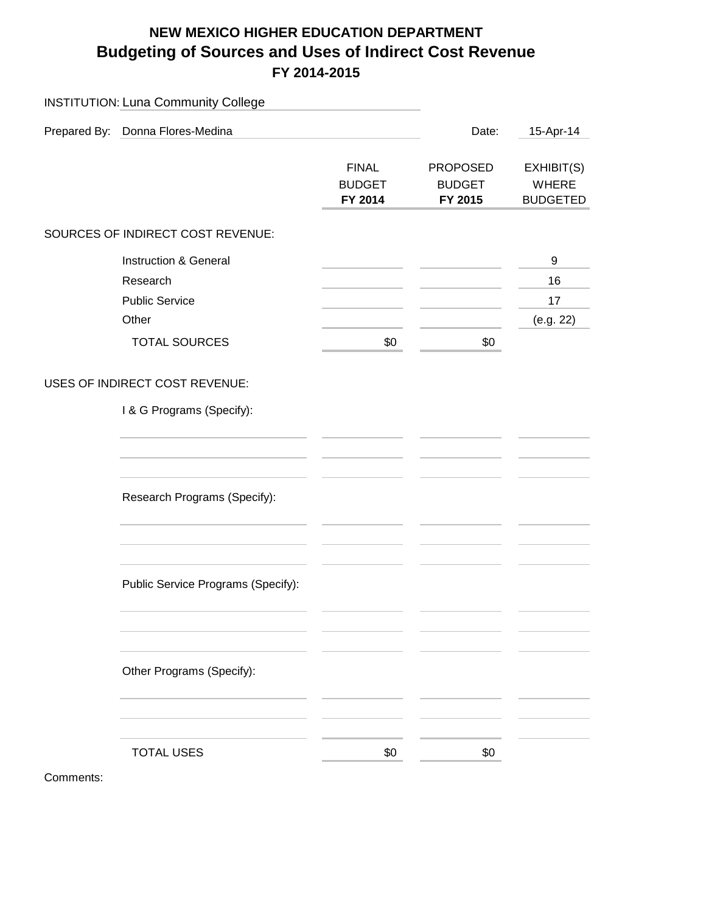# **NEW MEXICO HIGHER EDUCATION DEPARTMENT Budgeting of Sources and Uses of Indirect Cost Revenue FY 2014-2015**

| <b>INSTITUTION: Luna Community College</b>                          |                                          |                                             |                                        |
|---------------------------------------------------------------------|------------------------------------------|---------------------------------------------|----------------------------------------|
| Prepared By: Donna Flores-Medina                                    |                                          | Date:                                       | 15-Apr-14                              |
|                                                                     | <b>FINAL</b><br><b>BUDGET</b><br>FY 2014 | <b>PROPOSED</b><br><b>BUDGET</b><br>FY 2015 | EXHIBIT(S)<br>WHERE<br><b>BUDGETED</b> |
| SOURCES OF INDIRECT COST REVENUE:                                   |                                          |                                             |                                        |
| Instruction & General<br>Research<br><b>Public Service</b><br>Other |                                          |                                             | 9<br>16<br>17<br>(e.g. 22)             |
| <b>TOTAL SOURCES</b>                                                | \$0                                      | \$0                                         |                                        |
| <b>USES OF INDIRECT COST REVENUE:</b><br>I & G Programs (Specify):  |                                          |                                             |                                        |
| Research Programs (Specify):                                        |                                          |                                             |                                        |
| Public Service Programs (Specify):                                  |                                          |                                             |                                        |
| Other Programs (Specify):                                           |                                          |                                             |                                        |
| <b>TOTAL USES</b>                                                   | \$0                                      | \$0                                         |                                        |

Comments: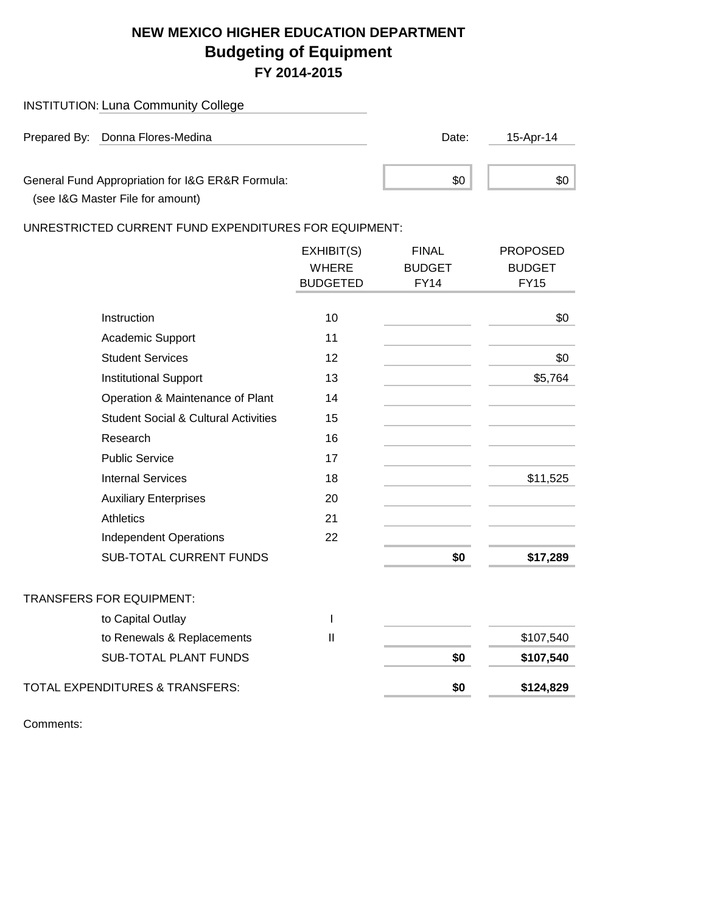# **NEW MEXICO HIGHER EDUCATION DEPARTMENT Budgeting of Equipment FY 2014-2015**

| <b>INSTITUTION: Luna Community College</b>                                           |       |           |
|--------------------------------------------------------------------------------------|-------|-----------|
| Prepared By: Donna Flores-Medina                                                     | Date: | 15-Apr-14 |
| General Fund Appropriation for I&G ER&R Formula:<br>(see I&G Master File for amount) | \$0   | \$0.      |

UNRESTRICTED CURRENT FUND EXPENDITURES FOR EQUIPMENT:

|                                                 | EXHIBIT(S)      | <b>FINAL</b>  | <b>PROPOSED</b> |
|-------------------------------------------------|-----------------|---------------|-----------------|
|                                                 | <b>WHERE</b>    | <b>BUDGET</b> | <b>BUDGET</b>   |
|                                                 | <b>BUDGETED</b> | <b>FY14</b>   | <b>FY15</b>     |
|                                                 |                 |               |                 |
| Instruction                                     | 10              |               | \$0             |
| Academic Support                                | 11              |               |                 |
| <b>Student Services</b>                         | 12              |               | \$0             |
| <b>Institutional Support</b>                    | 13              |               | \$5,764         |
| Operation & Maintenance of Plant                | 14              |               |                 |
| <b>Student Social &amp; Cultural Activities</b> | 15              |               |                 |
| Research                                        | 16              |               |                 |
| <b>Public Service</b>                           | 17              |               |                 |
| <b>Internal Services</b>                        | 18              |               | \$11,525        |
| <b>Auxiliary Enterprises</b>                    | 20              |               |                 |
| <b>Athletics</b>                                | 21              |               |                 |
| <b>Independent Operations</b>                   | 22              |               |                 |
| <b>SUB-TOTAL CURRENT FUNDS</b>                  |                 | \$0           | \$17,289        |
| <b>TRANSFERS FOR EQUIPMENT:</b>                 |                 |               |                 |
| to Capital Outlay                               | $\mathsf{I}$    |               |                 |
| to Renewals & Replacements                      | $\mathbf{I}$    |               | \$107,540       |
| <b>SUB-TOTAL PLANT FUNDS</b>                    |                 | \$0           | \$107,540       |
| <b>TOTAL EXPENDITURES &amp; TRANSFERS:</b>      |                 | \$0           | \$124,829       |

Comments: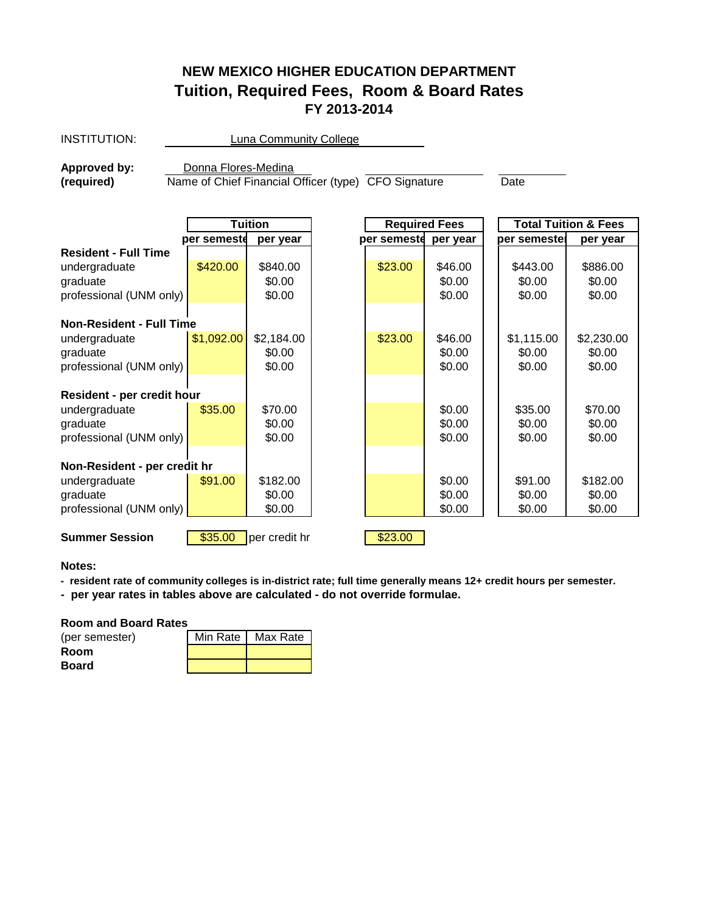# **NEW MEXICO HIGHER EDUCATION DEPARTMENT Tuition, Required Fees, Room & Board Rates FY 2013-2014**

| <b>INSTITUTION:</b>             | Luna Community College                               |                |  |                      |          |              |                                 |  |  |
|---------------------------------|------------------------------------------------------|----------------|--|----------------------|----------|--------------|---------------------------------|--|--|
| Approved by:                    | Donna Flores-Medina                                  |                |  |                      |          |              |                                 |  |  |
| (required)                      | Name of Chief Financial Officer (type) CFO Signature |                |  |                      |          | Date         |                                 |  |  |
|                                 |                                                      |                |  |                      |          |              |                                 |  |  |
|                                 |                                                      | <b>Tuition</b> |  | <b>Required Fees</b> |          |              | <b>Total Tuition &amp; Fees</b> |  |  |
|                                 | per semeste                                          | per year       |  | per semeste          | per year | per semestel | per year                        |  |  |
| <b>Resident - Full Time</b>     |                                                      |                |  |                      |          |              |                                 |  |  |
| undergraduate                   | \$420.00                                             | \$840.00       |  | \$23.00              | \$46.00  | \$443.00     | \$886.00                        |  |  |
| graduate                        |                                                      | \$0.00         |  |                      | \$0.00   | \$0.00       | \$0.00                          |  |  |
| professional (UNM only)         |                                                      | \$0.00         |  |                      | \$0.00   | \$0.00       | \$0.00                          |  |  |
| <b>Non-Resident - Full Time</b> |                                                      |                |  |                      |          |              |                                 |  |  |
| undergraduate                   | \$1,092.00                                           | \$2,184.00     |  | \$23.00              | \$46.00  | \$1,115.00   | \$2,230.00                      |  |  |
| graduate                        |                                                      | \$0.00         |  |                      | \$0.00   | \$0.00       | \$0.00                          |  |  |
| professional (UNM only)         |                                                      | \$0.00         |  |                      | \$0.00   | \$0.00       | \$0.00                          |  |  |
| Resident - per credit hour      |                                                      |                |  |                      |          |              |                                 |  |  |
| undergraduate                   | \$35.00                                              | \$70.00        |  |                      | \$0.00   | \$35.00      | \$70.00                         |  |  |
| graduate                        |                                                      | \$0.00         |  |                      | \$0.00   | \$0.00       | \$0.00                          |  |  |
| professional (UNM only)         |                                                      | \$0.00         |  |                      | \$0.00   | \$0.00       | \$0.00                          |  |  |
| Non-Resident - per credit hr    |                                                      |                |  |                      |          |              |                                 |  |  |
| undergraduate                   | \$91.00                                              | \$182.00       |  |                      | \$0.00   | \$91.00      | \$182.00                        |  |  |
| graduate                        |                                                      | \$0.00         |  |                      | \$0.00   | \$0.00       | \$0.00                          |  |  |
| professional (UNM only)         |                                                      | \$0.00         |  |                      | \$0.00   | \$0.00       | \$0.00                          |  |  |
| <b>Summer Session</b>           | \$35.00<br>\$23.00<br>per credit hr                  |                |  |                      |          |              |                                 |  |  |

### **Notes:**

**- resident rate of community colleges is in-district rate; full time generally means 12+ credit hours per semester.**

**- per year rates in tables above are calculated - do not override formulae.**

### **Room and Board Rates**

| (per semester) | Min Rate   Max Rate |
|----------------|---------------------|
| Room           |                     |
| Board          |                     |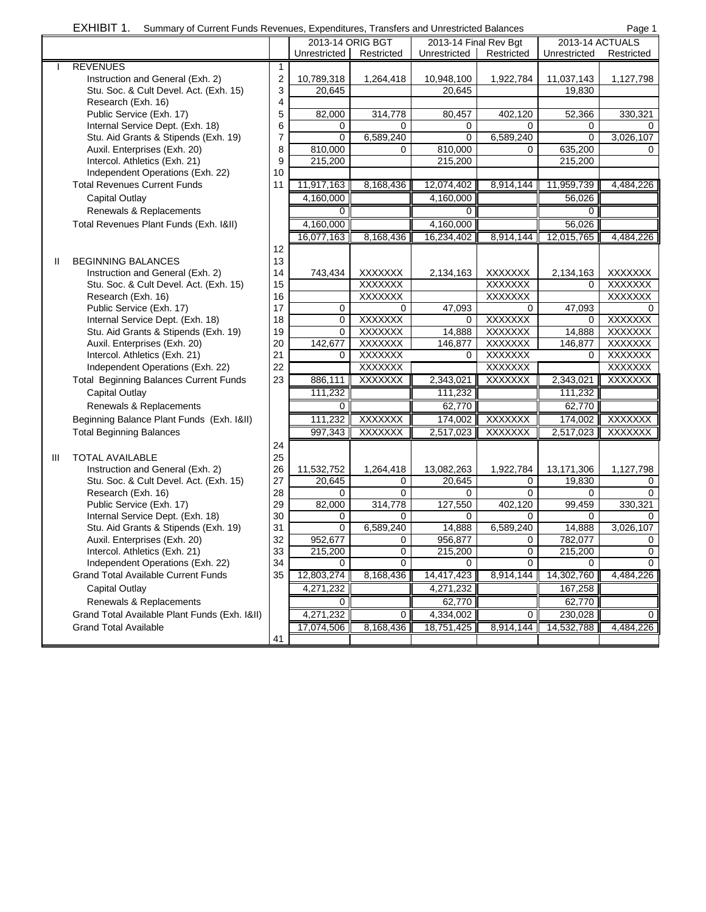|              | EXHIBIT 1.<br>Summary of Current Funds Revenues, Expenditures, Transfers and Unrestricted Balances |                         |                  |                |                       |                |                 | Page 1         |
|--------------|----------------------------------------------------------------------------------------------------|-------------------------|------------------|----------------|-----------------------|----------------|-----------------|----------------|
|              |                                                                                                    |                         | 2013-14 ORIG BGT |                | 2013-14 Final Rev Bgt |                | 2013-14 ACTUALS |                |
|              |                                                                                                    |                         | Unrestricted     | Restricted     | Unrestricted          | Restricted     | Unrestricted    | Restricted     |
|              | <b>REVENUES</b>                                                                                    | $\mathbf{1}$            |                  |                |                       |                |                 |                |
|              | Instruction and General (Exh. 2)                                                                   | $\overline{\mathbf{c}}$ | 10,789,318       | 1,264,418      | 10,948,100            | 1,922,784      | 11,037,143      | 1,127,798      |
|              | Stu. Soc. & Cult Devel. Act. (Exh. 15)                                                             | 3                       | 20,645           |                | 20,645                |                | 19,830          |                |
|              | Research (Exh. 16)                                                                                 | 4                       |                  |                |                       |                |                 |                |
|              | Public Service (Exh. 17)                                                                           | 5                       | 82,000           | 314,778        | 80,457                | 402,120        | 52,366          | 330,321        |
|              | Internal Service Dept. (Exh. 18)                                                                   | 6                       | 0                | 0              | 0                     | 0              | 0               | 0              |
|              | Stu. Aid Grants & Stipends (Exh. 19)                                                               | $\overline{7}$          | $\mathbf 0$      | 6,589,240      | $\mathbf 0$           | 6,589,240      | 0               | 3,026,107      |
|              | Auxil. Enterprises (Exh. 20)                                                                       | 8                       | 810,000          | 0              | 810,000               | $\Omega$       | 635,200         | 0              |
|              | Intercol. Athletics (Exh. 21)                                                                      | 9                       | 215,200          |                | 215,200               |                | 215,200         |                |
|              | Independent Operations (Exh. 22)                                                                   | 10                      |                  |                |                       |                |                 |                |
|              | <b>Total Revenues Current Funds</b>                                                                | 11                      | 11,917,163       | 8,168,436      | 12,074,402            | 8,914,144      | 11,959,739      | 4,484,226      |
|              | <b>Capital Outlay</b>                                                                              |                         | 4,160,000        |                | 4,160,000             |                | 56,026          |                |
|              | Renewals & Replacements                                                                            |                         | $\mathbf{0}$     |                | $\Omega$              |                | 0               |                |
|              | Total Revenues Plant Funds (Exh. 1&II)                                                             |                         | 4,160,000        |                | 4,160,000             |                | 56,026          |                |
|              |                                                                                                    |                         | 16,077,163       | 8,168,436      | 16,234,402            | 8,914,144      | 12,015,765      | 4,484,226      |
|              |                                                                                                    | 12                      |                  |                |                       |                |                 |                |
| $\mathbf{H}$ | <b>BEGINNING BALANCES</b>                                                                          | 13                      |                  |                |                       |                |                 |                |
|              | Instruction and General (Exh. 2)                                                                   | 14                      | 743,434          | <b>XXXXXXX</b> | 2,134,163             | <b>XXXXXXX</b> | 2,134,163       | <b>XXXXXXX</b> |
|              | Stu. Soc. & Cult Devel. Act. (Exh. 15)                                                             | 15                      |                  | <b>XXXXXXX</b> |                       | <b>XXXXXXX</b> | 0               | <b>XXXXXXX</b> |
|              | Research (Exh. 16)                                                                                 | 16                      |                  | <b>XXXXXXX</b> |                       | <b>XXXXXXX</b> |                 | XXXXXXX        |
|              | Public Service (Exh. 17)                                                                           | 17                      | 0                | 0              | 47,093                | 0              | 47,093          |                |
|              | Internal Service Dept. (Exh. 18)                                                                   | 18                      | $\mathbf 0$      | <b>XXXXXXX</b> | 0                     | <b>XXXXXXX</b> | $\Omega$        | <b>XXXXXXX</b> |
|              | Stu. Aid Grants & Stipends (Exh. 19)                                                               | 19                      | $\mathbf 0$      | <b>XXXXXXX</b> | 14,888                | <b>XXXXXXX</b> | 14,888          | <b>XXXXXXX</b> |
|              | Auxil. Enterprises (Exh. 20)                                                                       | 20                      | 142,677          | <b>XXXXXXX</b> | 146,877               | <b>XXXXXXX</b> | 146,877         | <b>XXXXXXX</b> |
|              | Intercol. Athletics (Exh. 21)                                                                      | 21                      | $\mathbf 0$      | <b>XXXXXXX</b> | 0                     | <b>XXXXXXX</b> | 0               | <b>XXXXXXX</b> |
|              | Independent Operations (Exh. 22)                                                                   | 22                      |                  | <b>XXXXXXX</b> |                       | <b>XXXXXXX</b> |                 | <b>XXXXXXX</b> |
|              | <b>Total Beginning Balances Current Funds</b>                                                      | 23                      | 886,111          | <b>XXXXXXX</b> | 2,343,021             | XXXXXXX        | 2,343,021       | XXXXXXX        |
|              | <b>Capital Outlay</b>                                                                              |                         | 111,232          |                | 111,232               |                | 111,232         |                |
|              | Renewals & Replacements                                                                            |                         | 0                |                | 62,770                |                | 62,770          |                |
|              | Beginning Balance Plant Funds (Exh. 1&II)                                                          |                         | 111,232          | <b>XXXXXXX</b> | 174,002               | <b>XXXXXXX</b> | 174,002         | <b>XXXXXXX</b> |
|              | <b>Total Beginning Balances</b>                                                                    |                         | 997,343          | XXXXXXX        | 2,517,023             | XXXXXXX        | 2,517,023       | XXXXXXX        |
|              |                                                                                                    | 24                      |                  |                |                       |                |                 |                |
| Ш            | <b>TOTAL AVAILABLE</b>                                                                             | 25                      |                  |                |                       |                |                 |                |
|              | Instruction and General (Exh. 2)                                                                   | 26                      | 11,532,752       | 1,264,418      | 13,082,263            | 1,922,784      | 13,171,306      | 1,127,798      |
|              | Stu. Soc. & Cult Devel. Act. (Exh. 15)                                                             | 27                      | 20,645           | 0              | 20,645                | 0              | 19,830          | 0              |
|              | Research (Exh. 16)                                                                                 | 28                      | $\Omega$         | 0              | 0                     | $\mathbf 0$    | $\Omega$        | 0              |
|              | Public Service (Exh. 17)                                                                           | 29                      | 82,000           | 314,778        | 127,550               | 402,120        | 99,459          | 330,321        |
|              | Internal Service Dept. (Exh. 18)                                                                   | 30                      | 0                | 0              | 0                     | 0              | 0               | 0              |
|              | Stu. Aid Grants & Stipends (Exh. 19)                                                               | 31                      | 0                | 6,589,240      | 14,888                | 6,589,240      | 14,888          | 3,026,107      |
|              | Auxil. Enterprises (Exh. 20)                                                                       | 32                      | 952,677          | 0              | 956,877               | 0              | 782,077         | 0              |
|              | Intercol. Athletics (Exh. 21)                                                                      | 33                      | 215,200          | 0              | 215,200               | $\mathbf 0$    | 215,200         | $\mathbf 0$    |
|              | Independent Operations (Exh. 22)                                                                   | 34                      | $\Omega$         | 0              | 0                     | $\Omega$       | $\Omega$        | $\Omega$       |
|              | <b>Grand Total Available Current Funds</b>                                                         | 35                      | 12,803,274       | 8,168,436      | 14,417,423            | 8,914,144      | 14,302,760      | 4,484,226      |
|              | <b>Capital Outlay</b>                                                                              |                         | 4,271,232        |                | 4,271,232             |                | 167,258         |                |
|              | Renewals & Replacements                                                                            |                         | $\mathbf{0}$     |                | 62,770                |                | 62,770          |                |
|              | Grand Total Available Plant Funds (Exh. 1&II)                                                      |                         | 4,271,232        | 0              | 4,334,002             | 0              | 230,028         | $\mathbf{0}$   |
|              | <b>Grand Total Available</b>                                                                       |                         | 17,074,506       | 8,168,436      | 18,751,425            | 8,914,144      | 14,532,788      | 4,484,226      |
|              |                                                                                                    | 41                      |                  |                |                       |                |                 |                |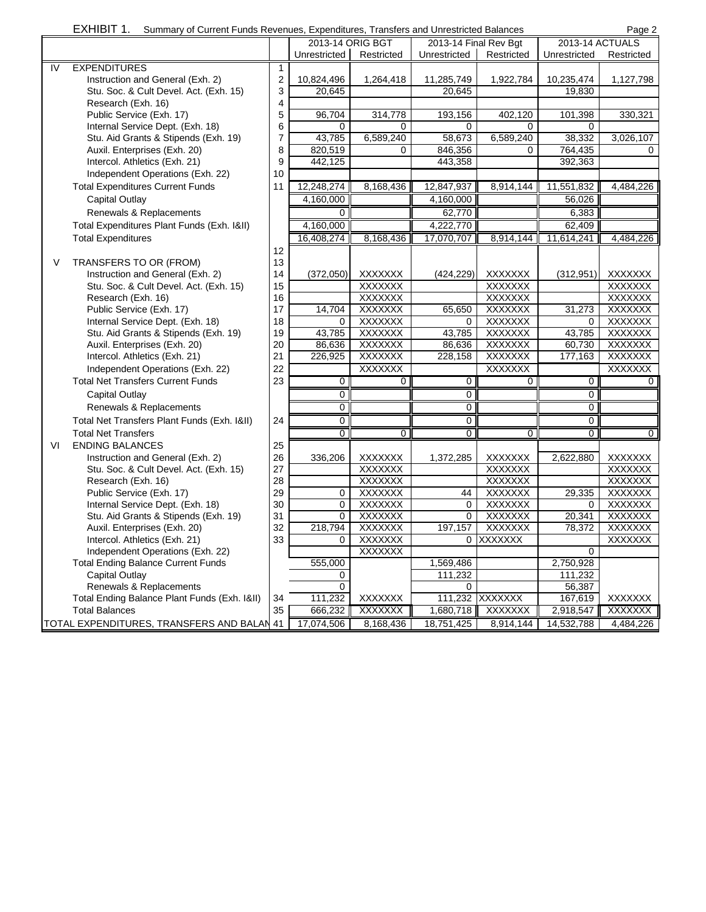|    | EXHIBIT 1.<br>Summary of Current Funds Revenues, Expenditures, Transfers and Unrestricted Balances<br>Page 2 |    |                  |                |                       |                |                 |                |
|----|--------------------------------------------------------------------------------------------------------------|----|------------------|----------------|-----------------------|----------------|-----------------|----------------|
|    |                                                                                                              |    | 2013-14 ORIG BGT |                | 2013-14 Final Rev Bgt |                | 2013-14 ACTUALS |                |
|    |                                                                                                              |    | Unrestricted     | Restricted     | Unrestricted          | Restricted     | Unrestricted    | Restricted     |
| IV | <b>EXPENDITURES</b>                                                                                          | 1  |                  |                |                       |                |                 |                |
|    | Instruction and General (Exh. 2)                                                                             | 2  | 10,824,496       | 1,264,418      | 11,285,749            | 1,922,784      | 10,235,474      | 1,127,798      |
|    | Stu. Soc. & Cult Devel. Act. (Exh. 15)                                                                       | 3  | 20,645           |                | 20.645                |                | 19,830          |                |
|    | Research (Exh. 16)                                                                                           | 4  |                  |                |                       |                |                 |                |
|    | Public Service (Exh. 17)                                                                                     | 5  | 96,704           | 314,778        | 193,156               | 402,120        | 101,398         | 330,321        |
|    | Internal Service Dept. (Exh. 18)                                                                             | 6  | 0                | 0              | 0                     | 0              | 0               |                |
|    | Stu. Aid Grants & Stipends (Exh. 19)                                                                         | 7  | 43,785           | 6,589,240      | 58,673                | 6,589,240      | 38,332          | 3,026,107      |
|    | Auxil. Enterprises (Exh. 20)                                                                                 | 8  | 820,519          | 0              | 846,356               | 0              | 764,435         | 0              |
|    | Intercol. Athletics (Exh. 21)                                                                                | 9  | 442,125          |                | 443,358               |                | 392,363         |                |
|    | Independent Operations (Exh. 22)                                                                             | 10 |                  |                |                       |                |                 |                |
|    | <b>Total Expenditures Current Funds</b>                                                                      | 11 | 12,248,274       | 8,168,436      | 12,847,937            | 8,914,144      | 11,551,832      | 4,484,226      |
|    | <b>Capital Outlay</b>                                                                                        |    | 4,160,000        |                | 4,160,000             |                | 56,026          |                |
|    | Renewals & Replacements                                                                                      |    | $\Omega$         |                | 62,770                |                | 6,383           |                |
|    | Total Expenditures Plant Funds (Exh. 1&II)                                                                   |    | 4,160,000        |                | 4,222,770             |                | 62,409          |                |
|    | <b>Total Expenditures</b>                                                                                    |    | 16,408,274       | 8,168,436      | 17,070,707            | 8,914,144      | 11,614,241      | 4,484,226      |
|    |                                                                                                              | 12 |                  |                |                       |                |                 |                |
| V  | TRANSFERS TO OR (FROM)                                                                                       | 13 |                  |                |                       |                |                 |                |
|    | Instruction and General (Exh. 2)                                                                             | 14 | (372,050)        | <b>XXXXXXX</b> | (424, 229)            | XXXXXXX        | (312, 951)      | <b>XXXXXXX</b> |
|    | Stu. Soc. & Cult Devel. Act. (Exh. 15)                                                                       | 15 |                  | <b>XXXXXXX</b> |                       | <b>XXXXXXX</b> |                 | <b>XXXXXXX</b> |
|    | Research (Exh. 16)                                                                                           | 16 |                  | <b>XXXXXXX</b> |                       | <b>XXXXXXX</b> |                 | <b>XXXXXXX</b> |
|    | Public Service (Exh. 17)                                                                                     | 17 | 14,704           | <b>XXXXXXX</b> | 65,650                | <b>XXXXXXX</b> | 31,273          | <b>XXXXXXX</b> |
|    | Internal Service Dept. (Exh. 18)                                                                             | 18 | 0                | <b>XXXXXXX</b> | 0                     | <b>XXXXXXX</b> | 0               | <b>XXXXXXX</b> |
|    | Stu. Aid Grants & Stipends (Exh. 19)                                                                         | 19 | 43,785           | <b>XXXXXXX</b> | 43,785                | <b>XXXXXXX</b> | 43,785          | <b>XXXXXXX</b> |
|    | Auxil. Enterprises (Exh. 20)                                                                                 | 20 | 86,636           | <b>XXXXXXX</b> | 86,636                | <b>XXXXXXX</b> | 60,730          | <b>XXXXXXX</b> |
|    | Intercol. Athletics (Exh. 21)                                                                                | 21 | 226,925          | <b>XXXXXXX</b> | 228,158               | <b>XXXXXXX</b> | 177,163         | <b>XXXXXXX</b> |
|    | Independent Operations (Exh. 22)                                                                             | 22 |                  | <b>XXXXXXX</b> |                       | <b>XXXXXXX</b> |                 | <b>XXXXXXX</b> |
|    | <b>Total Net Transfers Current Funds</b>                                                                     | 23 | $\overline{0}$   | 0              | 0                     | 0              | $\overline{0}$  | $\mathbf{0}$   |
|    | <b>Capital Outlay</b>                                                                                        |    | $\overline{0}$   |                | 0                     |                | $\mathbf 0$     |                |
|    | Renewals & Replacements                                                                                      |    | $\overline{0}$   |                | 0                     |                | 0               |                |
|    | Total Net Transfers Plant Funds (Exh. 1&II)                                                                  | 24 | 0                |                | 0                     |                | 0               |                |
|    | <b>Total Net Transfers</b>                                                                                   |    | $\overline{0}$   | $\overline{0}$ | $\overline{0}$        | $\overline{0}$ | $\overline{0}$  | $\overline{0}$ |
| VI | <b>ENDING BALANCES</b>                                                                                       | 25 |                  |                |                       |                |                 |                |
|    | Instruction and General (Exh. 2)                                                                             | 26 | 336,206          | <b>XXXXXXX</b> | 1,372,285             | <b>XXXXXXX</b> | 2,622,880       | <b>XXXXXXX</b> |
|    | Stu. Soc. & Cult Devel. Act. (Exh. 15)                                                                       | 27 |                  | <b>XXXXXXX</b> |                       | <b>XXXXXXX</b> |                 | <b>XXXXXXX</b> |
|    | Research (Exh. 16)                                                                                           | 28 |                  | <b>XXXXXXX</b> |                       | <b>XXXXXXX</b> |                 | <b>XXXXXXX</b> |
|    | Public Service (Exh. 17)                                                                                     | 29 | 0                | <b>XXXXXXX</b> | 44                    | <b>XXXXXXX</b> | 29,335          | XXXXXXX        |
|    | Internal Service Dept. (Exh. 18)                                                                             | 30 | $\Omega$         | <b>XXXXXXX</b> | $\Omega$              | <b>XXXXXXX</b> | 0               | <b>XXXXXXX</b> |
|    | Stu. Aid Grants & Stipends (Exh. 19)                                                                         | 31 | $\Omega$         | XXXXXXX        | $\Omega$              | <b>XXXXXXX</b> | 20,341          | XXXXXXX        |
|    | Auxil. Enterprises (Exh. 20)                                                                                 | 32 | 218,794          | <b>XXXXXXX</b> | 197,157               | <b>XXXXXXX</b> | 78,372          | <b>XXXXXXX</b> |
|    | Intercol. Athletics (Exh. 21)                                                                                | 33 | 0                | <b>XXXXXXX</b> |                       | 0 XXXXXXX      |                 | <b>XXXXXXX</b> |
|    | Independent Operations (Exh. 22)                                                                             |    |                  | <b>XXXXXXX</b> |                       |                | $\Omega$        |                |
|    | <b>Total Ending Balance Current Funds</b>                                                                    |    | 555,000          |                | 1,569,486             |                | 2,750,928       |                |
|    | <b>Capital Outlay</b>                                                                                        |    | 0                |                | 111,232               |                | 111,232         |                |
|    | Renewals & Replacements                                                                                      |    | $\mathbf 0$      |                | 0                     |                | 56,387          |                |
|    | Total Ending Balance Plant Funds (Exh. 1&II)                                                                 | 34 | 111,232          | <b>XXXXXXX</b> | 111,232               | <b>XXXXXXX</b> | 167,619         | <b>XXXXXXX</b> |
|    | <b>Total Balances</b>                                                                                        | 35 | 666,232          | <b>XXXXXXX</b> | 1,680,718             | <b>XXXXXXX</b> | 2,918,547       | XXXXXXX        |
|    | TOTAL EXPENDITURES, TRANSFERS AND BALAN 41                                                                   |    | 17,074,506       | 8,168,436      | 18,751,425            | 8,914,144      | 14,532,788      | 4,484,226      |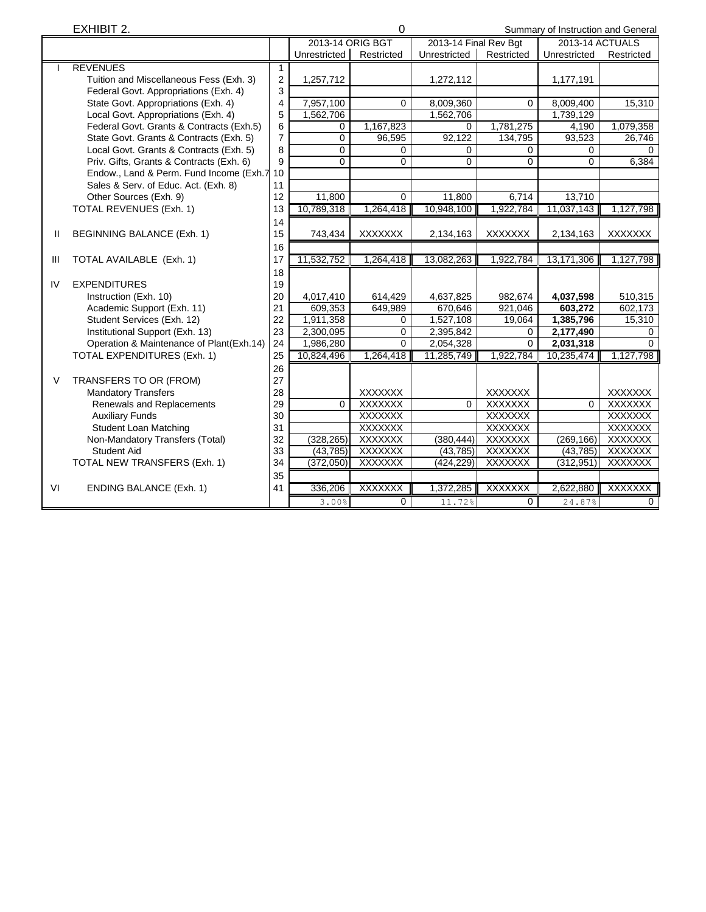|        | EXHIBIT 2.                                 |                |                  |                | $\Omega$<br>Summary of Instruction and General |                |                 |                |
|--------|--------------------------------------------|----------------|------------------|----------------|------------------------------------------------|----------------|-----------------|----------------|
|        |                                            |                | 2013-14 ORIG BGT |                | 2013-14 Final Rev Bgt                          |                | 2013-14 ACTUALS |                |
|        |                                            |                | Unrestricted     | Restricted     | Unrestricted                                   | Restricted     | Unrestricted    | Restricted     |
|        | <b>REVENUES</b>                            | 1              |                  |                |                                                |                |                 |                |
|        | Tuition and Miscellaneous Fess (Exh. 3)    | 2              | 1,257,712        |                | 1,272,112                                      |                | 1,177,191       |                |
|        | Federal Govt. Appropriations (Exh. 4)      | 3              |                  |                |                                                |                |                 |                |
|        | State Govt. Appropriations (Exh. 4)        | 4              | 7,957,100        | 0              | 8,009,360                                      | $\mathbf 0$    | 8,009,400       | 15,310         |
|        | Local Govt. Appropriations (Exh. 4)        | 5              | 1,562,706        |                | 1,562,706                                      |                | 1,739,129       |                |
|        | Federal Govt. Grants & Contracts (Exh.5)   | 6              | 0                | 1,167,823      | $\Omega$                                       | 1,781,275      | 4,190           | 1,079,358      |
|        | State Govt. Grants & Contracts (Exh. 5)    | $\overline{7}$ | 0                | 96,595         | 92,122                                         | 134,795        | 93,523          | 26,746         |
|        | Local Govt. Grants & Contracts (Exh. 5)    | 8              | $\mathbf 0$      | 0              | $\Omega$                                       | 0              | 0               | $\Omega$       |
|        | Priv. Gifts, Grants & Contracts (Exh. 6)   | 9              | $\overline{0}$   | 0              | 0                                              | $\mathbf 0$    | 0               | 6,384          |
|        | Endow., Land & Perm. Fund Income (Exh.7 10 |                |                  |                |                                                |                |                 |                |
|        | Sales & Serv. of Educ. Act. (Exh. 8)       | 11             |                  |                |                                                |                |                 |                |
|        | Other Sources (Exh. 9)                     | 12             | 11,800           | $\overline{0}$ | 11,800                                         | 6,714          | 13,710          |                |
|        | TOTAL REVENUES (Exh. 1)                    | 13             | 10,789,318       | 1,264,418      | 10,948,100                                     | 1,922,784      | 11,037,143      | 1,127,798      |
|        |                                            | 14             |                  |                |                                                |                |                 |                |
| Ш      | BEGINNING BALANCE (Exh. 1)                 | 15             | 743,434          | <b>XXXXXXX</b> | 2,134,163                                      | <b>XXXXXXX</b> | 2,134,163       | <b>XXXXXXX</b> |
|        |                                            | 16             |                  |                |                                                |                |                 |                |
| Ш      | TOTAL AVAILABLE (Exh. 1)                   | 17             | 11,532,752       | 1,264,418      | 13,082,263                                     | 1,922,784      | 13,171,306      | 1,127,798      |
|        |                                            | 18             |                  |                |                                                |                |                 |                |
| IV     | <b>EXPENDITURES</b>                        | 19             |                  |                |                                                |                |                 |                |
|        | Instruction (Exh. 10)                      | 20             | 4,017,410        | 614,429        | 4,637,825                                      | 982,674        | 4,037,598       | 510,315        |
|        | Academic Support (Exh. 11)                 | 21             | 609,353          | 649,989        | 670,646                                        | 921,046        | 603,272         | 602,173        |
|        | Student Services (Exh. 12)                 | 22             | 1,911,358        | 0              | 1,527,108                                      | 19,064         | 1,385,796       | 15,310         |
|        | Institutional Support (Exh. 13)            | 23             | 2,300,095        | $\Omega$       | 2,395,842                                      | 0              | 2,177,490       | $\Omega$       |
|        | Operation & Maintenance of Plant(Exh.14)   | 24             | 1,986,280        | $\Omega$       | 2,054,328                                      | $\Omega$       | 2,031,318       | $\Omega$       |
|        | TOTAL EXPENDITURES (Exh. 1)                | 25             | 10,824,496       | 1,264,418      | 11,285,749                                     | 1,922,784      | 10,235,474      | 1,127,798      |
|        |                                            | 26             |                  |                |                                                |                |                 |                |
| $\vee$ | TRANSFERS TO OR (FROM)                     | 27             |                  |                |                                                |                |                 |                |
|        | <b>Mandatory Transfers</b>                 | 28             |                  | <b>XXXXXXX</b> |                                                | <b>XXXXXXX</b> |                 | <b>XXXXXXX</b> |
|        | Renewals and Replacements                  | 29             | $\overline{0}$   | <b>XXXXXXX</b> | $\overline{0}$                                 | <b>XXXXXXX</b> | $\overline{0}$  | <b>XXXXXXX</b> |
|        | <b>Auxiliary Funds</b>                     | 30             |                  | <b>XXXXXXX</b> |                                                | <b>XXXXXXX</b> |                 | <b>XXXXXXX</b> |
|        | <b>Student Loan Matching</b>               | 31             |                  | <b>XXXXXXX</b> |                                                | <b>XXXXXXX</b> |                 | <b>XXXXXXX</b> |
|        | Non-Mandatory Transfers (Total)            | 32             | (328, 265)       | <b>XXXXXXX</b> | (380, 444)                                     | <b>XXXXXXX</b> | (269, 166)      | <b>XXXXXXX</b> |
|        | <b>Student Aid</b>                         | 33             | (43, 785)        | <b>XXXXXXX</b> | (43, 785)                                      | <b>XXXXXXX</b> | (43, 785)       | <b>XXXXXXX</b> |
|        | TOTAL NEW TRANSFERS (Exh. 1)               | 34             | (372,050)        | XXXXXXX        | (424, 229)                                     | <b>XXXXXXX</b> | (312, 951)      | XXXXXXX        |
|        |                                            | 35             |                  |                |                                                |                |                 |                |
| VI     | <b>ENDING BALANCE (Exh. 1)</b>             | 41             | 336,206          | <b>XXXXXXX</b> | 1,372,285                                      | <b>XXXXXXX</b> | 2,622,880       | XXXXXXX        |
|        |                                            |                | 3.00%            | $\overline{0}$ | 11.72%                                         | $\overline{0}$ | 24.87%          | $\overline{0}$ |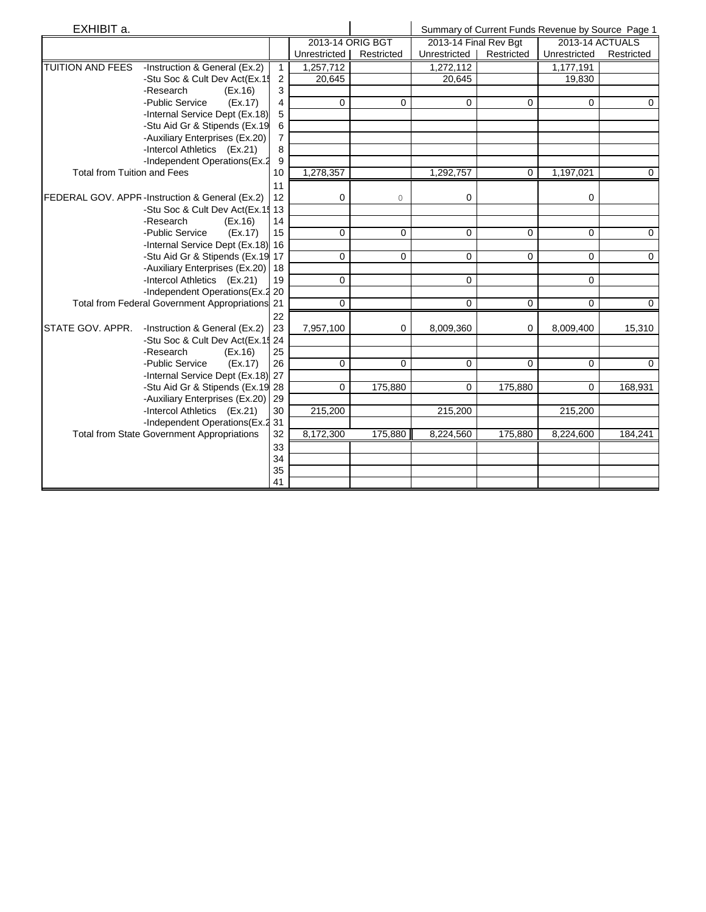| EXHIBIT a.                         |                                                   |                |                  |             |                       |            | Summary of Current Funds Revenue by Source Page 1 |             |
|------------------------------------|---------------------------------------------------|----------------|------------------|-------------|-----------------------|------------|---------------------------------------------------|-------------|
|                                    |                                                   |                | 2013-14 ORIG BGT |             | 2013-14 Final Rev Bgt |            | 2013-14 ACTUALS                                   |             |
|                                    |                                                   |                | Unrestricted     | Restricted  | Unrestricted          | Restricted | Unrestricted                                      | Restricted  |
| <b>TUITION AND FEES</b>            | -Instruction & General (Ex.2)                     | $\mathbf{1}$   | 1,257,712        |             | 1,272,112             |            | 1,177,191                                         |             |
|                                    | -Stu Soc & Cult Dev Act(Ex.15                     | $\overline{2}$ | 20,645           |             | 20,645                |            | 19,830                                            |             |
|                                    | -Research<br>(EX.16)                              | 3              |                  |             |                       |            |                                                   |             |
|                                    | -Public Service<br>(EX.17)                        | 4              | 0                | 0           | $\Omega$              | 0          | $\Omega$                                          | 0           |
|                                    | -Internal Service Dept (Ex.18)                    | 5              |                  |             |                       |            |                                                   |             |
|                                    | -Stu Aid Gr & Stipends (Ex.19                     | 6              |                  |             |                       |            |                                                   |             |
|                                    | -Auxiliary Enterprises (Ex.20)                    | $\overline{7}$ |                  |             |                       |            |                                                   |             |
|                                    | -Intercol Athletics (Ex.21)                       | 8              |                  |             |                       |            |                                                   |             |
|                                    | -Independent Operations (Ex.2                     | 9              |                  |             |                       |            |                                                   |             |
| <b>Total from Tuition and Fees</b> |                                                   | 10             | 1,278,357        |             | 1,292,757             | $\Omega$   | 1,197,021                                         | $\mathbf 0$ |
|                                    |                                                   | 11             |                  |             |                       |            |                                                   |             |
|                                    | FEDERAL GOV. APPR-Instruction & General (Ex.2)    | 12             | 0                | 0           | 0                     |            | $\Omega$                                          |             |
|                                    | -Stu Soc & Cult Dev Act(Ex.15 13                  |                |                  |             |                       |            |                                                   |             |
|                                    | -Research<br>(EX.16)                              | 14             |                  |             |                       |            |                                                   |             |
|                                    | -Public Service<br>(EX.17)                        | 15             | $\mathbf 0$      | 0           | 0                     | $\Omega$   | $\Omega$                                          | $\mathbf 0$ |
|                                    | -Internal Service Dept (Ex.18) 16                 |                |                  |             |                       |            |                                                   |             |
|                                    | -Stu Aid Gr & Stipends (Ex.19 17                  |                | $\mathbf 0$      | $\mathbf 0$ | $\mathbf 0$           | $\Omega$   | $\Omega$                                          | $\mathbf 0$ |
|                                    | -Auxiliary Enterprises (Ex.20) 18                 |                |                  |             |                       |            |                                                   |             |
|                                    | -Intercol Athletics (Ex.21)                       | 19             | $\Omega$         |             | $\Omega$              |            | $\Omega$                                          |             |
|                                    | -Independent Operations (Ex.2 20                  |                |                  |             |                       |            |                                                   |             |
|                                    | Total from Federal Government Appropriations 21   |                | 0                |             | 0                     | 0          | 0                                                 | $\mathbf 0$ |
|                                    |                                                   | 22             |                  |             |                       |            |                                                   |             |
| STATE GOV. APPR.                   | -Instruction & General (Ex.2)                     | 23             | 7,957,100        | 0           | 8,009,360             | 0          | 8,009,400                                         | 15,310      |
|                                    | -Stu Soc & Cult Dev Act(Ex.15 24                  |                |                  |             |                       |            |                                                   |             |
|                                    | -Research<br>(EX.16)                              | 25             |                  |             |                       |            |                                                   |             |
|                                    | -Public Service<br>(EX.17)                        | 26             | $\Omega$         | $\Omega$    | 0                     | $\Omega$   | $\Omega$                                          | $\Omega$    |
|                                    | -Internal Service Dept (Ex.18) 27                 |                |                  |             |                       |            |                                                   |             |
|                                    | -Stu Aid Gr & Stipends (Ex.19 28                  |                | $\Omega$         | 175,880     | $\Omega$              | 175,880    | $\Omega$                                          | 168,931     |
|                                    | -Auxiliary Enterprises (Ex.20)                    | 29             |                  |             |                       |            |                                                   |             |
|                                    | -Intercol Athletics (Ex.21)                       | 30             | 215,200          |             | 215,200               |            | 215,200                                           |             |
|                                    | -Independent Operations (Ex.2 31                  |                |                  |             |                       |            |                                                   |             |
|                                    | <b>Total from State Government Appropriations</b> | 32             | 8,172,300        | 175,880     | 8,224,560             | 175,880    | 8,224,600                                         | 184,241     |
|                                    |                                                   | 33             |                  |             |                       |            |                                                   |             |
|                                    |                                                   | 34             |                  |             |                       |            |                                                   |             |
|                                    |                                                   | 35             |                  |             |                       |            |                                                   |             |
|                                    |                                                   | 41             |                  |             |                       |            |                                                   |             |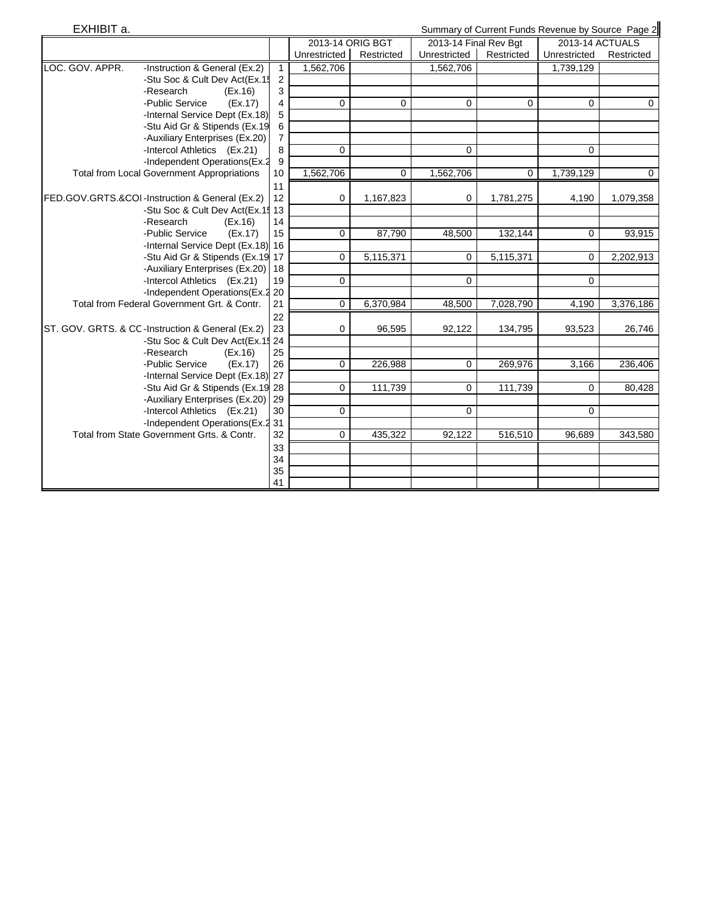| EXHIBIT a.      |                                                   |                |                  | Summary of Current Funds Revenue by Source Page 2 |                       |            |                 |              |  |
|-----------------|---------------------------------------------------|----------------|------------------|---------------------------------------------------|-----------------------|------------|-----------------|--------------|--|
|                 |                                                   |                | 2013-14 ORIG BGT |                                                   | 2013-14 Final Rev Bgt |            | 2013-14 ACTUALS |              |  |
|                 |                                                   |                | Unrestricted     | Restricted                                        | Unrestricted          | Restricted | Unrestricted    | Restricted   |  |
| LOC. GOV. APPR. | -Instruction & General (Ex.2)                     | $\mathbf{1}$   | 1,562,706        |                                                   | 1,562,706             |            | 1,739,129       |              |  |
|                 | -Stu Soc & Cult Dev Act(Ex.15                     | $\overline{c}$ |                  |                                                   |                       |            |                 |              |  |
|                 | -Research<br>(EX.16)                              | 3              |                  |                                                   |                       |            |                 |              |  |
|                 | -Public Service<br>(EX.17)                        | 4              | $\mathbf 0$      | 0                                                 | $\Omega$              | $\Omega$   | $\Omega$        | $\mathbf{0}$ |  |
|                 | -Internal Service Dept (Ex.18)                    | 5              |                  |                                                   |                       |            |                 |              |  |
|                 | -Stu Aid Gr & Stipends (Ex.19)                    | 6              |                  |                                                   |                       |            |                 |              |  |
|                 | -Auxiliary Enterprises (Ex.20)                    | 7              |                  |                                                   |                       |            |                 |              |  |
|                 | -Intercol Athletics (Ex.21)                       | 8              | 0                |                                                   | 0                     |            | 0               |              |  |
|                 | -Independent Operations(Ex.2                      | 9              |                  |                                                   |                       |            |                 |              |  |
|                 | <b>Total from Local Government Appropriations</b> | 10             | 1,562,706        | 0                                                 | 1,562,706             | $\Omega$   | 1,739,129       | $\mathbf{0}$ |  |
|                 |                                                   | 11             |                  |                                                   |                       |            |                 |              |  |
|                 | FED.GOV.GRTS.&COI-Instruction & General (Ex.2)    | 12             | $\mathbf 0$      | 1,167,823                                         | 0                     | 1,781,275  | 4,190           | 1,079,358    |  |
|                 | -Stu Soc & Cult Dev Act(Ex.15 13                  |                |                  |                                                   |                       |            |                 |              |  |
|                 | -Research<br>(EX.16)                              | 14             |                  |                                                   |                       |            |                 |              |  |
|                 | -Public Service<br>(EX.17)                        | 15             | $\mathbf 0$      | 87,790                                            | 48,500                | 132,144    | $\mathbf 0$     | 93,915       |  |
|                 | -Internal Service Dept (Ex.18) 16                 |                |                  |                                                   |                       |            |                 |              |  |
|                 | -Stu Aid Gr & Stipends (Ex.19 17                  |                | $\mathbf 0$      | 5,115,371                                         | $\Omega$              | 5,115,371  | $\Omega$        | 2,202,913    |  |
|                 | -Auxiliary Enterprises (Ex.20) 18                 |                |                  |                                                   |                       |            |                 |              |  |
|                 | -Intercol Athletics (Ex.21)                       | 19             | $\mathbf 0$      |                                                   | $\Omega$              |            | $\Omega$        |              |  |
|                 | -Independent Operations (Ex.2 20                  |                |                  |                                                   |                       |            |                 |              |  |
|                 | Total from Federal Government Grt. & Contr.       | 21             | $\overline{0}$   | 6,370,984                                         | 48,500                | 7,028,790  | 4,190           | 3,376,186    |  |
|                 |                                                   | 22             |                  |                                                   |                       |            |                 |              |  |
|                 | ST. GOV. GRTS. & CC-Instruction & General (Ex.2)  | 23             | $\mathbf 0$      | 96,595                                            | 92,122                | 134,795    | 93,523          | 26,746       |  |
|                 | -Stu Soc & Cult Dev Act(Ex.15 24                  |                |                  |                                                   |                       |            |                 |              |  |
|                 | -Research<br>(EX.16)                              | 25             |                  |                                                   |                       |            |                 |              |  |
|                 | -Public Service<br>(EX.17)                        | 26             | 0                | 226,988                                           | $\Omega$              | 269,976    | 3,166           | 236,406      |  |
|                 | -Internal Service Dept (Ex.18) 27                 |                |                  |                                                   |                       |            |                 |              |  |
|                 | -Stu Aid Gr & Stipends (Ex.19 28                  |                | 0                | 111,739                                           | 0                     | 111,739    | $\Omega$        | 80,428       |  |
|                 | -Auxiliary Enterprises (Ex.20) 29                 |                |                  |                                                   |                       |            |                 |              |  |
|                 | -Intercol Athletics (Ex.21)                       | 30             | $\mathbf 0$      |                                                   | 0                     |            | $\mathbf 0$     |              |  |
|                 | -Independent Operations (Ex.2 31                  |                |                  |                                                   |                       |            |                 |              |  |
|                 | Total from State Government Grts. & Contr.        | 32             | $\mathbf 0$      | 435,322                                           | 92,122                | 516,510    | 96,689          | 343,580      |  |
|                 |                                                   | 33             |                  |                                                   |                       |            |                 |              |  |
|                 |                                                   | 34             |                  |                                                   |                       |            |                 |              |  |
|                 |                                                   | 35             |                  |                                                   |                       |            |                 |              |  |
|                 |                                                   | 41             |                  |                                                   |                       |            |                 |              |  |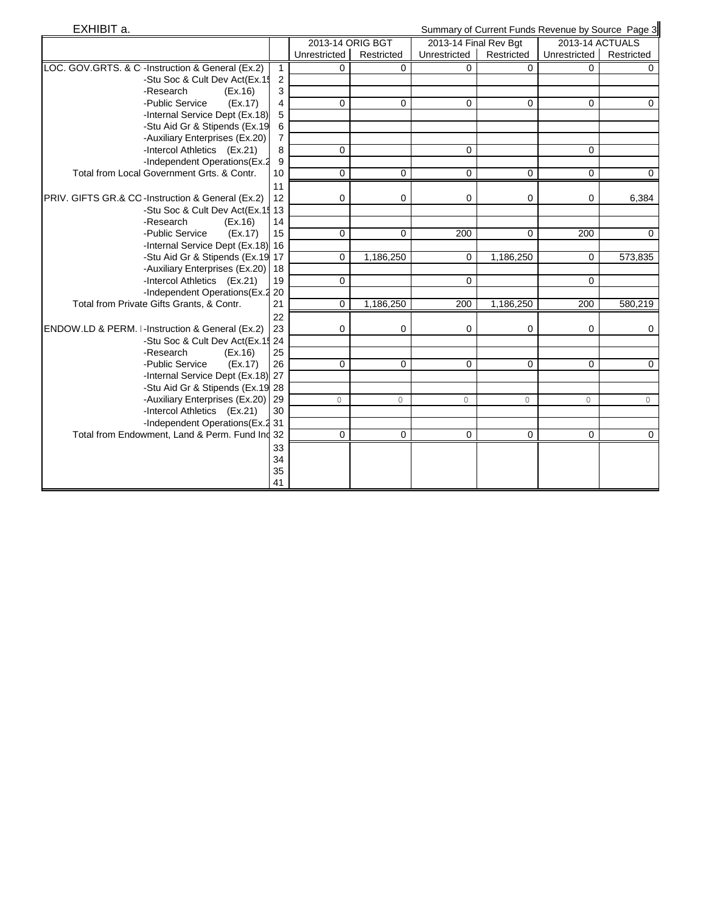| EXHIBIT a.                                                                    |                |                     | Summary of Current Funds Revenue by Source Page 3 |                       |             |                         |             |  |
|-------------------------------------------------------------------------------|----------------|---------------------|---------------------------------------------------|-----------------------|-------------|-------------------------|-------------|--|
|                                                                               |                | 2013-14 ORIG BGT    |                                                   | 2013-14 Final Rev Bgt |             | 2013-14 ACTUALS         |             |  |
|                                                                               |                | <b>Unrestricted</b> | Restricted                                        | Unrestricted          | Restricted  | Unrestricted Restricted |             |  |
| LOC. GOV.GRTS. & C-Instruction & General (Ex.2)                               | $\mathbf{1}$   | 0                   | 0                                                 | $\Omega$              | $\Omega$    | 0                       | $\Omega$    |  |
| -Stu Soc & Cult Dev Act(Ex.15                                                 | $\overline{2}$ |                     |                                                   |                       |             |                         |             |  |
| -Research<br>(EX.16)                                                          | 3              |                     |                                                   |                       |             |                         |             |  |
| -Public Service<br>(EX.17)                                                    | 4              | $\mathbf 0$         | 0                                                 | 0                     | 0           | $\Omega$                | 0           |  |
| -Internal Service Dept (Ex.18)                                                | 5              |                     |                                                   |                       |             |                         |             |  |
| -Stu Aid Gr & Stipends (Ex.19                                                 | 6              |                     |                                                   |                       |             |                         |             |  |
| -Auxiliary Enterprises (Ex.20)                                                | 7              |                     |                                                   |                       |             |                         |             |  |
| -Intercol Athletics (Ex.21)                                                   | 8              | 0                   |                                                   | 0                     |             | $\Omega$                |             |  |
| -Independent Operations(Ex.2                                                  | 9              |                     |                                                   |                       |             |                         |             |  |
| Total from Local Government Grts, & Contr.                                    | 10             | $\mathbf 0$         | 0                                                 | 0                     | $\mathbf 0$ | $\mathbf 0$             | 0           |  |
|                                                                               | 11             |                     |                                                   |                       |             |                         |             |  |
| PRIV. GIFTS GR.& CO-Instruction & General (Ex.2)                              | 12             | 0                   | 0                                                 | 0                     | 0           | 0                       | 6,384       |  |
| -Stu Soc & Cult Dev Act(Ex.15 13                                              |                |                     |                                                   |                       |             |                         |             |  |
| -Research<br>(EX.16)                                                          | 14             |                     |                                                   |                       |             |                         |             |  |
| -Public Service<br>(EX.17)                                                    | 15             | 0                   | 0                                                 | 200                   | $\mathbf 0$ | 200                     | $\mathbf 0$ |  |
| -Internal Service Dept (Ex.18) 16                                             |                |                     |                                                   |                       |             |                         |             |  |
| -Stu Aid Gr & Stipends (Ex.19 17                                              |                | 0                   | 1,186,250                                         | 0                     | 1,186,250   | $\Omega$                | 573,835     |  |
| -Auxiliary Enterprises (Ex.20) 18                                             |                |                     |                                                   |                       |             |                         |             |  |
| -Intercol Athletics (Ex.21)                                                   | 19             | $\mathbf 0$         |                                                   | 0                     |             | $\Omega$                |             |  |
| -Independent Operations (Ex.2 20<br>Total from Private Gifts Grants, & Contr. | 21             | $\overline{0}$      | 1,186,250                                         | 200                   | 1,186,250   | 200                     | 580,219     |  |
|                                                                               |                |                     |                                                   |                       |             |                         |             |  |
| ENDOW.LD & PERM. I-Instruction & General (Ex.2)                               | 22<br>23       | 0                   | 0                                                 | 0                     | 0           | $\Omega$                | 0           |  |
| -Stu Soc & Cult Dev Act(Ex.15 24                                              |                |                     |                                                   |                       |             |                         |             |  |
| -Research<br>(EX.16)                                                          | 25             |                     |                                                   |                       |             |                         |             |  |
| -Public Service<br>(EX.17)                                                    | 26             | 0                   | 0                                                 | 0                     | $\mathbf 0$ | $\Omega$                | $\mathbf 0$ |  |
| -Internal Service Dept (Ex.18) 27                                             |                |                     |                                                   |                       |             |                         |             |  |
| -Stu Aid Gr & Stipends (Ex.19 28                                              |                |                     |                                                   |                       |             |                         |             |  |
| -Auxiliary Enterprises (Ex.20)                                                | 29             | $\circ$             | 0                                                 | $\mathbf 0$           | 0           | $\circ$                 | $\circ$     |  |
| -Intercol Athletics (Ex.21)                                                   | 30             |                     |                                                   |                       |             |                         |             |  |
| -Independent Operations (Ex.2 31                                              |                |                     |                                                   |                       |             |                         |             |  |
| Total from Endowment, Land & Perm. Fund Ind 32                                |                | $\mathbf 0$         | 0                                                 | 0                     | 0           | $\mathbf 0$             | $\mathbf 0$ |  |
|                                                                               | 33             |                     |                                                   |                       |             |                         |             |  |
|                                                                               | 34             |                     |                                                   |                       |             |                         |             |  |
|                                                                               | 35             |                     |                                                   |                       |             |                         |             |  |
|                                                                               | 41             |                     |                                                   |                       |             |                         |             |  |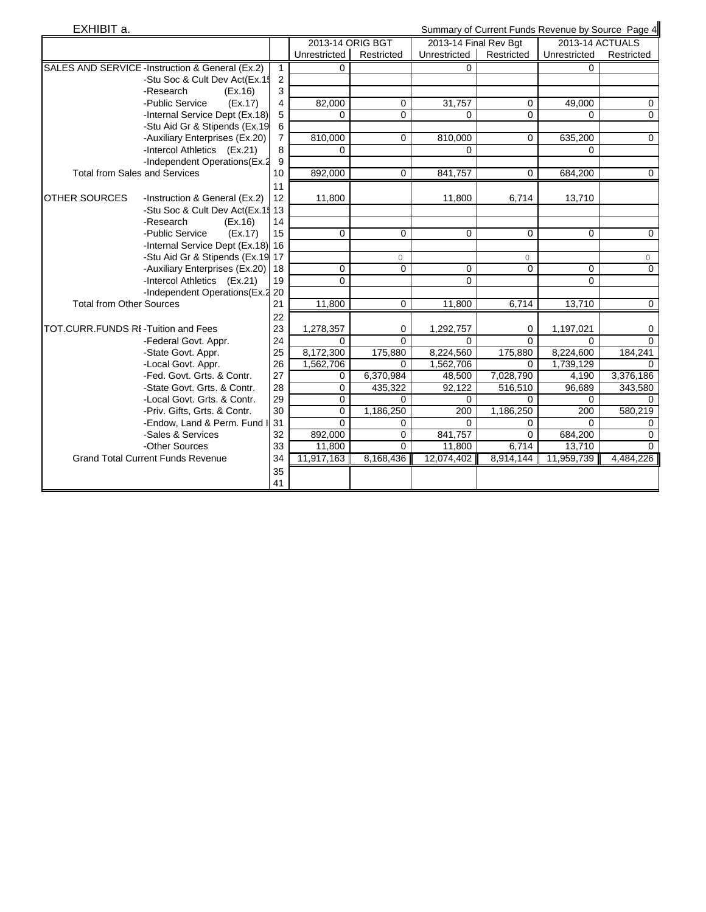| EXHIBIT a.<br>Summary of Current Funds Revenue by Source Page 4 |                                                 |                |                  |                |                         |             |                 |                |
|-----------------------------------------------------------------|-------------------------------------------------|----------------|------------------|----------------|-------------------------|-------------|-----------------|----------------|
|                                                                 |                                                 |                | 2013-14 ORIG BGT |                | 2013-14 Final Rev Bgt   |             | 2013-14 ACTUALS |                |
|                                                                 |                                                 |                | Unrestricted     | Restricted     | Unrestricted Restricted |             | Unrestricted    | Restricted     |
|                                                                 | SALES AND SERVICE -Instruction & General (Ex.2) | $\mathbf{1}$   | 0                |                |                         |             |                 |                |
|                                                                 | -Stu Soc & Cult Dev Act(Ex.15                   | 2              |                  |                |                         |             |                 |                |
|                                                                 | -Research<br>(EX.16)                            | 3              |                  |                |                         |             |                 |                |
|                                                                 | -Public Service<br>(EX.17)                      | 4              | 82,000           | 0              | 31,757                  | $\mathbf 0$ | 49,000          | 0              |
|                                                                 | -Internal Service Dept (Ex.18)                  | 5              | $\Omega$         | 0              | $\Omega$                | $\Omega$    | $\Omega$        | $\overline{0}$ |
|                                                                 | -Stu Aid Gr & Stipends (Ex.19                   | 6              |                  |                |                         |             |                 |                |
|                                                                 | -Auxiliary Enterprises (Ex.20)                  | $\overline{7}$ | 810,000          | 0              | 810,000                 | $\Omega$    | 635,200         | $\mathbf 0$    |
|                                                                 | -Intercol Athletics (Ex.21)                     | 8              | 0                |                | $\Omega$                |             | 0               |                |
|                                                                 | -Independent Operations(Ex.2                    | 9              |                  |                |                         |             |                 |                |
|                                                                 | <b>Total from Sales and Services</b>            | 10             | 892,000          | $\mathbf 0$    | 841,757                 | $\Omega$    | 684,200         | $\mathbf 0$    |
|                                                                 |                                                 | 11             |                  |                |                         |             |                 |                |
| <b>IOTHER SOURCES</b>                                           | -Instruction & General (Ex.2)                   | 12             | 11,800           |                | 11,800                  | 6,714       | 13,710          |                |
|                                                                 | -Stu Soc & Cult Dev Act(Ex.15 13                |                |                  |                |                         |             |                 |                |
|                                                                 | -Research<br>(EX.16)                            | 14             |                  |                |                         |             |                 |                |
|                                                                 | -Public Service<br>(EX.17)                      | 15             | $\mathbf 0$      | 0              | $\mathbf 0$             | $\mathbf 0$ | $\mathbf 0$     | $\mathbf 0$    |
|                                                                 | -Internal Service Dept (Ex.18) 16               |                |                  |                |                         |             |                 |                |
|                                                                 | -Stu Aid Gr & Stipends (Ex.19 17                |                |                  | 0              |                         | 0           |                 | $\circ$        |
|                                                                 | -Auxiliary Enterprises (Ex.20) 18               |                | $\mathbf 0$      | $\Omega$       | 0                       | $\Omega$    | $\Omega$        | $\mathbf 0$    |
|                                                                 | -Intercol Athletics (Ex.21)                     | 19             | $\Omega$         |                | $\Omega$                |             | $\Omega$        |                |
|                                                                 | -Independent Operations (Ex.2 20                |                |                  |                |                         |             |                 |                |
| <b>Total from Other Sources</b>                                 |                                                 | 21             | 11,800           | $\overline{0}$ | 11,800                  | 6,714       | 13,710          | $\overline{0}$ |
|                                                                 |                                                 | 22             |                  |                |                         |             |                 |                |
| TOT.CURR.FUNDS RI-Tuition and Fees                              |                                                 | 23             | 1,278,357        | 0              | 1,292,757               | 0           | 1,197,021       | 0              |
|                                                                 | -Federal Govt. Appr.                            | 24             | $\Omega$         | $\Omega$       | 0                       | $\Omega$    | $\Omega$        | $\Omega$       |
|                                                                 | -State Govt. Appr.                              | 25             | 8,172,300        | 175,880        | 8,224,560               | 175,880     | 8,224,600       | 184,241        |
|                                                                 | -Local Govt. Appr.                              | 26             | 1,562,706        | 0              | 1,562,706               | 0           | 1,739,129       | $\Omega$       |
|                                                                 | -Fed. Govt. Grts. & Contr.                      | 27             | 0                | 6,370,984      | 48,500                  | 7,028,790   | 4,190           | 3,376,186      |
|                                                                 | -State Govt. Grts. & Contr.                     | 28             | $\mathbf 0$      | 435,322        | 92,122                  | 516,510     | 96,689          | 343,580        |
|                                                                 | -Local Govt. Grts. & Contr.                     | 29             | $\mathbf 0$      | 0              | $\Omega$                | $\Omega$    | $\Omega$        | $\Omega$       |
|                                                                 | -Priv. Gifts, Grts. & Contr.                    | 30             | $\mathbf 0$      | 1,186,250      | $\overline{200}$        | 1,186,250   | 200             | 580,219        |
|                                                                 | -Endow, Land & Perm. Fund I                     | 31             | $\overline{0}$   | $\mathbf 0$    | $\Omega$                | $\mathbf 0$ | $\Omega$        | $\mathbf 0$    |
|                                                                 | -Sales & Services                               | 32             | 892,000          | 0              | 841,757                 | $\Omega$    | 684,200         | 0              |
|                                                                 | -Other Sources                                  | 33             | 11,800           | $\Omega$       | 11,800                  | 6,714       | 13,710          | $\Omega$       |
|                                                                 | <b>Grand Total Current Funds Revenue</b>        | 34             | 11,917,163       | 8,168,436      | 12,074,402              | 8,914,144   | 11,959,739      | 4,484,226      |
|                                                                 |                                                 | 35             |                  |                |                         |             |                 |                |
|                                                                 |                                                 | 41             |                  |                |                         |             |                 |                |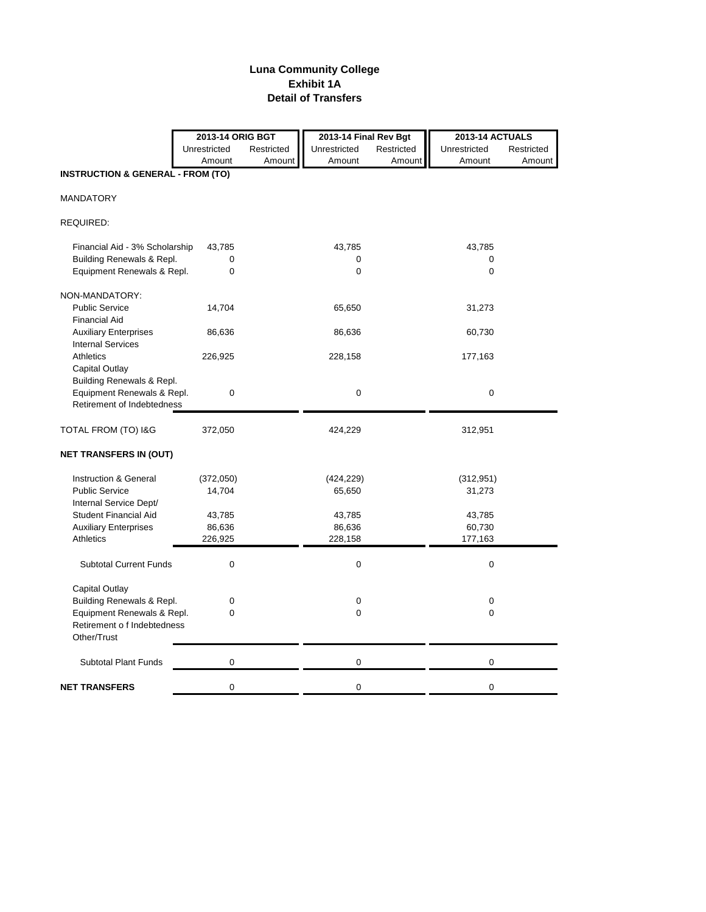### **Luna Community College Exhibit 1A Detail of Transfers**

|                                                          | 2013-14 ORIG BGT |            | 2013-14 Final Rev Bgt |            | <b>2013-14 ACTUALS</b> |            |  |
|----------------------------------------------------------|------------------|------------|-----------------------|------------|------------------------|------------|--|
|                                                          | Unrestricted     | Restricted | Unrestricted          | Restricted | Unrestricted           | Restricted |  |
|                                                          | Amount           | Amount     | Amount                | Amount     | Amount                 | Amount     |  |
| <b>INSTRUCTION &amp; GENERAL - FROM (TO)</b>             |                  |            |                       |            |                        |            |  |
| <b>MANDATORY</b>                                         |                  |            |                       |            |                        |            |  |
| REQUIRED:                                                |                  |            |                       |            |                        |            |  |
| Financial Aid - 3% Scholarship                           | 43,785           |            | 43,785                |            | 43,785                 |            |  |
| Building Renewals & Repl.                                | 0                |            | 0                     |            | 0                      |            |  |
| Equipment Renewals & Repl.                               | 0                |            | 0                     |            | 0                      |            |  |
| NON-MANDATORY:                                           |                  |            |                       |            |                        |            |  |
| <b>Public Service</b>                                    | 14,704           |            | 65,650                |            | 31,273                 |            |  |
| <b>Financial Aid</b>                                     |                  |            |                       |            |                        |            |  |
| <b>Auxiliary Enterprises</b>                             | 86,636           |            | 86,636                |            | 60,730                 |            |  |
| <b>Internal Services</b>                                 |                  |            |                       |            |                        |            |  |
| Athletics                                                | 226,925          |            | 228,158               |            | 177,163                |            |  |
| Capital Outlay                                           |                  |            |                       |            |                        |            |  |
| Building Renewals & Repl.                                |                  |            |                       |            |                        |            |  |
| Equipment Renewals & Repl.<br>Retirement of Indebtedness | 0                |            | 0                     |            | $\mathbf 0$            |            |  |
|                                                          |                  |            |                       |            |                        |            |  |
| TOTAL FROM (TO) I&G                                      | 372,050          |            | 424,229               |            | 312,951                |            |  |
| <b>NET TRANSFERS IN (OUT)</b>                            |                  |            |                       |            |                        |            |  |
| Instruction & General                                    | (372,050)        |            | (424, 229)            |            | (312, 951)             |            |  |
| <b>Public Service</b>                                    | 14,704           |            | 65,650                |            | 31,273                 |            |  |
| Internal Service Dept/                                   |                  |            |                       |            |                        |            |  |
| <b>Student Financial Aid</b>                             | 43,785           |            | 43,785                |            | 43,785                 |            |  |
| <b>Auxiliary Enterprises</b>                             | 86,636           |            | 86,636                |            | 60,730                 |            |  |
| <b>Athletics</b>                                         | 226,925          |            | 228,158               |            | 177,163                |            |  |
| <b>Subtotal Current Funds</b>                            | 0                |            | $\mathbf 0$           |            | 0                      |            |  |
| Capital Outlay                                           |                  |            |                       |            |                        |            |  |
| Building Renewals & Repl.                                | 0                |            | 0                     |            | 0                      |            |  |
| Equipment Renewals & Repl.                               | 0                |            | 0                     |            | 0                      |            |  |
| Retirement o f Indebtedness                              |                  |            |                       |            |                        |            |  |
| Other/Trust                                              |                  |            |                       |            |                        |            |  |
| <b>Subtotal Plant Funds</b>                              | $\mathbf 0$      |            | 0                     |            | 0                      |            |  |
| <b>NET TRANSFERS</b>                                     | 0                |            | 0                     |            | 0                      |            |  |
|                                                          |                  |            |                       |            |                        |            |  |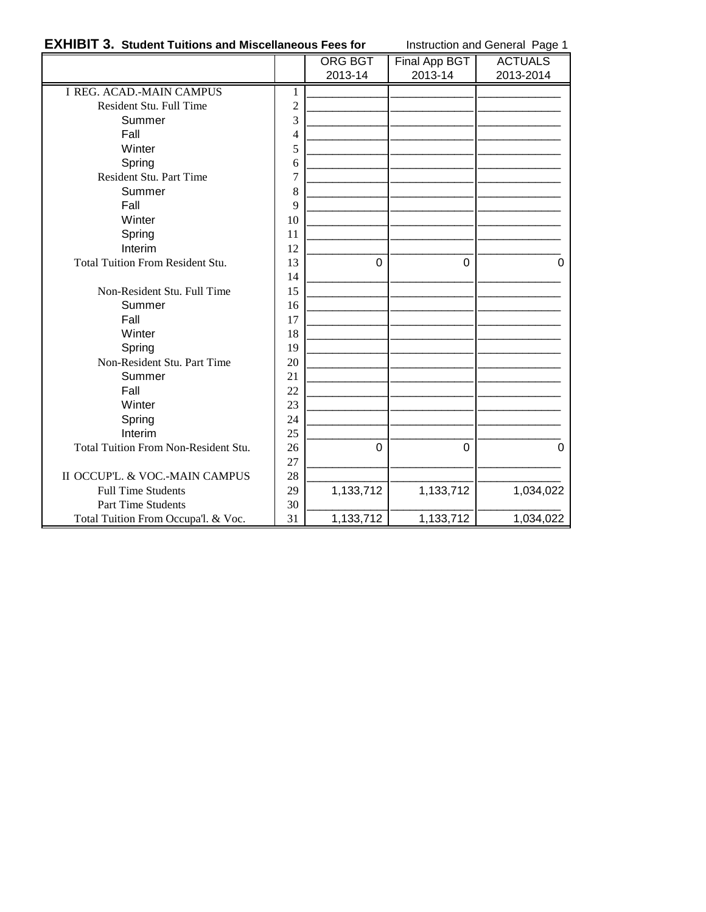### **EXHIBIT 3. Student Tuitions and Miscellaneous Fees for** Instruction and General Page 1

|                                         |                | ORG BGT<br>2013-14 | Final App BGT<br>2013-14 | <b>ACTUALS</b><br>2013-2014 |
|-----------------------------------------|----------------|--------------------|--------------------------|-----------------------------|
| <b>I REG. ACAD.-MAIN CAMPUS</b>         | 1              |                    |                          |                             |
| Resident Stu. Full Time                 | $\overline{c}$ |                    |                          |                             |
| Summer                                  | 3              |                    |                          |                             |
| Fall                                    | 4              |                    |                          |                             |
| Winter                                  | 5              |                    |                          |                             |
| Spring                                  | 6              |                    |                          |                             |
| Resident Stu. Part Time                 | $\overline{7}$ |                    |                          |                             |
| Summer                                  |                |                    |                          |                             |
| Fall                                    | 8<br>9         |                    |                          |                             |
| Winter                                  | 10             |                    |                          |                             |
| Spring                                  | 11             |                    |                          |                             |
| Interim                                 | 12             |                    |                          |                             |
| <b>Total Tuition From Resident Stu.</b> | 13             | 0                  | 0                        | $\Omega$                    |
|                                         | 14             |                    |                          |                             |
| Non-Resident Stu. Full Time             | 15             |                    |                          |                             |
| Summer                                  | 16             |                    |                          |                             |
| Fall                                    | 17             |                    |                          |                             |
| Winter                                  | 18             |                    |                          |                             |
| Spring                                  | 19             |                    |                          |                             |
| Non-Resident Stu. Part Time             | 20             |                    |                          |                             |
| Summer                                  | 21             |                    |                          |                             |
| Fall                                    | 22             |                    |                          |                             |
| Winter                                  | 23             |                    |                          |                             |
| Spring                                  | 24             |                    |                          |                             |
| Interim                                 | 25             |                    |                          |                             |
| Total Tuition From Non-Resident Stu.    | 26             | $\Omega$           | 0                        | $\Omega$                    |
|                                         | 27             |                    |                          |                             |
| II OCCUP'L. & VOC.-MAIN CAMPUS          | 28             |                    |                          |                             |
| <b>Full Time Students</b>               | 29             | 1,133,712          | 1,133,712                | 1,034,022                   |
| Part Time Students                      | 30             |                    |                          |                             |
| Total Tuition From Occupa'l. & Voc.     | 31             | 1,133,712          | 1,133,712                | 1,034,022                   |
|                                         |                |                    |                          |                             |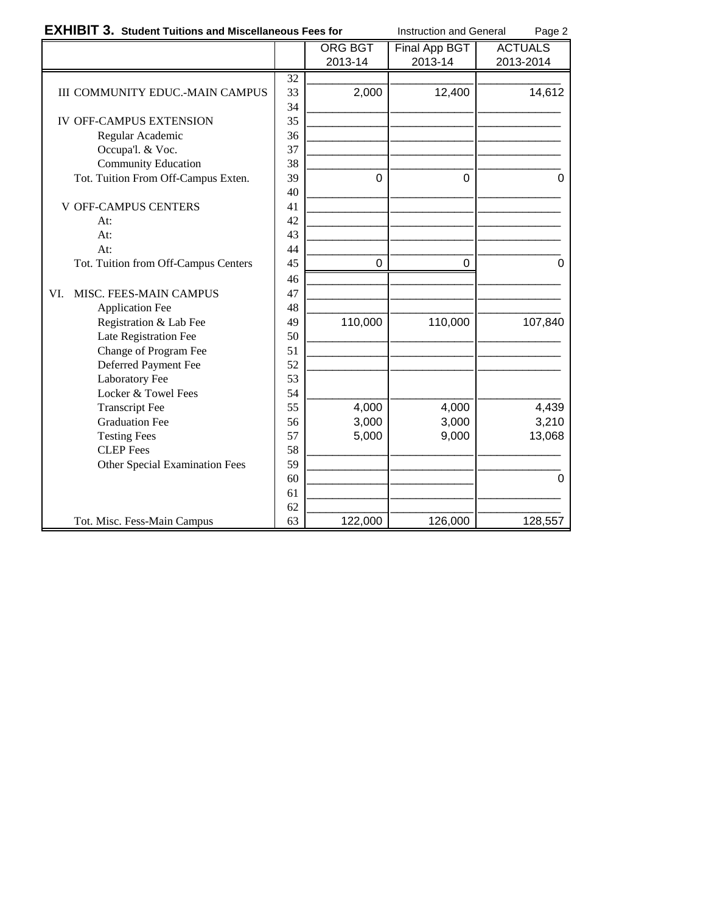|  | <b>EXHIBIT 3. Student Tuitions and Miscellaneous Fees for</b> |  |  |
|--|---------------------------------------------------------------|--|--|
|--|---------------------------------------------------------------|--|--|

**Instruction and General Page 2** 

|                                        |    | <b>ORG BGT</b> | Final App BGT  | <b>ACTUALS</b> |
|----------------------------------------|----|----------------|----------------|----------------|
|                                        |    | 2013-14        | 2013-14        | 2013-2014      |
|                                        | 32 |                |                |                |
| <b>III COMMUNITY EDUC.-MAIN CAMPUS</b> | 33 | 2,000          | 12,400         | 14,612         |
|                                        | 34 |                |                |                |
| <b>IV OFF-CAMPUS EXTENSION</b>         | 35 |                |                |                |
| Regular Academic                       | 36 |                |                |                |
| Occupa'l. & Voc.                       | 37 |                |                |                |
| <b>Community Education</b>             | 38 |                |                |                |
| Tot. Tuition From Off-Campus Exten.    | 39 | $\Omega$       | $\overline{0}$ | $\Omega$       |
|                                        | 40 |                |                |                |
| <b>V OFF-CAMPUS CENTERS</b>            | 41 |                |                |                |
| At:                                    | 42 |                |                |                |
| At:                                    | 43 |                |                |                |
| At:                                    | 44 |                |                |                |
| Tot. Tuition from Off-Campus Centers   | 45 | 0              | 0              | 0              |
|                                        | 46 |                |                |                |
| MISC. FEES-MAIN CAMPUS<br>VI.          | 47 |                |                |                |
| <b>Application Fee</b>                 | 48 |                |                |                |
| Registration & Lab Fee                 | 49 | 110,000        | 110,000        | 107,840        |
| Late Registration Fee                  | 50 |                |                |                |
| Change of Program Fee                  | 51 |                |                |                |
| Deferred Payment Fee                   | 52 |                |                |                |
| Laboratory Fee                         | 53 |                |                |                |
| Locker & Towel Fees                    | 54 |                |                |                |
| <b>Transcript Fee</b>                  | 55 | 4,000          | 4,000          | 4,439          |
| <b>Graduation Fee</b>                  | 56 | 3,000          | 3,000          | 3,210          |
| <b>Testing Fees</b>                    | 57 | 5,000          | 9,000          | 13,068         |
| <b>CLEP</b> Fees                       | 58 |                |                |                |
| <b>Other Special Examination Fees</b>  | 59 |                |                |                |
|                                        | 60 |                |                | $\mathbf 0$    |
|                                        | 61 |                |                |                |
|                                        | 62 |                |                |                |
| Tot. Misc. Fess-Main Campus            | 63 | 122,000        | 126,000        | 128,557        |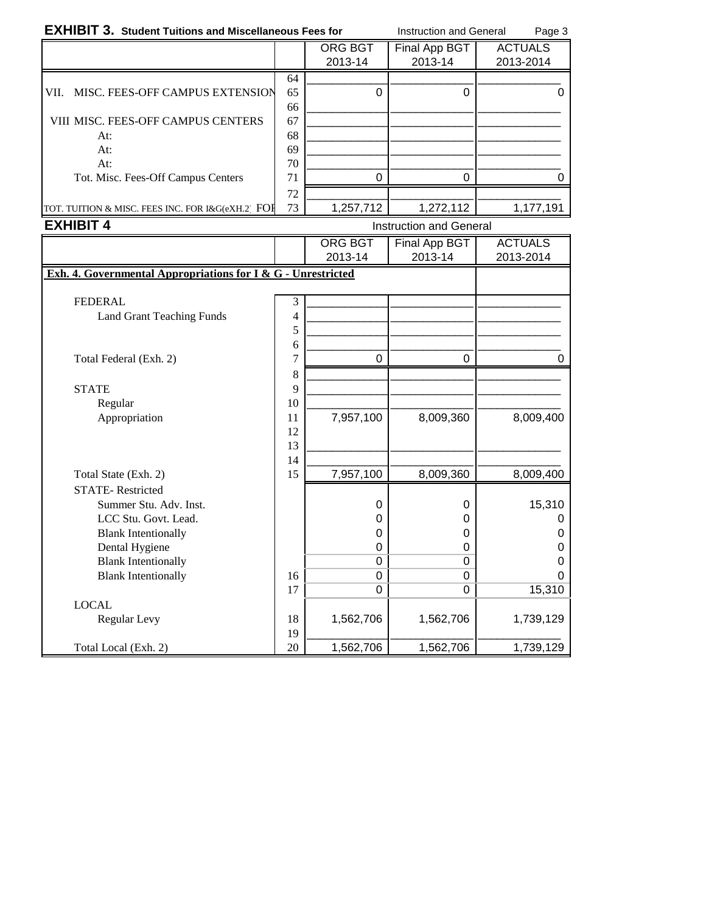## **EXHIBIT 3. Student Tuitions and Miscellaneous Fees for** Instruction and General Page 3

|                                                   |    | ORG BGT   | Final App BGT | <b>ACTUALS</b> |
|---------------------------------------------------|----|-----------|---------------|----------------|
|                                                   |    | 2013-14   | 2013-14       | 2013-2014      |
|                                                   | 64 |           |               |                |
| MISC. FEES-OFF CAMPUS EXTENSION<br>VII.           | 65 | 0         |               | 0              |
|                                                   | 66 |           |               |                |
| <b>VIII MISC. FEES-OFF CAMPUS CENTERS</b>         | 67 |           |               |                |
| At:                                               | 68 |           |               |                |
| At:                                               | 69 |           |               |                |
| At:                                               | 70 |           |               |                |
| Tot. Misc. Fees-Off Campus Centers                | 71 | ∩         |               |                |
|                                                   | 72 |           |               |                |
| TOT. TUITION & MISC. FEES INC. FOR I&G(eXH.2) FOH | 73 | 1,257,712 | 1,272,112     | 1.177.191      |

|                                                              |          | ORG BGT<br>2013-14 | Final App BGT | <b>ACTUALS</b> |
|--------------------------------------------------------------|----------|--------------------|---------------|----------------|
|                                                              |          |                    |               |                |
|                                                              |          |                    | 2013-14       | 2013-2014      |
| Exh. 4. Governmental Appropriations for I & G - Unrestricted |          |                    |               |                |
|                                                              |          |                    |               |                |
| <b>FEDERAL</b>                                               | 3        |                    |               |                |
| Land Grant Teaching Funds                                    | 4        |                    |               |                |
|                                                              | 5        |                    |               |                |
|                                                              | 6        |                    |               |                |
| Total Federal (Exh. 2)                                       | 7        | $\mathbf 0$        | 0             | 0              |
|                                                              | 8        |                    |               |                |
| <b>STATE</b>                                                 | 9        |                    |               |                |
| Regular                                                      | 10       |                    |               |                |
| Appropriation                                                | 11       | 7,957,100          | 8,009,360     | 8,009,400      |
|                                                              | 12       |                    |               |                |
|                                                              | 13       |                    |               |                |
|                                                              | 14       |                    |               |                |
| Total State (Exh. 2)                                         | 15       | 7,957,100          | 8,009,360     | 8,009,400      |
| <b>STATE-Restricted</b>                                      |          |                    |               |                |
| Summer Stu. Adv. Inst.                                       |          | 0                  | 0             | 15,310         |
| LCC Stu. Govt. Lead.                                         |          | 0                  | 0             | $\Omega$       |
| <b>Blank Intentionally</b>                                   |          | 0                  | 0             | 0              |
| Dental Hygiene                                               |          | 0                  | 0             | 0              |
| <b>Blank Intentionally</b>                                   |          | 0                  | 0             | $\Omega$       |
| <b>Blank Intentionally</b>                                   | 16       | $\Omega$           | 0             | $\Omega$       |
|                                                              | 17       | 0                  | 0             | 15,310         |
| <b>LOCAL</b>                                                 |          |                    |               |                |
| Regular Levy                                                 | 18       | 1,562,706          | 1,562,706     | 1,739,129      |
| Total Local (Exh. 2)                                         | 19<br>20 | 1,562,706          | 1,562,706     | 1,739,129      |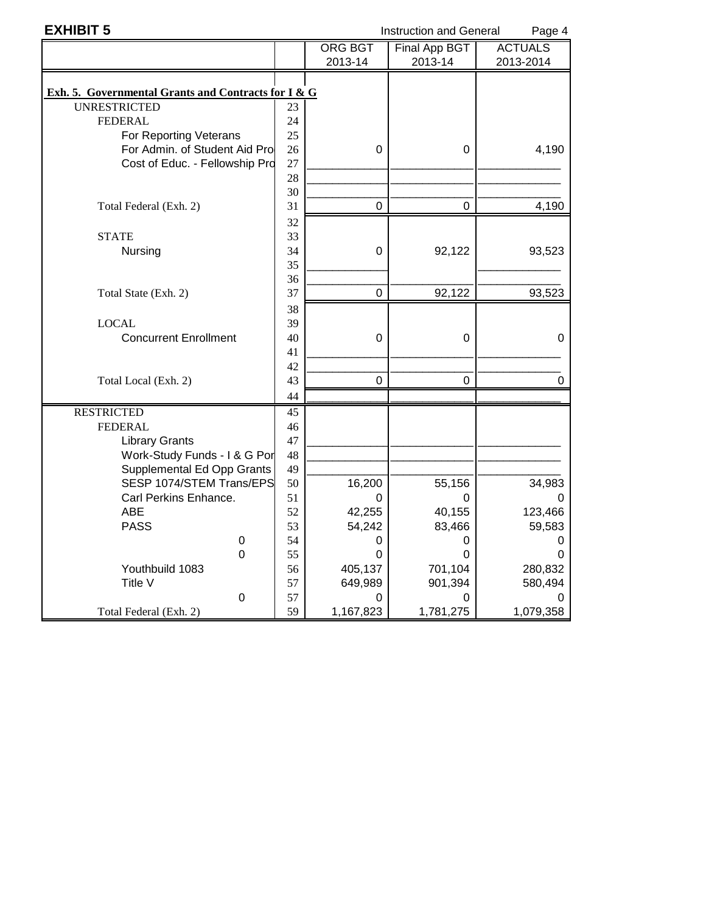| <b>EXHIBIT 5</b>                                    |          | <b>Instruction and General</b><br>Page 4 |                      |                |
|-----------------------------------------------------|----------|------------------------------------------|----------------------|----------------|
|                                                     |          | <b>ORG BGT</b>                           | <b>Final App BGT</b> | <b>ACTUALS</b> |
|                                                     |          | 2013-14                                  | 2013-14              | 2013-2014      |
|                                                     |          |                                          |                      |                |
| Exh. 5. Governmental Grants and Contracts for I & G |          |                                          |                      |                |
| <b>UNRESTRICTED</b>                                 | 23       |                                          |                      |                |
| <b>FEDERAL</b>                                      | 24       |                                          |                      |                |
| For Reporting Veterans                              | 25       |                                          |                      |                |
| For Admin. of Student Aid Pro                       | 26       | 0                                        | 0                    | 4,190          |
| Cost of Educ. - Fellowship Pro                      | 27       |                                          |                      |                |
|                                                     | 28       |                                          |                      |                |
|                                                     | 30       |                                          |                      |                |
| Total Federal (Exh. 2)                              | 31       | $\mathbf 0$                              | 0                    | 4,190          |
|                                                     | 32       |                                          |                      |                |
| <b>STATE</b>                                        | 33       |                                          |                      |                |
| Nursing                                             | 34       | 0                                        | 92,122               | 93,523         |
|                                                     | 35       |                                          |                      |                |
|                                                     | 36       |                                          |                      |                |
| Total State (Exh. 2)                                | 37       | 0                                        | 92,122               | 93,523         |
|                                                     | 38       |                                          |                      |                |
| <b>LOCAL</b>                                        | 39       |                                          |                      |                |
| <b>Concurrent Enrollment</b>                        | 40       | 0                                        | $\boldsymbol{0}$     | 0              |
|                                                     | 41       |                                          |                      |                |
| Total Local (Exh. 2)                                | 42<br>43 | 0                                        | 0                    | 0              |
|                                                     | 44       |                                          |                      |                |
| <b>RESTRICTED</b>                                   | 45       |                                          |                      |                |
| <b>FEDERAL</b>                                      | 46       |                                          |                      |                |
| <b>Library Grants</b>                               | 47       |                                          |                      |                |
| Work-Study Funds - I & G Por                        | 48       |                                          |                      |                |
| Supplemental Ed Opp Grants                          | 49       |                                          |                      |                |
| SESP 1074/STEM Trans/EPS                            | 50       | 16,200                                   | 55,156               | 34,983         |
| Carl Perkins Enhance.                               | 51       | 0                                        | 0                    | O              |
| <b>ABE</b>                                          | 52       | 42,255                                   | 40,155               | 123,466        |
| <b>PASS</b>                                         | 53       | 54,242                                   | 83,466               | 59,583         |
| 0                                                   | 54       | 0                                        | 0                    | 0              |
| $\mathbf 0$                                         | 55       | 0                                        | 0                    | 0              |
| Youthbuild 1083                                     | 56       | 405,137                                  | 701,104              | 280,832        |
| Title V                                             | 57       | 649,989                                  | 901,394              | 580,494        |
| $\boldsymbol{0}$                                    | 57       | 0                                        | 0                    | 0              |
| Total Federal (Exh. 2)                              | 59       | 1,167,823                                | 1,781,275            | 1,079,358      |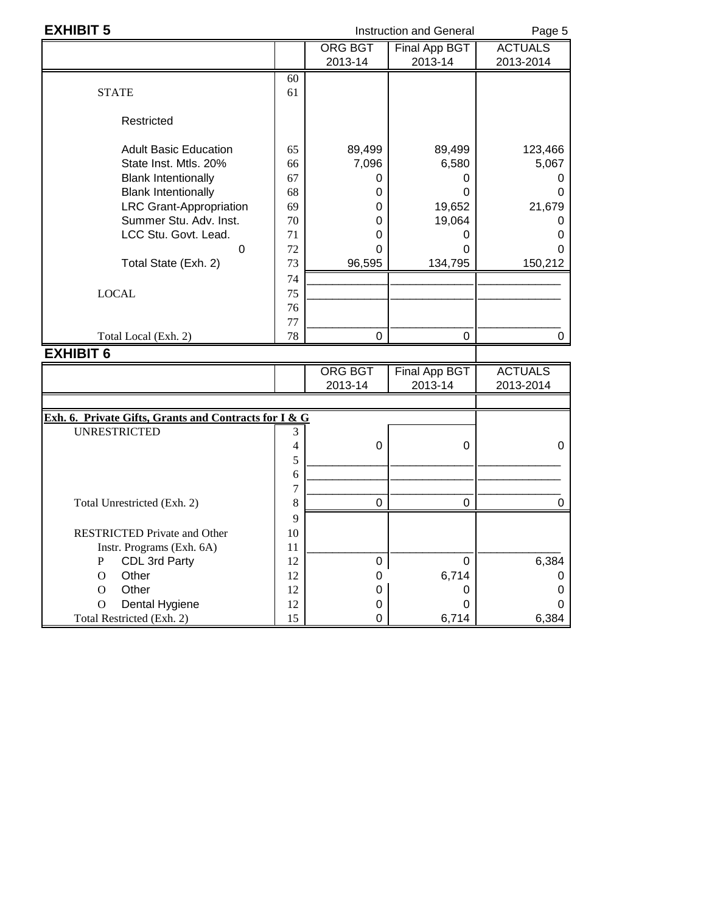| <b>EXHIBIT 5</b>                                      |          | <b>Instruction and General</b> | Page 5                          |                             |
|-------------------------------------------------------|----------|--------------------------------|---------------------------------|-----------------------------|
|                                                       |          | <b>ORG BGT</b><br>2013-14      | <b>Final App BGT</b><br>2013-14 | <b>ACTUALS</b><br>2013-2014 |
| <b>STATE</b>                                          | 60<br>61 |                                |                                 |                             |
| Restricted                                            |          |                                |                                 |                             |
| <b>Adult Basic Education</b>                          | 65       | 89,499                         | 89,499                          | 123,466                     |
| State Inst. Mtls. 20%                                 | 66       | 7,096                          | 6,580                           | 5,067                       |
| <b>Blank Intentionally</b>                            | 67       | 0                              | 0                               | O                           |
| <b>Blank Intentionally</b>                            | 68       | 0                              | 0                               | 0                           |
| <b>LRC Grant-Appropriation</b>                        | 69       | 0                              | 19,652                          | 21,679                      |
| Summer Stu. Adv. Inst.                                | 70       | 0                              | 19,064                          | O                           |
| LCC Stu. Govt. Lead.                                  | 71       | 0                              | 0                               | 0                           |
| $\Omega$                                              | 72       | 0                              | 0                               | 0                           |
| Total State (Exh. 2)                                  | 73       | 96,595                         | 134,795                         | 150,212                     |
|                                                       | 74       |                                |                                 |                             |
| <b>LOCAL</b>                                          | 75       |                                |                                 |                             |
|                                                       | 76       |                                |                                 |                             |
|                                                       | 77       |                                |                                 |                             |
| Total Local (Exh. 2)                                  | 78       | 0                              | 0                               | 0                           |
| <b>EXHIBIT 6</b>                                      |          |                                |                                 |                             |
|                                                       |          | <b>ORG BGT</b>                 | Final App BGT                   | <b>ACTUALS</b>              |
|                                                       |          | 2013-14                        | 2013-14                         | 2013-2014                   |
|                                                       |          |                                |                                 |                             |
| Exh. 6. Private Gifts, Grants and Contracts for I & G |          |                                |                                 |                             |
| <b>UNRESTRICTED</b>                                   | 3        |                                |                                 |                             |
|                                                       | 4        | 0                              | 0                               | 0                           |
|                                                       | 5        |                                |                                 |                             |

Total Unrestricted (Exh. 2) 8 0 0 0

Instr. Programs (Exh. 6A)<br>
P CDL 3rd Party<br>
O Other 0 0 6,714 0<br>
0 6,714 0

O Other 12 0 6,714 0 O Other 12 0 0 0 O Dental Hygiene 12 0 0 0 Total Restricted (Exh. 2) 15 0 6,714 6,384

9

P CDL 3rd Party  $\begin{vmatrix} 12 & 0 & 0 \\ 0 & 0 & 0 \\ 0 & 0 & 0 \end{vmatrix}$  0

RESTRICTED Private and Other 10

6  $\boxed{\phantom{a}}$ 7 \_\_\_\_\_\_\_\_\_\_\_\_\_\_\_\_\_\_\_\_\_\_\_\_\_\_ \_\_\_\_\_\_\_\_\_\_\_\_\_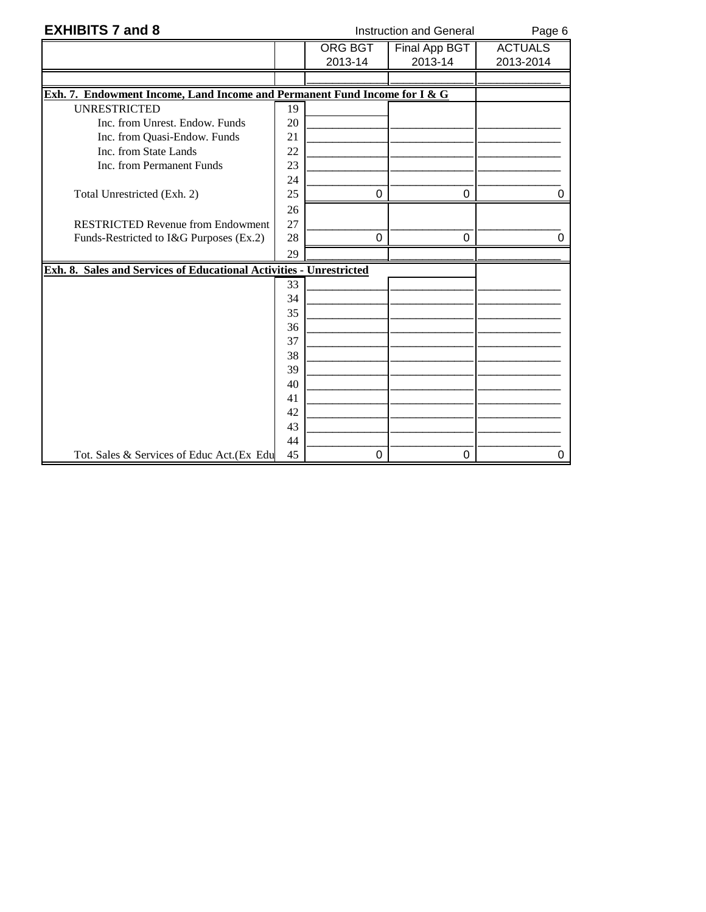| <b>EXHIBITS 7 and 8</b>                                                   |    | <b>Instruction and General</b> |                                 |                             |
|---------------------------------------------------------------------------|----|--------------------------------|---------------------------------|-----------------------------|
|                                                                           |    | <b>ORG BGT</b><br>2013-14      | <b>Final App BGT</b><br>2013-14 | <b>ACTUALS</b><br>2013-2014 |
|                                                                           |    |                                |                                 |                             |
| Exh. 7. Endowment Income, Land Income and Permanent Fund Income for I & G |    |                                |                                 |                             |
| <b>UNRESTRICTED</b>                                                       | 19 |                                |                                 |                             |
| Inc. from Unrest. Endow. Funds                                            | 20 |                                |                                 |                             |
| Inc. from Quasi-Endow. Funds                                              | 21 |                                |                                 |                             |
| Inc. from State Lands                                                     | 22 |                                |                                 |                             |
| Inc. from Permanent Funds                                                 | 23 |                                |                                 |                             |
|                                                                           | 24 |                                |                                 |                             |
| Total Unrestricted (Exh. 2)                                               | 25 | 0                              | 0                               |                             |
|                                                                           | 26 |                                |                                 |                             |
| <b>RESTRICTED Revenue from Endowment</b>                                  | 27 |                                |                                 |                             |
| Funds-Restricted to I&G Purposes (Ex.2)                                   | 28 | $\Omega$                       | 0                               |                             |
|                                                                           | 29 |                                |                                 |                             |
| Exh. 8. Sales and Services of Educational Activities - Unrestricted       |    |                                |                                 |                             |
|                                                                           | 33 |                                |                                 |                             |
|                                                                           | 34 |                                |                                 |                             |
|                                                                           | 35 |                                |                                 |                             |
|                                                                           | 36 |                                |                                 |                             |
|                                                                           | 37 |                                |                                 |                             |
|                                                                           | 38 |                                |                                 |                             |
|                                                                           | 39 |                                |                                 |                             |
|                                                                           | 40 |                                |                                 |                             |
|                                                                           | 41 |                                |                                 |                             |
|                                                                           | 42 |                                |                                 |                             |
|                                                                           | 43 |                                |                                 |                             |
|                                                                           | 44 |                                |                                 |                             |
| Tot. Sales & Services of Educ Act. (Ex Edu                                | 45 | 0                              | 0                               | 0                           |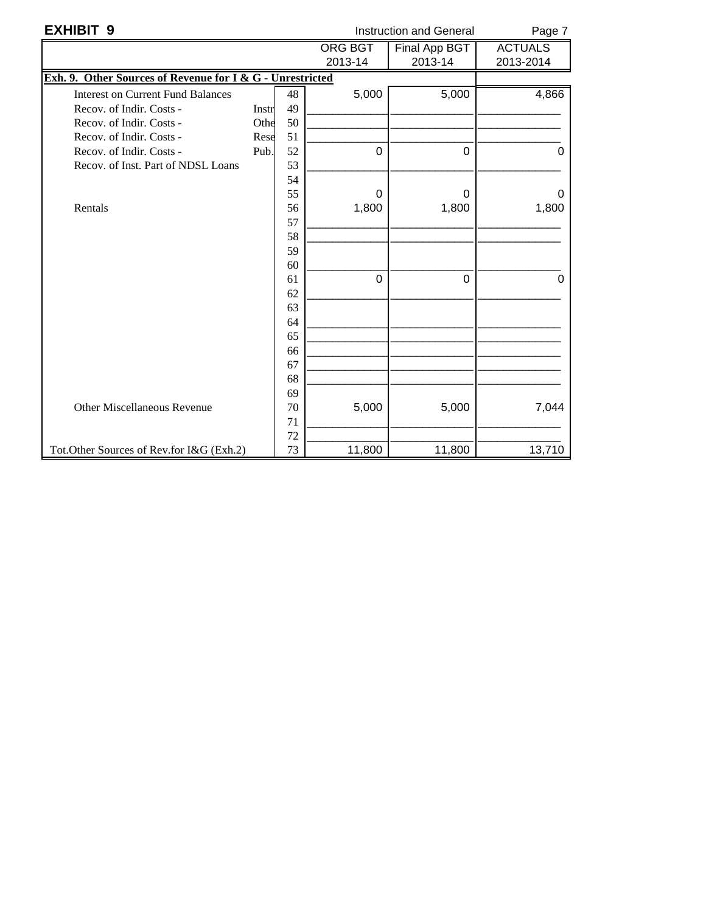| <b>EXHIBIT 9</b>                                          |       |    | <b>Instruction and General</b> |                      |                |
|-----------------------------------------------------------|-------|----|--------------------------------|----------------------|----------------|
|                                                           |       |    | <b>ORG BGT</b>                 | <b>Final App BGT</b> | <b>ACTUALS</b> |
|                                                           |       |    | 2013-14                        | 2013-14              | 2013-2014      |
| Exh. 9. Other Sources of Revenue for I & G - Unrestricted |       |    |                                |                      |                |
| <b>Interest on Current Fund Balances</b>                  |       | 48 | 5,000                          | 5,000                | 4,866          |
| Recov. of Indir. Costs -                                  | Instr | 49 |                                |                      |                |
| Recov. of Indir. Costs -                                  | Othe  | 50 |                                |                      |                |
| Recov. of Indir. Costs -                                  | Rese  | 51 |                                |                      |                |
| Recov. of Indir. Costs -                                  | Pub.  | 52 | 0                              | $\mathbf 0$          | 0              |
| Recov. of Inst. Part of NDSL Loans                        |       | 53 |                                |                      |                |
|                                                           |       | 54 |                                |                      |                |
|                                                           |       | 55 | 0                              | $\Omega$             | 0              |
| Rentals                                                   |       | 56 | 1,800                          | 1,800                | 1,800          |
|                                                           |       | 57 |                                |                      |                |
|                                                           |       | 58 |                                |                      |                |
|                                                           |       | 59 |                                |                      |                |
|                                                           |       | 60 |                                |                      |                |
|                                                           |       | 61 | $\Omega$                       | $\mathbf 0$          | 0              |
|                                                           |       | 62 |                                |                      |                |
|                                                           |       | 63 |                                |                      |                |
|                                                           |       | 64 |                                |                      |                |
|                                                           |       | 65 |                                |                      |                |
|                                                           |       | 66 |                                |                      |                |
|                                                           |       | 67 |                                |                      |                |
|                                                           |       | 68 |                                |                      |                |
|                                                           |       | 69 |                                |                      |                |
| Other Miscellaneous Revenue                               |       | 70 | 5,000                          | 5,000                | 7,044          |
|                                                           |       | 71 |                                |                      |                |
|                                                           |       | 72 |                                |                      |                |
| Tot.Other Sources of Rev.for I&G (Exh.2)                  |       | 73 | 11,800                         | 11,800               | 13,710         |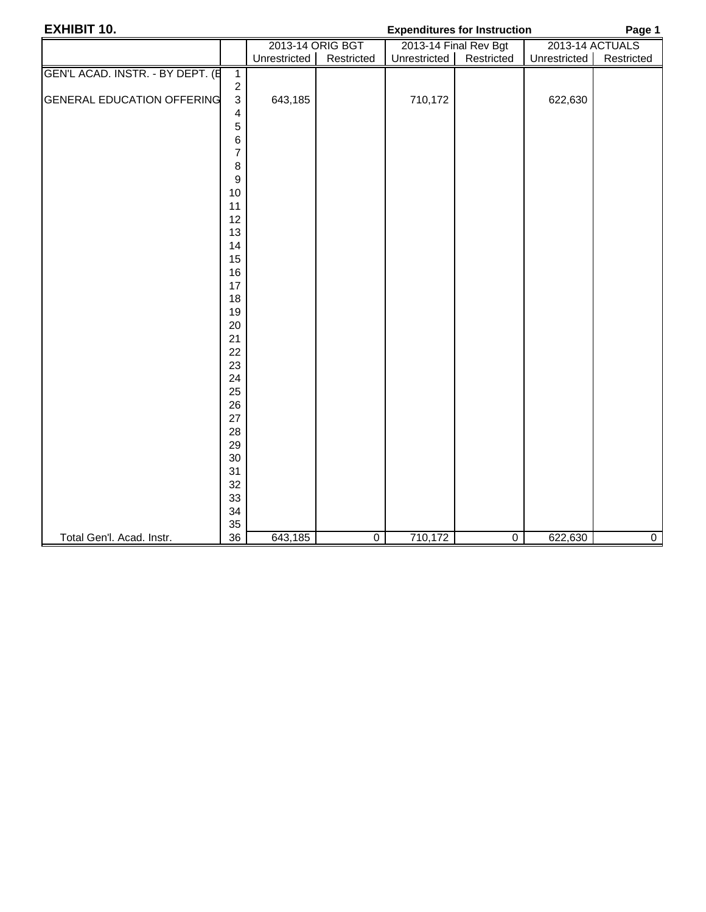| <b>EXHIBIT 10.</b>                |                           | <b>Expenditures for Instruction</b> | Page 1         |              |                       |                 |                |  |
|-----------------------------------|---------------------------|-------------------------------------|----------------|--------------|-----------------------|-----------------|----------------|--|
|                                   |                           | 2013-14 ORIG BGT                    |                |              | 2013-14 Final Rev Bgt | 2013-14 ACTUALS |                |  |
|                                   |                           | Unrestricted                        | Restricted     | Unrestricted | Restricted            | Unrestricted    | Restricted     |  |
| GEN'L ACAD. INSTR. - BY DEPT. (E  | $\overline{1}$            |                                     |                |              |                       |                 |                |  |
|                                   | $\sqrt{2}$                |                                     |                |              |                       |                 |                |  |
| <b>GENERAL EDUCATION OFFERING</b> | $\ensuremath{\mathsf{3}}$ | 643,185                             |                | 710,172      |                       | 622,630         |                |  |
|                                   | 4                         |                                     |                |              |                       |                 |                |  |
|                                   | 5                         |                                     |                |              |                       |                 |                |  |
|                                   | 6                         |                                     |                |              |                       |                 |                |  |
|                                   | $\overline{7}$            |                                     |                |              |                       |                 |                |  |
|                                   | 8                         |                                     |                |              |                       |                 |                |  |
|                                   | $\boldsymbol{9}$          |                                     |                |              |                       |                 |                |  |
|                                   | 10                        |                                     |                |              |                       |                 |                |  |
|                                   | 11                        |                                     |                |              |                       |                 |                |  |
|                                   | 12                        |                                     |                |              |                       |                 |                |  |
|                                   | 13                        |                                     |                |              |                       |                 |                |  |
|                                   | 14<br>15                  |                                     |                |              |                       |                 |                |  |
|                                   | 16                        |                                     |                |              |                       |                 |                |  |
|                                   | 17                        |                                     |                |              |                       |                 |                |  |
|                                   | 18                        |                                     |                |              |                       |                 |                |  |
|                                   | 19                        |                                     |                |              |                       |                 |                |  |
|                                   | 20                        |                                     |                |              |                       |                 |                |  |
|                                   | 21                        |                                     |                |              |                       |                 |                |  |
|                                   | 22                        |                                     |                |              |                       |                 |                |  |
|                                   | 23                        |                                     |                |              |                       |                 |                |  |
|                                   | 24                        |                                     |                |              |                       |                 |                |  |
|                                   | 25                        |                                     |                |              |                       |                 |                |  |
|                                   | 26                        |                                     |                |              |                       |                 |                |  |
|                                   | 27                        |                                     |                |              |                       |                 |                |  |
|                                   | 28                        |                                     |                |              |                       |                 |                |  |
|                                   | 29                        |                                     |                |              |                       |                 |                |  |
|                                   | 30                        |                                     |                |              |                       |                 |                |  |
|                                   | 31                        |                                     |                |              |                       |                 |                |  |
|                                   | 32                        |                                     |                |              |                       |                 |                |  |
|                                   | 33                        |                                     |                |              |                       |                 |                |  |
|                                   | 34<br>35                  |                                     |                |              |                       |                 |                |  |
| Total Gen'l. Acad. Instr.         | 36                        | 643,185                             | $\overline{0}$ | 710,172      | $\overline{0}$        | 622,630         | $\overline{0}$ |  |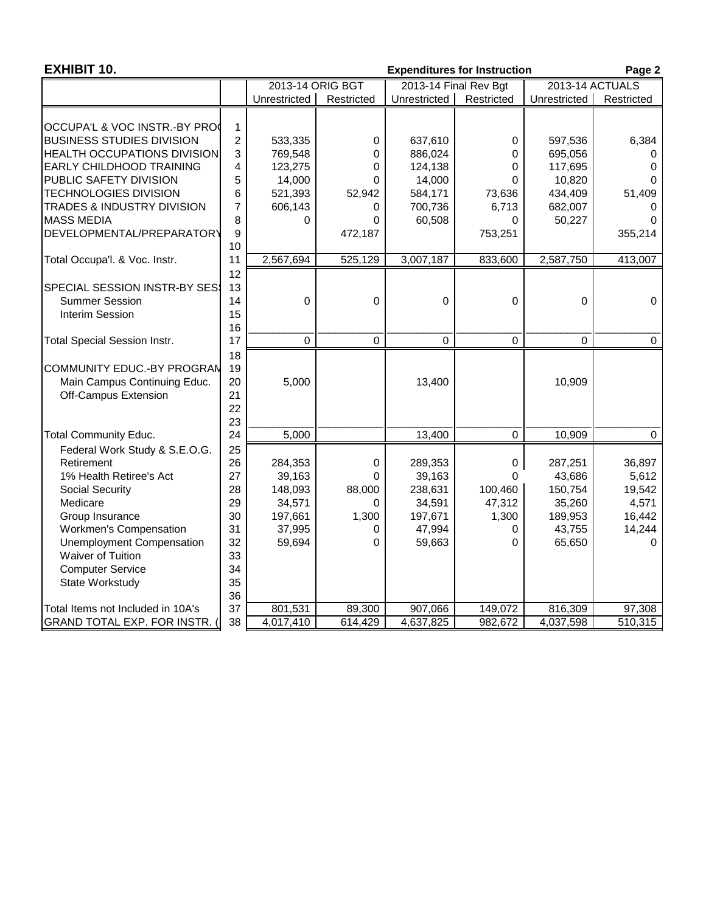| <b>EXHIBIT 10.</b>                  |                |                  |             |              | <b>Expenditures for Instruction</b> |                 | Page 2      |
|-------------------------------------|----------------|------------------|-------------|--------------|-------------------------------------|-----------------|-------------|
|                                     |                | 2013-14 ORIG BGT |             |              | 2013-14 Final Rev Bgt               | 2013-14 ACTUALS |             |
|                                     |                | Unrestricted     | Restricted  | Unrestricted | Restricted                          | Unrestricted    | Restricted  |
| OCCUPA'L & VOC INSTR.-BY PRO        | $\mathbf 1$    |                  |             |              |                                     |                 |             |
| <b>BUSINESS STUDIES DIVISION</b>    | $\overline{c}$ | 533,335          | 0           | 637,610      | 0                                   | 597,536         | 6,384       |
| <b>HEALTH OCCUPATIONS DIVISION</b>  | 3              | 769,548          | 0           | 886,024      | 0                                   | 695,056         | 0           |
| <b>EARLY CHILDHOOD TRAINING</b>     | $\overline{4}$ | 123,275          | 0           | 124,138      | $\mathbf 0$                         | 117,695         | 0           |
| PUBLIC SAFETY DIVISION              | 5              | 14,000           | 0           | 14,000       | $\Omega$                            | 10,820          |             |
| <b>TECHNOLOGIES DIVISION</b>        | 6              | 521,393          | 52,942      | 584,171      | 73,636                              | 434,409         | 51,409      |
| TRADES & INDUSTRY DIVISION          | $\overline{7}$ | 606,143          | 0           | 700,736      | 6,713                               | 682,007         | 0           |
| <b>MASS MEDIA</b>                   | 8              | 0                | 0           | 60,508       | $\Omega$                            | 50,227          | 0           |
| DEVELOPMENTAL/PREPARATORY           | 9              |                  | 472,187     |              | 753,251                             |                 | 355,214     |
|                                     | 10             |                  |             |              |                                     |                 |             |
| Total Occupa'l. & Voc. Instr.       | 11             | 2,567,694        | 525,129     | 3,007,187    | 833,600                             | 2,587,750       | 413,007     |
|                                     | 12             |                  |             |              |                                     |                 |             |
| <b>SPECIAL SESSION INSTR-BY SES</b> | 13             |                  |             |              |                                     |                 |             |
| <b>Summer Session</b>               | 14             | $\boldsymbol{0}$ | $\mathbf 0$ | $\mathbf 0$  | $\mathbf 0$                         | $\Omega$        | 0           |
| <b>Interim Session</b>              | 15<br>16       |                  |             |              |                                     |                 |             |
| <b>Total Special Session Instr.</b> | 17             | $\Omega$         | $\mathbf 0$ | $\mathbf 0$  | $\mathbf 0$                         | 0               | $\mathbf 0$ |
|                                     | 18             |                  |             |              |                                     |                 |             |
| COMMUNITY EDUC.-BY PROGRAN          | 19             |                  |             |              |                                     |                 |             |
| Main Campus Continuing Educ.        | 20             | 5,000            |             | 13,400       |                                     | 10,909          |             |
| Off-Campus Extension                | 21             |                  |             |              |                                     |                 |             |
|                                     | 22             |                  |             |              |                                     |                 |             |
|                                     | 23             |                  |             |              |                                     |                 |             |
| <b>Total Community Educ.</b>        | 24             | 5,000            |             | 13,400       | $\mathbf 0$                         | 10,909          | $\mathbf 0$ |
| Federal Work Study & S.E.O.G.       | 25             |                  |             |              |                                     |                 |             |
| Retirement                          | 26             | 284,353          | 0           | 289,353      | 0                                   | 287,251         | 36,897      |
| 1% Health Retiree's Act             | 27             | 39,163           | 0           | 39,163       | $\Omega$                            | 43,686          | 5,612       |
| <b>Social Security</b>              | 28             | 148,093          | 88,000      | 238,631      | 100,460                             | 150,754         | 19,542      |
| Medicare                            | 29             | 34,571           | 0           | 34,591       | 47,312                              | 35,260          | 4,571       |
| Group Insurance                     | 30             | 197,661          | 1,300       | 197,671      | 1,300                               | 189,953         | 16,442      |
| Workmen's Compensation              | 31             | 37,995           | 0           | 47,994       | 0                                   | 43,755          | 14,244      |
| <b>Unemployment Compensation</b>    | 32             | 59,694           | 0           | 59,663       | $\Omega$                            | 65,650          | 0           |
| Waiver of Tuition                   | 33             |                  |             |              |                                     |                 |             |
| <b>Computer Service</b>             | 34             |                  |             |              |                                     |                 |             |
| State Workstudy                     | 35             |                  |             |              |                                     |                 |             |
|                                     | 36             |                  |             |              |                                     |                 |             |
| Total Items not Included in 10A's   | 37             | 801,531          | 89,300      | 907,066      | 149,072                             | 816,309         | 97,308      |
| GRAND TOTAL EXP. FOR INSTR. (       | 38             | 4,017,410        | 614,429     | 4,637,825    | 982,672                             | 4,037,598       | 510,315     |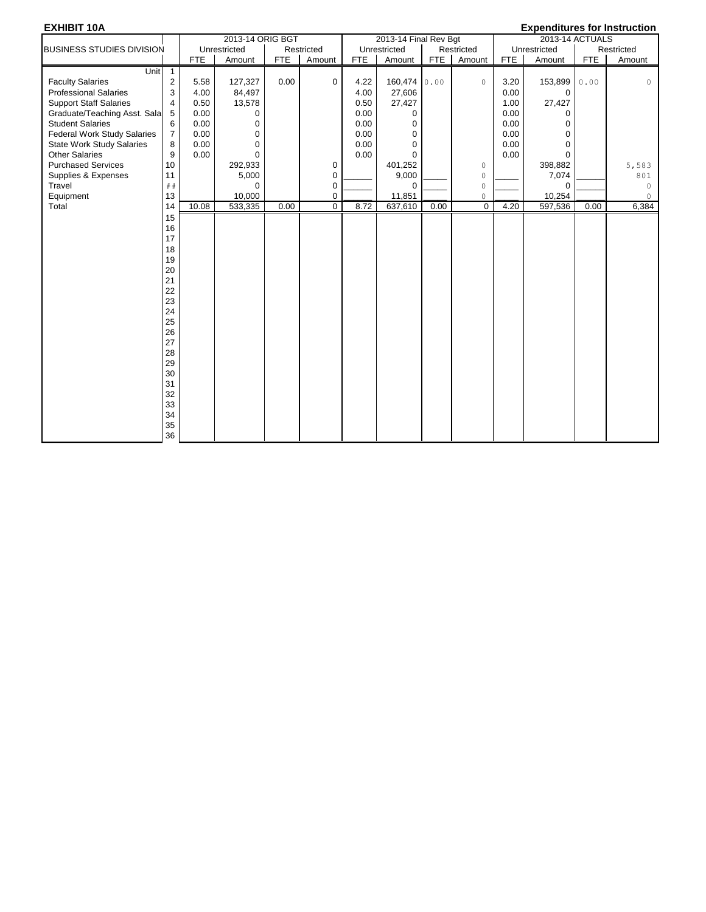### **EXHIBIT 10A Expenditures for Instruction**

| - - - - - - - - - - - - - - - - - - - |                |            | 2013-14 ORIG BGT |            |             |            | 2013-14 Final Rev Bgt |            |             |            | Exponentares for motifaction<br>2013-14 ACTUALS |      |            |
|---------------------------------------|----------------|------------|------------------|------------|-------------|------------|-----------------------|------------|-------------|------------|-------------------------------------------------|------|------------|
| <b>BUSINESS STUDIES DIVISION</b>      |                |            | Unrestricted     |            | Restricted  |            | Unrestricted          |            | Restricted  |            | Unrestricted                                    |      | Restricted |
|                                       |                | <b>FTE</b> | Amount           | <b>FTE</b> | Amount      | <b>FTE</b> | Amount                | <b>FTE</b> | Amount      | <b>FTE</b> | Amount                                          | FTE  | Amount     |
| Unit                                  | $\overline{1}$ |            |                  |            |             |            |                       |            |             |            |                                                 |      |            |
| <b>Faculty Salaries</b>               | 2              | 5.58       | 127,327          | 0.00       | 0           | 4.22       | 160,474               | 0.00       | $\circ$     | 3.20       | 153,899                                         | 0.00 | 0          |
| <b>Professional Salaries</b>          | 3              | 4.00       | 84,497           |            |             | 4.00       | 27,606                |            |             | 0.00       | $\mathbf 0$                                     |      |            |
| <b>Support Staff Salaries</b>         | 4              | 0.50       | 13,578           |            |             | 0.50       | 27,427                |            |             | 1.00       | 27,427                                          |      |            |
| Graduate/Teaching Asst. Sala          | 5              | 0.00       | 0                |            |             | 0.00       | 0                     |            |             | 0.00       | 0                                               |      |            |
| <b>Student Salaries</b>               | 6              | 0.00       | 0                |            |             | 0.00       | $\mathbf 0$           |            |             | 0.00       | $\Omega$                                        |      |            |
| <b>Federal Work Study Salaries</b>    | $\overline{7}$ | 0.00       | $\mathbf 0$      |            |             | 0.00       | $\mathbf 0$           |            |             | 0.00       | $\Omega$                                        |      |            |
| <b>State Work Study Salaries</b>      | 8              | 0.00       | $\Omega$         |            |             | 0.00       | $\Omega$              |            |             | 0.00       | $\Omega$                                        |      |            |
| <b>Other Salaries</b>                 | 9              | 0.00       | $\Omega$         |            |             | 0.00       | $\Omega$              |            |             | 0.00       | $\Omega$                                        |      |            |
| <b>Purchased Services</b>             | 10             |            | 292,933          |            | 0           |            | 401,252               |            | $\circ$     |            | 398,882                                         |      | 5,583      |
| Supplies & Expenses                   | 11             |            | 5,000            |            | 0           |            | 9,000                 |            | $\circ$     |            | 7,074                                           |      | 801        |
| Travel                                | ##             |            | $\mathbf 0$      |            | 0           |            | $\mathbf 0$           |            | $\circ$     |            | $\mathbf 0$                                     |      | 0          |
| Equipment                             | 13             |            | 10,000           |            | 0           |            | 11,851                |            | $\circ$     |            | 10,254                                          |      | 0          |
| Total                                 | 14             | 10.08      | 533,335          | 0.00       | $\mathbf 0$ | 8.72       | 637,610               | 0.00       | $\mathbf 0$ | 4.20       | 597,536                                         | 0.00 | 6,384      |
|                                       | 15             |            |                  |            |             |            |                       |            |             |            |                                                 |      |            |
|                                       | 16             |            |                  |            |             |            |                       |            |             |            |                                                 |      |            |
|                                       | 17             |            |                  |            |             |            |                       |            |             |            |                                                 |      |            |
|                                       | 18             |            |                  |            |             |            |                       |            |             |            |                                                 |      |            |
|                                       | 19             |            |                  |            |             |            |                       |            |             |            |                                                 |      |            |
|                                       | 20             |            |                  |            |             |            |                       |            |             |            |                                                 |      |            |
|                                       | 21             |            |                  |            |             |            |                       |            |             |            |                                                 |      |            |
|                                       | 22             |            |                  |            |             |            |                       |            |             |            |                                                 |      |            |
|                                       | 23             |            |                  |            |             |            |                       |            |             |            |                                                 |      |            |
|                                       | 24             |            |                  |            |             |            |                       |            |             |            |                                                 |      |            |
|                                       | 25             |            |                  |            |             |            |                       |            |             |            |                                                 |      |            |
|                                       | 26             |            |                  |            |             |            |                       |            |             |            |                                                 |      |            |
|                                       | 27             |            |                  |            |             |            |                       |            |             |            |                                                 |      |            |
|                                       | 28             |            |                  |            |             |            |                       |            |             |            |                                                 |      |            |
|                                       | 29             |            |                  |            |             |            |                       |            |             |            |                                                 |      |            |
|                                       | 30             |            |                  |            |             |            |                       |            |             |            |                                                 |      |            |
|                                       | 31             |            |                  |            |             |            |                       |            |             |            |                                                 |      |            |
|                                       | 32             |            |                  |            |             |            |                       |            |             |            |                                                 |      |            |
|                                       | 33             |            |                  |            |             |            |                       |            |             |            |                                                 |      |            |
|                                       | 34             |            |                  |            |             |            |                       |            |             |            |                                                 |      |            |
|                                       | 35             |            |                  |            |             |            |                       |            |             |            |                                                 |      |            |
|                                       | 36             |            |                  |            |             |            |                       |            |             |            |                                                 |      |            |
|                                       |                |            |                  |            |             |            |                       |            |             |            |                                                 |      |            |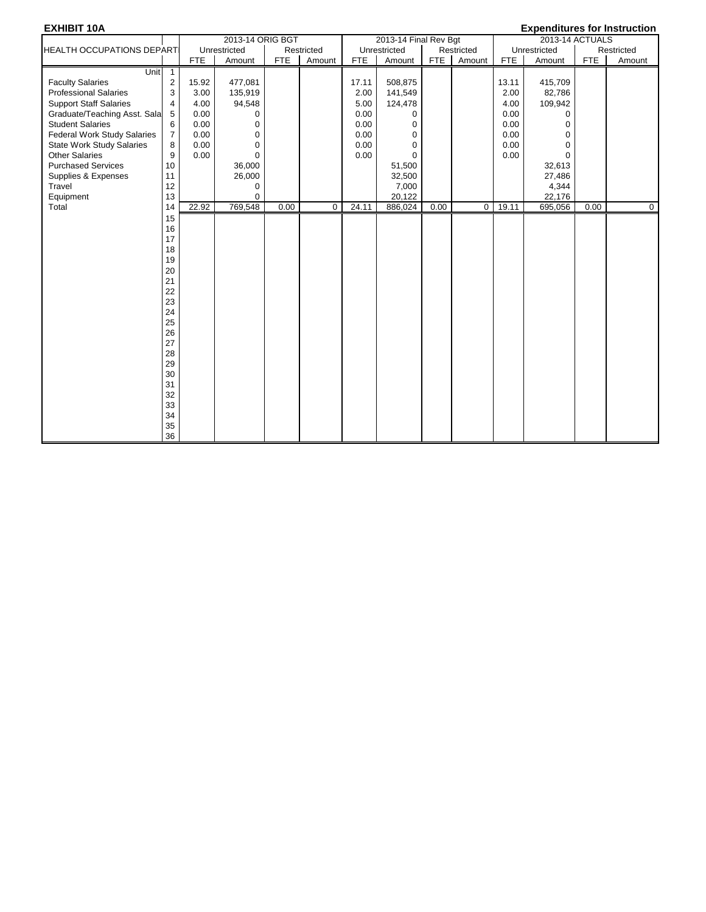| <b>EXHIBIT 10A</b>                 |                |            |                  |            |            |            |                       |            |             |            | <b>Expenditures for Instruction</b> |            |             |
|------------------------------------|----------------|------------|------------------|------------|------------|------------|-----------------------|------------|-------------|------------|-------------------------------------|------------|-------------|
|                                    |                |            | 2013-14 ORIG BGT |            |            |            | 2013-14 Final Rev Bgt |            |             |            | 2013-14 ACTUALS                     |            |             |
| <b>HEALTH OCCUPATIONS DEPARTI</b>  |                |            | Unrestricted     |            | Restricted |            | Unrestricted          |            | Restricted  |            | Unrestricted                        |            | Restricted  |
|                                    |                | <b>FTE</b> | Amount           | <b>FTE</b> | Amount     | <b>FTE</b> | Amount                | <b>FTE</b> | Amount      | <b>FTE</b> | Amount                              | <b>FTE</b> | Amount      |
| <b>Unit</b>                        | $\overline{1}$ |            |                  |            |            |            |                       |            |             |            |                                     |            |             |
| <b>Faculty Salaries</b>            | $\overline{c}$ | 15.92      | 477,081          |            |            | 17.11      | 508,875               |            |             | 13.11      | 415,709                             |            |             |
| <b>Professional Salaries</b>       | 3              | 3.00       | 135,919          |            |            | 2.00       | 141,549               |            |             | 2.00       | 82,786                              |            |             |
| <b>Support Staff Salaries</b>      | $\overline{4}$ | 4.00       | 94,548           |            |            | 5.00       | 124,478               |            |             | 4.00       | 109,942                             |            |             |
| Graduate/Teaching Asst. Sala       | 5              | 0.00       | $\mathbf 0$      |            |            | 0.00       | 0                     |            |             | 0.00       | $\Omega$                            |            |             |
| <b>Student Salaries</b>            | 6              | 0.00       | $\mathbf 0$      |            |            | 0.00       | $\mathbf 0$           |            |             | 0.00       | $\mathbf 0$                         |            |             |
| <b>Federal Work Study Salaries</b> | $\overline{7}$ | 0.00       | $\mathbf 0$      |            |            | 0.00       | $\mathbf 0$           |            |             | 0.00       | $\mathbf 0$                         |            |             |
| <b>State Work Study Salaries</b>   | 8              | 0.00       | $\mathbf 0$      |            |            | 0.00       | $\mathbf 0$           |            |             | 0.00       | $\mathbf 0$                         |            |             |
| <b>Other Salaries</b>              | 9              | 0.00       | $\mathbf 0$      |            |            | 0.00       | $\Omega$              |            |             | 0.00       | $\Omega$                            |            |             |
| <b>Purchased Services</b>          | 10             |            | 36,000           |            |            |            | 51,500                |            |             |            | 32,613                              |            |             |
| Supplies & Expenses                | 11             |            | 26,000           |            |            |            | 32,500                |            |             |            | 27,486                              |            |             |
| Travel                             | 12             |            | 0                |            |            |            | 7,000                 |            |             |            | 4,344                               |            |             |
| Equipment                          | 13             |            | $\Omega$         |            |            |            | 20,122                |            |             |            | 22,176                              |            |             |
| Total                              | 14             | 22.92      | 769,548          | 0.00       | $\Omega$   | 24.11      | 886,024               | 0.00       | $\mathbf 0$ | 19.11      | 695,056                             | 0.00       | $\mathbf 0$ |
|                                    | 15             |            |                  |            |            |            |                       |            |             |            |                                     |            |             |
|                                    | 16             |            |                  |            |            |            |                       |            |             |            |                                     |            |             |
|                                    | 17             |            |                  |            |            |            |                       |            |             |            |                                     |            |             |
|                                    | 18             |            |                  |            |            |            |                       |            |             |            |                                     |            |             |
|                                    | 19             |            |                  |            |            |            |                       |            |             |            |                                     |            |             |
|                                    | 20             |            |                  |            |            |            |                       |            |             |            |                                     |            |             |
|                                    | 21             |            |                  |            |            |            |                       |            |             |            |                                     |            |             |
|                                    | 22             |            |                  |            |            |            |                       |            |             |            |                                     |            |             |
|                                    | 23             |            |                  |            |            |            |                       |            |             |            |                                     |            |             |
|                                    | 24             |            |                  |            |            |            |                       |            |             |            |                                     |            |             |
|                                    | 25             |            |                  |            |            |            |                       |            |             |            |                                     |            |             |
|                                    | 26             |            |                  |            |            |            |                       |            |             |            |                                     |            |             |
|                                    | 27             |            |                  |            |            |            |                       |            |             |            |                                     |            |             |
|                                    | 28             |            |                  |            |            |            |                       |            |             |            |                                     |            |             |
|                                    | 29             |            |                  |            |            |            |                       |            |             |            |                                     |            |             |
|                                    | 30             |            |                  |            |            |            |                       |            |             |            |                                     |            |             |
|                                    | 31             |            |                  |            |            |            |                       |            |             |            |                                     |            |             |
|                                    | 32             |            |                  |            |            |            |                       |            |             |            |                                     |            |             |
|                                    | 33             |            |                  |            |            |            |                       |            |             |            |                                     |            |             |
|                                    | 34             |            |                  |            |            |            |                       |            |             |            |                                     |            |             |
|                                    | 35             |            |                  |            |            |            |                       |            |             |            |                                     |            |             |
|                                    | 36             |            |                  |            |            |            |                       |            |             |            |                                     |            |             |
|                                    |                |            |                  |            |            |            |                       |            |             |            |                                     |            |             |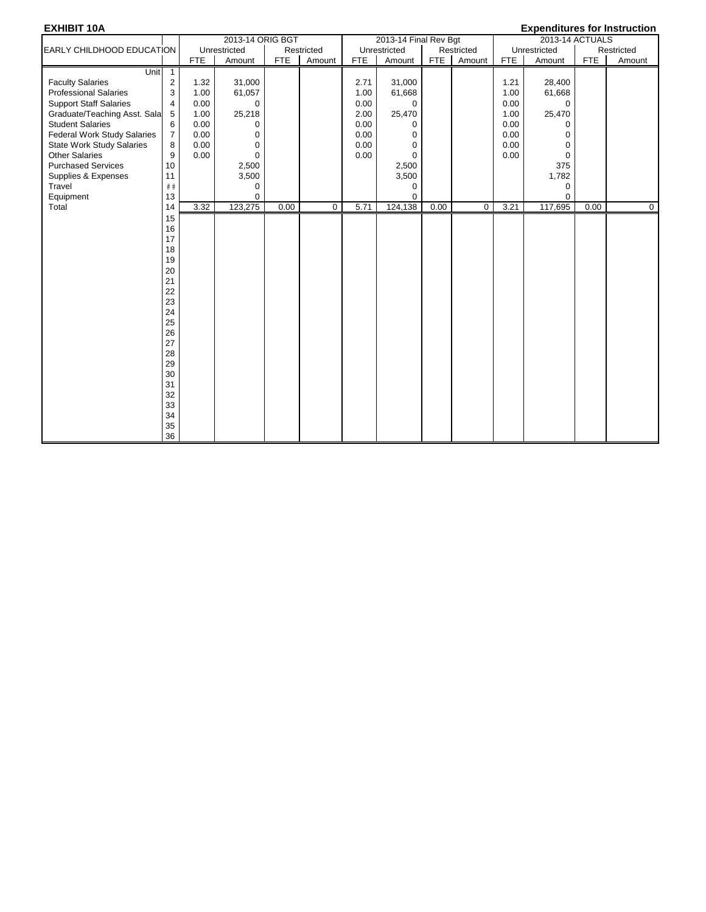| <b>EXHIBIT 10A</b>                 |                         |            |                  |            |             |            |                       |            |             |            | <b>Expenditures for Instruction</b> |            |            |
|------------------------------------|-------------------------|------------|------------------|------------|-------------|------------|-----------------------|------------|-------------|------------|-------------------------------------|------------|------------|
|                                    |                         |            | 2013-14 ORIG BGT |            |             |            | 2013-14 Final Rev Bgt |            |             |            | 2013-14 ACTUALS                     |            |            |
| EARLY CHILDHOOD EDUCATION          |                         |            | Unrestricted     |            | Restricted  |            | Unrestricted          |            | Restricted  |            | Unrestricted                        |            | Restricted |
|                                    |                         | <b>FTE</b> | Amount           | <b>FTE</b> | Amount      | <b>FTE</b> | Amount                | <b>FTE</b> | Amount      | <b>FTE</b> | Amount                              | <b>FTE</b> | Amount     |
| Unit                               | $\overline{1}$          |            |                  |            |             |            |                       |            |             |            |                                     |            |            |
| <b>Faculty Salaries</b>            | $\overline{\mathbf{c}}$ | 1.32       | 31,000           |            |             | 2.71       | 31,000                |            |             | 1.21       | 28,400                              |            |            |
| <b>Professional Salaries</b>       | 3                       | 1.00       | 61,057           |            |             | 1.00       | 61,668                |            |             | 1.00       | 61,668                              |            |            |
| <b>Support Staff Salaries</b>      | $\overline{4}$          | 0.00       | $\mathbf 0$      |            |             | 0.00       | $\mathbf 0$           |            |             | 0.00       | $\mathbf 0$                         |            |            |
| Graduate/Teaching Asst. Sala       | 5                       | 1.00       | 25,218           |            |             | 2.00       | 25,470                |            |             | 1.00       | 25,470                              |            |            |
| <b>Student Salaries</b>            | 6                       | 0.00       | $\mathbf 0$      |            |             | 0.00       | $\mathbf 0$           |            |             | 0.00       | 0                                   |            |            |
| <b>Federal Work Study Salaries</b> | $\overline{7}$          | 0.00       | $\mathbf 0$      |            |             | 0.00       | $\mathbf 0$           |            |             | 0.00       | 0                                   |            |            |
| <b>State Work Study Salaries</b>   | 8                       | 0.00       | $\mathbf 0$      |            |             | 0.00       | $\mathbf 0$           |            |             | 0.00       | $\mathbf 0$                         |            |            |
| <b>Other Salaries</b>              | 9                       | 0.00       | $\mathbf 0$      |            |             | 0.00       | $\mathbf 0$           |            |             | 0.00       | $\mathbf 0$                         |            |            |
| <b>Purchased Services</b>          | 10                      |            | 2,500            |            |             |            | 2,500                 |            |             |            | 375                                 |            |            |
| Supplies & Expenses                | 11                      |            | 3,500            |            |             |            | 3,500                 |            |             |            | 1,782                               |            |            |
| Travel                             | ##                      |            | $\mathbf 0$      |            |             |            | $\mathbf 0$           |            |             |            | 0                                   |            |            |
| Equipment                          | 13                      |            | $\mathbf 0$      |            |             |            | $\mathbf 0$           |            |             |            | $\mathbf 0$                         |            |            |
| Total                              | 14                      | 3.32       | 123,275          | 0.00       | $\mathbf 0$ | 5.71       | 124,138               | 0.00       | $\mathbf 0$ | 3.21       | 117,695                             | 0.00       | 0          |
|                                    | 15                      |            |                  |            |             |            |                       |            |             |            |                                     |            |            |
|                                    | 16                      |            |                  |            |             |            |                       |            |             |            |                                     |            |            |
|                                    | 17                      |            |                  |            |             |            |                       |            |             |            |                                     |            |            |
|                                    | 18                      |            |                  |            |             |            |                       |            |             |            |                                     |            |            |
|                                    | 19                      |            |                  |            |             |            |                       |            |             |            |                                     |            |            |
|                                    | 20                      |            |                  |            |             |            |                       |            |             |            |                                     |            |            |
|                                    | 21                      |            |                  |            |             |            |                       |            |             |            |                                     |            |            |
|                                    | 22                      |            |                  |            |             |            |                       |            |             |            |                                     |            |            |
|                                    | 23                      |            |                  |            |             |            |                       |            |             |            |                                     |            |            |
|                                    | 24                      |            |                  |            |             |            |                       |            |             |            |                                     |            |            |
|                                    | 25                      |            |                  |            |             |            |                       |            |             |            |                                     |            |            |
|                                    |                         |            |                  |            |             |            |                       |            |             |            |                                     |            |            |
|                                    | 26                      |            |                  |            |             |            |                       |            |             |            |                                     |            |            |
|                                    | 27                      |            |                  |            |             |            |                       |            |             |            |                                     |            |            |
|                                    | 28                      |            |                  |            |             |            |                       |            |             |            |                                     |            |            |
|                                    | 29                      |            |                  |            |             |            |                       |            |             |            |                                     |            |            |
|                                    | 30                      |            |                  |            |             |            |                       |            |             |            |                                     |            |            |
|                                    | 31                      |            |                  |            |             |            |                       |            |             |            |                                     |            |            |
|                                    | 32                      |            |                  |            |             |            |                       |            |             |            |                                     |            |            |
|                                    | 33                      |            |                  |            |             |            |                       |            |             |            |                                     |            |            |
|                                    | 34                      |            |                  |            |             |            |                       |            |             |            |                                     |            |            |
|                                    | 35                      |            |                  |            |             |            |                       |            |             |            |                                     |            |            |
|                                    | 36                      |            |                  |            |             |            |                       |            |             |            |                                     |            |            |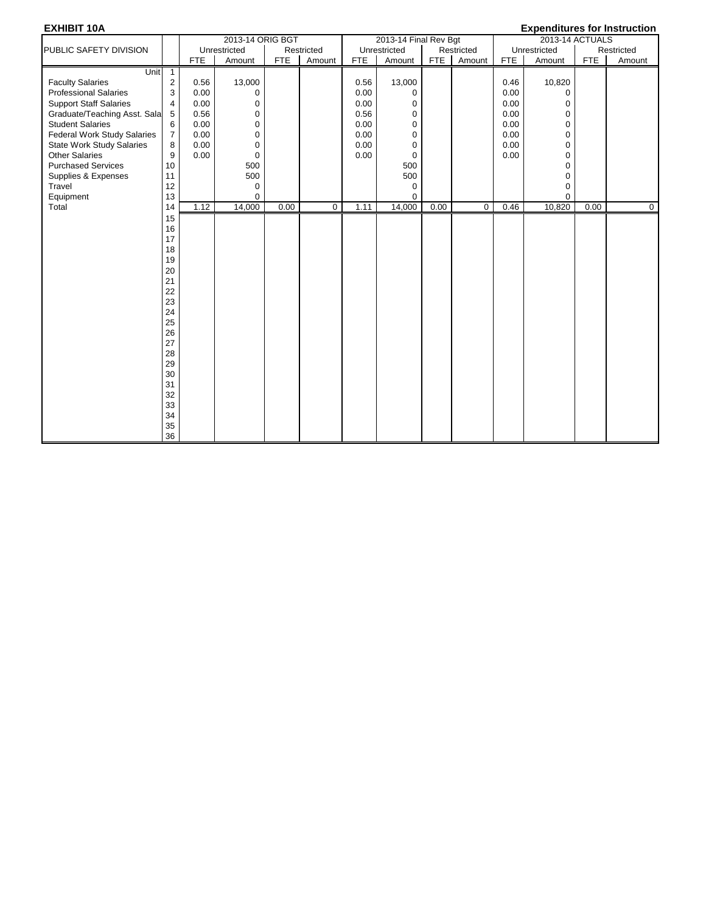| <b>EXHIBIT 10A</b>                 |                         |            |                  |            |             |            |                       |            |             |            | <b>Expenditures for Instruction</b> |            |            |
|------------------------------------|-------------------------|------------|------------------|------------|-------------|------------|-----------------------|------------|-------------|------------|-------------------------------------|------------|------------|
|                                    |                         |            | 2013-14 ORIG BGT |            |             |            | 2013-14 Final Rev Bgt |            |             |            | 2013-14 ACTUALS                     |            |            |
| PUBLIC SAFETY DIVISION             |                         |            | Unrestricted     |            | Restricted  |            | Unrestricted          |            | Restricted  |            | Unrestricted                        |            | Restricted |
|                                    |                         | <b>FTE</b> | Amount           | <b>FTE</b> | Amount      | <b>FTE</b> | Amount                | <b>FTE</b> | Amount      | <b>FTE</b> | Amount                              | <b>FTE</b> | Amount     |
| Unit                               | $\overline{1}$          |            |                  |            |             |            |                       |            |             |            |                                     |            |            |
| <b>Faculty Salaries</b>            | $\overline{\mathbf{c}}$ | 0.56       | 13,000           |            |             | 0.56       | 13,000                |            |             | 0.46       | 10,820                              |            |            |
| <b>Professional Salaries</b>       | 3                       | 0.00       | $\mathbf 0$      |            |             | 0.00       | 0                     |            |             | 0.00       | $\mathbf 0$                         |            |            |
| <b>Support Staff Salaries</b>      | $\overline{4}$          | 0.00       | $\mathbf 0$      |            |             | 0.00       | $\mathbf 0$           |            |             | 0.00       | $\mathbf 0$                         |            |            |
| Graduate/Teaching Asst. Sala       | 5                       | 0.56       | $\mathbf 0$      |            |             | 0.56       | 0                     |            |             | 0.00       | 0                                   |            |            |
| <b>Student Salaries</b>            | 6                       | 0.00       | $\mathbf 0$      |            |             | 0.00       | $\mathbf 0$           |            |             | 0.00       | $\pmb{0}$                           |            |            |
| <b>Federal Work Study Salaries</b> | $\overline{7}$          | 0.00       | $\pmb{0}$        |            |             | 0.00       | $\mathbf 0$           |            |             | 0.00       | $\pmb{0}$                           |            |            |
| <b>State Work Study Salaries</b>   | 8                       | 0.00       | $\mathbf 0$      |            |             | 0.00       | $\mathbf 0$           |            |             | 0.00       | $\mathbf 0$                         |            |            |
| <b>Other Salaries</b>              | 9                       | 0.00       | $\mathbf 0$      |            |             | 0.00       | 0                     |            |             | 0.00       | $\pmb{0}$                           |            |            |
| <b>Purchased Services</b>          | 10                      |            | 500              |            |             |            | 500                   |            |             |            | $\mathbf 0$                         |            |            |
| Supplies & Expenses                | 11                      |            | 500              |            |             |            | 500                   |            |             |            | $\pmb{0}$                           |            |            |
| Travel                             | 12                      |            | $\mathbf 0$      |            |             |            | $\mathbf 0$           |            |             |            | $\pmb{0}$                           |            |            |
| Equipment                          | 13                      |            | $\mathbf 0$      |            |             |            | $\mathbf 0$           |            |             |            | $\mathbf 0$                         |            |            |
| Total                              | 14                      | 1.12       | 14,000           | 0.00       | $\mathbf 0$ | 1.11       | 14,000                | 0.00       | $\mathbf 0$ | 0.46       | 10,820                              | 0.00       | 0          |
|                                    | 15                      |            |                  |            |             |            |                       |            |             |            |                                     |            |            |
|                                    | 16                      |            |                  |            |             |            |                       |            |             |            |                                     |            |            |
|                                    | 17                      |            |                  |            |             |            |                       |            |             |            |                                     |            |            |
|                                    | 18                      |            |                  |            |             |            |                       |            |             |            |                                     |            |            |
|                                    | 19                      |            |                  |            |             |            |                       |            |             |            |                                     |            |            |
|                                    | 20                      |            |                  |            |             |            |                       |            |             |            |                                     |            |            |
|                                    | 21                      |            |                  |            |             |            |                       |            |             |            |                                     |            |            |
|                                    | 22                      |            |                  |            |             |            |                       |            |             |            |                                     |            |            |
|                                    | 23                      |            |                  |            |             |            |                       |            |             |            |                                     |            |            |
|                                    | 24                      |            |                  |            |             |            |                       |            |             |            |                                     |            |            |
|                                    | 25                      |            |                  |            |             |            |                       |            |             |            |                                     |            |            |
|                                    | 26                      |            |                  |            |             |            |                       |            |             |            |                                     |            |            |
|                                    | 27                      |            |                  |            |             |            |                       |            |             |            |                                     |            |            |
|                                    | 28                      |            |                  |            |             |            |                       |            |             |            |                                     |            |            |
|                                    | 29                      |            |                  |            |             |            |                       |            |             |            |                                     |            |            |
|                                    | 30                      |            |                  |            |             |            |                       |            |             |            |                                     |            |            |
|                                    | 31                      |            |                  |            |             |            |                       |            |             |            |                                     |            |            |
|                                    | 32                      |            |                  |            |             |            |                       |            |             |            |                                     |            |            |
|                                    | 33                      |            |                  |            |             |            |                       |            |             |            |                                     |            |            |
|                                    | 34                      |            |                  |            |             |            |                       |            |             |            |                                     |            |            |
|                                    | 35                      |            |                  |            |             |            |                       |            |             |            |                                     |            |            |
|                                    | 36                      |            |                  |            |             |            |                       |            |             |            |                                     |            |            |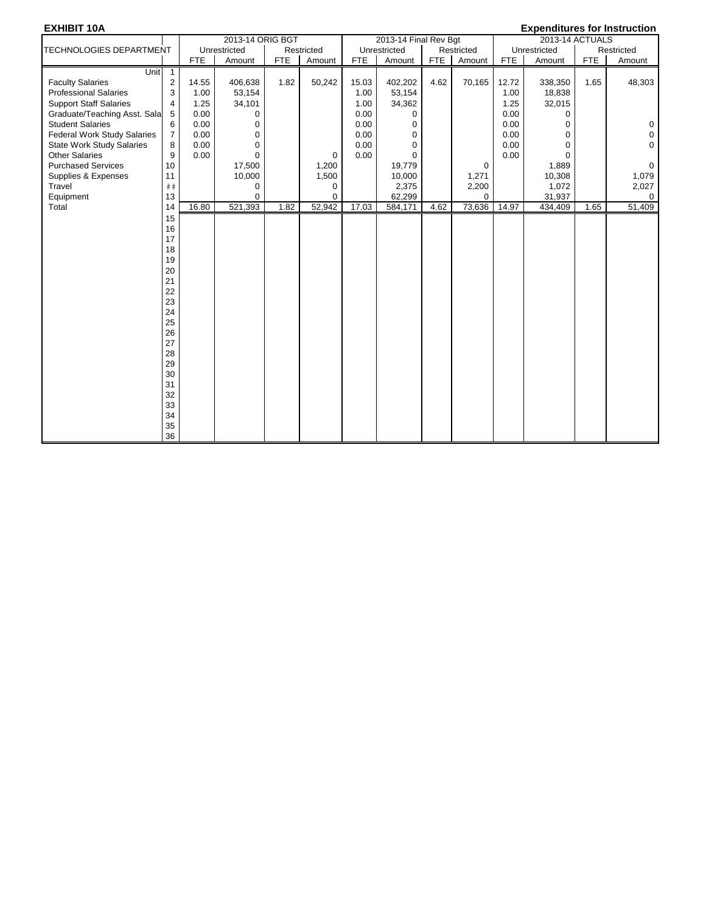| <b>EXHIBIT 10A</b>                 |                |            |                  |            |             |            |                       |            |             |            | <b>Expenditures for Instruction</b> |            |             |
|------------------------------------|----------------|------------|------------------|------------|-------------|------------|-----------------------|------------|-------------|------------|-------------------------------------|------------|-------------|
|                                    |                |            | 2013-14 ORIG BGT |            |             |            | 2013-14 Final Rev Bgt |            |             |            | 2013-14 ACTUALS                     |            |             |
| <b>TECHNOLOGIES DEPARTMENT</b>     |                |            | Unrestricted     |            | Restricted  |            | Unrestricted          |            | Restricted  |            | Unrestricted                        |            | Restricted  |
|                                    |                | <b>FTE</b> | Amount           | <b>FTE</b> | Amount      | <b>FTE</b> | Amount                | <b>FTE</b> | Amount      | <b>FTE</b> | Amount                              | <b>FTE</b> | Amount      |
| Unit                               | $\mathbf{1}$   |            |                  |            |             |            |                       |            |             |            |                                     |            |             |
| <b>Faculty Salaries</b>            | $\overline{2}$ | 14.55      | 406,638          | 1.82       | 50,242      | 15.03      | 402,202               | 4.62       | 70,165      | 12.72      | 338,350                             | 1.65       | 48,303      |
| <b>Professional Salaries</b>       | 3              | 1.00       | 53,154           |            |             | 1.00       | 53,154                |            |             | 1.00       | 18,838                              |            |             |
| <b>Support Staff Salaries</b>      | 4              | 1.25       | 34,101           |            |             | 1.00       | 34,362                |            |             | 1.25       | 32,015                              |            |             |
| Graduate/Teaching Asst. Sala       | 5              | 0.00       | 0                |            |             | 0.00       | $\Omega$              |            |             | 0.00       | 0                                   |            |             |
| <b>Student Salaries</b>            | 6              | 0.00       | 0                |            |             | 0.00       | $\mathbf 0$           |            |             | 0.00       | $\Omega$                            |            | $\pmb{0}$   |
| <b>Federal Work Study Salaries</b> | $\overline{7}$ | 0.00       | 0                |            |             | 0.00       | $\mathbf 0$           |            |             | 0.00       | $\mathbf 0$                         |            | $\pmb{0}$   |
| <b>State Work Study Salaries</b>   | 8              | 0.00       | 0                |            |             | 0.00       | $\mathbf 0$           |            |             | 0.00       | $\mathbf 0$                         |            | $\mathbf 0$ |
| <b>Other Salaries</b>              | 9              | 0.00       | $\Omega$         |            | $\mathbf 0$ | 0.00       | $\Omega$              |            |             | 0.00       | $\Omega$                            |            |             |
| <b>Purchased Services</b>          | 10             |            | 17,500           |            | 1,200       |            | 19,779                |            | $\mathbf 0$ |            | 1,889                               |            | $\mathbf 0$ |
| Supplies & Expenses                | 11             |            | 10,000           |            | 1,500       |            | 10,000                |            | 1,271       |            | 10,308                              |            | 1,079       |
| Travel                             | ##             |            | 0                |            | 0           |            | 2,375                 |            | 2,200       |            | 1,072                               |            | 2,027       |
| Equipment                          | 13             |            | 0                |            | 0           |            | 62,299                |            | $\Omega$    |            | 31,937                              |            | 0           |
| Total                              | 14             | 16.80      | 521,393          | 1.82       | 52,942      | 17.03      | 584,171               | 4.62       | 73,636      | 14.97      | 434,409                             | 1.65       | 51,409      |
|                                    | 15             |            |                  |            |             |            |                       |            |             |            |                                     |            |             |
|                                    | 16             |            |                  |            |             |            |                       |            |             |            |                                     |            |             |
|                                    | 17             |            |                  |            |             |            |                       |            |             |            |                                     |            |             |
|                                    | 18             |            |                  |            |             |            |                       |            |             |            |                                     |            |             |
|                                    | 19             |            |                  |            |             |            |                       |            |             |            |                                     |            |             |
|                                    | 20             |            |                  |            |             |            |                       |            |             |            |                                     |            |             |
|                                    | 21             |            |                  |            |             |            |                       |            |             |            |                                     |            |             |
|                                    | 22             |            |                  |            |             |            |                       |            |             |            |                                     |            |             |
|                                    | 23             |            |                  |            |             |            |                       |            |             |            |                                     |            |             |
|                                    | 24             |            |                  |            |             |            |                       |            |             |            |                                     |            |             |
|                                    | 25             |            |                  |            |             |            |                       |            |             |            |                                     |            |             |
|                                    | 26             |            |                  |            |             |            |                       |            |             |            |                                     |            |             |
|                                    | 27             |            |                  |            |             |            |                       |            |             |            |                                     |            |             |
|                                    | 28             |            |                  |            |             |            |                       |            |             |            |                                     |            |             |
|                                    | 29             |            |                  |            |             |            |                       |            |             |            |                                     |            |             |
|                                    | 30             |            |                  |            |             |            |                       |            |             |            |                                     |            |             |
|                                    | 31             |            |                  |            |             |            |                       |            |             |            |                                     |            |             |
|                                    | 32             |            |                  |            |             |            |                       |            |             |            |                                     |            |             |
|                                    | 33             |            |                  |            |             |            |                       |            |             |            |                                     |            |             |
|                                    | 34             |            |                  |            |             |            |                       |            |             |            |                                     |            |             |
|                                    | 35             |            |                  |            |             |            |                       |            |             |            |                                     |            |             |
|                                    | 36             |            |                  |            |             |            |                       |            |             |            |                                     |            |             |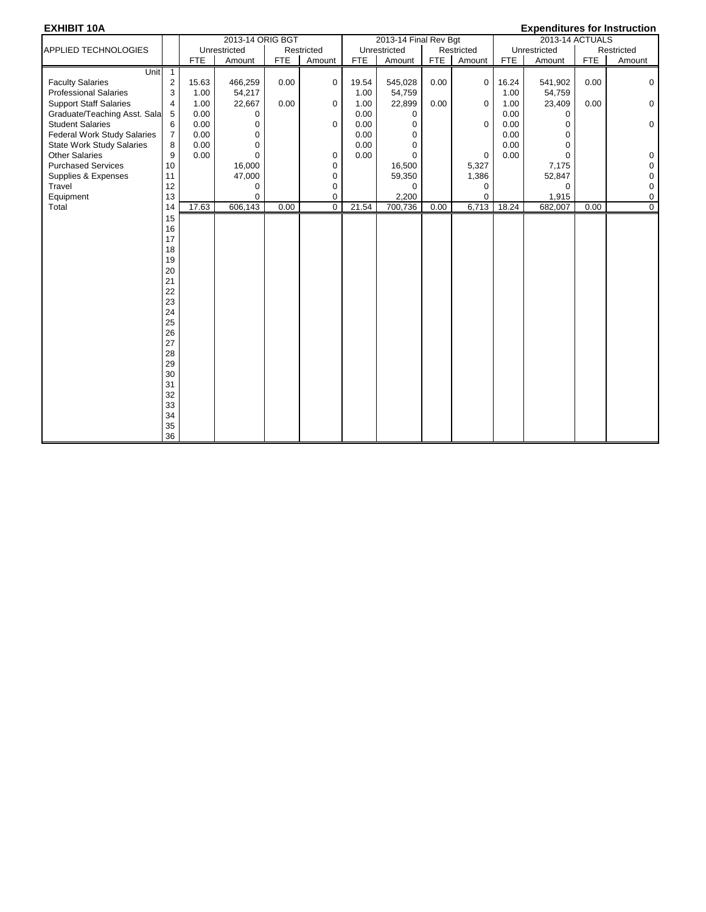| <b>EXHIBIT 10A</b>                 |                |            |                  |            |             |            |                       |            |             |            | <b>Expenditures for Instruction</b> |            |                |
|------------------------------------|----------------|------------|------------------|------------|-------------|------------|-----------------------|------------|-------------|------------|-------------------------------------|------------|----------------|
|                                    |                |            | 2013-14 ORIG BGT |            |             |            | 2013-14 Final Rev Bgt |            |             |            | 2013-14 ACTUALS                     |            |                |
| <b>APPLIED TECHNOLOGIES</b>        |                |            | Unrestricted     |            | Restricted  |            | Unrestricted          |            | Restricted  |            | Unrestricted                        |            | Restricted     |
|                                    |                | <b>FTE</b> | Amount           | <b>FTE</b> | Amount      | <b>FTE</b> | Amount                | <b>FTE</b> | Amount      | <b>FTE</b> | Amount                              | <b>FTE</b> | Amount         |
| Unit                               | $\mathbf{1}$   |            |                  |            |             |            |                       |            |             |            |                                     |            |                |
| <b>Faculty Salaries</b>            | $\overline{2}$ | 15.63      | 466,259          | 0.00       | $\Omega$    | 19.54      | 545,028               | 0.00       | $\mathbf 0$ | 16.24      | 541,902                             | 0.00       | 0              |
| <b>Professional Salaries</b>       | 3              | 1.00       | 54,217           |            |             | 1.00       | 54,759                |            |             | 1.00       | 54,759                              |            |                |
| <b>Support Staff Salaries</b>      | 4              | 1.00       | 22,667           | 0.00       | $\Omega$    | 1.00       | 22,899                | 0.00       | 0           | 1.00       | 23,409                              | 0.00       | $\mathbf 0$    |
| Graduate/Teaching Asst. Sala       | 5              | 0.00       | 0                |            |             | 0.00       | $\mathbf 0$           |            |             | 0.00       | $\Omega$                            |            |                |
| <b>Student Salaries</b>            | 6              | 0.00       | 0                |            | 0           | 0.00       | $\mathbf 0$           |            | 0           | 0.00       | $\mathbf 0$                         |            | $\mathbf 0$    |
| <b>Federal Work Study Salaries</b> | $\overline{7}$ | 0.00       | 0                |            |             | 0.00       | $\mathbf 0$           |            |             | 0.00       | $\mathbf 0$                         |            |                |
| <b>State Work Study Salaries</b>   | 8              | 0.00       | 0                |            |             | 0.00       | $\mathbf 0$           |            |             | 0.00       | $\mathbf 0$                         |            |                |
| <b>Other Salaries</b>              | 9              | 0.00       | $\Omega$         |            | 0           | 0.00       | $\Omega$              |            | $\Omega$    | 0.00       | $\Omega$                            |            | 0              |
| <b>Purchased Services</b>          | 10             |            | 16,000           |            | $\mathbf 0$ |            | 16,500                |            | 5,327       |            | 7,175                               |            | $\pmb{0}$      |
| Supplies & Expenses                | 11             |            | 47,000           |            | 0           |            | 59,350                |            | 1,386       |            | 52,847                              |            | $\pmb{0}$      |
| Travel                             | 12             |            | 0                |            | 0           |            | $\mathbf 0$           |            | 0           |            | $\Omega$                            |            | $\pmb{0}$      |
| Equipment                          | 13             |            | 0                |            | 0           |            | 2,200                 |            | 0           |            | 1,915                               |            | $\pmb{0}$      |
| Total                              | 14             | 17.63      | 606,143          | 0.00       | $\mathbf 0$ | 21.54      | 700,736               | 0.00       | 6,713       | 18.24      | 682,007                             | 0.00       | $\overline{0}$ |
|                                    | 15             |            |                  |            |             |            |                       |            |             |            |                                     |            |                |
|                                    | 16             |            |                  |            |             |            |                       |            |             |            |                                     |            |                |
|                                    | 17             |            |                  |            |             |            |                       |            |             |            |                                     |            |                |
|                                    | 18             |            |                  |            |             |            |                       |            |             |            |                                     |            |                |
|                                    | 19             |            |                  |            |             |            |                       |            |             |            |                                     |            |                |
|                                    | 20             |            |                  |            |             |            |                       |            |             |            |                                     |            |                |
|                                    | 21             |            |                  |            |             |            |                       |            |             |            |                                     |            |                |
|                                    | 22             |            |                  |            |             |            |                       |            |             |            |                                     |            |                |
|                                    | 23             |            |                  |            |             |            |                       |            |             |            |                                     |            |                |
|                                    | 24             |            |                  |            |             |            |                       |            |             |            |                                     |            |                |
|                                    | 25             |            |                  |            |             |            |                       |            |             |            |                                     |            |                |
|                                    | 26             |            |                  |            |             |            |                       |            |             |            |                                     |            |                |
|                                    | 27             |            |                  |            |             |            |                       |            |             |            |                                     |            |                |
|                                    | 28             |            |                  |            |             |            |                       |            |             |            |                                     |            |                |
|                                    | 29             |            |                  |            |             |            |                       |            |             |            |                                     |            |                |
|                                    | 30             |            |                  |            |             |            |                       |            |             |            |                                     |            |                |
|                                    | 31             |            |                  |            |             |            |                       |            |             |            |                                     |            |                |
|                                    | 32             |            |                  |            |             |            |                       |            |             |            |                                     |            |                |
|                                    | 33             |            |                  |            |             |            |                       |            |             |            |                                     |            |                |
|                                    | 34             |            |                  |            |             |            |                       |            |             |            |                                     |            |                |
|                                    | 35             |            |                  |            |             |            |                       |            |             |            |                                     |            |                |
|                                    | 36             |            |                  |            |             |            |                       |            |             |            |                                     |            |                |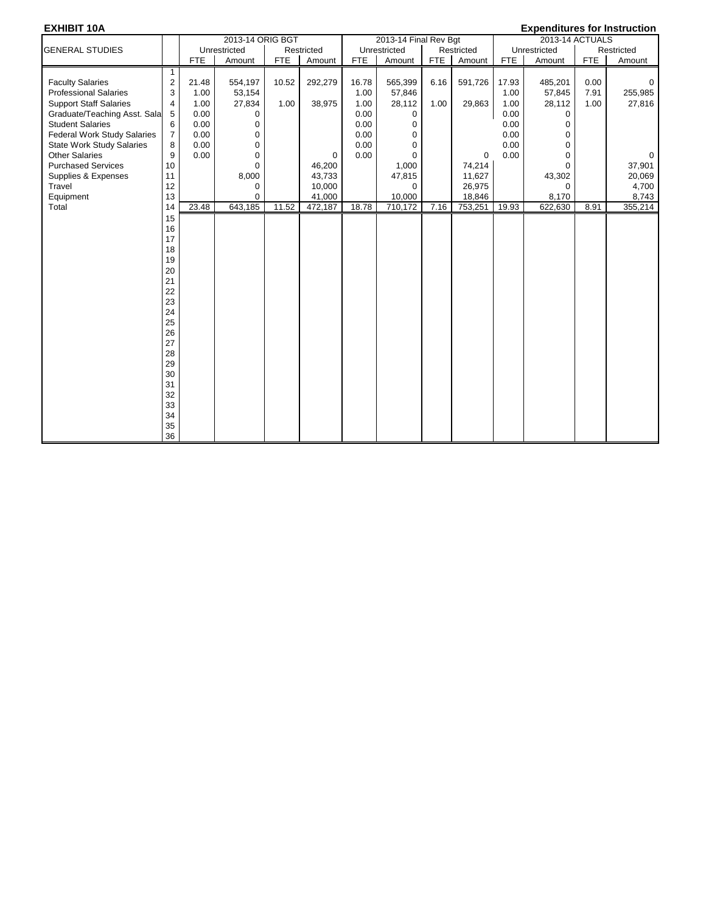### **EXHIBIT 10A Expenditures for Instruction**

| הסו ושחות                        |                         |            | 2013-14 ORIG BGT |            |             |            | 2013-14 Final Rev Bgt |            |            |            | LAPCHURRICS TOT INSTITUCTION<br>2013-14 ACTUALS |            |             |
|----------------------------------|-------------------------|------------|------------------|------------|-------------|------------|-----------------------|------------|------------|------------|-------------------------------------------------|------------|-------------|
| <b>GENERAL STUDIES</b>           |                         |            | Unrestricted     |            | Restricted  |            | Unrestricted          |            | Restricted |            | Unrestricted                                    |            | Restricted  |
|                                  |                         | <b>FTE</b> | Amount           | <b>FTE</b> | Amount      | <b>FTE</b> | Amount                | <b>FTE</b> | Amount     | <b>FTE</b> | Amount                                          | <b>FTE</b> | Amount      |
|                                  | $\mathbf{1}$            |            |                  |            |             |            |                       |            |            |            |                                                 |            |             |
| <b>Faculty Salaries</b>          | $\overline{\mathbf{c}}$ | 21.48      | 554,197          | 10.52      | 292,279     | 16.78      | 565,399               | 6.16       | 591,726    | 17.93      | 485,201                                         | 0.00       | $\Omega$    |
| <b>Professional Salaries</b>     | 3                       | 1.00       | 53,154           |            |             | 1.00       | 57,846                |            |            | 1.00       | 57,845                                          | 7.91       | 255,985     |
| <b>Support Staff Salaries</b>    | 4                       | 1.00       | 27,834           | 1.00       | 38,975      | 1.00       | 28,112                | 1.00       | 29,863     | 1.00       | 28,112                                          | 1.00       | 27,816      |
| Graduate/Teaching Asst. Sala     | 5                       | 0.00       | 0                |            |             | 0.00       | 0                     |            |            | 0.00       | $\mathbf 0$                                     |            |             |
| <b>Student Salaries</b>          | 6                       | 0.00       | $\mathbf 0$      |            |             | 0.00       | 0                     |            |            | 0.00       | $\mathbf 0$                                     |            |             |
| Federal Work Study Salaries      | $\overline{7}$          | 0.00       | 0                |            |             | 0.00       | $\Omega$              |            |            | 0.00       | $\mathbf 0$                                     |            |             |
| <b>State Work Study Salaries</b> | 8                       | 0.00       | $\mathbf 0$      |            |             | 0.00       | $\Omega$              |            |            | 0.00       | $\mathbf 0$                                     |            |             |
| <b>Other Salaries</b>            | 9                       | 0.00       | $\mathbf 0$      |            | $\mathbf 0$ | 0.00       | $\Omega$              |            | 0          | 0.00       | $\Omega$                                        |            | $\mathbf 0$ |
| <b>Purchased Services</b>        | 10                      |            | $\Omega$         |            | 46,200      |            | 1,000                 |            | 74,214     |            | $\Omega$                                        |            | 37,901      |
| Supplies & Expenses              | 11                      |            | 8,000            |            | 43,733      |            | 47,815                |            | 11,627     |            | 43,302                                          |            | 20,069      |
| Travel                           | 12                      |            | $\mathbf 0$      |            | 10,000      |            | 0                     |            | 26,975     |            | $\mathbf 0$                                     |            | 4,700       |
| Equipment                        | 13                      |            | $\Omega$         |            | 41,000      |            | 10,000                |            | 18,846     |            | 8,170                                           |            | 8,743       |
| Total                            | 14                      | 23.48      | 643,185          | 11.52      | 472,187     | 18.78      | 710,172               | 7.16       | 753,251    | 19.93      | 622,630                                         | 8.91       | 355,214     |
|                                  | 15                      |            |                  |            |             |            |                       |            |            |            |                                                 |            |             |
|                                  | 16                      |            |                  |            |             |            |                       |            |            |            |                                                 |            |             |
|                                  | 17                      |            |                  |            |             |            |                       |            |            |            |                                                 |            |             |
|                                  | 18                      |            |                  |            |             |            |                       |            |            |            |                                                 |            |             |
|                                  | 19                      |            |                  |            |             |            |                       |            |            |            |                                                 |            |             |
|                                  | 20                      |            |                  |            |             |            |                       |            |            |            |                                                 |            |             |
|                                  | 21                      |            |                  |            |             |            |                       |            |            |            |                                                 |            |             |
|                                  | 22                      |            |                  |            |             |            |                       |            |            |            |                                                 |            |             |
|                                  | 23                      |            |                  |            |             |            |                       |            |            |            |                                                 |            |             |
|                                  | 24                      |            |                  |            |             |            |                       |            |            |            |                                                 |            |             |
|                                  | 25                      |            |                  |            |             |            |                       |            |            |            |                                                 |            |             |
|                                  | 26                      |            |                  |            |             |            |                       |            |            |            |                                                 |            |             |
|                                  | 27                      |            |                  |            |             |            |                       |            |            |            |                                                 |            |             |
|                                  | 28                      |            |                  |            |             |            |                       |            |            |            |                                                 |            |             |
|                                  | 29                      |            |                  |            |             |            |                       |            |            |            |                                                 |            |             |
|                                  | 30                      |            |                  |            |             |            |                       |            |            |            |                                                 |            |             |
|                                  | 31                      |            |                  |            |             |            |                       |            |            |            |                                                 |            |             |
|                                  | 32                      |            |                  |            |             |            |                       |            |            |            |                                                 |            |             |
|                                  | 33                      |            |                  |            |             |            |                       |            |            |            |                                                 |            |             |
|                                  | 34                      |            |                  |            |             |            |                       |            |            |            |                                                 |            |             |
|                                  | 35<br>36                |            |                  |            |             |            |                       |            |            |            |                                                 |            |             |
|                                  |                         |            |                  |            |             |            |                       |            |            |            |                                                 |            |             |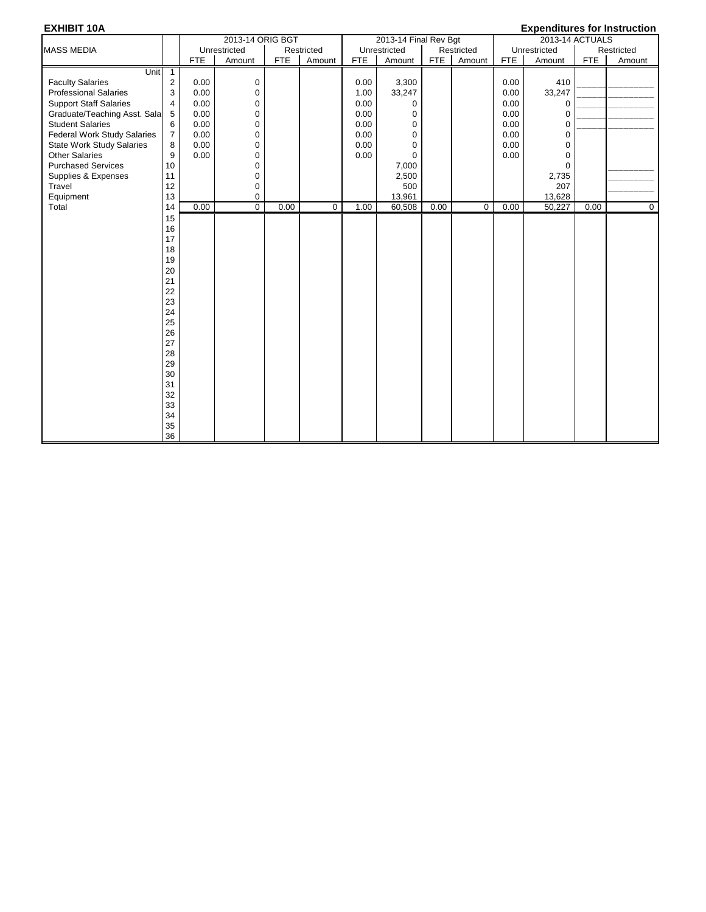| 2013-14 ORIG BGT<br>2013-14 Final Rev Bgt                                                             |            |              |                 | <b>Expenditures for Instruction</b> |
|-------------------------------------------------------------------------------------------------------|------------|--------------|-----------------|-------------------------------------|
|                                                                                                       |            |              | 2013-14 ACTUALS |                                     |
| Unrestricted<br>Restricted<br>Unrestricted<br>Restricted<br><b>MASS MEDIA</b>                         |            | Unrestricted |                 | Restricted                          |
| <b>FTE</b><br><b>FTE</b><br>Amount<br><b>FTE</b><br>Amount<br>FTE<br>Amount<br>Amount                 | <b>FTE</b> | Amount       | <b>FTE</b>      | Amount                              |
| Unit<br>$\mathbf{1}$                                                                                  |            |              |                 |                                     |
| <b>Faculty Salaries</b><br>$\overline{c}$<br>0.00<br>0<br>0.00<br>3,300                               | 0.00       | 410          |                 |                                     |
| 3<br><b>Professional Salaries</b><br>0.00<br>0<br>33,247<br>1.00                                      | 0.00       | 33,247       |                 |                                     |
| <b>Support Staff Salaries</b><br>0.00<br>4<br>$\mathbf 0$<br>0.00<br>$\Omega$                         | 0.00       | $\Omega$     |                 |                                     |
| 5<br>0.00<br>0<br>0.00<br>Graduate/Teaching Asst. Sala<br>$\mathbf 0$                                 | 0.00       | $\mathbf 0$  |                 |                                     |
| 6<br>0<br><b>Student Salaries</b><br>0.00<br>0.00<br>$\mathbf 0$                                      | 0.00       | $\mathbf 0$  |                 |                                     |
| $\overline{7}$<br>0.00<br><b>Federal Work Study Salaries</b><br>0.00<br>$\mathbf 0$<br>$\mathbf 0$    | 0.00       | $\mathbf 0$  |                 |                                     |
| 8<br>0.00<br><b>State Work Study Salaries</b><br>0.00<br>$\mathbf 0$<br>$\mathbf 0$                   | 0.00       | $\mathbf 0$  |                 |                                     |
| 9<br><b>Other Salaries</b><br>0.00<br>$\mathbf 0$<br>0.00<br>$\Omega$                                 | 0.00       | $\mathbf 0$  |                 |                                     |
| <b>Purchased Services</b><br>10<br>$\mathbf 0$<br>7,000                                               |            | $\Omega$     |                 |                                     |
| 0<br>Supplies & Expenses<br>11<br>2,500                                                               |            | 2,735        |                 |                                     |
| 12<br>0<br>Travel<br>500                                                                              |            | 207          |                 |                                     |
| 13<br>Equipment<br>0<br>13,961                                                                        |            | 13,628       |                 |                                     |
| $\overline{0}$<br>Total<br>0.00<br>0.00<br>$\mathbf 0$<br>1.00<br>60,508<br>0.00<br>$\mathbf 0$<br>14 | 0.00       | 50,227       | 0.00            | $\mathbf 0$                         |
| 15                                                                                                    |            |              |                 |                                     |
| 16                                                                                                    |            |              |                 |                                     |
| 17                                                                                                    |            |              |                 |                                     |
| 18                                                                                                    |            |              |                 |                                     |
| 19                                                                                                    |            |              |                 |                                     |
| 20                                                                                                    |            |              |                 |                                     |
| 21                                                                                                    |            |              |                 |                                     |
| 22                                                                                                    |            |              |                 |                                     |
| 23                                                                                                    |            |              |                 |                                     |
| 24                                                                                                    |            |              |                 |                                     |
| 25                                                                                                    |            |              |                 |                                     |
| 26                                                                                                    |            |              |                 |                                     |
| 27                                                                                                    |            |              |                 |                                     |
| 28                                                                                                    |            |              |                 |                                     |
| 29                                                                                                    |            |              |                 |                                     |
| 30                                                                                                    |            |              |                 |                                     |
| 31                                                                                                    |            |              |                 |                                     |
| 32                                                                                                    |            |              |                 |                                     |
| 33                                                                                                    |            |              |                 |                                     |
| 34                                                                                                    |            |              |                 |                                     |
| 35                                                                                                    |            |              |                 |                                     |
| 36                                                                                                    |            |              |                 |                                     |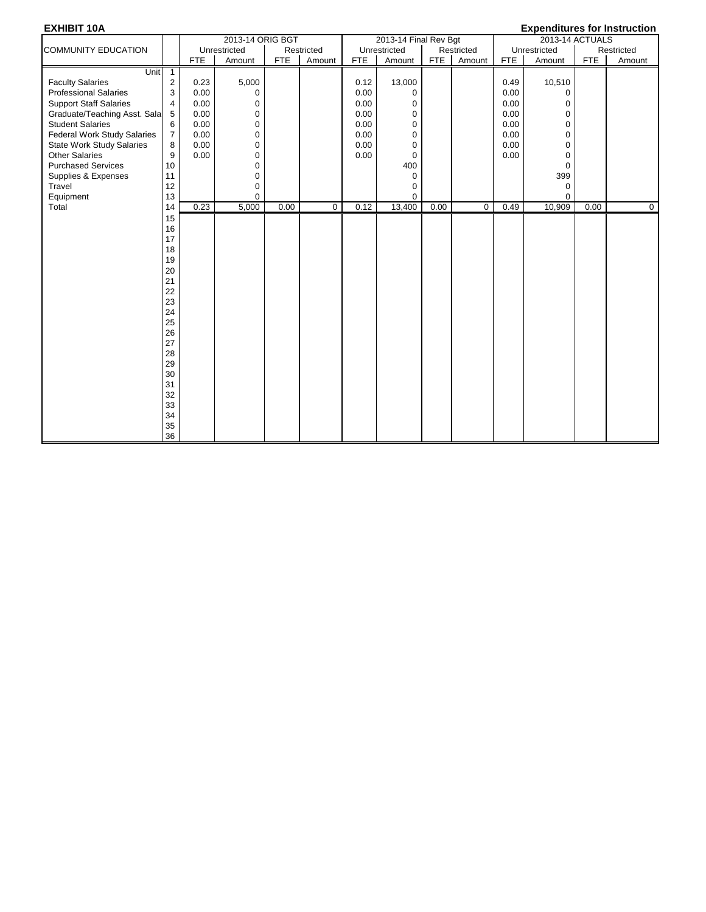| <b>EXHIBIT 10A</b>                 |                |            |                  |            |             |            |                       |            |             |            | <b>Expenditures for Instruction</b> |            |             |
|------------------------------------|----------------|------------|------------------|------------|-------------|------------|-----------------------|------------|-------------|------------|-------------------------------------|------------|-------------|
|                                    |                |            | 2013-14 ORIG BGT |            |             |            | 2013-14 Final Rev Bgt |            |             |            | 2013-14 ACTUALS                     |            |             |
| <b>COMMUNITY EDUCATION</b>         |                |            | Unrestricted     |            | Restricted  |            | Unrestricted          |            | Restricted  |            | Unrestricted                        |            | Restricted  |
|                                    |                | <b>FTE</b> | Amount           | <b>FTE</b> | Amount      | <b>FTE</b> | Amount                | <b>FTE</b> | Amount      | <b>FTE</b> | Amount                              | <b>FTE</b> | Amount      |
| <b>Unit</b>                        | $\overline{1}$ |            |                  |            |             |            |                       |            |             |            |                                     |            |             |
| <b>Faculty Salaries</b>            | $\overline{2}$ | 0.23       | 5,000            |            |             | 0.12       | 13,000                |            |             | 0.49       | 10,510                              |            |             |
| <b>Professional Salaries</b>       | 3              | 0.00       | $\mathbf 0$      |            |             | 0.00       | $\mathbf 0$           |            |             | 0.00       | $\mathbf 0$                         |            |             |
| <b>Support Staff Salaries</b>      | 4              | 0.00       | $\mathbf 0$      |            |             | 0.00       | 0                     |            |             | 0.00       | 0                                   |            |             |
| Graduate/Teaching Asst. Sala       | 5              | 0.00       | $\mathbf 0$      |            |             | 0.00       | $\mathbf 0$           |            |             | 0.00       | $\mathbf 0$                         |            |             |
| <b>Student Salaries</b>            | 6              | 0.00       | $\pmb{0}$        |            |             | 0.00       | $\mathbf 0$           |            |             | 0.00       | $\pmb{0}$                           |            |             |
| <b>Federal Work Study Salaries</b> | $\overline{7}$ | 0.00       | $\mathbf 0$      |            |             | 0.00       | $\mathbf 0$           |            |             | 0.00       | $\mathbf 0$                         |            |             |
| <b>State Work Study Salaries</b>   | 8              | 0.00       | 0                |            |             | 0.00       | $\mathbf 0$           |            |             | 0.00       | $\mathbf 0$                         |            |             |
| <b>Other Salaries</b>              | 9              | 0.00       | $\mathbf 0$      |            |             | 0.00       | 0                     |            |             | 0.00       | 0                                   |            |             |
| <b>Purchased Services</b>          | 10             |            | $\mathbf 0$      |            |             |            | 400                   |            |             |            | $\mathbf 0$                         |            |             |
| Supplies & Expenses                | 11             |            | $\pmb{0}$        |            |             |            | $\mathbf 0$           |            |             |            | 399                                 |            |             |
| Travel                             | 12             |            | 0                |            |             |            | $\mathbf 0$           |            |             |            | $\pmb{0}$                           |            |             |
| Equipment                          | 13             |            | $\mathbf 0$      |            |             |            | $\mathbf 0$           |            |             |            | $\mathbf 0$                         |            |             |
| Total                              | 14             | 0.23       | 5,000            | 0.00       | $\mathbf 0$ | 0.12       | 13,400                | 0.00       | $\mathbf 0$ | 0.49       | 10,909                              | 0.00       | $\mathbf 0$ |
|                                    | 15             |            |                  |            |             |            |                       |            |             |            |                                     |            |             |
|                                    | 16             |            |                  |            |             |            |                       |            |             |            |                                     |            |             |
|                                    | 17             |            |                  |            |             |            |                       |            |             |            |                                     |            |             |
|                                    | 18             |            |                  |            |             |            |                       |            |             |            |                                     |            |             |
|                                    | 19             |            |                  |            |             |            |                       |            |             |            |                                     |            |             |
|                                    | 20             |            |                  |            |             |            |                       |            |             |            |                                     |            |             |
|                                    | 21             |            |                  |            |             |            |                       |            |             |            |                                     |            |             |
|                                    | 22             |            |                  |            |             |            |                       |            |             |            |                                     |            |             |
|                                    | 23             |            |                  |            |             |            |                       |            |             |            |                                     |            |             |
|                                    | 24             |            |                  |            |             |            |                       |            |             |            |                                     |            |             |
|                                    | 25             |            |                  |            |             |            |                       |            |             |            |                                     |            |             |
|                                    | 26             |            |                  |            |             |            |                       |            |             |            |                                     |            |             |
|                                    | 27             |            |                  |            |             |            |                       |            |             |            |                                     |            |             |
|                                    | 28             |            |                  |            |             |            |                       |            |             |            |                                     |            |             |
|                                    | 29             |            |                  |            |             |            |                       |            |             |            |                                     |            |             |
|                                    | 30             |            |                  |            |             |            |                       |            |             |            |                                     |            |             |
|                                    | 31             |            |                  |            |             |            |                       |            |             |            |                                     |            |             |
|                                    | 32             |            |                  |            |             |            |                       |            |             |            |                                     |            |             |
|                                    | 33             |            |                  |            |             |            |                       |            |             |            |                                     |            |             |
|                                    | 34             |            |                  |            |             |            |                       |            |             |            |                                     |            |             |
|                                    | 35             |            |                  |            |             |            |                       |            |             |            |                                     |            |             |
|                                    | 36             |            |                  |            |             |            |                       |            |             |            |                                     |            |             |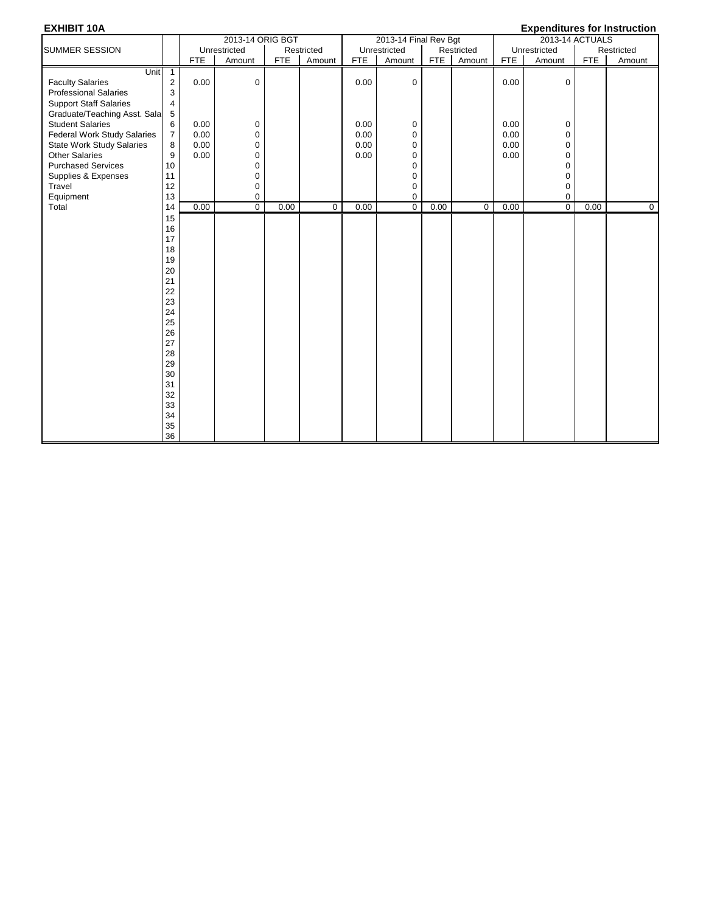| <b>EXHIBIT 10A</b>                 |                |            |                  |            |             |            |                       |            |            |            | <b>Expenditures for Instruction</b> |            |                |
|------------------------------------|----------------|------------|------------------|------------|-------------|------------|-----------------------|------------|------------|------------|-------------------------------------|------------|----------------|
|                                    |                |            | 2013-14 ORIG BGT |            |             |            | 2013-14 Final Rev Bgt |            |            |            | 2013-14 ACTUALS                     |            |                |
| <b>SUMMER SESSION</b>              |                |            | Unrestricted     |            | Restricted  |            | Unrestricted          |            | Restricted |            | Unrestricted                        |            | Restricted     |
|                                    |                | <b>FTE</b> | Amount           | <b>FTE</b> | Amount      | <b>FTE</b> | Amount                | <b>FTE</b> | Amount     | <b>FTE</b> | Amount                              | <b>FTE</b> | Amount         |
| Unit                               | $\overline{1}$ |            |                  |            |             |            |                       |            |            |            |                                     |            |                |
| <b>Faculty Salaries</b>            | $\overline{2}$ | 0.00       | 0                |            |             | 0.00       | $\mathbf 0$           |            |            | 0.00       | $\mathbf 0$                         |            |                |
| <b>Professional Salaries</b>       | 3              |            |                  |            |             |            |                       |            |            |            |                                     |            |                |
| <b>Support Staff Salaries</b>      | $\overline{4}$ |            |                  |            |             |            |                       |            |            |            |                                     |            |                |
| Graduate/Teaching Asst. Sala       | $\,$ 5 $\,$    |            |                  |            |             |            |                       |            |            |            |                                     |            |                |
| <b>Student Salaries</b>            | 6              | 0.00       | 0                |            |             | 0.00       | 0                     |            |            | 0.00       | 0                                   |            |                |
| <b>Federal Work Study Salaries</b> | $\overline{7}$ | 0.00       | 0                |            |             | 0.00       | $\mathbf 0$           |            |            | 0.00       | 0                                   |            |                |
| <b>State Work Study Salaries</b>   | 8              | 0.00       | 0                |            |             | 0.00       | 0                     |            |            | 0.00       | 0                                   |            |                |
| <b>Other Salaries</b>              | 9              | 0.00       | 0                |            |             | 0.00       | 0                     |            |            | 0.00       | 0                                   |            |                |
| <b>Purchased Services</b>          | 10             |            | 0                |            |             |            | 0                     |            |            |            | 0                                   |            |                |
| Supplies & Expenses                | 11             |            | 0                |            |             |            | 0                     |            |            |            | 0                                   |            |                |
| Travel                             | 12             |            | 0                |            |             |            | $\mathbf 0$           |            |            |            | 0                                   |            |                |
| Equipment                          | 13             |            | 0                |            |             |            | $\mathbf 0$           |            |            |            | 0                                   |            |                |
| Total                              | 14             | 0.00       | $\overline{0}$   | 0.00       | $\mathbf 0$ | 0.00       | 0                     | 0.00       | 0          | 0.00       | 0                                   | 0.00       | $\overline{0}$ |
|                                    | 15             |            |                  |            |             |            |                       |            |            |            |                                     |            |                |
|                                    | 16             |            |                  |            |             |            |                       |            |            |            |                                     |            |                |
|                                    | 17             |            |                  |            |             |            |                       |            |            |            |                                     |            |                |
|                                    | 18             |            |                  |            |             |            |                       |            |            |            |                                     |            |                |
|                                    | 19             |            |                  |            |             |            |                       |            |            |            |                                     |            |                |
|                                    | 20             |            |                  |            |             |            |                       |            |            |            |                                     |            |                |
|                                    | 21             |            |                  |            |             |            |                       |            |            |            |                                     |            |                |
|                                    | 22             |            |                  |            |             |            |                       |            |            |            |                                     |            |                |
|                                    | 23             |            |                  |            |             |            |                       |            |            |            |                                     |            |                |
|                                    | 24             |            |                  |            |             |            |                       |            |            |            |                                     |            |                |
|                                    | 25             |            |                  |            |             |            |                       |            |            |            |                                     |            |                |
|                                    | 26             |            |                  |            |             |            |                       |            |            |            |                                     |            |                |
|                                    | 27             |            |                  |            |             |            |                       |            |            |            |                                     |            |                |
|                                    | 28             |            |                  |            |             |            |                       |            |            |            |                                     |            |                |
|                                    | 29             |            |                  |            |             |            |                       |            |            |            |                                     |            |                |
|                                    | 30             |            |                  |            |             |            |                       |            |            |            |                                     |            |                |
|                                    | 31             |            |                  |            |             |            |                       |            |            |            |                                     |            |                |
|                                    | 32             |            |                  |            |             |            |                       |            |            |            |                                     |            |                |
|                                    | 33             |            |                  |            |             |            |                       |            |            |            |                                     |            |                |
|                                    | 34             |            |                  |            |             |            |                       |            |            |            |                                     |            |                |
|                                    | 35             |            |                  |            |             |            |                       |            |            |            |                                     |            |                |
|                                    | 36             |            |                  |            |             |            |                       |            |            |            |                                     |            |                |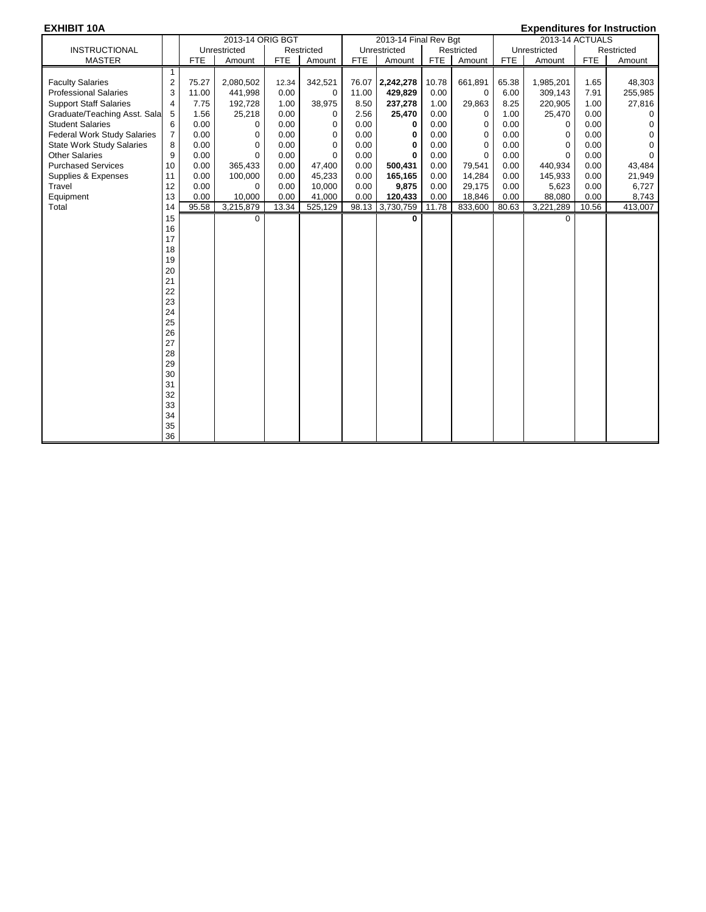### **EXHIBIT 10A Expenditures for Instruction**

| <b>INSTRUCTIONAL</b><br>Unrestricted<br>Unrestricted<br>Restricted<br>Restricted<br>Unrestricted<br>Restricted<br><b>FTE</b><br><b>MASTER</b><br><b>FTE</b><br>Amount<br><b>FTE</b><br>Amount<br><b>FTE</b><br>Amount<br>Amount<br><b>FTE</b><br>Amount<br><b>FTE</b><br>Amount<br>1<br><b>Faculty Salaries</b><br>$\overline{c}$<br>75.27<br>342,521<br>76.07<br>2,242,278<br>10.78<br>661,891<br>65.38<br>1.65<br>48,303<br>2,080,502<br>12.34<br>1,985,201<br><b>Professional Salaries</b><br>3<br>0.00<br>429,829<br>0.00<br>7.91<br>255,985<br>11.00<br>441,998<br>11.00<br>6.00<br>309,143<br>0<br>0<br>7.75<br>38,975<br>237,278<br>29,863<br>8.25<br>220,905<br>1.00<br>27,816<br><b>Support Staff Salaries</b><br>192,728<br>1.00<br>8.50<br>1.00<br>4<br>5<br>1.56<br>25,218<br>0.00<br>2.56<br>25,470<br>0.00<br>1.00<br>25,470<br>0.00<br>Graduate/Teaching Asst. Sala<br>0<br>0<br>0<br><b>Student Salaries</b><br>6<br>0.00<br>0.00<br>0.00<br>0.00<br>0.00<br>0.00<br>$\mathbf 0$<br>$\mathbf 0$<br>0<br>0<br>$\mathbf 0$<br>0<br>$\overline{7}$<br>0.00<br>0.00<br>0.00<br><b>Federal Work Study Salaries</b><br>$\mathbf 0$<br>0<br>0.00<br>0.00<br>0.00<br>0<br>0<br>0<br>$\Omega$<br>0.00<br>0.00<br>0.00<br>$\mathbf 0$<br><b>State Work Study Salaries</b><br>8<br>0<br>0<br>0.00<br>0.00<br>0.00<br>0<br>$\Omega$<br>$\Omega$<br>0.00<br>0.00<br>0.00<br><b>Other Salaries</b><br>9<br>0<br>$\Omega$<br>0.00<br>0.00<br>$\Omega$<br>0.00<br>0<br>$\Omega$<br><b>Purchased Services</b><br>0.00<br>365,433<br>0.00<br>0.00<br>440,934<br>0.00<br>43,484<br>10<br>0.00<br>47,400<br>500,431<br>79,541<br>0.00<br>0.00<br>100,000<br>45,233<br>0.00<br>165,165<br>0.00<br>145,933<br>0.00<br>21,949<br>Supplies & Expenses<br>11<br>0.00<br>0.00<br>14,284<br>Travel<br>12<br>0.00<br>0<br>0.00<br>10,000<br>0.00<br>9,875<br>29,175<br>0.00<br>5,623<br>0.00<br>0.00<br>13<br>Equipment<br>0.00<br>10,000<br>0.00<br>41,000<br>0.00<br>120,433<br>0.00<br>18,846<br>0.00<br>88,080<br>0.00<br>8,743<br>3,215,879<br>13.34<br>525,129<br>98.13 3,730,759<br>95.58<br>11.78<br>833,600<br>80.63<br>3,221,289<br>10.56<br>Total<br>14 |    | 2013-14 ORIG BGT |  | 2013-14 Final Rev Bgt |  | =^ponanaroo ror mou aouom<br>2013-14 ACTUALS |          |
|--------------------------------------------------------------------------------------------------------------------------------------------------------------------------------------------------------------------------------------------------------------------------------------------------------------------------------------------------------------------------------------------------------------------------------------------------------------------------------------------------------------------------------------------------------------------------------------------------------------------------------------------------------------------------------------------------------------------------------------------------------------------------------------------------------------------------------------------------------------------------------------------------------------------------------------------------------------------------------------------------------------------------------------------------------------------------------------------------------------------------------------------------------------------------------------------------------------------------------------------------------------------------------------------------------------------------------------------------------------------------------------------------------------------------------------------------------------------------------------------------------------------------------------------------------------------------------------------------------------------------------------------------------------------------------------------------------------------------------------------------------------------------------------------------------------------------------------------------------------------------------------------------------------------------------------------------------------------------------------------------------------------------------------------------------------------------------------------------------------------------------------------------------|----|------------------|--|-----------------------|--|----------------------------------------------|----------|
|                                                                                                                                                                                                                                                                                                                                                                                                                                                                                                                                                                                                                                                                                                                                                                                                                                                                                                                                                                                                                                                                                                                                                                                                                                                                                                                                                                                                                                                                                                                                                                                                                                                                                                                                                                                                                                                                                                                                                                                                                                                                                                                                                        |    |                  |  |                       |  |                                              |          |
|                                                                                                                                                                                                                                                                                                                                                                                                                                                                                                                                                                                                                                                                                                                                                                                                                                                                                                                                                                                                                                                                                                                                                                                                                                                                                                                                                                                                                                                                                                                                                                                                                                                                                                                                                                                                                                                                                                                                                                                                                                                                                                                                                        |    |                  |  |                       |  |                                              |          |
|                                                                                                                                                                                                                                                                                                                                                                                                                                                                                                                                                                                                                                                                                                                                                                                                                                                                                                                                                                                                                                                                                                                                                                                                                                                                                                                                                                                                                                                                                                                                                                                                                                                                                                                                                                                                                                                                                                                                                                                                                                                                                                                                                        |    |                  |  |                       |  |                                              |          |
|                                                                                                                                                                                                                                                                                                                                                                                                                                                                                                                                                                                                                                                                                                                                                                                                                                                                                                                                                                                                                                                                                                                                                                                                                                                                                                                                                                                                                                                                                                                                                                                                                                                                                                                                                                                                                                                                                                                                                                                                                                                                                                                                                        |    |                  |  |                       |  |                                              |          |
|                                                                                                                                                                                                                                                                                                                                                                                                                                                                                                                                                                                                                                                                                                                                                                                                                                                                                                                                                                                                                                                                                                                                                                                                                                                                                                                                                                                                                                                                                                                                                                                                                                                                                                                                                                                                                                                                                                                                                                                                                                                                                                                                                        |    |                  |  |                       |  |                                              |          |
|                                                                                                                                                                                                                                                                                                                                                                                                                                                                                                                                                                                                                                                                                                                                                                                                                                                                                                                                                                                                                                                                                                                                                                                                                                                                                                                                                                                                                                                                                                                                                                                                                                                                                                                                                                                                                                                                                                                                                                                                                                                                                                                                                        |    |                  |  |                       |  |                                              |          |
|                                                                                                                                                                                                                                                                                                                                                                                                                                                                                                                                                                                                                                                                                                                                                                                                                                                                                                                                                                                                                                                                                                                                                                                                                                                                                                                                                                                                                                                                                                                                                                                                                                                                                                                                                                                                                                                                                                                                                                                                                                                                                                                                                        |    |                  |  |                       |  |                                              |          |
|                                                                                                                                                                                                                                                                                                                                                                                                                                                                                                                                                                                                                                                                                                                                                                                                                                                                                                                                                                                                                                                                                                                                                                                                                                                                                                                                                                                                                                                                                                                                                                                                                                                                                                                                                                                                                                                                                                                                                                                                                                                                                                                                                        |    |                  |  |                       |  |                                              |          |
|                                                                                                                                                                                                                                                                                                                                                                                                                                                                                                                                                                                                                                                                                                                                                                                                                                                                                                                                                                                                                                                                                                                                                                                                                                                                                                                                                                                                                                                                                                                                                                                                                                                                                                                                                                                                                                                                                                                                                                                                                                                                                                                                                        |    |                  |  |                       |  |                                              |          |
|                                                                                                                                                                                                                                                                                                                                                                                                                                                                                                                                                                                                                                                                                                                                                                                                                                                                                                                                                                                                                                                                                                                                                                                                                                                                                                                                                                                                                                                                                                                                                                                                                                                                                                                                                                                                                                                                                                                                                                                                                                                                                                                                                        |    |                  |  |                       |  |                                              |          |
|                                                                                                                                                                                                                                                                                                                                                                                                                                                                                                                                                                                                                                                                                                                                                                                                                                                                                                                                                                                                                                                                                                                                                                                                                                                                                                                                                                                                                                                                                                                                                                                                                                                                                                                                                                                                                                                                                                                                                                                                                                                                                                                                                        |    |                  |  |                       |  |                                              | $\Omega$ |
|                                                                                                                                                                                                                                                                                                                                                                                                                                                                                                                                                                                                                                                                                                                                                                                                                                                                                                                                                                                                                                                                                                                                                                                                                                                                                                                                                                                                                                                                                                                                                                                                                                                                                                                                                                                                                                                                                                                                                                                                                                                                                                                                                        |    |                  |  |                       |  |                                              |          |
|                                                                                                                                                                                                                                                                                                                                                                                                                                                                                                                                                                                                                                                                                                                                                                                                                                                                                                                                                                                                                                                                                                                                                                                                                                                                                                                                                                                                                                                                                                                                                                                                                                                                                                                                                                                                                                                                                                                                                                                                                                                                                                                                                        |    |                  |  |                       |  |                                              |          |
|                                                                                                                                                                                                                                                                                                                                                                                                                                                                                                                                                                                                                                                                                                                                                                                                                                                                                                                                                                                                                                                                                                                                                                                                                                                                                                                                                                                                                                                                                                                                                                                                                                                                                                                                                                                                                                                                                                                                                                                                                                                                                                                                                        |    |                  |  |                       |  |                                              | 6,727    |
|                                                                                                                                                                                                                                                                                                                                                                                                                                                                                                                                                                                                                                                                                                                                                                                                                                                                                                                                                                                                                                                                                                                                                                                                                                                                                                                                                                                                                                                                                                                                                                                                                                                                                                                                                                                                                                                                                                                                                                                                                                                                                                                                                        |    |                  |  |                       |  |                                              |          |
|                                                                                                                                                                                                                                                                                                                                                                                                                                                                                                                                                                                                                                                                                                                                                                                                                                                                                                                                                                                                                                                                                                                                                                                                                                                                                                                                                                                                                                                                                                                                                                                                                                                                                                                                                                                                                                                                                                                                                                                                                                                                                                                                                        |    |                  |  |                       |  |                                              | 413,007  |
|                                                                                                                                                                                                                                                                                                                                                                                                                                                                                                                                                                                                                                                                                                                                                                                                                                                                                                                                                                                                                                                                                                                                                                                                                                                                                                                                                                                                                                                                                                                                                                                                                                                                                                                                                                                                                                                                                                                                                                                                                                                                                                                                                        | 15 | 0                |  | 0                     |  | $\Omega$                                     |          |
| 16                                                                                                                                                                                                                                                                                                                                                                                                                                                                                                                                                                                                                                                                                                                                                                                                                                                                                                                                                                                                                                                                                                                                                                                                                                                                                                                                                                                                                                                                                                                                                                                                                                                                                                                                                                                                                                                                                                                                                                                                                                                                                                                                                     |    |                  |  |                       |  |                                              |          |
| 17                                                                                                                                                                                                                                                                                                                                                                                                                                                                                                                                                                                                                                                                                                                                                                                                                                                                                                                                                                                                                                                                                                                                                                                                                                                                                                                                                                                                                                                                                                                                                                                                                                                                                                                                                                                                                                                                                                                                                                                                                                                                                                                                                     |    |                  |  |                       |  |                                              |          |
| 18                                                                                                                                                                                                                                                                                                                                                                                                                                                                                                                                                                                                                                                                                                                                                                                                                                                                                                                                                                                                                                                                                                                                                                                                                                                                                                                                                                                                                                                                                                                                                                                                                                                                                                                                                                                                                                                                                                                                                                                                                                                                                                                                                     |    |                  |  |                       |  |                                              |          |
| 19                                                                                                                                                                                                                                                                                                                                                                                                                                                                                                                                                                                                                                                                                                                                                                                                                                                                                                                                                                                                                                                                                                                                                                                                                                                                                                                                                                                                                                                                                                                                                                                                                                                                                                                                                                                                                                                                                                                                                                                                                                                                                                                                                     |    |                  |  |                       |  |                                              |          |
| 20                                                                                                                                                                                                                                                                                                                                                                                                                                                                                                                                                                                                                                                                                                                                                                                                                                                                                                                                                                                                                                                                                                                                                                                                                                                                                                                                                                                                                                                                                                                                                                                                                                                                                                                                                                                                                                                                                                                                                                                                                                                                                                                                                     |    |                  |  |                       |  |                                              |          |
| 21                                                                                                                                                                                                                                                                                                                                                                                                                                                                                                                                                                                                                                                                                                                                                                                                                                                                                                                                                                                                                                                                                                                                                                                                                                                                                                                                                                                                                                                                                                                                                                                                                                                                                                                                                                                                                                                                                                                                                                                                                                                                                                                                                     |    |                  |  |                       |  |                                              |          |
| 22                                                                                                                                                                                                                                                                                                                                                                                                                                                                                                                                                                                                                                                                                                                                                                                                                                                                                                                                                                                                                                                                                                                                                                                                                                                                                                                                                                                                                                                                                                                                                                                                                                                                                                                                                                                                                                                                                                                                                                                                                                                                                                                                                     |    |                  |  |                       |  |                                              |          |
| 23                                                                                                                                                                                                                                                                                                                                                                                                                                                                                                                                                                                                                                                                                                                                                                                                                                                                                                                                                                                                                                                                                                                                                                                                                                                                                                                                                                                                                                                                                                                                                                                                                                                                                                                                                                                                                                                                                                                                                                                                                                                                                                                                                     |    |                  |  |                       |  |                                              |          |
| 24                                                                                                                                                                                                                                                                                                                                                                                                                                                                                                                                                                                                                                                                                                                                                                                                                                                                                                                                                                                                                                                                                                                                                                                                                                                                                                                                                                                                                                                                                                                                                                                                                                                                                                                                                                                                                                                                                                                                                                                                                                                                                                                                                     |    |                  |  |                       |  |                                              |          |
| 25                                                                                                                                                                                                                                                                                                                                                                                                                                                                                                                                                                                                                                                                                                                                                                                                                                                                                                                                                                                                                                                                                                                                                                                                                                                                                                                                                                                                                                                                                                                                                                                                                                                                                                                                                                                                                                                                                                                                                                                                                                                                                                                                                     |    |                  |  |                       |  |                                              |          |
| 26                                                                                                                                                                                                                                                                                                                                                                                                                                                                                                                                                                                                                                                                                                                                                                                                                                                                                                                                                                                                                                                                                                                                                                                                                                                                                                                                                                                                                                                                                                                                                                                                                                                                                                                                                                                                                                                                                                                                                                                                                                                                                                                                                     |    |                  |  |                       |  |                                              |          |
| 27                                                                                                                                                                                                                                                                                                                                                                                                                                                                                                                                                                                                                                                                                                                                                                                                                                                                                                                                                                                                                                                                                                                                                                                                                                                                                                                                                                                                                                                                                                                                                                                                                                                                                                                                                                                                                                                                                                                                                                                                                                                                                                                                                     |    |                  |  |                       |  |                                              |          |
| 28                                                                                                                                                                                                                                                                                                                                                                                                                                                                                                                                                                                                                                                                                                                                                                                                                                                                                                                                                                                                                                                                                                                                                                                                                                                                                                                                                                                                                                                                                                                                                                                                                                                                                                                                                                                                                                                                                                                                                                                                                                                                                                                                                     |    |                  |  |                       |  |                                              |          |
| 29                                                                                                                                                                                                                                                                                                                                                                                                                                                                                                                                                                                                                                                                                                                                                                                                                                                                                                                                                                                                                                                                                                                                                                                                                                                                                                                                                                                                                                                                                                                                                                                                                                                                                                                                                                                                                                                                                                                                                                                                                                                                                                                                                     |    |                  |  |                       |  |                                              |          |
| 30                                                                                                                                                                                                                                                                                                                                                                                                                                                                                                                                                                                                                                                                                                                                                                                                                                                                                                                                                                                                                                                                                                                                                                                                                                                                                                                                                                                                                                                                                                                                                                                                                                                                                                                                                                                                                                                                                                                                                                                                                                                                                                                                                     |    |                  |  |                       |  |                                              |          |
| 31                                                                                                                                                                                                                                                                                                                                                                                                                                                                                                                                                                                                                                                                                                                                                                                                                                                                                                                                                                                                                                                                                                                                                                                                                                                                                                                                                                                                                                                                                                                                                                                                                                                                                                                                                                                                                                                                                                                                                                                                                                                                                                                                                     |    |                  |  |                       |  |                                              |          |
| 32                                                                                                                                                                                                                                                                                                                                                                                                                                                                                                                                                                                                                                                                                                                                                                                                                                                                                                                                                                                                                                                                                                                                                                                                                                                                                                                                                                                                                                                                                                                                                                                                                                                                                                                                                                                                                                                                                                                                                                                                                                                                                                                                                     |    |                  |  |                       |  |                                              |          |
| 33                                                                                                                                                                                                                                                                                                                                                                                                                                                                                                                                                                                                                                                                                                                                                                                                                                                                                                                                                                                                                                                                                                                                                                                                                                                                                                                                                                                                                                                                                                                                                                                                                                                                                                                                                                                                                                                                                                                                                                                                                                                                                                                                                     |    |                  |  |                       |  |                                              |          |
| 34                                                                                                                                                                                                                                                                                                                                                                                                                                                                                                                                                                                                                                                                                                                                                                                                                                                                                                                                                                                                                                                                                                                                                                                                                                                                                                                                                                                                                                                                                                                                                                                                                                                                                                                                                                                                                                                                                                                                                                                                                                                                                                                                                     |    |                  |  |                       |  |                                              |          |
| 35                                                                                                                                                                                                                                                                                                                                                                                                                                                                                                                                                                                                                                                                                                                                                                                                                                                                                                                                                                                                                                                                                                                                                                                                                                                                                                                                                                                                                                                                                                                                                                                                                                                                                                                                                                                                                                                                                                                                                                                                                                                                                                                                                     |    |                  |  |                       |  |                                              |          |
| 36                                                                                                                                                                                                                                                                                                                                                                                                                                                                                                                                                                                                                                                                                                                                                                                                                                                                                                                                                                                                                                                                                                                                                                                                                                                                                                                                                                                                                                                                                                                                                                                                                                                                                                                                                                                                                                                                                                                                                                                                                                                                                                                                                     |    |                  |  |                       |  |                                              |          |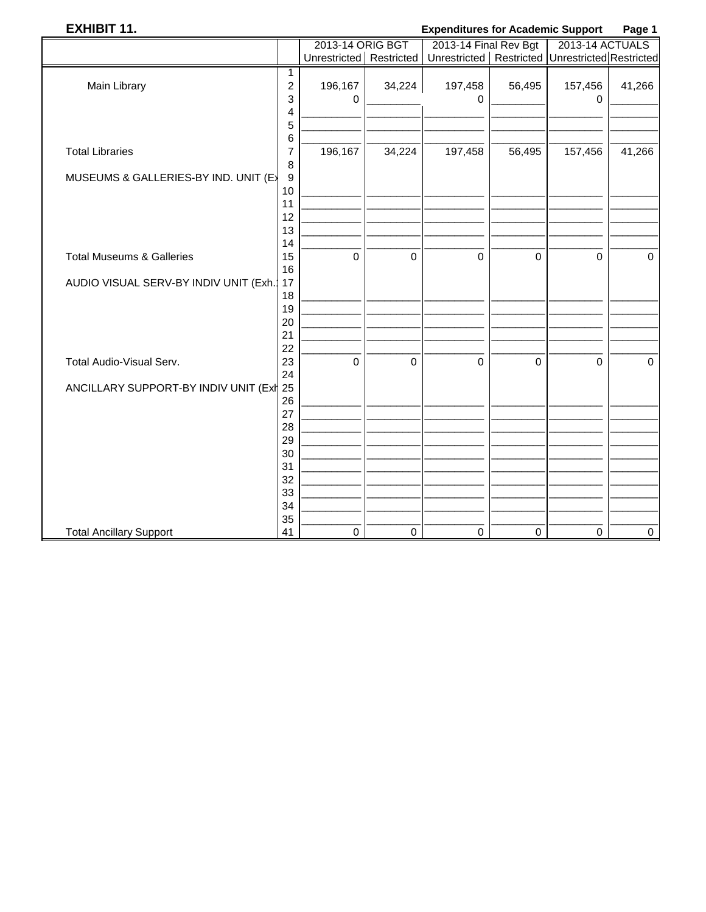### **EXHIBIT 11.**

### **Expenditures for Academic Support** Page 1

|                                       |                  | 2013-14 ORIG BGT          |                | 2013-14 Final Rev Bgt                               |             | -------<br>2013-14 ACTUALS |             |
|---------------------------------------|------------------|---------------------------|----------------|-----------------------------------------------------|-------------|----------------------------|-------------|
|                                       |                  | Unrestricted   Restricted |                | Unrestricted   Restricted   Unrestricted Restricted |             |                            |             |
|                                       | 1                |                           |                |                                                     |             |                            |             |
| Main Library                          | $\overline{c}$   | 196,167                   | 34,224         | 197,458                                             | 56,495      | 157,456                    | 41,266      |
|                                       | 3                | $\Omega$                  |                | 0                                                   |             | 0                          |             |
|                                       | 4                |                           |                |                                                     |             |                            |             |
|                                       | 5                |                           |                |                                                     |             |                            |             |
|                                       | 6                |                           |                |                                                     |             |                            |             |
| <b>Total Libraries</b>                | 7                | 196,167                   | 34,224         | 197,458                                             | 56,495      | 157,456                    | 41,266      |
|                                       | 8                |                           |                |                                                     |             |                            |             |
| MUSEUMS & GALLERIES-BY IND. UNIT (E)  | $\boldsymbol{9}$ |                           |                |                                                     |             |                            |             |
|                                       | 10               |                           |                |                                                     |             |                            |             |
|                                       | 11               |                           |                |                                                     |             |                            |             |
|                                       | 12               |                           |                |                                                     |             |                            |             |
|                                       | 13               |                           |                |                                                     |             |                            |             |
|                                       | 14               |                           |                |                                                     |             |                            |             |
| <b>Total Museums &amp; Galleries</b>  | 15               | 0                         | $\mathbf 0$    | $\mathbf 0$                                         | $\pmb{0}$   | $\mathbf 0$                | $\pmb{0}$   |
|                                       | 16               |                           |                |                                                     |             |                            |             |
| AUDIO VISUAL SERV-BY INDIV UNIT (Exh. | 17               |                           |                |                                                     |             |                            |             |
|                                       | 18               |                           |                |                                                     |             |                            |             |
|                                       | 19               |                           |                |                                                     |             |                            |             |
|                                       | 20               |                           |                |                                                     |             |                            |             |
|                                       | 21               |                           |                |                                                     |             |                            |             |
|                                       | 22               |                           |                |                                                     |             |                            |             |
| Total Audio-Visual Serv.              | 23               | 0                         | $\overline{0}$ | $\mathbf 0$                                         | $\mathbf 0$ | $\mathbf 0$                | $\mathbf 0$ |
|                                       | 24               |                           |                |                                                     |             |                            |             |
| ANCILLARY SUPPORT-BY INDIV UNIT (Exh  | 25               |                           |                |                                                     |             |                            |             |
|                                       | 26               |                           |                |                                                     |             |                            |             |
|                                       | 27               |                           |                |                                                     |             |                            |             |
|                                       | 28               |                           |                |                                                     |             |                            |             |
|                                       | 29               |                           |                |                                                     |             |                            |             |
|                                       | 30               |                           |                |                                                     |             |                            |             |
|                                       | 31               |                           |                |                                                     |             |                            |             |
|                                       | 32               |                           |                |                                                     |             |                            |             |
|                                       | 33               |                           |                |                                                     |             |                            |             |
|                                       | 34               |                           |                |                                                     |             |                            |             |
|                                       | 35               |                           |                |                                                     |             |                            |             |
| <b>Total Ancillary Support</b>        | 41               | 0                         | $\pmb{0}$      | $\mathsf 0$                                         | $\pmb{0}$   | $\pmb{0}$                  | $\pmb{0}$   |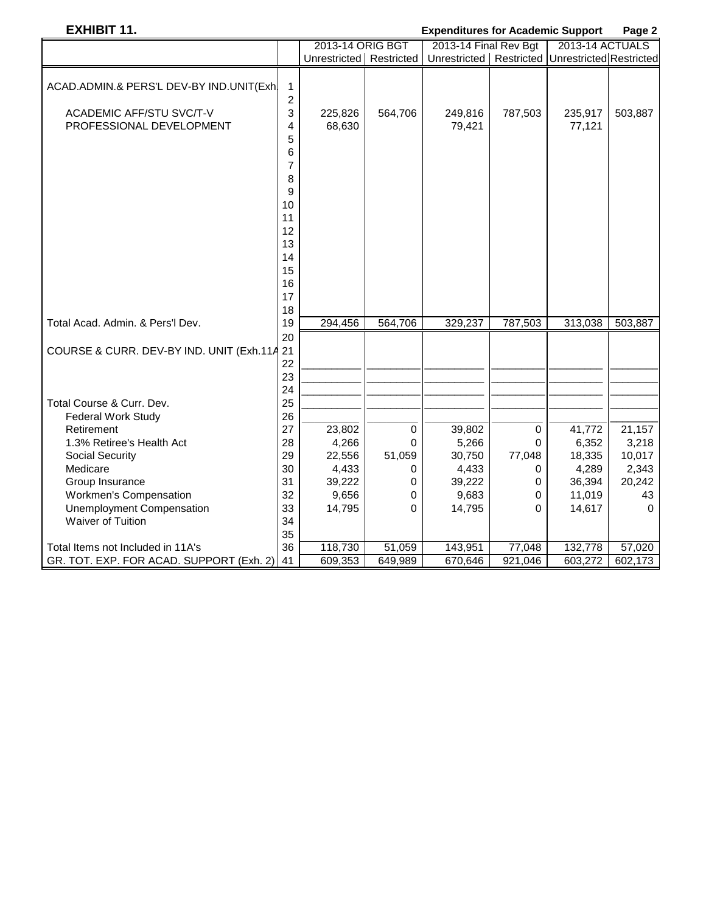### **EXHIBIT 11. Expenditures for Academic Support Page 2**

| 2013-14 ORIG BGT<br>2013-14 ACTUALS<br>2013-14 Final Rev Bgt<br>Unrestricted   Restricted   Unrestricted Restricted<br>Unrestricted Restricted |  |
|------------------------------------------------------------------------------------------------------------------------------------------------|--|
|                                                                                                                                                |  |
|                                                                                                                                                |  |
| ACAD.ADMIN.& PERS'L DEV-BY IND.UNIT(Exh<br>1<br>$\overline{\mathbf{c}}$                                                                        |  |
| 3<br>ACADEMIC AFF/STU SVC/T-V<br>225,826<br>564,706<br>787,503<br>235,917<br>503,887<br>249,816                                                |  |
| 68,630<br>PROFESSIONAL DEVELOPMENT<br>4<br>79,421<br>77,121                                                                                    |  |
| 5                                                                                                                                              |  |
| 6                                                                                                                                              |  |
| 7                                                                                                                                              |  |
| 8                                                                                                                                              |  |
|                                                                                                                                                |  |
| 9<br>10                                                                                                                                        |  |
| 11                                                                                                                                             |  |
| 12                                                                                                                                             |  |
| 13                                                                                                                                             |  |
| 14                                                                                                                                             |  |
| 15                                                                                                                                             |  |
| 16                                                                                                                                             |  |
| 17                                                                                                                                             |  |
| 18                                                                                                                                             |  |
| Total Acad. Admin. & Pers'l Dev.<br>19<br>294,456<br>564,706<br>329,237<br>787,503<br>313,038<br>503,887                                       |  |
| 20                                                                                                                                             |  |
| COURSE & CURR. DEV-BY IND. UNIT (Exh.114 21                                                                                                    |  |
| 22                                                                                                                                             |  |
| 23                                                                                                                                             |  |
| 24                                                                                                                                             |  |
| 25<br>Total Course & Curr. Dev.                                                                                                                |  |
| 26<br>Federal Work Study                                                                                                                       |  |
| 27<br>21,157<br>Retirement<br>23,802<br>0<br>39,802<br>0<br>41,772                                                                             |  |
| 28<br>1.3% Retiree's Health Act<br>4,266<br>5,266<br>6,352<br>3,218<br>0<br>0                                                                  |  |
| 29<br>22,556<br>51,059<br>30,750<br>77,048<br>10,017<br>Social Security<br>18,335                                                              |  |
| 30<br>2,343<br>Medicare<br>4,433<br>4,433<br>4,289<br>0<br>0                                                                                   |  |
| Group Insurance<br>31<br>39,222<br>39,222<br>36,394<br>20,242<br>0<br>0                                                                        |  |
| 9,656<br>9,683<br>Workmen's Compensation<br>32<br>11,019<br>0<br>0                                                                             |  |
| <b>Unemployment Compensation</b><br>33<br>14,795<br>14,617<br>14,795<br>0<br>0                                                                 |  |
| Waiver of Tuition<br>34                                                                                                                        |  |
| 35                                                                                                                                             |  |
| 36<br>118,730<br>132,778<br>51,059<br>143,951<br>77,048<br>57,020<br>Total Items not Included in 11A's                                         |  |
| 609,353<br>649,989<br>670,646<br>921,046<br>603,272<br>602,173<br>GR. TOT. EXP. FOR ACAD. SUPPORT (Exh. 2)<br>41                               |  |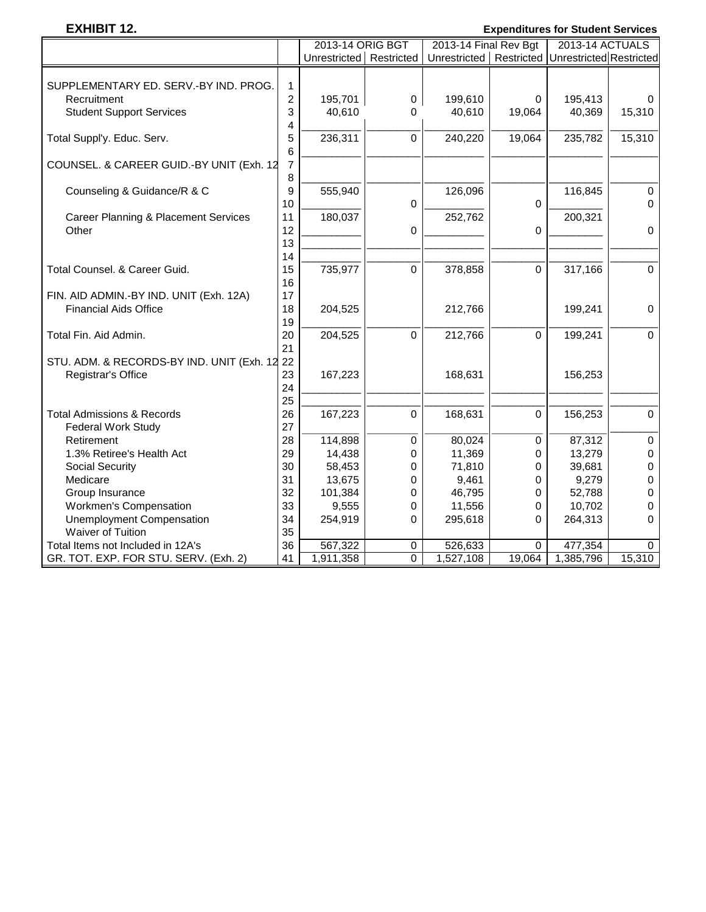### **EXHIBIT 12. Expenditures for Student Services**

|                                                 |                | 2013-14 ORIG BGT        |          | 2013-14 Final Rev Bgt                               |             | 2013-14 ACTUALS |              |
|-------------------------------------------------|----------------|-------------------------|----------|-----------------------------------------------------|-------------|-----------------|--------------|
|                                                 |                | Unrestricted Restricted |          | Unrestricted   Restricted   Unrestricted Restricted |             |                 |              |
|                                                 |                |                         |          |                                                     |             |                 |              |
| SUPPLEMENTARY ED. SERV.-BY IND. PROG.           | $\mathbf{1}$   |                         |          |                                                     |             |                 |              |
| Recruitment                                     | $\overline{c}$ | 195,701                 | 0        | 199,610                                             | 0           | 195,413         | $\mathbf 0$  |
| <b>Student Support Services</b>                 | 3              | 40,610                  | 0        | 40,610                                              | 19,064      | 40,369          | 15,310       |
|                                                 | 4              |                         |          |                                                     |             |                 |              |
| Total Suppl'y. Educ. Serv.                      | 5              | 236,311                 | $\Omega$ | 240,220                                             | 19,064      | 235,782         | 15,310       |
|                                                 | 6              |                         |          |                                                     |             |                 |              |
| COUNSEL. & CAREER GUID.-BY UNIT (Exh. 12        | $\overline{7}$ |                         |          |                                                     |             |                 |              |
|                                                 | 8              |                         |          |                                                     |             |                 |              |
| Counseling & Guidance/R & C                     | 9              | 555,940                 |          | 126,096                                             |             | 116,845         | $\pmb{0}$    |
|                                                 | 10             |                         | 0        |                                                     | 0           |                 | $\mathbf 0$  |
| <b>Career Planning &amp; Placement Services</b> | 11             | 180,037                 |          | 252,762                                             |             | 200,321         |              |
| Other                                           | 12             |                         | 0        |                                                     | 0           |                 | $\pmb{0}$    |
|                                                 | 13             |                         |          |                                                     |             |                 |              |
|                                                 | 14             |                         |          |                                                     |             |                 |              |
| Total Counsel. & Career Guid.                   | 15             | 735,977                 | 0        | 378,858                                             | $\mathbf 0$ | 317,166         | $\mathbf 0$  |
|                                                 | 16             |                         |          |                                                     |             |                 |              |
| FIN. AID ADMIN.-BY IND. UNIT (Exh. 12A)         | 17             |                         |          |                                                     |             |                 |              |
| <b>Financial Aids Office</b>                    | 18             | 204,525                 |          | 212,766                                             |             | 199,241         | $\mathbf 0$  |
|                                                 | 19             |                         |          |                                                     |             |                 |              |
| Total Fin. Aid Admin.                           | 20             | 204,525                 | 0        | 212,766                                             | 0           | 199,241         | $\mathbf 0$  |
|                                                 | 21             |                         |          |                                                     |             |                 |              |
| STU. ADM. & RECORDS-BY IND. UNIT (Exh. 12 22    |                |                         |          |                                                     |             |                 |              |
| Registrar's Office                              | 23             | 167,223                 |          | 168,631                                             |             | 156,253         |              |
|                                                 | 24             |                         |          |                                                     |             |                 |              |
|                                                 | 25             |                         |          |                                                     |             |                 |              |
| <b>Total Admissions &amp; Records</b>           | 26             | 167,223                 | 0        | 168,631                                             | 0           | 156,253         | $\mathbf 0$  |
| Federal Work Study                              | 27             |                         |          |                                                     |             |                 |              |
| Retirement                                      | 28             | 114,898                 | 0        | 80,024                                              | 0           | 87,312          | $\pmb{0}$    |
| 1.3% Retiree's Health Act                       | 29             | 14,438                  | 0        | 11,369                                              | 0           | 13,279          | $\pmb{0}$    |
| <b>Social Security</b>                          | 30             | 58,453                  | 0        | 71,810                                              | 0           | 39,681          | $\pmb{0}$    |
| Medicare                                        | 31             | 13,675                  | 0        | 9,461                                               | 0           | 9,279           | $\pmb{0}$    |
| Group Insurance                                 | 32             | 101,384                 | 0        | 46,795                                              | 0           | 52,788          | $\mathbf 0$  |
| <b>Workmen's Compensation</b>                   | 33             | 9,555                   | 0        | 11,556                                              | 0           | 10,702          | $\pmb{0}$    |
| <b>Unemployment Compensation</b>                | 34             | 254,919                 | 0        | 295,618                                             | 0           | 264,313         | $\mathbf 0$  |
| Waiver of Tuition                               | 35             |                         |          |                                                     |             |                 |              |
| Total Items not Included in 12A's               | 36             | 567,322                 | 0        | 526,633                                             | $\Omega$    | 477,354         | $\mathbf{0}$ |
| GR. TOT. EXP. FOR STU. SERV. (Exh. 2)           | 41             | 1,911,358               | 0        | 1,527,108                                           | 19,064      | 1,385,796       | 15,310       |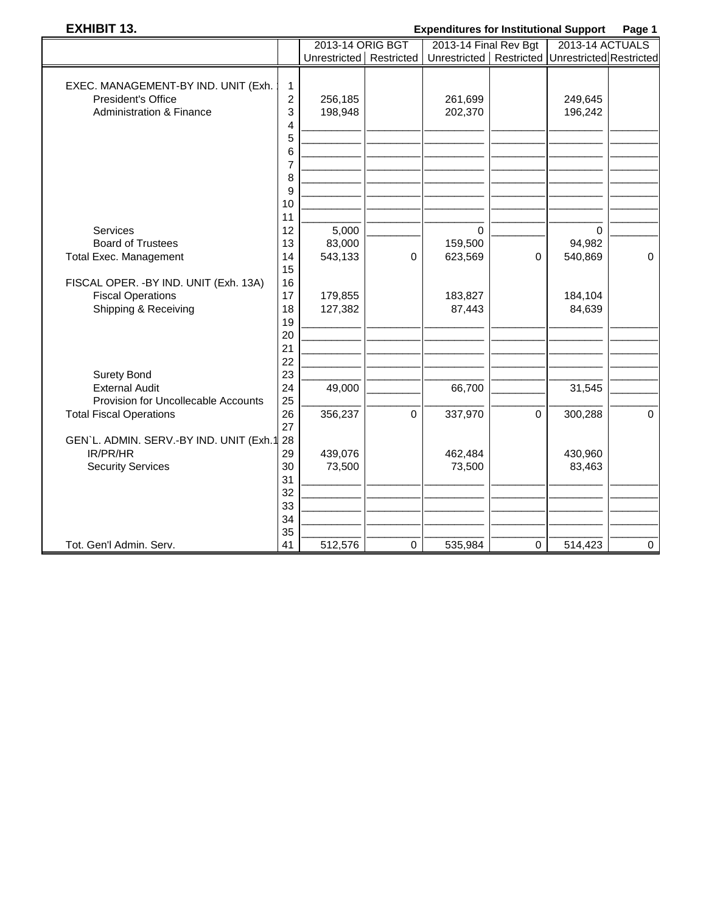### **EXHIBIT 13. Expenditures for Institutional Support Page 1**

|                                         |                | 2013-14 ORIG BGT        |             | sonanaroo ror momanonar oapport<br>2013-14 Final Rev Bgt |             | . ugu .<br>2013-14 ACTUALS |             |
|-----------------------------------------|----------------|-------------------------|-------------|----------------------------------------------------------|-------------|----------------------------|-------------|
|                                         |                | Unrestricted Restricted |             | Unrestricted   Restricted   Unrestricted Restricted      |             |                            |             |
|                                         |                |                         |             |                                                          |             |                            |             |
| EXEC. MANAGEMENT-BY IND. UNIT (Exh.     | 1              |                         |             |                                                          |             |                            |             |
| <b>President's Office</b>               | $\overline{c}$ | 256,185                 |             | 261,699                                                  |             | 249,645                    |             |
| <b>Administration &amp; Finance</b>     | 3              | 198,948                 |             | 202,370                                                  |             | 196,242                    |             |
|                                         | 4              |                         |             |                                                          |             |                            |             |
|                                         | 5              |                         |             |                                                          |             |                            |             |
|                                         | 6              |                         |             |                                                          |             |                            |             |
|                                         | 7              |                         |             |                                                          |             |                            |             |
|                                         | 8              |                         |             |                                                          |             |                            |             |
|                                         | 9              |                         |             |                                                          |             |                            |             |
|                                         | 10<br>11       |                         |             |                                                          |             |                            |             |
| Services                                | 12             | 5,000                   |             | $\Omega$                                                 |             | 0                          |             |
| <b>Board of Trustees</b>                | 13             | 83,000                  |             | 159,500                                                  |             | 94,982                     |             |
| <b>Total Exec. Management</b>           | 14             | 543,133                 | 0           | 623,569                                                  | $\mathbf 0$ | 540,869                    | $\mathbf 0$ |
|                                         | 15             |                         |             |                                                          |             |                            |             |
| FISCAL OPER. - BY IND. UNIT (Exh. 13A)  | 16             |                         |             |                                                          |             |                            |             |
| <b>Fiscal Operations</b>                | 17             | 179,855                 |             | 183,827                                                  |             | 184,104                    |             |
| Shipping & Receiving                    | 18             | 127,382                 |             | 87,443                                                   |             | 84,639                     |             |
|                                         | 19             |                         |             |                                                          |             |                            |             |
|                                         | 20             |                         |             |                                                          |             |                            |             |
|                                         | 21             |                         |             |                                                          |             |                            |             |
|                                         | 22             |                         |             |                                                          |             |                            |             |
| <b>Surety Bond</b>                      | 23             |                         |             |                                                          |             |                            |             |
| <b>External Audit</b>                   | 24             | 49,000                  |             | 66,700                                                   |             | 31,545                     |             |
| Provision for Uncollecable Accounts     | 25             |                         |             |                                                          |             |                            |             |
| <b>Total Fiscal Operations</b>          | 26<br>27       | 356,237                 | $\Omega$    | 337,970                                                  | $\mathbf 0$ | 300,288                    | $\mathbf 0$ |
| GEN'L. ADMIN. SERV.-BY IND. UNIT (Exh.1 | 28             |                         |             |                                                          |             |                            |             |
| IR/PR/HR                                | 29             | 439,076                 |             | 462,484                                                  |             | 430,960                    |             |
| <b>Security Services</b>                | 30             | 73,500                  |             | 73,500                                                   |             | 83,463                     |             |
|                                         | 31             |                         |             |                                                          |             |                            |             |
|                                         | 32             |                         |             |                                                          |             |                            |             |
|                                         | 33             |                         |             |                                                          |             |                            |             |
|                                         | 34             |                         |             |                                                          |             |                            |             |
|                                         | 35             |                         |             |                                                          |             |                            |             |
| Tot. Gen'l Admin. Serv.                 | 41             | 512,576                 | $\mathbf 0$ | 535,984                                                  | $\mathbf 0$ | 514,423                    | $\mathbf 0$ |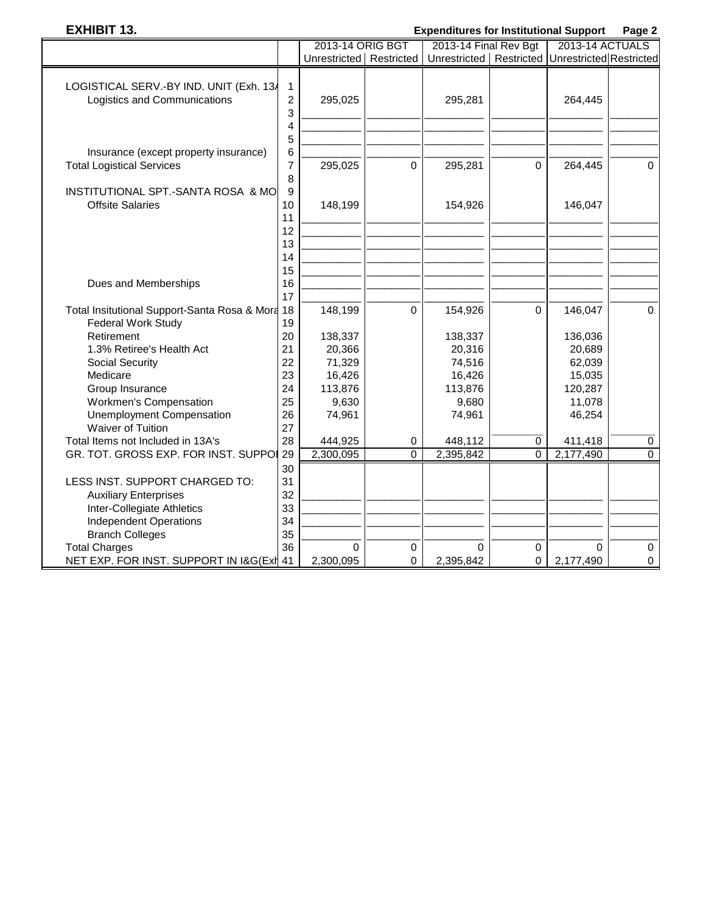# **EXHIBIT 13. Expenditures for Institutional Support Page 2**

|                                                                           |                               | 2013-14 ORIG BGT        |                          | 2013-14 Final Rev Bgt                               |                | 2013-14 ACTUALS       |                          |
|---------------------------------------------------------------------------|-------------------------------|-------------------------|--------------------------|-----------------------------------------------------|----------------|-----------------------|--------------------------|
|                                                                           |                               | Unrestricted Restricted |                          | Unrestricted   Restricted   Unrestricted Restricted |                |                       |                          |
| LOGISTICAL SERV.-BY IND. UNIT (Exh. 13/<br>Logistics and Communications   | 1<br>$\overline{c}$<br>3      | 295,025                 |                          | 295,281                                             |                | 264,445               |                          |
|                                                                           | 4                             |                         |                          |                                                     |                |                       |                          |
| Insurance (except property insurance)<br><b>Total Logistical Services</b> | 5<br>6<br>$\overline{7}$<br>8 | 295,025                 | $\mathbf 0$              | 295,281                                             | 0              | 264,445               | $\Omega$                 |
| INSTITUTIONAL SPT.-SANTA ROSA & MO<br><b>Offsite Salaries</b>             | 9<br>10<br>11                 | 148,199                 |                          | 154,926                                             |                | 146,047               |                          |
|                                                                           | 12<br>13<br>14<br>15          |                         |                          |                                                     |                |                       |                          |
| Dues and Memberships                                                      | 16<br>17                      |                         |                          |                                                     |                |                       |                          |
| Total Insitutional Support-Santa Rosa & Mora<br>Federal Work Study        | 18<br>19                      | 148,199                 | $\Omega$                 | 154,926                                             | $\Omega$       | 146,047               | $\Omega$                 |
| Retirement                                                                | 20                            | 138,337                 |                          | 138,337                                             |                | 136,036               |                          |
| 1.3% Retiree's Health Act<br><b>Social Security</b>                       | 21<br>22                      | 20,366<br>71,329        |                          | 20,316<br>74,516                                    |                | 20,689<br>62,039      |                          |
| Medicare                                                                  | 23                            | 16,426                  |                          | 16,426                                              |                | 15,035                |                          |
| Group Insurance<br>Workmen's Compensation                                 | 24<br>25                      | 113,876<br>9,630        |                          | 113,876<br>9,680                                    |                | 120,287<br>11,078     |                          |
| <b>Unemployment Compensation</b><br><b>Waiver of Tuition</b>              | 26<br>27                      | 74,961                  |                          | 74,961                                              |                | 46,254                |                          |
| Total Items not Included in 13A's                                         | 28                            | 444,925                 | 0                        | 448,112                                             | 0              | 411,418               | $\pmb{0}$                |
| GR. TOT. GROSS EXP. FOR INST. SUPPOI                                      | 29                            | 2,300,095               | $\overline{0}$           | 2,395,842                                           | $\overline{0}$ | 2,177,490             | $\overline{0}$           |
| LESS INST. SUPPORT CHARGED TO:<br><b>Auxiliary Enterprises</b>            | 30<br>31<br>32                |                         |                          |                                                     |                |                       |                          |
| Inter-Collegiate Athletics                                                | 33                            |                         |                          |                                                     |                |                       |                          |
| <b>Independent Operations</b>                                             | 34                            |                         |                          |                                                     |                |                       |                          |
| <b>Branch Colleges</b>                                                    | 35                            |                         |                          |                                                     |                |                       |                          |
| <b>Total Charges</b><br>NET EXP. FOR INST. SUPPORT IN I&G(Exil 41         | 36                            | $\Omega$<br>2,300,095   | $\pmb{0}$<br>$\mathbf 0$ | $\Omega$<br>2,395,842                               | $\pmb{0}$<br>0 | $\Omega$<br>2,177,490 | $\pmb{0}$<br>$\mathbf 0$ |
|                                                                           |                               |                         |                          |                                                     |                |                       |                          |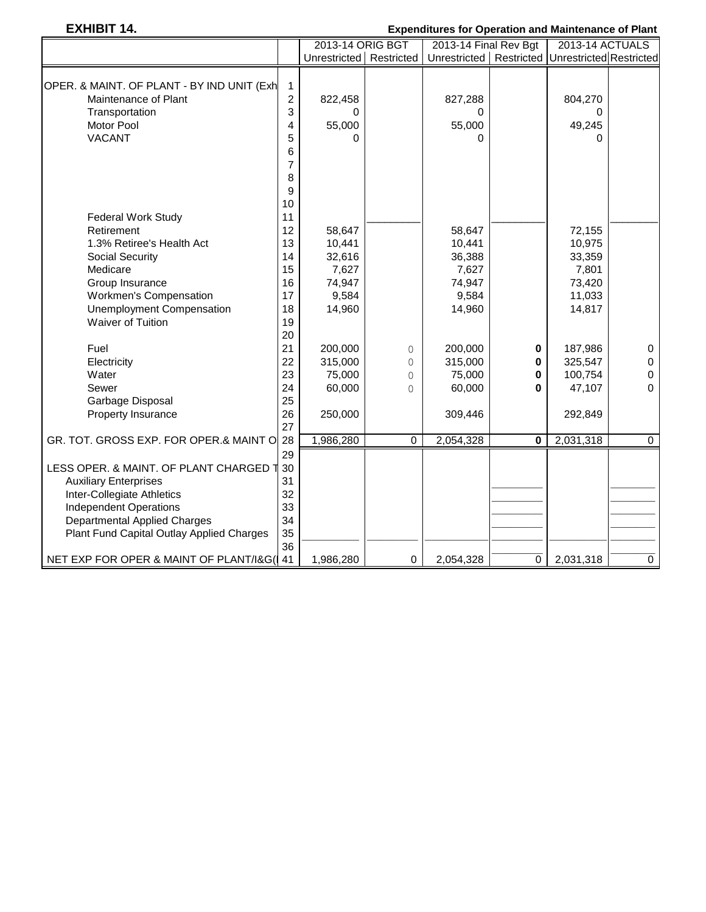# **EXHIBIT 14. Expenditures for Operation and Maintenance of Plant**

|                                            |                | 2013-14 ORIG BGT          |             | 2013-14 Final Rev Bgt                               |             | 2013-14 ACTUALS |                |
|--------------------------------------------|----------------|---------------------------|-------------|-----------------------------------------------------|-------------|-----------------|----------------|
|                                            |                | Unrestricted   Restricted |             | Unrestricted   Restricted   Unrestricted Restricted |             |                 |                |
|                                            |                |                           |             |                                                     |             |                 |                |
| OPER. & MAINT. OF PLANT - BY IND UNIT (Exh | 1              |                           |             |                                                     |             |                 |                |
| Maintenance of Plant                       | $\overline{c}$ | 822,458                   |             | 827,288                                             |             | 804,270         |                |
| Transportation                             | 3              | 0                         |             | 0                                                   |             | 0               |                |
| Motor Pool                                 | 4              | 55,000                    |             | 55,000                                              |             | 49,245          |                |
| <b>VACANT</b>                              | 5              | U                         |             | 0                                                   |             | $\Omega$        |                |
|                                            | 6              |                           |             |                                                     |             |                 |                |
|                                            | 7              |                           |             |                                                     |             |                 |                |
|                                            | 8              |                           |             |                                                     |             |                 |                |
|                                            | 9              |                           |             |                                                     |             |                 |                |
|                                            | 10             |                           |             |                                                     |             |                 |                |
| <b>Federal Work Study</b>                  | 11             |                           |             |                                                     |             |                 |                |
| Retirement                                 | 12             | 58,647                    |             | 58,647                                              |             | 72,155          |                |
| 1.3% Retiree's Health Act                  | 13             | 10,441                    |             | 10,441                                              |             | 10,975          |                |
| <b>Social Security</b>                     | 14             | 32,616                    |             | 36,388                                              |             | 33,359          |                |
| Medicare                                   | 15             | 7,627                     |             | 7,627                                               |             | 7,801           |                |
| Group Insurance                            | 16             | 74,947                    |             | 74,947                                              |             | 73,420          |                |
| Workmen's Compensation                     | 17             | 9,584                     |             | 9,584                                               |             | 11,033          |                |
| <b>Unemployment Compensation</b>           | 18             | 14,960                    |             | 14,960                                              |             | 14,817          |                |
| <b>Waiver of Tuition</b>                   | 19             |                           |             |                                                     |             |                 |                |
|                                            | 20             |                           |             |                                                     |             |                 |                |
| Fuel                                       | 21             | 200,000                   | 0           | 200,000                                             | 0           | 187,986         | $\pmb{0}$      |
| Electricity                                | 22             | 315,000                   | 0           | 315,000                                             | 0           | 325,547         | $\pmb{0}$      |
| Water                                      | 23             | 75,000                    | 0           | 75,000                                              | 0           | 100,754         | $\pmb{0}$      |
| Sewer                                      | 24             | 60,000                    | $\Omega$    | 60,000                                              | 0           | 47,107          | $\mathbf{0}$   |
| Garbage Disposal                           | 25             |                           |             |                                                     |             |                 |                |
| Property Insurance                         | 26             | 250,000                   |             | 309,446                                             |             | 292,849         |                |
|                                            | 27             |                           |             |                                                     |             |                 |                |
| GR. TOT. GROSS EXP. FOR OPER.& MAINT O 28  |                | 1,986,280                 | $\mathbf 0$ | 2,054,328                                           | $\mathbf 0$ | 2,031,318       | $\overline{0}$ |
|                                            | 29             |                           |             |                                                     |             |                 |                |
| LESS OPER. & MAINT. OF PLANT CHARGED 1     | 30             |                           |             |                                                     |             |                 |                |
| <b>Auxiliary Enterprises</b>               | 31             |                           |             |                                                     |             |                 |                |
| Inter-Collegiate Athletics                 | 32             |                           |             |                                                     |             |                 |                |
| <b>Independent Operations</b>              | 33             |                           |             |                                                     |             |                 |                |
| <b>Departmental Applied Charges</b>        | 34             |                           |             |                                                     |             |                 |                |
| Plant Fund Capital Outlay Applied Charges  | 35             |                           |             |                                                     |             |                 |                |
|                                            | 36             |                           |             |                                                     |             |                 |                |
| NET EXP FOR OPER & MAINT OF PLANT/I&G( 41  |                | 1,986,280                 | $\mathbf 0$ | 2,054,328                                           | 0           | 2,031,318       | $\overline{0}$ |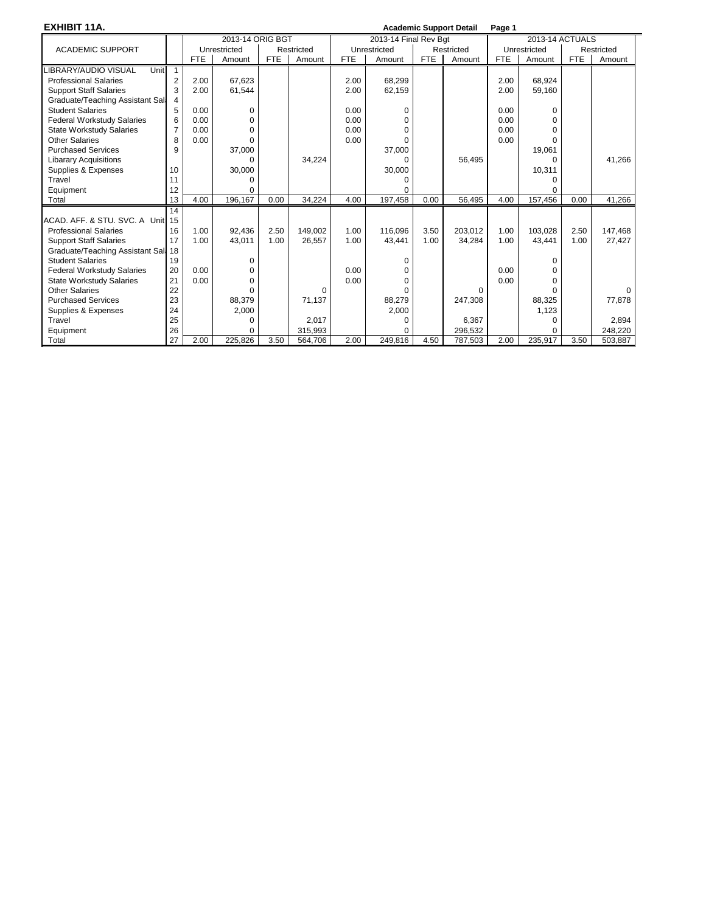**EXHIBIT 11A. Academic Support Detail Page 1**

| LAIIIDII IIA.                       |                |            |                  |            |            |            |                       |            | Academic Support Detail | raye ı     |                 |            |            |  |  |
|-------------------------------------|----------------|------------|------------------|------------|------------|------------|-----------------------|------------|-------------------------|------------|-----------------|------------|------------|--|--|
|                                     |                |            | 2013-14 ORIG BGT |            |            |            | 2013-14 Final Rev Bgt |            |                         |            | 2013-14 ACTUALS |            |            |  |  |
| <b>ACADEMIC SUPPORT</b>             |                |            | Unrestricted     |            | Restricted |            | Unrestricted          |            | Restricted              |            | Unrestricted    |            | Restricted |  |  |
|                                     |                | <b>FTE</b> | Amount           | <b>FTE</b> | Amount     | <b>FTE</b> | Amount                | <b>FTE</b> | Amount                  | <b>FTE</b> | Amount          | <b>FTE</b> | Amount     |  |  |
| <b>LIBRARY/AUDIO VISUAL</b><br>Unit | $\overline{1}$ |            |                  |            |            |            |                       |            |                         |            |                 |            |            |  |  |
| <b>Professional Salaries</b>        | 2              | 2.00       | 67,623           |            |            | 2.00       | 68,299                |            |                         | 2.00       | 68,924          |            |            |  |  |
| <b>Support Staff Salaries</b>       | 3              | 2.00       | 61,544           |            |            | 2.00       | 62,159                |            |                         | 2.00       | 59,160          |            |            |  |  |
| Graduate/Teaching Assistant Sall    |                |            |                  |            |            |            |                       |            |                         |            |                 |            |            |  |  |
| <b>Student Salaries</b>             | 5              | 0.00       | 0                |            |            | 0.00       | $\Omega$              |            |                         | 0.00       |                 |            |            |  |  |
| <b>Federal Workstudy Salaries</b>   | 6              | 0.00       | $\Omega$         |            |            | 0.00       | $\Omega$              |            |                         | 0.00       |                 |            |            |  |  |
| <b>State Workstudy Salaries</b>     | $\overline{7}$ | 0.00       | $\Omega$         |            |            | 0.00       | $\Omega$              |            |                         | 0.00       |                 |            |            |  |  |
| <b>Other Salaries</b>               | 8              | 0.00       | $\Omega$         |            |            | 0.00       | $\Omega$              |            |                         | 0.00       | ∩               |            |            |  |  |
| <b>Purchased Services</b>           | 9              |            | 37,000           |            |            |            | 37,000                |            |                         |            | 19,061          |            |            |  |  |
| <b>Libarary Acquisitions</b>        |                |            | 0                |            | 34,224     |            | 0                     |            | 56,495                  |            | 0               |            | 41,266     |  |  |
| Supplies & Expenses                 | 10             |            | 30,000           |            |            |            | 30,000                |            |                         |            | 10,311          |            |            |  |  |
| Travel                              | 11             |            |                  |            |            |            | <sup>0</sup>          |            |                         |            |                 |            |            |  |  |
| Equipment                           | 12             |            | U                |            |            |            | <sup>0</sup>          |            |                         |            |                 |            |            |  |  |
| Total                               | 13             | 4.00       | 196,167          | 0.00       | 34,224     | 4.00       | 197,458               | 0.00       | 56.495                  | 4.00       | 157,456         | 0.00       | 41,266     |  |  |
|                                     | 14             |            |                  |            |            |            |                       |            |                         |            |                 |            |            |  |  |
| ACAD, AFF, & STU, SVC, A Unit       | 15             |            |                  |            |            |            |                       |            |                         |            |                 |            |            |  |  |
| <b>Professional Salaries</b>        | 16             | 1.00       | 92.436           | 2.50       | 149.002    | 1.00       | 116.096               | 3.50       | 203.012                 | 1.00       | 103.028         | 2.50       | 147,468    |  |  |
| <b>Support Staff Salaries</b>       | 17             | 1.00       | 43,011           | 1.00       | 26,557     | 1.00       | 43.441                | 1.00       | 34.284                  | 1.00       | 43.441          | 1.00       | 27,427     |  |  |
| Graduate/Teaching Assistant Sal: 18 |                |            |                  |            |            |            |                       |            |                         |            |                 |            |            |  |  |
| <b>Student Salaries</b>             | 19             |            | $\Omega$         |            |            |            | $\Omega$              |            |                         |            |                 |            |            |  |  |
| <b>Federal Workstudy Salaries</b>   | 20             | 0.00       | $\Omega$         |            |            | 0.00       | $\Omega$              |            |                         | 0.00       |                 |            |            |  |  |
| <b>State Workstudy Salaries</b>     | 21             | 0.00       | $\Omega$         |            |            | 0.00       | <sup>0</sup>          |            |                         | 0.00       |                 |            |            |  |  |
| <b>Other Salaries</b>               | 22             |            | U                |            | 0          |            | <sup>0</sup>          |            | $\Omega$                |            |                 |            | $\Omega$   |  |  |
| <b>Purchased Services</b>           | 23             |            | 88,379           |            | 71,137     |            | 88,279                |            | 247,308                 |            | 88,325          |            | 77,878     |  |  |
| Supplies & Expenses                 | 24             |            | 2,000            |            |            |            | 2,000                 |            |                         |            | 1.123           |            |            |  |  |
| Travel                              | 25             |            | O                |            | 2,017      |            | $\Omega$              |            | 6,367                   |            | 0               |            | 2,894      |  |  |
| Equipment                           | 26             |            | O                |            | 315,993    |            | $\Omega$              |            | 296,532                 |            | $\Omega$        |            | 248,220    |  |  |
| Total                               | 27             | 2.00       | 225.826          | 3.50       | 564.706    | 2.00       | 249.816               | 4.50       | 787.503                 | 2.00       | 235,917         | 3.50       | 503,887    |  |  |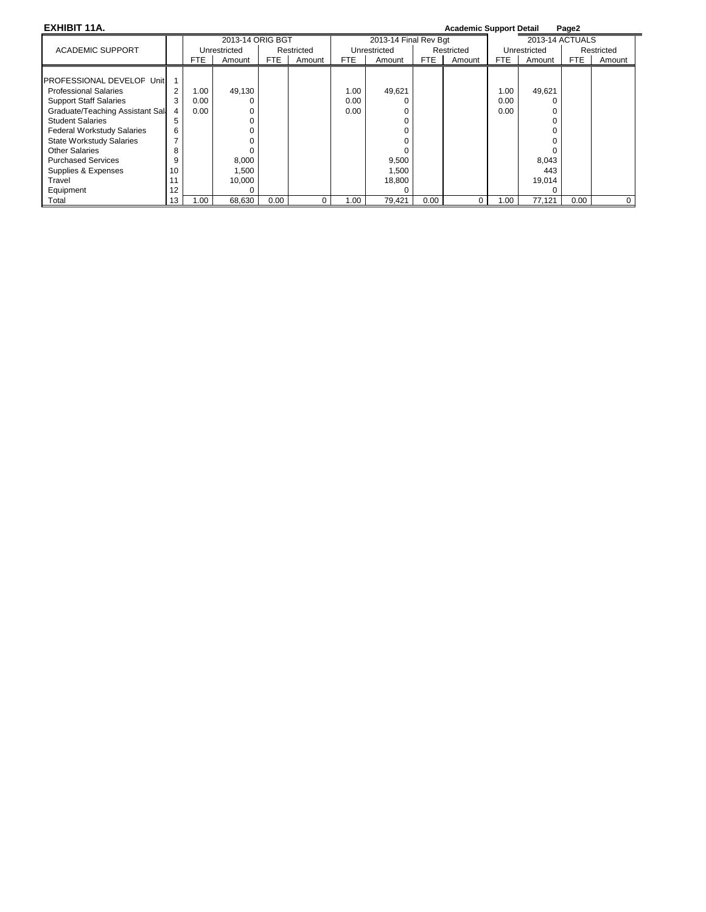| EXHIBIT 11A.                      |    |      |                  |      |            |      |                       |      | <b>Academic Support Detail</b> |      |                 | Page2 |            |
|-----------------------------------|----|------|------------------|------|------------|------|-----------------------|------|--------------------------------|------|-----------------|-------|------------|
|                                   |    |      | 2013-14 ORIG BGT |      |            |      | 2013-14 Final Rev Bgt |      |                                |      | 2013-14 ACTUALS |       |            |
| <b>ACADEMIC SUPPORT</b>           |    |      | Unrestricted     |      | Restricted |      | Unrestricted          |      | Restricted                     |      | Unrestricted    |       | Restricted |
|                                   |    | FTE  | Amount           | FTE  | Amount     | FTE  | Amount                | FTE  | Amount                         | FTE. | Amount          | FTE   | Amount     |
|                                   |    |      |                  |      |            |      |                       |      |                                |      |                 |       |            |
| IPROFESSIONAL DEVELOF Unit        |    |      |                  |      |            |      |                       |      |                                |      |                 |       |            |
| <b>Professional Salaries</b>      | 2  | 1.00 | 49,130           |      |            | 1.00 | 49,621                |      |                                | 1.00 | 49,621          |       |            |
| <b>Support Staff Salaries</b>     | 3  | 0.00 |                  |      |            | 0.00 |                       |      |                                | 0.00 |                 |       |            |
| Graduate/Teaching Assistant Sali  | 4  | 0.00 |                  |      |            | 0.00 |                       |      |                                | 0.00 |                 |       |            |
| <b>Student Salaries</b>           | 5  |      |                  |      |            |      |                       |      |                                |      |                 |       |            |
| <b>Federal Workstudy Salaries</b> | 6  |      |                  |      |            |      |                       |      |                                |      |                 |       |            |
| <b>State Workstudy Salaries</b>   |    |      |                  |      |            |      |                       |      |                                |      |                 |       |            |
| Other Salaries                    | 8  |      |                  |      |            |      |                       |      |                                |      |                 |       |            |
| <b>Purchased Services</b>         | 9  |      | 8,000            |      |            |      | 9,500                 |      |                                |      | 8,043           |       |            |
| Supplies & Expenses               | 10 |      | 1,500            |      |            |      | 1,500                 |      |                                |      | 443             |       |            |
| Travel                            | 11 |      | 10,000           |      |            |      | 18,800                |      |                                |      | 19,014          |       |            |
| Equipment                         | 12 |      |                  |      |            |      | $\Omega$              |      |                                |      |                 |       |            |
| Total                             | 13 | 1.00 | 68,630           | 0.00 |            | 1.00 | 79.421                | 0.00 | $\Omega$                       | 1.00 | 77,121          | 0.00  |            |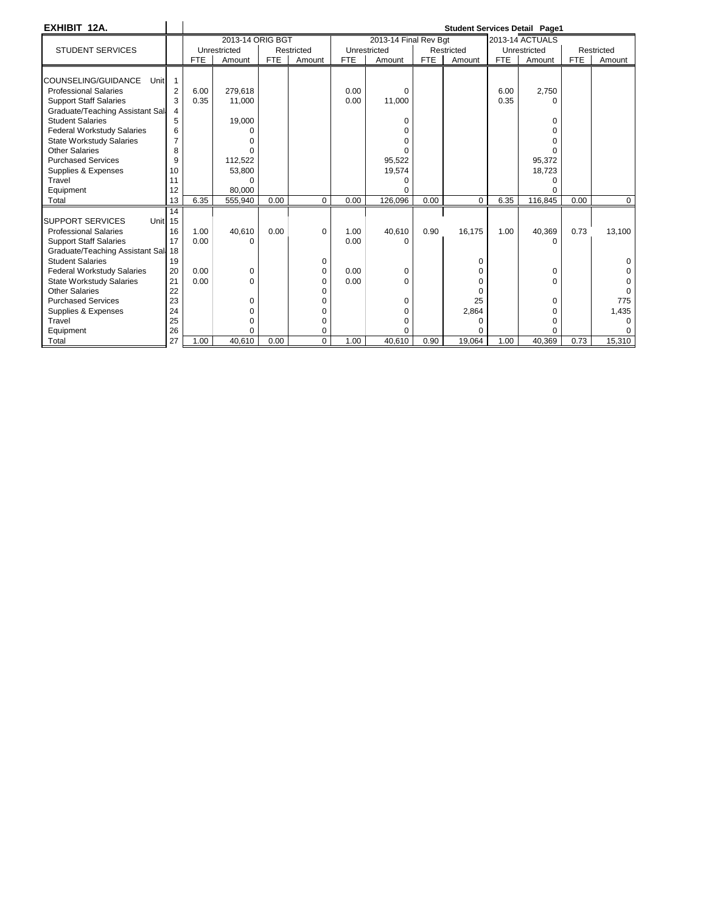| EXHIBIT 12A.                        |                |            |                  |            |            |            |                       |            |            |            | <b>Student Services Detail Page1</b> |            |            |
|-------------------------------------|----------------|------------|------------------|------------|------------|------------|-----------------------|------------|------------|------------|--------------------------------------|------------|------------|
|                                     |                |            | 2013-14 ORIG BGT |            |            |            | 2013-14 Final Rev Bat |            |            |            | <b>2013-14 ACTUALS</b>               |            |            |
| <b>STUDENT SERVICES</b>             |                |            | Unrestricted     |            | Restricted |            | Unrestricted          |            | Restricted |            | Unrestricted                         |            | Restricted |
|                                     |                | <b>FTE</b> | Amount           | <b>FTE</b> | Amount     | <b>FTE</b> | Amount                | <b>FTE</b> | Amount     | <b>FTE</b> | Amount                               | <b>FTE</b> | Amount     |
|                                     |                |            |                  |            |            |            |                       |            |            |            |                                      |            |            |
| COUNSELING/GUIDANCE<br>Unit         |                |            |                  |            |            |            |                       |            |            |            |                                      |            |            |
| <b>Professional Salaries</b>        | $\overline{2}$ | 6.00       | 279.618          |            |            | 0.00       | $\Omega$              |            |            | 6.00       | 2,750                                |            |            |
| <b>Support Staff Salaries</b>       | 3              | 0.35       | 11,000           |            |            | 0.00       | 11,000                |            |            | 0.35       | n                                    |            |            |
| Graduate/Teaching Assistant Sall    | 4              |            |                  |            |            |            |                       |            |            |            |                                      |            |            |
| <b>Student Salaries</b>             | 5              |            | 19,000           |            |            |            | $\Omega$              |            |            |            | 0                                    |            |            |
| Federal Workstudy Salaries          | 6              |            |                  |            |            |            |                       |            |            |            |                                      |            |            |
| <b>State Workstudy Salaries</b>     | 7              |            |                  |            |            |            | ∩                     |            |            |            |                                      |            |            |
| <b>Other Salaries</b>               | 8              |            |                  |            |            |            |                       |            |            |            |                                      |            |            |
| <b>Purchased Services</b>           | 9              |            | 112,522          |            |            |            | 95,522                |            |            |            | 95,372                               |            |            |
| Supplies & Expenses                 | 10             |            | 53,800           |            |            |            | 19,574                |            |            |            | 18,723                               |            |            |
| Travel                              | 11             |            | ∩                |            |            |            |                       |            |            |            |                                      |            |            |
| Equipment                           | 12             |            | 80.000           |            |            |            |                       |            |            |            |                                      |            |            |
| Total                               | 13             | 6.35       | 555,940          | 0.00       | 0          | 0.00       | 126.096               | 0.00       | 0          | 6.35       | 116.845                              | 0.00       | 0          |
|                                     | 14             |            |                  |            |            |            |                       |            |            |            |                                      |            |            |
| <b>SUPPORT SERVICES</b><br>Unit 15  |                |            |                  |            |            |            |                       |            |            |            |                                      |            |            |
| <b>Professional Salaries</b>        | 16             | 1.00       | 40,610           | 0.00       | $\Omega$   | 1.00       | 40,610                | 0.90       | 16,175     | 1.00       | 40,369                               | 0.73       | 13,100     |
| <b>Support Staff Salaries</b>       | 17             | 0.00       | $\Omega$         |            |            | 0.00       | $\Omega$              |            |            |            | U                                    |            |            |
| Graduate/Teaching Assistant Sal: 18 |                |            |                  |            |            |            |                       |            |            |            |                                      |            |            |
| <b>Student Salaries</b>             | 19             |            |                  |            | 0          |            |                       |            | $\Omega$   |            |                                      |            |            |
| Federal Workstudy Salaries          | 20             | 0.00       | 0                |            | 0          | 0.00       | 0                     |            | $\Omega$   |            | 0                                    |            |            |
| <b>State Workstudy Salaries</b>     | 21             | 0.00       | $\Omega$         |            | 0          | 0.00       | $\Omega$              |            | O          |            | $\Omega$                             |            |            |
| <b>Other Salaries</b>               | 22             |            |                  |            |            |            |                       |            | $\Omega$   |            |                                      |            |            |
| <b>Purchased Services</b>           | 23             |            | O                |            |            |            | $\Omega$              |            | 25         |            | $\Omega$                             |            | 775        |
| Supplies & Expenses                 | 24             |            | O                |            |            |            | 0                     |            | 2,864      |            |                                      |            | 1,435      |
| Travel                              | 25             |            | 0                |            | 0          |            | $\Omega$              |            | 0          |            |                                      |            | o          |
| Equipment                           | 26             |            | $\Omega$         |            | 0          |            |                       |            |            |            |                                      |            |            |
| Total                               | 27             | 1.00       | 40.610           | 0.00       | $\Omega$   | 1.00       | 40.610                | 0.90       | 19.064     | 1.00       | 40.369                               | 0.73       | 15,310     |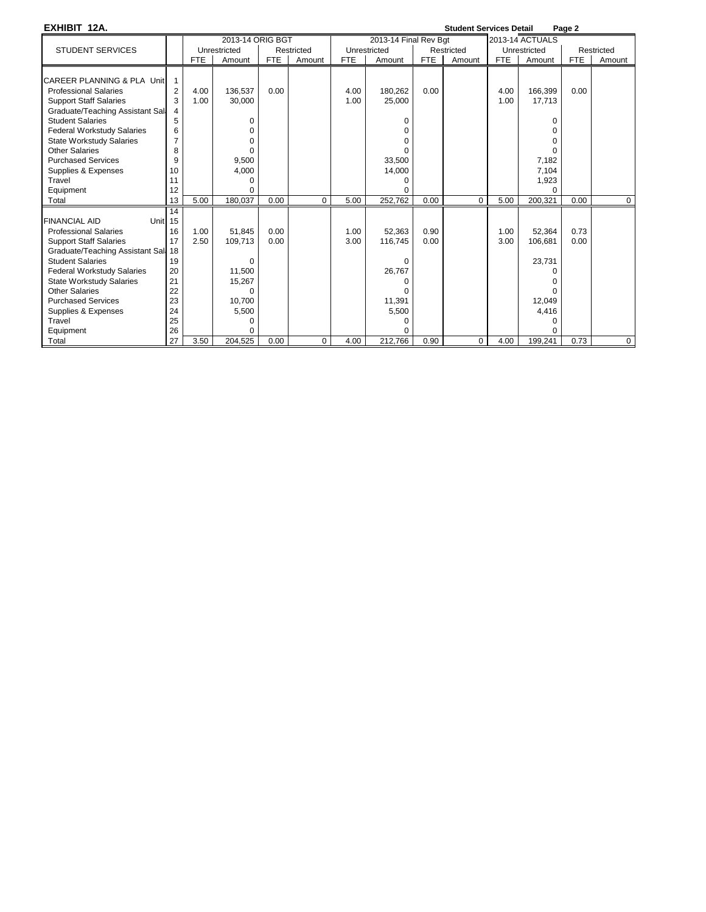| EXHIBIT 12A.                                                                                                                                                                                                                                                                                                                                       |                                                                            |              |                                                                                            |              |            |              |                                                                      |              | <b>Student Services Detail</b> |              |                                                                                                   | Page 2       |            |
|----------------------------------------------------------------------------------------------------------------------------------------------------------------------------------------------------------------------------------------------------------------------------------------------------------------------------------------------------|----------------------------------------------------------------------------|--------------|--------------------------------------------------------------------------------------------|--------------|------------|--------------|----------------------------------------------------------------------|--------------|--------------------------------|--------------|---------------------------------------------------------------------------------------------------|--------------|------------|
|                                                                                                                                                                                                                                                                                                                                                    |                                                                            |              | 2013-14 ORIG BGT                                                                           |              |            |              | 2013-14 Final Rev Bqt                                                |              |                                |              | <b>2013-14 ACTUALS</b>                                                                            |              |            |
| <b>STUDENT SERVICES</b>                                                                                                                                                                                                                                                                                                                            |                                                                            |              | Unrestricted                                                                               |              | Restricted |              | Unrestricted                                                         |              | Restricted                     |              | Unrestricted                                                                                      |              | Restricted |
|                                                                                                                                                                                                                                                                                                                                                    |                                                                            | <b>FTE</b>   | Amount                                                                                     | <b>FTE</b>   | Amount     | <b>FTE</b>   | Amount                                                               | <b>FTE</b>   | Amount                         | <b>FTE</b>   | Amount                                                                                            | <b>FTE</b>   | Amount     |
| CAREER PLANNING & PLA Unit<br><b>Professional Salaries</b><br><b>Support Staff Salaries</b><br>Graduate/Teaching Assistant Sall<br><b>Student Salaries</b><br><b>Federal Workstudy Salaries</b><br><b>State Workstudy Salaries</b><br><b>Other Salaries</b><br><b>Purchased Services</b><br>Supplies & Expenses<br>Travel                          | $\overline{2}$<br>3<br>4<br>5<br>6<br>$\overline{7}$<br>8<br>9<br>10<br>11 | 4.00<br>1.00 | 136,537<br>30,000<br>0<br>$\Omega$<br>$\Omega$<br>$\Omega$<br>9,500<br>4,000<br>0          | 0.00         |            | 4.00<br>1.00 | 180,262<br>25,000<br>0<br>0<br>0<br>U<br>33,500<br>14,000<br>0<br>U  | 0.00         |                                | 4.00<br>1.00 | 166,399<br>17,713<br>0<br>$\Omega$<br>$\Omega$<br>$\Omega$<br>7,182<br>7,104<br>1,923<br>$\Omega$ | 0.00         |            |
| Equipment<br>Total                                                                                                                                                                                                                                                                                                                                 | 12<br>13                                                                   | 5.00         | $\Omega$<br>180,037                                                                        | 0.00         | 0          | 5.00         | 252,762                                                              | 0.00         | $\mathbf 0$                    | 5.00         | 200,321                                                                                           | 0.00         | 0          |
| <b>FINANCIAL AID</b><br>Unit <sub>15</sub><br><b>Professional Salaries</b><br><b>Support Staff Salaries</b><br>Graduate/Teaching Assistant Sal, 18<br><b>Student Salaries</b><br><b>Federal Workstudy Salaries</b><br><b>State Workstudy Salaries</b><br>Other Salaries<br><b>Purchased Services</b><br>Supplies & Expenses<br>Travel<br>Equipment | 14<br>16<br>17<br>19<br>20<br>21<br>22<br>23<br>24<br>25<br>26             | 1.00<br>2.50 | 51.845<br>109,713<br>0<br>11.500<br>15,267<br>$\Omega$<br>10.700<br>5,500<br>0<br>$\Omega$ | 0.00<br>0.00 |            | 1.00<br>3.00 | 52.363<br>116,745<br>$\Omega$<br>26,767<br>0<br>11,391<br>5,500<br>0 | 0.90<br>0.00 |                                | 1.00<br>3.00 | 52.364<br>106,681<br>23,731<br>$\Omega$<br><sup>0</sup><br>12,049<br>4,416<br>0<br>∩              | 0.73<br>0.00 |            |
| Total                                                                                                                                                                                                                                                                                                                                              | 27                                                                         | 3.50         | 204.525                                                                                    | 0.00         | 0          | 4.00         | 212,766                                                              | 0.90         | 0                              | 4.00         | 199,241                                                                                           | 0.73         | 0          |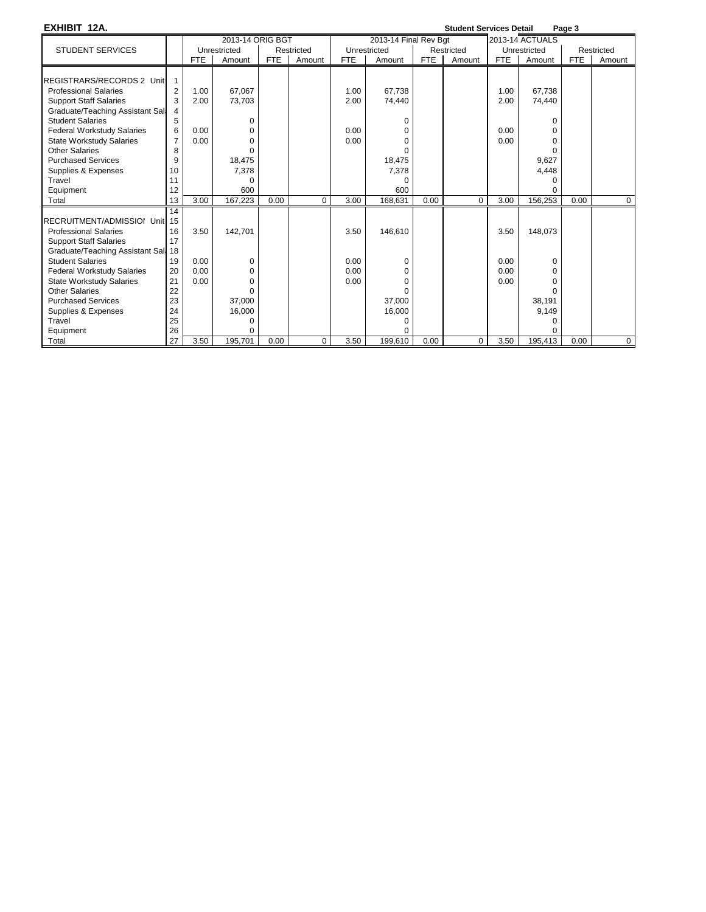**EXHIBIT 12A. Student Services Detail Page 3**

|                                     |                |            | 2013-14 ORIG BGT |            |            |            | 2013-14 Final Rev Bat |            |            |            | 2013-14 ACTUALS |            |             |
|-------------------------------------|----------------|------------|------------------|------------|------------|------------|-----------------------|------------|------------|------------|-----------------|------------|-------------|
| <b>STUDENT SERVICES</b>             |                |            | Unrestricted     |            | Restricted |            | Unrestricted          |            | Restricted |            | Unrestricted    |            | Restricted  |
|                                     |                | <b>FTE</b> | Amount           | <b>FTE</b> | Amount     | <b>FTE</b> | Amount                | <b>FTE</b> | Amount     | <b>FTE</b> | Amount          | <b>FTE</b> | Amount      |
|                                     |                |            |                  |            |            |            |                       |            |            |            |                 |            |             |
| REGISTRARS/RECORDS 2 Unit           |                |            |                  |            |            |            |                       |            |            |            |                 |            |             |
| <b>Professional Salaries</b>        | $\overline{2}$ | 1.00       | 67,067           |            |            | 1.00       | 67,738                |            |            | 1.00       | 67,738          |            |             |
| <b>Support Staff Salaries</b>       | 3              | 2.00       | 73,703           |            |            | 2.00       | 74,440                |            |            | 2.00       | 74,440          |            |             |
| Graduate/Teaching Assistant Sali    |                |            |                  |            |            |            |                       |            |            |            |                 |            |             |
| <b>Student Salaries</b>             | 5              |            | 0                |            |            |            | 0                     |            |            |            | U               |            |             |
| <b>Federal Workstudy Salaries</b>   | 6              | 0.00       | O                |            |            | 0.00       | O                     |            |            | 0.00       |                 |            |             |
| <b>State Workstudy Salaries</b>     | $\overline{7}$ | 0.00       | $\Omega$         |            |            | 0.00       | O                     |            |            | 0.00       | O               |            |             |
| <b>Other Salaries</b>               | 8              |            |                  |            |            |            |                       |            |            |            |                 |            |             |
| <b>Purchased Services</b>           | 9              |            | 18,475           |            |            |            | 18,475                |            |            |            | 9,627           |            |             |
| Supplies & Expenses                 | 10             |            | 7,378            |            |            |            | 7,378                 |            |            |            | 4,448           |            |             |
| Travel                              | 11             |            | $\Omega$         |            |            |            | $\Omega$              |            |            |            | U               |            |             |
| Equipment                           | 12             |            | 600              |            |            |            | 600                   |            |            |            | $\Omega$        |            |             |
| Total                               | 13             | 3.00       | 167,223          | 0.00       | 0          | 3.00       | 168,631               | 0.00       | $\Omega$   | 3.00       | 156,253         | 0.00       | $\mathbf 0$ |
|                                     | 14             |            |                  |            |            |            |                       |            |            |            |                 |            |             |
| RECRUITMENT/ADMISSIOI Unit 15       |                |            |                  |            |            |            |                       |            |            |            |                 |            |             |
| <b>Professional Salaries</b>        | 16             | 3.50       | 142.701          |            |            | 3.50       | 146,610               |            |            | 3.50       | 148.073         |            |             |
| <b>Support Staff Salaries</b>       | 17             |            |                  |            |            |            |                       |            |            |            |                 |            |             |
| Graduate/Teaching Assistant Sal, 18 |                |            |                  |            |            |            |                       |            |            |            |                 |            |             |
| <b>Student Salaries</b>             | 19             | 0.00       | 0                |            |            | 0.00       | 0                     |            |            | 0.00       | $\Omega$        |            |             |
| <b>Federal Workstudy Salaries</b>   | 20             | 0.00       | 0                |            |            | 0.00       | 0                     |            |            | 0.00       | O               |            |             |
| <b>State Workstudy Salaries</b>     | 21             | 0.00       |                  |            |            | 0.00       | U                     |            |            | 0.00       |                 |            |             |
| Other Salaries                      | 22             |            |                  |            |            |            |                       |            |            |            |                 |            |             |
| <b>Purchased Services</b>           | 23             |            | 37,000           |            |            |            | 37,000                |            |            |            | 38,191          |            |             |
| Supplies & Expenses                 | 24             |            | 16,000           |            |            |            | 16,000                |            |            |            | 9.149           |            |             |
| Travel                              | 25             |            | 0                |            |            |            | O                     |            |            |            |                 |            |             |
| Equipment                           | 26             |            | O                |            |            |            |                       |            |            |            |                 |            |             |
| Total                               | 27             | 3.50       | 195,701          | 0.00       | 0          | 3.50       | 199,610               | 0.00       | 0          | 3.50       | 195,413         | 0.00       | $\mathbf 0$ |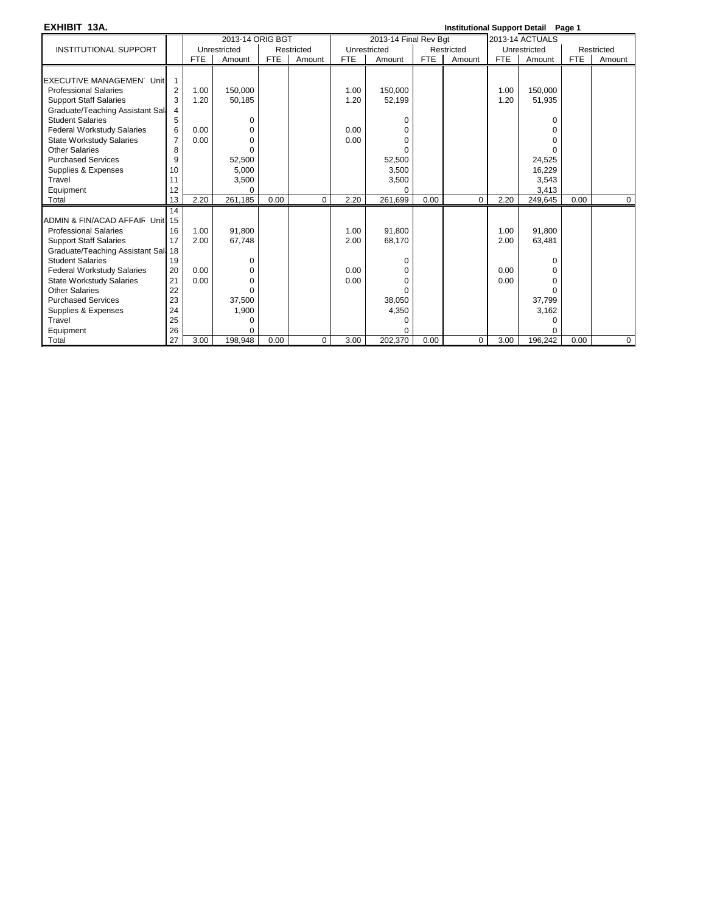| EXHIBIT 13A.                        |                |            |                  |            |            |            |                       |            |            |            | <b>Institutional Support Detail Page 1</b> |            |             |
|-------------------------------------|----------------|------------|------------------|------------|------------|------------|-----------------------|------------|------------|------------|--------------------------------------------|------------|-------------|
|                                     |                |            | 2013-14 ORIG BGT |            |            |            | 2013-14 Final Rev Bgt |            |            |            | 2013-14 ACTUALS                            |            |             |
| <b>INSTITUTIONAL SUPPORT</b>        |                |            | Unrestricted     |            | Restricted |            | Unrestricted          |            | Restricted |            | Unrestricted                               |            | Restricted  |
|                                     |                | <b>FTE</b> | Amount           | <b>FTE</b> | Amount     | <b>FTE</b> | Amount                | <b>FTE</b> | Amount     | <b>FTE</b> | Amount                                     | <b>FTE</b> | Amount      |
|                                     |                |            |                  |            |            |            |                       |            |            |            |                                            |            |             |
| <b>EXECUTIVE MANAGEMEN Unit</b>     | $\mathbf{1}$   |            |                  |            |            |            |                       |            |            |            |                                            |            |             |
| <b>Professional Salaries</b>        | $\overline{2}$ | 1.00       | 150,000          |            |            | 1.00       | 150,000               |            |            | 1.00       | 150,000                                    |            |             |
| <b>Support Staff Salaries</b>       | 3              | 1.20       | 50,185           |            |            | 1.20       | 52,199                |            |            | 1.20       | 51,935                                     |            |             |
| Graduate/Teaching Assistant Sall    | 4              |            |                  |            |            |            |                       |            |            |            |                                            |            |             |
| <b>Student Salaries</b>             | 5              |            | 0                |            |            |            | U                     |            |            |            | $\Omega$                                   |            |             |
| <b>Federal Workstudy Salaries</b>   | 6              | 0.00       | 0                |            |            | 0.00       | n                     |            |            |            | <sup>n</sup>                               |            |             |
| <b>State Workstudy Salaries</b>     | $\overline{7}$ | 0.00       | $\Omega$         |            |            | 0.00       |                       |            |            |            | <sup>0</sup>                               |            |             |
| <b>Other Salaries</b>               | 8              |            | $\Omega$         |            |            |            |                       |            |            |            | $\Omega$                                   |            |             |
| <b>Purchased Services</b>           | 9              |            | 52,500           |            |            |            | 52,500                |            |            |            | 24,525                                     |            |             |
| Supplies & Expenses                 | 10             |            | 5.000            |            |            |            | 3,500                 |            |            |            | 16,229                                     |            |             |
| Travel                              | 11             |            | 3,500            |            |            |            | 3,500                 |            |            |            | 3,543                                      |            |             |
| Equipment                           | 12             |            | $\Omega$         |            |            |            |                       |            |            |            | 3,413                                      |            |             |
| Total                               | 13             | 2.20       | 261,185          | 0.00       | $\Omega$   | 2.20       | 261,699               | 0.00       | $\Omega$   | 2.20       | 249.645                                    | 0.00       | $\mathbf 0$ |
|                                     | 14             |            |                  |            |            |            |                       |            |            |            |                                            |            |             |
| ADMIN & FIN/ACAD AFFAIF Unit 15     |                |            |                  |            |            |            |                       |            |            |            |                                            |            |             |
| <b>Professional Salaries</b>        | 16             | 1.00       | 91.800           |            |            | 1.00       | 91,800                |            |            | 1.00       | 91.800                                     |            |             |
| <b>Support Staff Salaries</b>       | 17             | 2.00       | 67,748           |            |            | 2.00       | 68,170                |            |            | 2.00       | 63,481                                     |            |             |
| Graduate/Teaching Assistant Sall 18 |                |            |                  |            |            |            |                       |            |            |            |                                            |            |             |
| <b>Student Salaries</b>             | 19             |            | 0                |            |            |            | ი                     |            |            |            | $\Omega$                                   |            |             |
| <b>Federal Workstudy Salaries</b>   | 20             | 0.00       | 0                |            |            | 0.00       | O                     |            |            | 0.00       | $\Omega$                                   |            |             |
| <b>State Workstudy Salaries</b>     | 21             | 0.00       | $\Omega$         |            |            | 0.00       | O                     |            |            | 0.00       | $\Omega$                                   |            |             |
| <b>Other Salaries</b>               | 22             |            | $\Omega$         |            |            |            |                       |            |            |            | $\Omega$                                   |            |             |
| <b>Purchased Services</b>           | 23             |            | 37,500           |            |            |            | 38,050                |            |            |            | 37,799                                     |            |             |
| Supplies & Expenses                 | 24             |            | 1,900            |            |            |            | 4,350                 |            |            |            | 3,162                                      |            |             |
| Travel                              | 25             |            | 0                |            |            |            | 0                     |            |            |            | $\Omega$                                   |            |             |
| Equipment                           | 26             |            | O                |            |            |            |                       |            |            |            | $\Omega$                                   |            |             |
| Total                               | 27             | 3.00       | 198,948          | 0.00       | 0          | 3.00       | 202,370               | 0.00       | 0          | 3.00       | 196,242                                    | 0.00       | $\mathbf 0$ |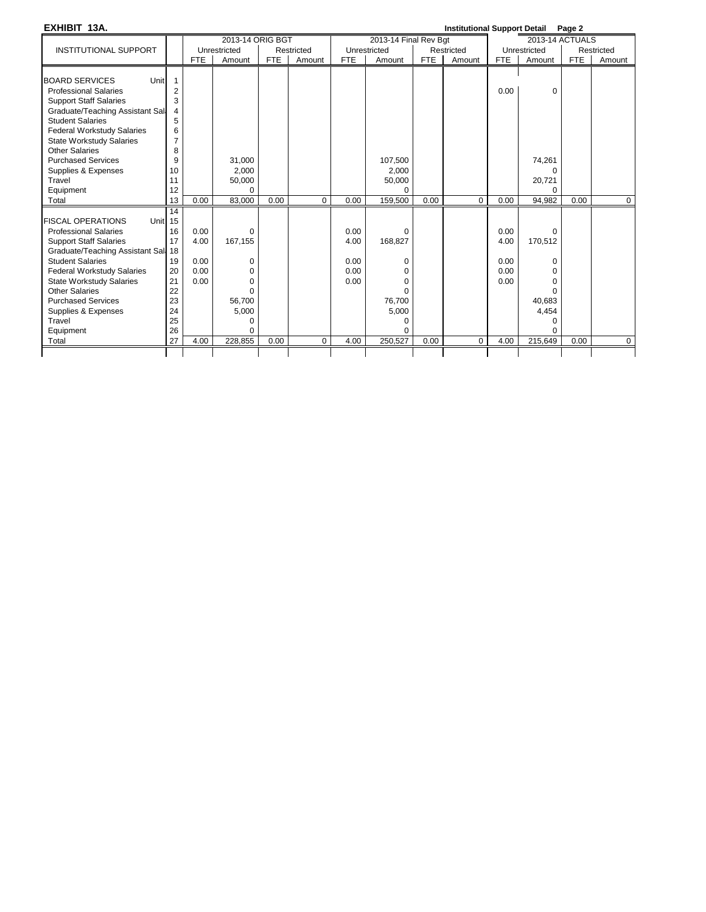**EXHIBIT 13A. Institutional Support Detail Page 2**

|                                     |                |            |                  |            |            |            |                       |            |            |            | 100             |            |             |
|-------------------------------------|----------------|------------|------------------|------------|------------|------------|-----------------------|------------|------------|------------|-----------------|------------|-------------|
|                                     |                |            | 2013-14 ORIG BGT |            |            |            | 2013-14 Final Rev Bgt |            |            |            | 2013-14 ACTUALS |            |             |
| <b>INSTITUTIONAL SUPPORT</b>        |                |            | Unrestricted     |            | Restricted |            | Unrestricted          |            | Restricted |            | Unrestricted    |            | Restricted  |
|                                     |                | <b>FTE</b> | Amount           | <b>FTE</b> | Amount     | <b>FTE</b> | Amount                | <b>FTE</b> | Amount     | <b>FTE</b> | Amount          | <b>FTE</b> | Amount      |
|                                     |                |            |                  |            |            |            |                       |            |            |            |                 |            |             |
| Unit<br><b>BOARD SERVICES</b>       |                |            |                  |            |            |            |                       |            |            |            |                 |            |             |
| <b>Professional Salaries</b>        | $\overline{2}$ |            |                  |            |            |            |                       |            |            | 0.00       | 0               |            |             |
| <b>Support Staff Salaries</b>       | 3              |            |                  |            |            |            |                       |            |            |            |                 |            |             |
| Graduate/Teaching Assistant Sall    | 4              |            |                  |            |            |            |                       |            |            |            |                 |            |             |
| <b>Student Salaries</b>             | 5              |            |                  |            |            |            |                       |            |            |            |                 |            |             |
| Federal Workstudy Salaries          | 6              |            |                  |            |            |            |                       |            |            |            |                 |            |             |
| <b>State Workstudy Salaries</b>     | $\overline{7}$ |            |                  |            |            |            |                       |            |            |            |                 |            |             |
| <b>Other Salaries</b>               | 8              |            |                  |            |            |            |                       |            |            |            |                 |            |             |
| <b>Purchased Services</b>           | 9              |            | 31,000           |            |            |            | 107,500               |            |            |            | 74,261          |            |             |
| Supplies & Expenses                 | 10             |            | 2.000            |            |            |            | 2.000                 |            |            |            | ∩               |            |             |
| Travel                              | 11             |            | 50,000           |            |            |            | 50,000                |            |            |            | 20,721          |            |             |
| Equipment                           | 12             |            | $\Omega$         |            |            |            | $\Omega$              |            |            |            | U               |            |             |
| Total                               | 13             | 0.00       | 83.000           | 0.00       | $\Omega$   | 0.00       | 159,500               | 0.00       | $\Omega$   | 0.00       | 94,982          | 0.00       | $\mathbf 0$ |
|                                     | 14             |            |                  |            |            |            |                       |            |            |            |                 |            |             |
| <b>FISCAL OPERATIONS</b><br>Unit 15 |                |            |                  |            |            |            |                       |            |            |            |                 |            |             |
| <b>Professional Salaries</b>        | 16             | 0.00       | 0                |            |            | 0.00       | $\Omega$              |            |            | 0.00       | $\Omega$        |            |             |
| <b>Support Staff Salaries</b>       | 17             | 4.00       | 167,155          |            |            | 4.00       | 168,827               |            |            | 4.00       | 170,512         |            |             |
| Graduate/Teaching Assistant Sal: 18 |                |            |                  |            |            |            |                       |            |            |            |                 |            |             |
| <b>Student Salaries</b>             | 19             | 0.00       | 0                |            |            | 0.00       | 0                     |            |            | 0.00       | $\Omega$        |            |             |
| Federal Workstudy Salaries          | 20             | 0.00       | 0                |            |            | 0.00       | 0                     |            |            | 0.00       | 0               |            |             |
| State Workstudy Salaries            | 21             | 0.00       | $\Omega$         |            |            | 0.00       | 0                     |            |            | 0.00       | $\Omega$        |            |             |
| <b>Other Salaries</b>               | 22             |            | $\Omega$         |            |            |            | $\Omega$              |            |            |            | $\Omega$        |            |             |
| <b>Purchased Services</b>           | 23             |            | 56,700           |            |            |            | 76,700                |            |            |            | 40,683          |            |             |
| Supplies & Expenses                 | 24             |            | 5,000            |            |            |            | 5,000                 |            |            |            | 4,454           |            |             |
| Travel                              | 25             |            | $\Omega$         |            |            |            | 0                     |            |            |            | 0               |            |             |
| Equipment                           | 26             |            | $\Omega$         |            |            |            | $\Omega$              |            |            |            | $\Omega$        |            |             |
| Total                               | 27             | 4.00       | 228,855          | 0.00       | $\Omega$   | 4.00       | 250,527               | 0.00       | $\Omega$   | 4.00       | 215,649         | 0.00       | $\mathbf 0$ |
|                                     |                |            |                  |            |            |            |                       |            |            |            |                 |            |             |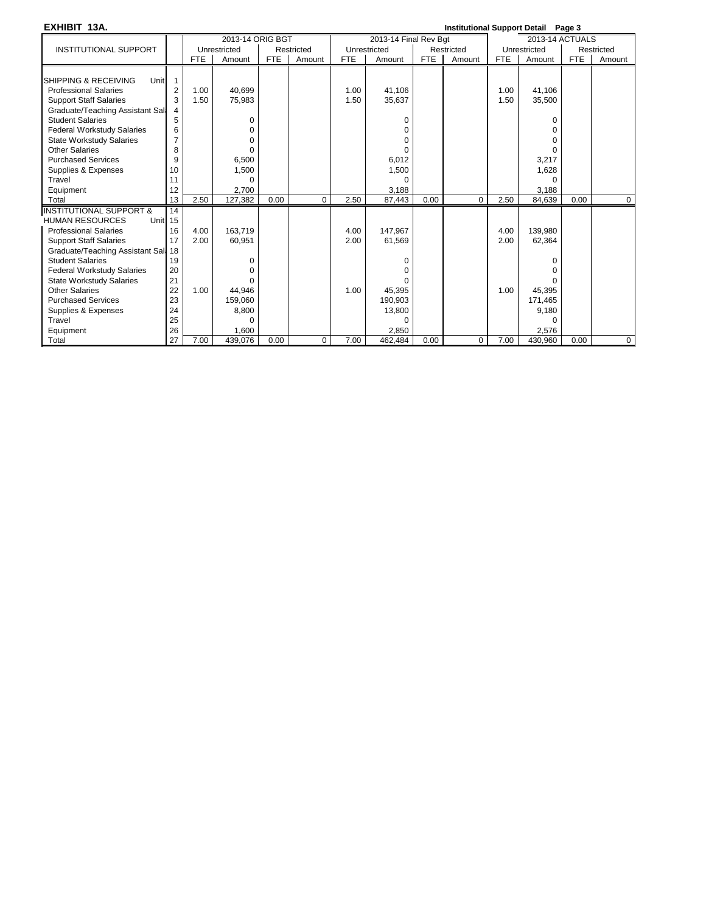| EXHIBIT 13A.                            |                |            |                  |            |            |            |                       |            | Institutional Support Detail Page 3 |      |                 |            |                |
|-----------------------------------------|----------------|------------|------------------|------------|------------|------------|-----------------------|------------|-------------------------------------|------|-----------------|------------|----------------|
|                                         |                |            | 2013-14 ORIG BGT |            |            |            | 2013-14 Final Rev Bgt |            |                                     |      | 2013-14 ACTUALS |            |                |
| <b>INSTITUTIONAL SUPPORT</b>            |                |            | Unrestricted     |            | Restricted |            | Unrestricted          |            | Restricted                          |      | Unrestricted    |            | Restricted     |
|                                         |                | <b>FTE</b> | Amount           | <b>FTE</b> | Amount     | <b>FTE</b> | Amount                | <b>FTE</b> | Amount                              | FTE  | Amount          | <b>FTE</b> | Amount         |
|                                         |                |            |                  |            |            |            |                       |            |                                     |      |                 |            |                |
| <b>SHIPPING &amp; RECEIVING</b><br>Unit | $\overline{1}$ |            |                  |            |            |            |                       |            |                                     |      |                 |            |                |
| <b>Professional Salaries</b>            | 2              | 1.00       | 40.699           |            |            | 1.00       | 41,106                |            |                                     | 1.00 | 41.106          |            |                |
| <b>Support Staff Salaries</b>           | 3              | 1.50       | 75,983           |            |            | 1.50       | 35,637                |            |                                     | 1.50 | 35,500          |            |                |
| Graduate/Teaching Assistant Sall        | 4              |            |                  |            |            |            |                       |            |                                     |      |                 |            |                |
| <b>Student Salaries</b>                 | 5              |            | 0                |            |            |            | 0                     |            |                                     |      | $\Omega$        |            |                |
| <b>Federal Workstudy Salaries</b>       | 6              |            | 0                |            |            |            | 0                     |            |                                     |      | $\Omega$        |            |                |
| <b>State Workstudy Salaries</b>         | 7              |            | 0                |            |            |            | $\Omega$              |            |                                     |      | $\Omega$        |            |                |
| <b>Other Salaries</b>                   | 8              |            | $\Omega$         |            |            |            | $\Omega$              |            |                                     |      | $\Omega$        |            |                |
| <b>Purchased Services</b>               | 9              |            | 6,500            |            |            |            | 6,012                 |            |                                     |      | 3,217           |            |                |
| Supplies & Expenses                     | 10             |            | 1,500            |            |            |            | 1,500                 |            |                                     |      | 1,628           |            |                |
| Travel                                  | 11             |            | O                |            |            |            | <sup>0</sup>          |            |                                     |      | $\Omega$        |            |                |
| Equipment                               | 12             |            | 2,700            |            |            |            | 3,188                 |            |                                     |      | 3,188           |            |                |
| Total                                   | 13             | 2.50       | 127,382          | 0.00       | $\Omega$   | 2.50       | 87,443                | 0.00       | 0                                   | 2.50 | 84,639          | 0.00       | $\mathbf 0$    |
| <b>INSTITUTIONAL SUPPORT &amp;</b>      | 14             |            |                  |            |            |            |                       |            |                                     |      |                 |            |                |
| <b>HUMAN RESOURCES</b><br>Unit 15       |                |            |                  |            |            |            |                       |            |                                     |      |                 |            |                |
| <b>Professional Salaries</b>            | 16             | 4.00       | 163.719          |            |            | 4.00       | 147.967               |            |                                     | 4.00 | 139,980         |            |                |
| <b>Support Staff Salaries</b>           | 17             | 2.00       | 60,951           |            |            | 2.00       | 61,569                |            |                                     | 2.00 | 62,364          |            |                |
| Graduate/Teaching Assistant Sall 18     |                |            |                  |            |            |            |                       |            |                                     |      |                 |            |                |
| <b>Student Salaries</b>                 | 19             |            | 0                |            |            |            | O                     |            |                                     |      | $\Omega$        |            |                |
| <b>Federal Workstudy Salaries</b>       | 20             |            | 0                |            |            |            | 0                     |            |                                     |      | O               |            |                |
| <b>State Workstudy Salaries</b>         | 21             |            | U                |            |            |            |                       |            |                                     |      |                 |            |                |
| <b>Other Salaries</b>                   | 22             | 1.00       | 44.946           |            |            | 1.00       | 45.395                |            |                                     | 1.00 | 45,395          |            |                |
| <b>Purchased Services</b>               | 23             |            | 159,060          |            |            |            | 190,903               |            |                                     |      | 171,465         |            |                |
| Supplies & Expenses                     | 24             |            | 8,800            |            |            |            | 13,800                |            |                                     |      | 9,180           |            |                |
| Travel                                  | 25             |            | O                |            |            |            | $\Omega$              |            |                                     |      | $\Omega$        |            |                |
| Equipment                               | 26             |            | 1,600            |            |            |            | 2,850                 |            |                                     |      | 2,576           |            |                |
| Total                                   | 27             | 7.00       | 439,076          | 0.00       | 0          | 7.00       | 462,484               | 0.00       | 0                                   | 7.00 | 430,960         | 0.00       | $\overline{0}$ |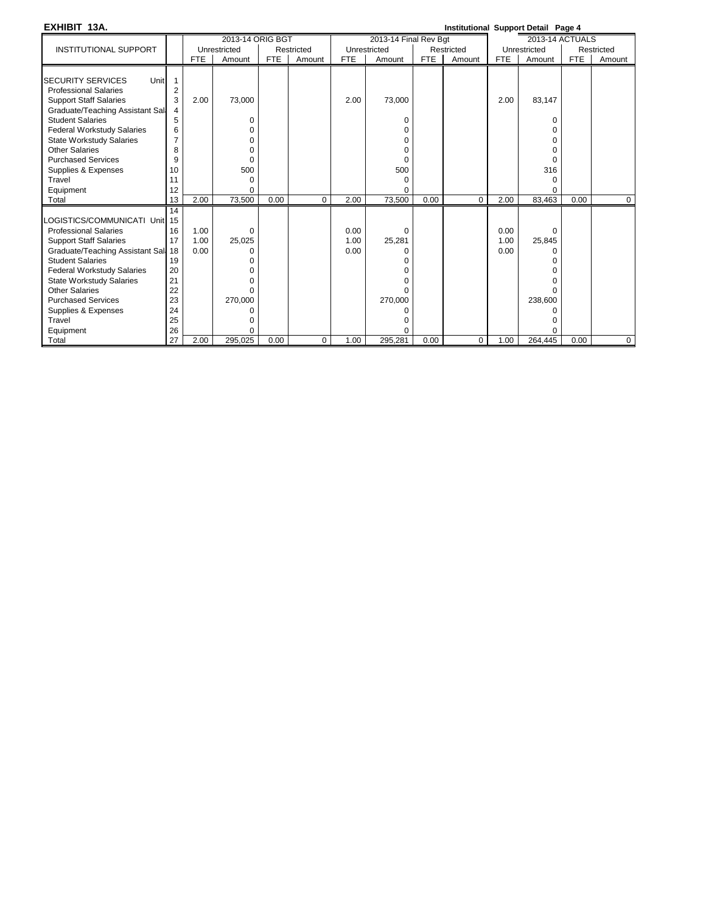| EXHIBIT 13A.                                                                                                                                                                                                                                                                                                                                |                                                                |                      |                                                                                 |            |            |                      |                                                                       |            | Institutional Support Detail Page 4 |                      |                                               |      |            |
|---------------------------------------------------------------------------------------------------------------------------------------------------------------------------------------------------------------------------------------------------------------------------------------------------------------------------------------------|----------------------------------------------------------------|----------------------|---------------------------------------------------------------------------------|------------|------------|----------------------|-----------------------------------------------------------------------|------------|-------------------------------------|----------------------|-----------------------------------------------|------|------------|
|                                                                                                                                                                                                                                                                                                                                             |                                                                |                      | 2013-14 ORIG BGT                                                                |            |            |                      | 2013-14 Final Rev Bgt                                                 |            |                                     |                      | 2013-14 ACTUALS                               |      |            |
| <b>INSTITUTIONAL SUPPORT</b>                                                                                                                                                                                                                                                                                                                |                                                                |                      | Unrestricted                                                                    |            | Restricted |                      | Unrestricted                                                          |            | Restricted                          |                      | Unrestricted                                  |      | Restricted |
|                                                                                                                                                                                                                                                                                                                                             |                                                                | <b>FTE</b>           | Amount                                                                          | <b>FTE</b> | Amount     | <b>FTE</b>           | Amount                                                                | <b>FTE</b> | Amount                              | <b>FTE</b>           | Amount                                        | FTE  | Amount     |
| <b>SECURITY SERVICES</b><br>Unit<br><b>Professional Salaries</b><br><b>Support Staff Salaries</b><br>Graduate/Teaching Assistant Sall<br><b>Student Salaries</b><br>Federal Workstudy Salaries<br><b>State Workstudy Salaries</b><br><b>Other Salaries</b><br><b>Purchased Services</b><br>Supplies & Expenses<br>Travel                    | $\overline{2}$<br>3<br>4<br>5<br>6<br>7<br>8<br>9<br>10<br>11  | 2.00                 | 73,000<br>0<br>0<br>0<br>0<br>0<br>500<br>0                                     |            |            | 2.00                 | 73,000<br>0<br>0<br>0<br>0<br>0<br>500<br>$\Omega$                    |            |                                     | 2.00                 | 83,147<br>O<br>U<br>O<br>0<br>316<br>$\Omega$ |      |            |
| Equipment                                                                                                                                                                                                                                                                                                                                   | 12                                                             |                      | 0                                                                               |            |            |                      | 0                                                                     |            |                                     |                      | $\Omega$                                      |      |            |
| Total                                                                                                                                                                                                                                                                                                                                       | 13                                                             | 2.00                 | 73,500                                                                          | 0.00       | $\Omega$   | 2.00                 | 73,500                                                                | 0.00       | $\Omega$                            | 2.00                 | 83,463                                        | 0.00 | 0          |
| OGISTICS/COMMUNICATI Unit 15<br><b>Professional Salaries</b><br><b>Support Staff Salaries</b><br>Graduate/Teaching Assistant Sall 18<br><b>Student Salaries</b><br><b>Federal Workstudy Salaries</b><br><b>State Workstudy Salaries</b><br><b>Other Salaries</b><br><b>Purchased Services</b><br>Supplies & Expenses<br>Travel<br>Equipment | 14<br>16<br>17<br>19<br>20<br>21<br>22<br>23<br>24<br>25<br>26 | 1.00<br>1.00<br>0.00 | $\mathbf 0$<br>25,025<br>0<br>ი<br>0<br>U<br>$\Omega$<br>270,000<br>o<br>0<br>0 |            |            | 0.00<br>1.00<br>0.00 | $\Omega$<br>25,281<br>0<br>ი<br>U<br>U<br>O<br>270,000<br>ი<br>0<br>0 |            |                                     | 0.00<br>1.00<br>0.00 | 0<br>25,845<br>0<br>238,600<br>O              |      |            |
| Total                                                                                                                                                                                                                                                                                                                                       | 27                                                             | 2.00                 | 295,025                                                                         | 0.00       | 0          | 1.00                 | 295,281                                                               | 0.00       | 0                                   | 1.00                 | 264,445                                       | 0.00 | 0          |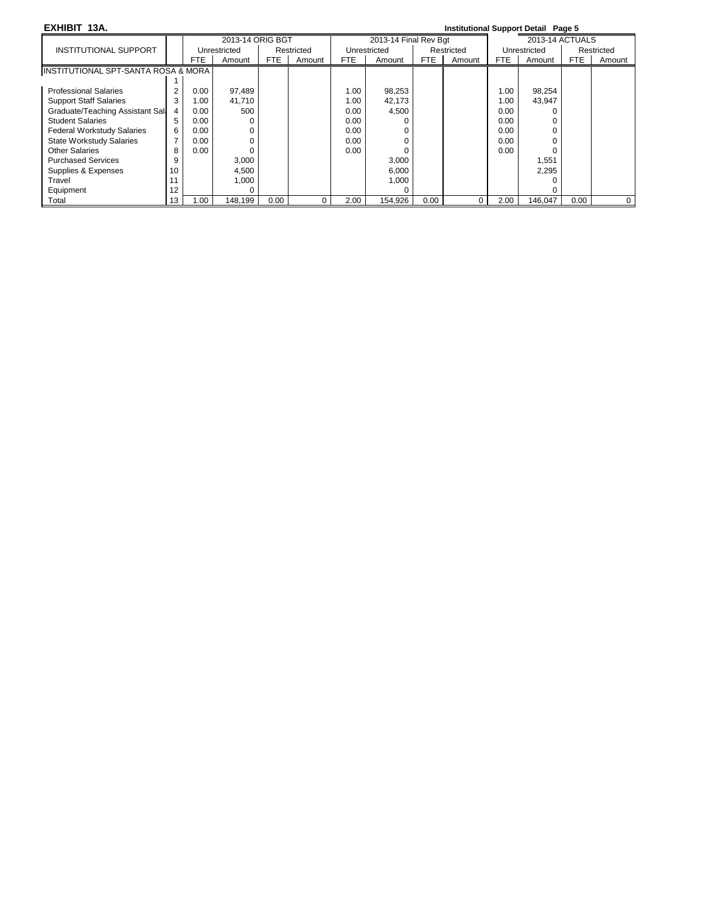**EXHIBIT 13A. Institutional Support Detail Page 5**

|                                      |    |      | 2013-14 ORIG BGT |      |            |      | 2013-14 Final Rev Bgt |            |            |      | 2013-14 ACTUALS |      |              |
|--------------------------------------|----|------|------------------|------|------------|------|-----------------------|------------|------------|------|-----------------|------|--------------|
| INSTITUTIONAL SUPPORT                |    |      | Unrestricted     |      | Restricted |      | Unrestricted          |            | Restricted |      | Unrestricted    |      | Restricted   |
|                                      |    | FTE  | Amount           | FTE  | Amount     | FTE  | Amount                | <b>FTE</b> | Amount     | FTE. | Amount          | FTE. | Amount       |
| IINSTITUTIONAL SPT-SANTA ROSA & MORA |    |      |                  |      |            |      |                       |            |            |      |                 |      |              |
|                                      |    |      |                  |      |            |      |                       |            |            |      |                 |      |              |
| <b>Professional Salaries</b>         |    | 0.00 | 97,489           |      |            | 1.00 | 98,253                |            |            | 1.00 | 98,254          |      |              |
| <b>Support Staff Salaries</b>        |    | 1.00 | 41,710           |      |            | 1.00 | 42,173                |            |            | 1.00 | 43,947          |      |              |
| Graduate/Teaching Assistant Sali     |    | 0.00 | 500              |      |            | 0.00 | 4,500                 |            |            | 0.00 |                 |      |              |
| <b>Student Salaries</b>              | 5  | 0.00 |                  |      |            | 0.00 |                       |            |            | 0.00 | 0               |      |              |
| <b>Federal Workstudy Salaries</b>    | 6  | 0.00 |                  |      |            | 0.00 |                       |            |            | 0.00 |                 |      |              |
| <b>State Workstudy Salaries</b>      |    | 0.00 |                  |      |            | 0.00 |                       |            |            | 0.00 |                 |      |              |
| <b>Other Salaries</b>                | 8  | 0.00 |                  |      |            | 0.00 |                       |            |            | 0.00 |                 |      |              |
| <b>Purchased Services</b>            | 9  |      | 3,000            |      |            |      | 3,000                 |            |            |      | 1,551           |      |              |
| Supplies & Expenses                  | 10 |      | 4,500            |      |            |      | 6,000                 |            |            |      | 2.295           |      |              |
| Travel                               |    |      | 1.000            |      |            |      | 1,000                 |            |            |      |                 |      |              |
| Equipment                            | 12 |      |                  |      |            |      |                       |            |            |      |                 |      |              |
| Total                                | 13 | 00.1 | 148.199          | 0.00 | 0          | 2.00 | 154.926               | 0.00       | $\Omega$   | 2.00 | 146.047         | 0.00 | $\mathbf{0}$ |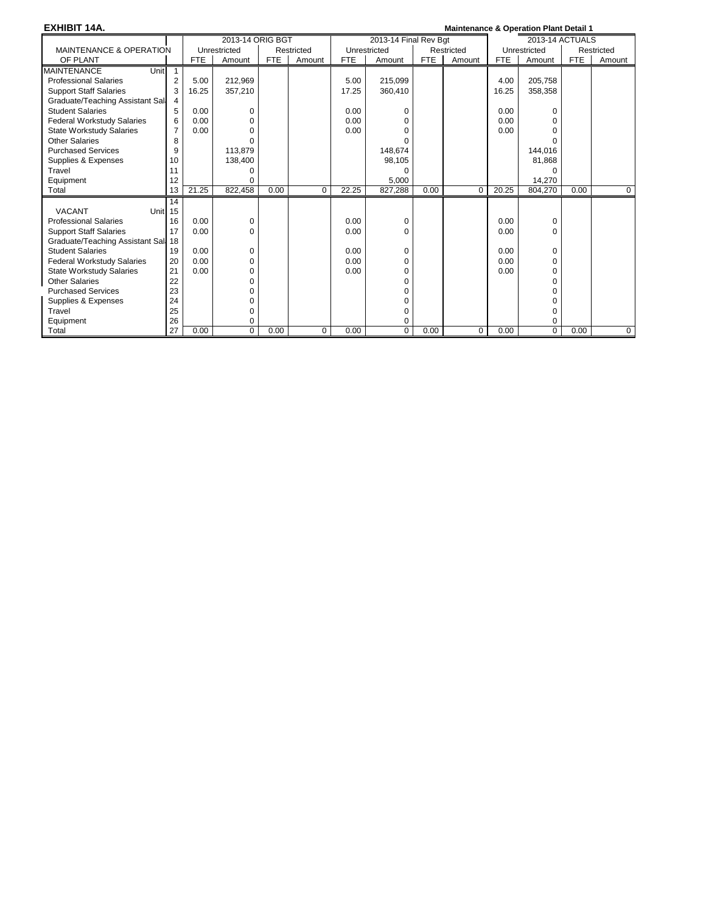| <b>EXHIBIT 14A.</b>                 |                |       |                  |      |            |            |                       |            | <b>Maintenance &amp; Operation Plant Detail 1</b> |            |                 |            |                |
|-------------------------------------|----------------|-------|------------------|------|------------|------------|-----------------------|------------|---------------------------------------------------|------------|-----------------|------------|----------------|
|                                     |                |       | 2013-14 ORIG BGT |      |            |            | 2013-14 Final Rev Bat |            |                                                   |            | 2013-14 ACTUALS |            |                |
| <b>MAINTENANCE &amp; OPERATION</b>  |                |       | Unrestricted     |      | Restricted |            | Unrestricted          |            | Restricted                                        |            | Unrestricted    |            | Restricted     |
| OF PLANT                            |                | FTE   | Amount           | FTE  | Amount     | <b>FTE</b> | Amount                | <b>FTE</b> | Amount                                            | <b>FTE</b> | Amount          | <b>FTE</b> | Amount         |
| <b>MAINTENANCE</b><br>Unitl         | $\mathbf{1}$   |       |                  |      |            |            |                       |            |                                                   |            |                 |            |                |
| <b>Professional Salaries</b>        | $\overline{2}$ | 5.00  | 212,969          |      |            | 5.00       | 215,099               |            |                                                   | 4.00       | 205,758         |            |                |
| <b>Support Staff Salaries</b>       | 3              | 16.25 | 357,210          |      |            | 17.25      | 360,410               |            |                                                   | 16.25      | 358,358         |            |                |
| Graduate/Teaching Assistant Sall    | 4              |       |                  |      |            |            |                       |            |                                                   |            |                 |            |                |
| <b>Student Salaries</b>             | 5              | 0.00  | 0                |      |            | 0.00       | 0                     |            |                                                   | 0.00       | $\Omega$        |            |                |
| <b>Federal Workstudy Salaries</b>   | 6              | 0.00  | 0                |      |            | 0.00       | 0                     |            |                                                   | 0.00       | $\Omega$        |            |                |
| <b>State Workstudy Salaries</b>     | 7              | 0.00  | 0                |      |            | 0.00       | $\Omega$              |            |                                                   | 0.00       | U               |            |                |
| <b>Other Salaries</b>               | 8              |       | $\Omega$         |      |            |            | o                     |            |                                                   |            | U               |            |                |
| <b>Purchased Services</b>           | 9              |       | 113,879          |      |            |            | 148,674               |            |                                                   |            | 144,016         |            |                |
| Supplies & Expenses                 | 10             |       | 138,400          |      |            |            | 98,105                |            |                                                   |            | 81,868          |            |                |
| Travel                              | 11             |       | 0                |      |            |            | 0                     |            |                                                   |            | $\Omega$        |            |                |
| Equipment                           | 12             |       | $\Omega$         |      |            |            | 5.000                 |            |                                                   |            | 14.270          |            |                |
| Total                               | 13             | 21.25 | 822.458          | 0.00 | $\Omega$   | 22.25      | 827.288               | 0.00       | $\Omega$                                          | 20.25      | 804.270         | 0.00       | $\overline{0}$ |
|                                     | 14             |       |                  |      |            |            |                       |            |                                                   |            |                 |            |                |
| <b>VACANT</b><br>Unit <sub>15</sub> |                |       |                  |      |            |            |                       |            |                                                   |            |                 |            |                |
| <b>Professional Salaries</b>        | 16             | 0.00  | 0                |      |            | 0.00       | 0                     |            |                                                   | 0.00       | 0               |            |                |
| <b>Support Staff Salaries</b>       | 17             | 0.00  | $\Omega$         |      |            | 0.00       | $\Omega$              |            |                                                   | 0.00       | $\Omega$        |            |                |
| Graduate/Teaching Assistant Sall 18 |                |       |                  |      |            |            |                       |            |                                                   |            |                 |            |                |
| <b>Student Salaries</b>             | 19             | 0.00  | 0                |      |            | 0.00       | 0                     |            |                                                   | 0.00       | 0               |            |                |
| <b>Federal Workstudy Salaries</b>   | 20             | 0.00  | 0                |      |            | 0.00       | 0                     |            |                                                   | 0.00       | $\Omega$        |            |                |
| <b>State Workstudy Salaries</b>     | 21             | 0.00  | 0                |      |            | 0.00       | 0                     |            |                                                   | 0.00       | $\Omega$        |            |                |
| <b>Other Salaries</b>               | 22             |       | 0                |      |            |            | 0                     |            |                                                   |            | $\Omega$        |            |                |
| <b>Purchased Services</b>           | 23             |       | 0                |      |            |            | $\Omega$              |            |                                                   |            | U               |            |                |
| Supplies & Expenses                 | 24             |       | 0                |      |            |            | 0                     |            |                                                   |            | U               |            |                |
| Travel                              | 25             |       | 0                |      |            |            | 0                     |            |                                                   |            | $\Omega$        |            |                |
| Equipment                           | 26             |       | 0                |      |            |            | 0                     |            |                                                   |            | $\Omega$        |            |                |
| Total                               | 27             | 0.00  | $\Omega$         | 0.00 | 0          | 0.00       | $\Omega$              | 0.00       | $\Omega$                                          | 0.00       | $\mathbf 0$     | 0.00       | $\mathbf{0}$   |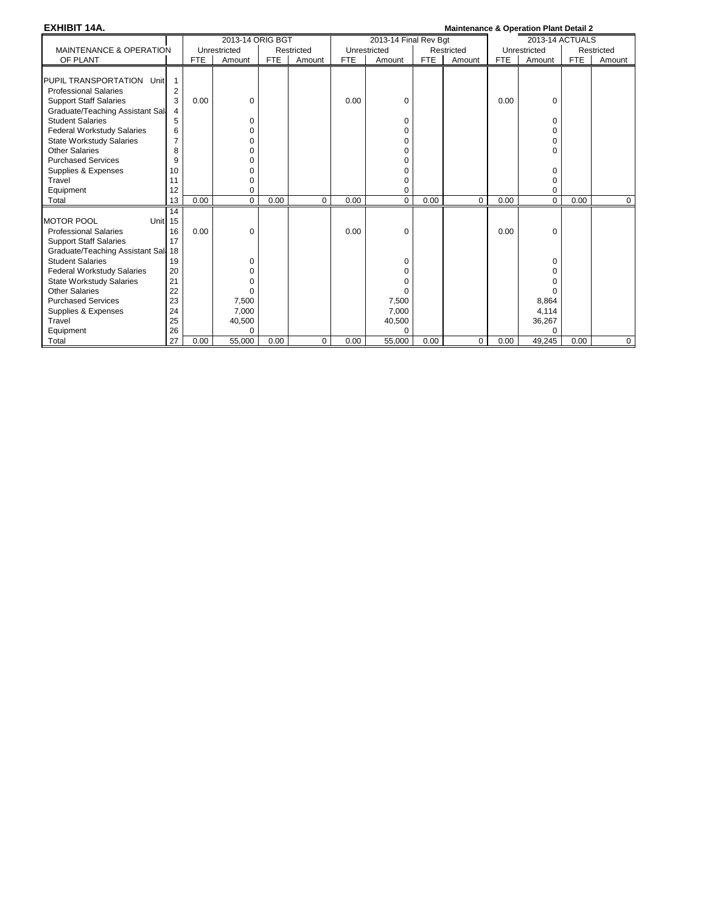| <b>EXHIBIT 14A.</b>                                                                                                                                                                                                                                                                                                      |                                                               |            |                                         |            |            |            |                                       |            | <b>Maintenance &amp; Operation Plant Detail 2</b> |      |                                                                    |            |            |
|--------------------------------------------------------------------------------------------------------------------------------------------------------------------------------------------------------------------------------------------------------------------------------------------------------------------------|---------------------------------------------------------------|------------|-----------------------------------------|------------|------------|------------|---------------------------------------|------------|---------------------------------------------------|------|--------------------------------------------------------------------|------------|------------|
|                                                                                                                                                                                                                                                                                                                          |                                                               |            | 2013-14 ORIG BGT                        |            |            |            | 2013-14 Final Rev Bgt                 |            |                                                   |      | 2013-14 ACTUALS                                                    |            |            |
| <b>MAINTENANCE &amp; OPERATION</b>                                                                                                                                                                                                                                                                                       |                                                               |            | Unrestricted                            |            | Restricted |            | Unrestricted                          |            | Restricted                                        |      | Unrestricted                                                       |            | Restricted |
| OF PLANT                                                                                                                                                                                                                                                                                                                 |                                                               | <b>FTE</b> | Amount                                  | <b>FTE</b> | Amount     | <b>FTE</b> | Amount                                | <b>FTE</b> | Amount                                            | FTE  | Amount                                                             | <b>FTE</b> | Amount     |
| PUPIL TRANSPORTATION Unit<br><b>Professional Salaries</b><br><b>Support Staff Salaries</b><br>Graduate/Teaching Assistant Sall<br><b>Student Salaries</b><br><b>Federal Workstudy Salaries</b><br><b>State Workstudy Salaries</b><br><b>Other Salaries</b><br><b>Purchased Services</b><br>Supplies & Expenses<br>Travel | 2<br>3<br>4<br>5<br>6<br>$\overline{7}$<br>8<br>9<br>10<br>11 | 0.00       | 0<br>0<br>0<br>0<br>0<br>0<br>0<br>0    |            |            | 0.00       | 0<br>0<br>0<br>0<br>0<br>0<br>0<br>0  |            |                                                   | 0.00 | 0<br>$\Omega$<br>$\Omega$<br>$\Omega$<br>$\Omega$<br>$\Omega$<br>0 |            |            |
| Equipment                                                                                                                                                                                                                                                                                                                | 12                                                            |            | 0                                       |            |            |            | 0                                     |            |                                                   |      | $\Omega$                                                           |            |            |
| Total                                                                                                                                                                                                                                                                                                                    | 13                                                            | 0.00       | 0                                       | 0.00       | 0          | 0.00       | 0                                     | 0.00       | $\mathbf 0$                                       | 0.00 | 0                                                                  | 0.00       | 0          |
| <b>MOTOR POOL</b><br>Unit <sub>15</sub><br><b>Professional Salaries</b><br><b>Support Staff Salaries</b><br>Graduate/Teaching Assistant Sall 18                                                                                                                                                                          | 14<br>16<br>17                                                | 0.00       | 0                                       |            |            | 0.00       | 0                                     |            |                                                   | 0.00 | 0                                                                  |            |            |
| <b>Student Salaries</b><br>Federal Workstudy Salaries<br>State Workstudy Salaries<br><b>Other Salaries</b><br><b>Purchased Services</b>                                                                                                                                                                                  | 19<br>20<br>21<br>22<br>23                                    |            | 0<br>$\Omega$<br>0<br>$\Omega$<br>7,500 |            |            |            | 0<br>0<br>0<br>O<br>7,500             |            |                                                   |      | 0<br>$\Omega$<br>$\Omega$<br>0<br>8,864                            |            |            |
| Supplies & Expenses<br>Travel<br>Equipment                                                                                                                                                                                                                                                                               | 24<br>25<br>26<br>27                                          | 0.00       | 7,000<br>40,500<br>$\Omega$<br>55.000   | 0.00       |            | 0.00       | 7,000<br>40,500<br>$\Omega$<br>55,000 | 0.00       |                                                   |      | 4,114<br>36,267<br>0<br>49,245                                     | 0.00       |            |
| Total                                                                                                                                                                                                                                                                                                                    |                                                               |            |                                         |            | 0          |            |                                       |            | 0                                                 | 0.00 |                                                                    |            | 0          |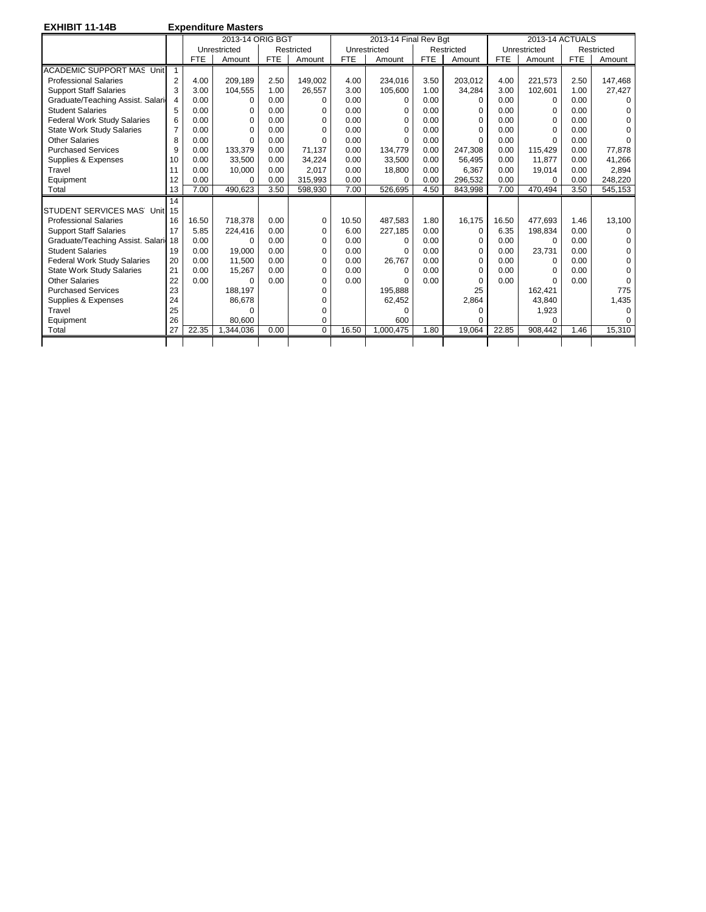**EXHIBIT 11-14B Expenditure Masters** 

|                                    |                |            | 2013-14 ORIG BGT |            |            |            | 2013-14 Final Rev Bgt |            |             |            | 2013-14 ACTUALS |            |            |
|------------------------------------|----------------|------------|------------------|------------|------------|------------|-----------------------|------------|-------------|------------|-----------------|------------|------------|
|                                    |                |            | Unrestricted     |            | Restricted |            | Unrestricted          |            | Restricted  |            | Unrestricted    |            | Restricted |
|                                    |                | <b>FTE</b> | Amount           | <b>FTE</b> | Amount     | <b>FTE</b> | Amount                | <b>FTE</b> | Amount      | <b>FTE</b> | Amount          | <b>FTE</b> | Amount     |
| <b>ACADEMIC SUPPORT MAS Unit</b>   |                |            |                  |            |            |            |                       |            |             |            |                 |            |            |
| <b>Professional Salaries</b>       | 2              | 4.00       | 209,189          | 2.50       | 149.002    | 4.00       | 234.016               | 3.50       | 203.012     | 4.00       | 221.573         | 2.50       | 147.468    |
| <b>Support Staff Salaries</b>      | 3              | 3.00       | 104.555          | 1.00       | 26,557     | 3.00       | 105,600               | 1.00       | 34,284      | 3.00       | 102.601         | 1.00       | 27,427     |
| Graduate/Teaching Assist. Salari   | 4              | 0.00       | $\Omega$         | 0.00       | $\Omega$   | 0.00       | $\Omega$              | 0.00       | $\Omega$    | 0.00       | $\Omega$        | 0.00       | $\Omega$   |
| <b>Student Salaries</b>            | 5              | 0.00       | $\Omega$         | 0.00       | $\Omega$   | 0.00       | O                     | 0.00       | $\Omega$    | 0.00       | $\Omega$        | 0.00       |            |
| <b>Federal Work Study Salaries</b> | 6              | 0.00       | 0                | 0.00       | 0          | 0.00       | 0                     | 0.00       | $\Omega$    | 0.00       | $\Omega$        | 0.00       | $\Omega$   |
| <b>State Work Study Salaries</b>   | $\overline{7}$ | 0.00       | $\Omega$         | 0.00       | $\Omega$   | 0.00       | O                     | 0.00       | $\Omega$    | 0.00       | $\Omega$        | 0.00       |            |
| <b>Other Salaries</b>              | 8              | 0.00       | $\Omega$         | 0.00       | $\Omega$   | 0.00       | O                     | 0.00       | $\Omega$    | 0.00       | $\Omega$        | 0.00       |            |
| <b>Purchased Services</b>          | 9              | 0.00       | 133,379          | 0.00       | 71,137     | 0.00       | 134,779               | 0.00       | 247,308     | 0.00       | 115.429         | 0.00       | 77,878     |
| Supplies & Expenses                | 10             | 0.00       | 33,500           | 0.00       | 34,224     | 0.00       | 33,500                | 0.00       | 56.495      | 0.00       | 11.877          | 0.00       | 41,266     |
| Travel                             | 11             | 0.00       | 10,000           | 0.00       | 2,017      | 0.00       | 18,800                | 0.00       | 6.367       | 0.00       | 19,014          | 0.00       | 2,894      |
| Equipment                          | 12             | 0.00       | $\Omega$         | 0.00       | 315,993    | 0.00       | 0                     | 0.00       | 296.532     | 0.00       | $\Omega$        | 0.00       | 248,220    |
| Total                              | 13             | 7.00       | 490.623          | 3.50       | 598,930    | 7.00       | 526.695               | 4.50       | 843.998     | 7.00       | 470.494         | 3.50       | 545,153    |
|                                    | 14             |            |                  |            |            |            |                       |            |             |            |                 |            |            |
| STUDENT SERVICES MAS Unit          | 15             |            |                  |            |            |            |                       |            |             |            |                 |            |            |
| <b>Professional Salaries</b>       | 16             | 16.50      | 718.378          | 0.00       | 0          | 10.50      | 487.583               | 1.80       | 16.175      | 16.50      | 477.693         | 1.46       | 13.100     |
| <b>Support Staff Salaries</b>      | 17             | 5.85       | 224,416          | 0.00       | $\Omega$   | 6.00       | 227,185               | 0.00       | $\mathbf 0$ | 6.35       | 198,834         | 0.00       | $\Omega$   |
| Graduate/Teaching Assist. Salari   | 18             | 0.00       | $\Omega$         | 0.00       | $\Omega$   | 0.00       | $\Omega$              | 0.00       | $\Omega$    | 0.00       | $\Omega$        | 0.00       | $\Omega$   |
| <b>Student Salaries</b>            | 19             | 0.00       | 19.000           | 0.00       | 0          | 0.00       | O                     | 0.00       | $\Omega$    | 0.00       | 23,731          | 0.00       | $\Omega$   |
| <b>Federal Work Study Salaries</b> | 20             | 0.00       | 11,500           | 0.00       | $\Omega$   | 0.00       | 26,767                | 0.00       | $\Omega$    | 0.00       | $\Omega$        | 0.00       | 0          |
| <b>State Work Study Salaries</b>   | 21             | 0.00       | 15,267           | 0.00       | $\Omega$   | 0.00       | $\Omega$              | 0.00       | $\Omega$    | 0.00       | $\Omega$        | 0.00       | O          |
| <b>Other Salaries</b>              | 22             | 0.00       | $\Omega$         | 0.00       | $\Omega$   | 0.00       | O                     | 0.00       | $\Omega$    | 0.00       | $\Omega$        | 0.00       | $\Omega$   |
| <b>Purchased Services</b>          | 23             |            | 188,197          |            | 0          |            | 195,888               |            | 25          |            | 162,421         |            | 775        |
| Supplies & Expenses                | 24             |            | 86.678           |            | 0          |            | 62,452                |            | 2,864       |            | 43.840          |            | 1,435      |
| Travel                             | 25             |            | $\Omega$         |            | O          |            | ŋ                     |            | ∩           |            | 1,923           |            | $\Omega$   |
| Equipment                          | 26             |            | 80.600           |            | 0          |            | 600                   |            | U           |            | $\Omega$        |            |            |
| Total                              | 27             | 22.35      | 1.344.036        | 0.00       | $\Omega$   | 16.50      | 1.000.475             | 1.80       | 19.064      | 22.85      | 908.442         | 1.46       | 15,310     |
|                                    |                |            |                  |            |            |            |                       |            |             |            |                 |            |            |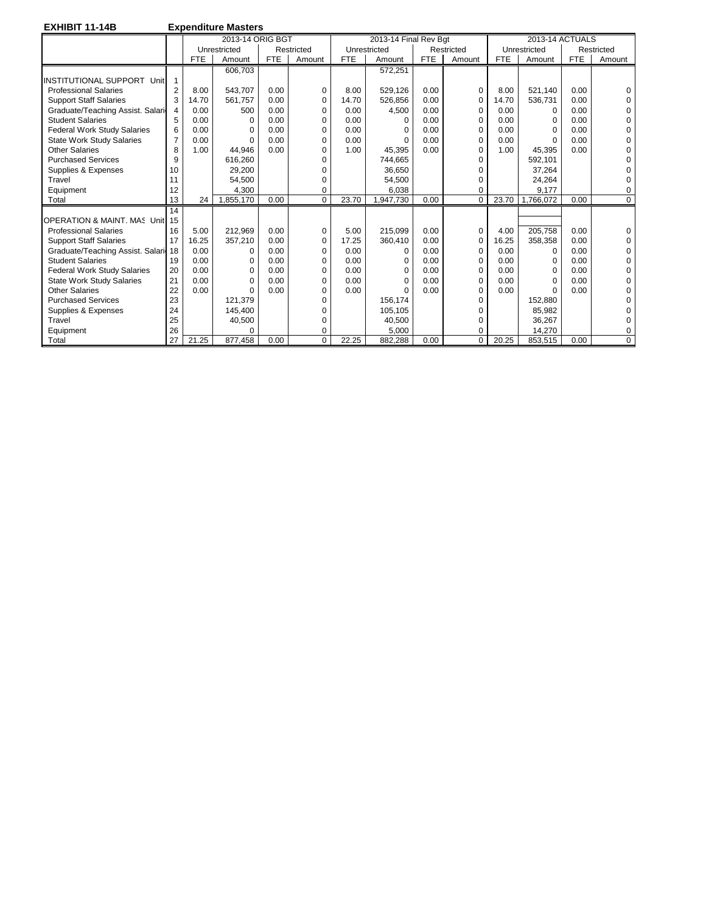**EXHIBIT 11-14B Expenditure Masters**  2013-14 ORIG BGT 2013-14 Final Rev Bgt 2013-14 ACTUALS<br>
Unrestricted | Restricted | Restricted | Restricted | Restricted | Restricted | Restricted | Restricted | Restricted | Restricted | Restricted | Restricted | Restrict Unrestricted Restricted Unrestricted Restricted Unrestricted Restricted FTE Amount FTE Amount FTE Amount FTE Amount FTE Amount FTE Amount FTE Amount 606,703 | 572,251  $\textsf{INSTITUTIONAL SUPPORT}$  Unit 1 Professional Salaries 2 8.00 543,707 0.00 0 8.00 529,126 0.00 0 8.00 521,140 0.00 0 0<br>Support Staff Salaries 3 14.70 536,757 0.00 0 14.70 526,856 0.00 0 14.70 536,731 0.00 0 Support Staff Salaries 3 14.70 561,757 0.00 0 14.70 526,856 0.00 0 14.70 536,731 0.00 0 Graduate/Teaching Assist. Salari 4 Student Salaries 5 0.00 0 0.00 0 0.00 0 0.00 0 0.00 0 0.00 0 Federal Work Study Salaries 6 0.00 0 0.00 0 0.00 0 0.00 0 0.00 0 0.00 0 State Work Study Salaries 7 0.00 0 0.00 0 0.00 0 0.00 0 0.00 0 0.00 0 Other Salaries 18 | 1.00 | 44,946 | 0.00 | 0 | 1.00 | 45,395 | 0.00 | 0 | 1.00 | 45,395 | 0.00 | 0 Purchased Services 9 616,260 0 744,665 0 592,101 0 Supplies & Expenses Travel 11 54,500 0 54,500 0 24,264 0 Equipment [12 | 4,300 | 0 | 6,038 | 0 | 9,177 | 0 0 13 24 1,855,170 | 0.00 | 0 23.70 | 23.70 | 0.00 | 0.00 | 0.00 | 0.00 | 0.00 | 0.00 | 0.00 | 0.00 | 14 OPERATION & MAINT. MAS Unit 15 Professional Salaries 16 5.00 212,969 0.00 0 5.00 215,099 0.00 0 4.00 205,758 0.00 0 0<br>Support Staff Salaries 17 16.25 357,210 0.00 0 17.25 360,410 0.00 0 16.25 358,358 0.00 0 Support Staff Salaries 17 Graduate/Teaching Assist. Salaries18 0.00 0 0.00 0 0.00 0 0.00 0 0.00 0 0.00 0 Student Salaries 19 0.00 0 0.00 0 0.00 0 0.00 0 0.00 0 0.00 0 0.00 0 0 0.00 0 0 0.00 0 0 0.00 0 0 0 0 0 0 0 0 0 Federal Work Study Salaries  $\begin{bmatrix} 20 & 0.00 & 0 & 0.00 \\ 21 & 0.00 & 0 & 0.00 \\ 21 & 0.00 & 0 & 0.00 \\ 0 & 0 & 0 & 0 & 0 \end{bmatrix}$   $\begin{bmatrix} 0 & 0.00 & 0 & 0 \\ 0.00 & 0 & 0 & 0 \\ 0 & 0.00 & 0 & 0 \\ 0 & 0 & 0 & 0 \end{bmatrix}$   $\begin{bmatrix} 0 & 0.00 & 0 & 0 \\ 0 & 0.00 & 0 & 0 \\$ State Work Study Salaries Other Salaries 22 0.00 0 0.00 0 0.00 0 0.00 0 0.00 0 0.00 0 Purchased Services 23 121,379 0 156,174 0 152,880 0 152,880 0 0 152,880 0 0 152,880 0 0 152,880 0 0 162,105 0 1 Supplies & Expenses  $\begin{bmatrix} 24 \\ 25 \end{bmatrix}$  145,400 0 105,105 0 105,105 0 85,982 0<br>Travel 25 40,500 0 40,500 105,000 0 36,267 0 Travel 25 25 40,500 0 40,500 0 36,267 0 14,270 | 26 | 0 | 0 | 5,000 | 0 | 14,270 | 0 Total 27 21.25 877,458 0.00 0 22.25 882,288 0.00 0 20.25 853,515 0.00 0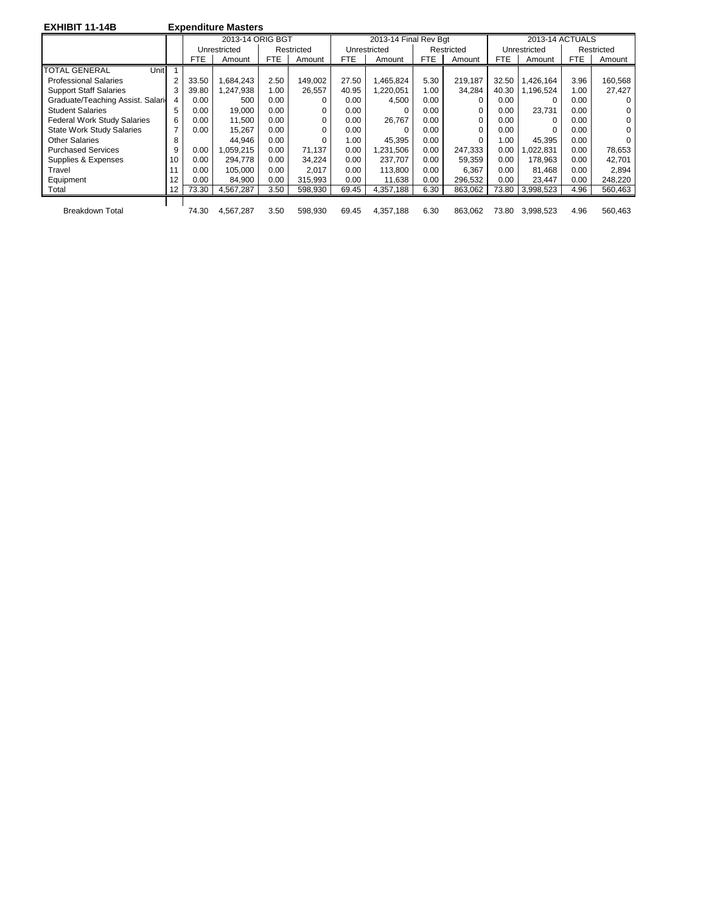| <b>EXHIBIT 11-14B</b>              |                |       | <b>Expenditure Masters</b> |      |            |            |                       |            |            |       |                 |            |            |
|------------------------------------|----------------|-------|----------------------------|------|------------|------------|-----------------------|------------|------------|-------|-----------------|------------|------------|
|                                    |                |       | 2013-14 ORIG BGT           |      |            |            | 2013-14 Final Rev Bgt |            |            |       | 2013-14 ACTUALS |            |            |
|                                    |                |       | Unrestricted               |      | Restricted |            | Unrestricted          |            | Restricted |       | Unrestricted    |            | Restricted |
|                                    |                | FTE   | Amount                     | FTE  | Amount     | <b>FTE</b> | Amount                | <b>FTE</b> | Amount     | FTE   | Amount          | <b>FTE</b> | Amount     |
| <b>TOTAL GENERAL</b><br>Unit       |                |       |                            |      |            |            |                       |            |            |       |                 |            |            |
| <b>Professional Salaries</b>       | 2              | 33.50 | 684,243.                   | 2.50 | 149.002    | 27.50      | 1,465,824             | 5.30       | 219,187    | 32.50 | 1,426,164       | 3.96       | 160,568    |
| <b>Support Staff Salaries</b>      | 3              | 39.80 | 1,247,938                  | 1.00 | 26,557     | 40.95      | 1,220,051             | 1.00       | 34,284     | 40.30 | 1,196,524       | 1.00       | 27,427     |
| Graduate/Teaching Assist. Salari   | 4              | 0.00  | 500                        | 0.00 | $\Omega$   | 0.00       | 4,500                 | 0.00       | O          | 0.00  |                 | 0.00       | 0          |
| <b>Student Salaries</b>            | 5              | 0.00  | 19.000                     | 0.00 | 0          | 0.00       | 0                     | 0.00       | O          | 0.00  | 23.731          | 0.00       | 0          |
| <b>Federal Work Study Salaries</b> | 6              | 0.00  | 11.500                     | 0.00 | 0          | 0.00       | 26,767                | 0.00       | $\Omega$   | 0.00  |                 | 0.00       | 0          |
| <b>State Work Study Salaries</b>   | $\overline{7}$ | 0.00  | 15.267                     | 0.00 | $\Omega$   | 0.00       | 0                     | 0.00       | $\Omega$   | 0.00  |                 | 0.00       | 0          |
| <b>Other Salaries</b>              | 8              |       | 44.946                     | 0.00 | 0          | 1.00       | 45,395                | 0.00       | 0          | 1.00  | 45.395          | 0.00       | 0          |
| <b>Purchased Services</b>          | 9              | 0.00  | 059.215                    | 0.00 | 71.137     | 0.00       | .231.506              | 0.00       | 247.333    | 0.00  | 1.022.831       | 0.00       | 78,653     |
| Supplies & Expenses                | 10             | 0.00  | 294.778                    | 0.00 | 34,224     | 0.00       | 237.707               | 0.00       | 59,359     | 0.00  | 178.963         | 0.00       | 42,701     |
| Travel                             |                | 0.00  | 105.000                    | 0.00 | 2,017      | 0.00       | 113,800               | 0.00       | 6,367      | 0.00  | 81.468          | 0.00       | 2,894      |
| Equipment                          | 12             | 0.00  | 84,900                     | 0.00 | 315.993    | 0.00       | 11,638                | 0.00       | 296.532    | 0.00  | 23,447          | 0.00       | 248,220    |
| Total                              | 12             | 73.30 | 4,567,287                  | 3.50 | 598,930    | 69.45      | 4,357,188             | 6.30       | 863,062    | 73.80 | 3,998,523       | 4.96       | 560,463    |
|                                    |                |       |                            |      |            |            |                       |            |            |       |                 |            |            |
| <b>Breakdown Total</b>             |                | 74.30 | 4,567,287                  | 3.50 | 598,930    | 69.45      | 4,357,188             | 6.30       | 863.062    | 73.80 | 3.998.523       | 4.96       | 560,463    |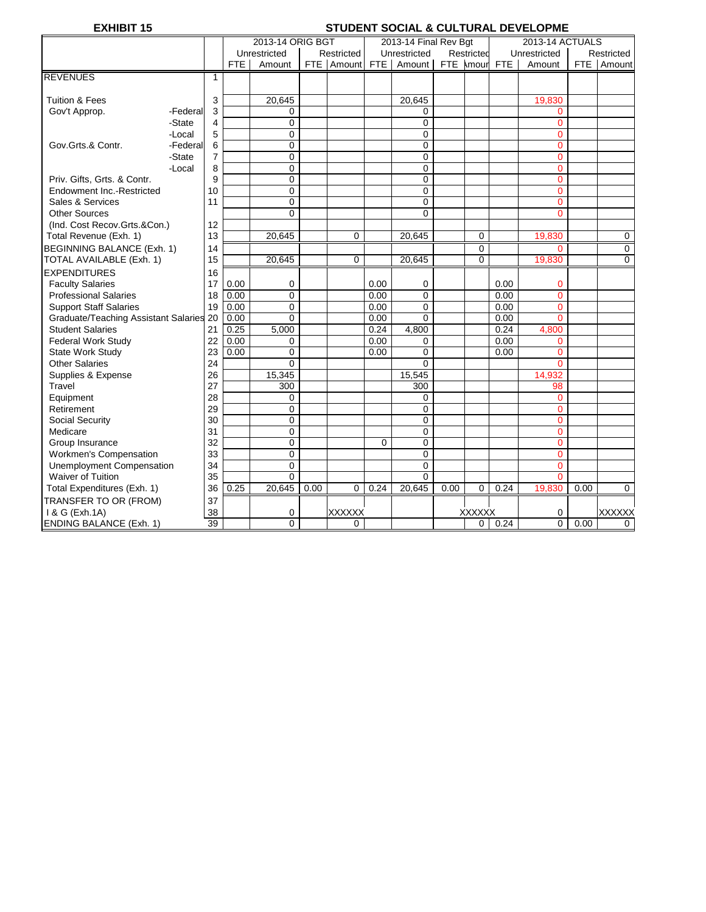# **EXHIBIT 15** STUDENT SOCIAL & CULTURAL DEVELOPME

|                                         |          |                |      | 2013-14 ORIG BGT |      |               |                | 2013-14 Final Rev Bgt |      |               |      | 2013-14 ACTUALS |      |               |
|-----------------------------------------|----------|----------------|------|------------------|------|---------------|----------------|-----------------------|------|---------------|------|-----------------|------|---------------|
|                                         |          |                |      | Unrestricted     |      | Restricted    |                | Unrestricted          |      | Restricted    |      | Unrestricted    |      | Restricted    |
|                                         |          |                | FTE  | Amount           |      | FTE Amount    | FTE            | Amount                |      | FTE Amour FTE |      | Amount          |      | FTE Amount    |
| <b>REVENUES</b>                         |          | $\mathbf{1}$   |      |                  |      |               |                |                       |      |               |      |                 |      |               |
|                                         |          |                |      |                  |      |               |                |                       |      |               |      |                 |      |               |
| <b>Tuition &amp; Fees</b>               |          | 3              |      | 20,645           |      |               |                | 20,645                |      |               |      | 19,830          |      |               |
| Gov't Approp.                           | -Federal | 3              |      | 0                |      |               |                | 0                     |      |               |      | $\Omega$        |      |               |
|                                         | -State   | 4              |      | 0                |      |               |                | $\mathbf 0$           |      |               |      | $\overline{0}$  |      |               |
|                                         | -Local   | 5              |      | 0                |      |               |                | 0                     |      |               |      | $\mathbf 0$     |      |               |
| Gov.Grts.& Contr.                       | -Federal | 6              |      | $\mathbf 0$      |      |               |                | $\mathbf 0$           |      |               |      | $\overline{0}$  |      |               |
|                                         | -State   | $\overline{7}$ |      | 0                |      |               |                | 0                     |      |               |      | $\overline{0}$  |      |               |
|                                         | -Local   | 8              |      | 0                |      |               |                | 0                     |      |               |      | $\Omega$        |      |               |
| Priv. Gifts, Grts. & Contr.             |          | 9              |      | $\overline{0}$   |      |               |                | $\mathbf 0$           |      |               |      | $\overline{0}$  |      |               |
| Endowment Inc.-Restricted               |          | 10             |      | $\mathbf 0$      |      |               |                | $\mathbf 0$           |      |               |      | $\overline{0}$  |      |               |
| Sales & Services                        |          | 11             |      | 0                |      |               |                | $\mathbf 0$           |      |               |      | $\overline{0}$  |      |               |
| <b>Other Sources</b>                    |          |                |      | 0                |      |               |                | $\Omega$              |      |               |      | $\Omega$        |      |               |
| (Ind. Cost Recov.Grts.&Con.)            |          | 12             |      |                  |      |               |                |                       |      |               |      |                 |      |               |
| Total Revenue (Exh. 1)                  |          | 13             |      | 20,645           |      | 0             |                | 20,645                |      | $\mathbf 0$   |      | 19,830          |      | 0             |
| BEGINNING BALANCE (Exh. 1)              |          | 14             |      |                  |      |               |                |                       |      | $\mathbf 0$   |      | $\Omega$        |      | $\mathbf 0$   |
| TOTAL AVAILABLE (Exh. 1)                |          | 15             |      | 20,645           |      | 0             |                | 20,645                |      | $\mathbf 0$   |      | 19,830          |      | $\mathbf 0$   |
| <b>EXPENDITURES</b>                     |          | 16             |      |                  |      |               |                |                       |      |               |      |                 |      |               |
| <b>Faculty Salaries</b>                 |          | 17             | 0.00 | 0                |      |               | 0.00           | 0                     |      |               | 0.00 | 0               |      |               |
| <b>Professional Salaries</b>            |          | 18             | 0.00 | 0                |      |               | 0.00           | $\mathbf 0$           |      |               | 0.00 | $\overline{0}$  |      |               |
| <b>Support Staff Salaries</b>           |          | 19             | 0.00 | 0                |      |               | 0.00           | $\mathbf 0$           |      |               | 0.00 | $\overline{0}$  |      |               |
| Graduate/Teaching Assistant Salaries 20 |          |                | 0.00 | $\Omega$         |      |               | 0.00           | $\Omega$              |      |               | 0.00 | $\Omega$        |      |               |
| <b>Student Salaries</b>                 |          | 21             | 0.25 | 5,000            |      |               | 0.24           | 4,800                 |      |               | 0.24 | 4,800           |      |               |
| <b>Federal Work Study</b>               |          | 22             | 0.00 | 0                |      |               | 0.00           | 0                     |      |               | 0.00 | $\Omega$        |      |               |
| State Work Study                        |          | 23             | 0.00 | $\Omega$         |      |               | 0.00           | $\Omega$              |      |               | 0.00 | $\Omega$        |      |               |
| <b>Other Salaries</b>                   |          | 24             |      | $\Omega$         |      |               |                | $\Omega$              |      |               |      | $\Omega$        |      |               |
| Supplies & Expense                      |          | 26             |      | 15,345           |      |               |                | 15,545                |      |               |      | 14,932          |      |               |
| Travel                                  |          | 27             |      | 300              |      |               |                | $\overline{300}$      |      |               |      | 98              |      |               |
| Equipment                               |          | 28             |      | 0                |      |               |                | 0                     |      |               |      | $\mathbf 0$     |      |               |
| Retirement                              |          | 29             |      | 0                |      |               |                | 0                     |      |               |      | $\overline{0}$  |      |               |
| Social Security                         |          | 30             |      | 0                |      |               |                | $\mathbf 0$           |      |               |      | $\overline{0}$  |      |               |
| Medicare                                |          | 31             |      | $\mathbf 0$      |      |               |                | $\mathbf 0$           |      |               |      | $\overline{0}$  |      |               |
| Group Insurance                         |          | 32             |      | 0                |      |               | $\overline{0}$ | $\mathbf 0$           |      |               |      | $\overline{0}$  |      |               |
| Workmen's Compensation                  |          | 33             |      | 0                |      |               |                | $\mathbf 0$           |      |               |      | $\Omega$        |      |               |
| Unemployment Compensation               |          | 34             |      | $\overline{0}$   |      |               |                | $\mathbf 0$           |      |               |      | $\overline{0}$  |      |               |
| <b>Waiver of Tuition</b>                |          | 35             |      | $\Omega$         |      |               |                | $\Omega$              |      |               |      | $\overline{0}$  |      |               |
| Total Expenditures (Exh. 1)             |          | 36             | 0.25 | 20,645           | 0.00 | $\Omega$      | 0.24           | 20,645                | 0.00 | $\mathbf 0$   | 0.24 | 19,830          | 0.00 | $\Omega$      |
| TRANSFER TO OR (FROM)                   |          | 37             |      |                  |      |               |                |                       |      |               |      |                 |      |               |
| 1 & G (Exh.1A)                          |          | 38             |      | 0                |      | <b>XXXXXX</b> |                |                       |      | <b>XXXXXX</b> |      | 0               |      | <b>XXXXXX</b> |
| <b>ENDING BALANCE (Exh. 1)</b>          |          | 39             |      | 0                |      | 0             |                |                       |      | 0             | 0.24 | 0               | 0.00 | 0             |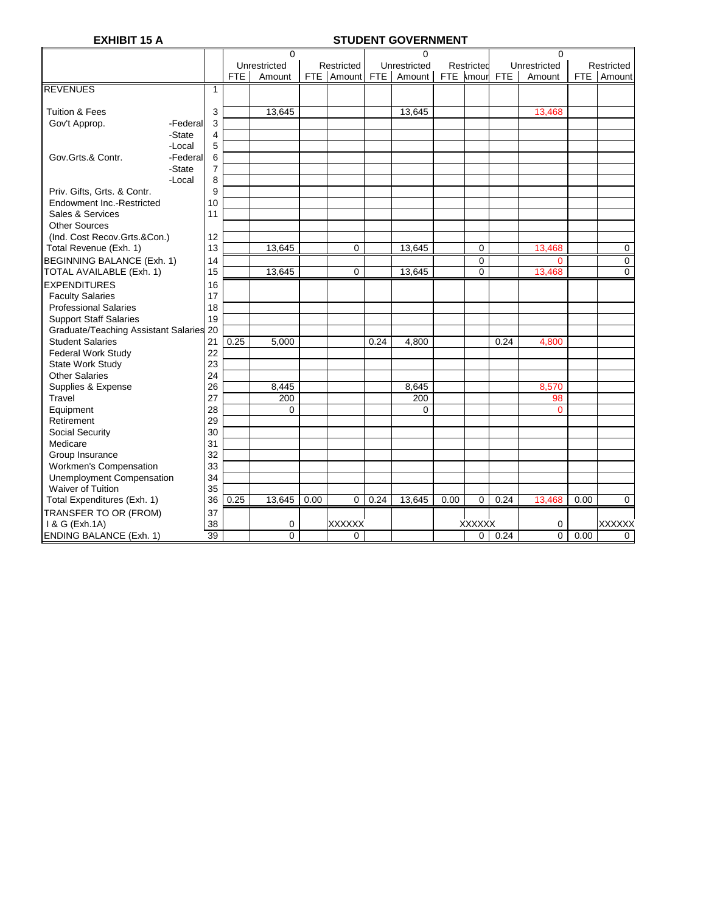# **EXHIBIT 15 A STUDENT GOVERNMENT**

|                                                       |          |                |      | $\mathbf 0$  |      |               |            | $\Omega$     |      |                |      | $\Omega$       |      |                |
|-------------------------------------------------------|----------|----------------|------|--------------|------|---------------|------------|--------------|------|----------------|------|----------------|------|----------------|
|                                                       |          |                |      | Unrestricted |      | Restricted    |            | Unrestricted |      | Restricted     |      | Unrestricted   |      | Restricted     |
|                                                       |          |                | FTE  | Amount       |      | FTE Amount    | <b>FTE</b> | Amount       |      | FTE kmourl FTE |      | Amount         | FTE. | Amount         |
| <b>REVENUES</b>                                       |          | $\mathbf{1}$   |      |              |      |               |            |              |      |                |      |                |      |                |
|                                                       |          |                |      |              |      |               |            |              |      |                |      |                |      |                |
| <b>Tuition &amp; Fees</b>                             |          | 3              |      | 13,645       |      |               |            | 13,645       |      |                |      | 13,468         |      |                |
| Gov't Approp.                                         | -Federal | 3              |      |              |      |               |            |              |      |                |      |                |      |                |
|                                                       | -State   | 4              |      |              |      |               |            |              |      |                |      |                |      |                |
|                                                       | -Local   | 5              |      |              |      |               |            |              |      |                |      |                |      |                |
| Gov.Grts.& Contr.                                     | -Federal | 6              |      |              |      |               |            |              |      |                |      |                |      |                |
|                                                       | -State   | $\overline{7}$ |      |              |      |               |            |              |      |                |      |                |      |                |
|                                                       | -Local   | 8              |      |              |      |               |            |              |      |                |      |                |      |                |
| Priv. Gifts, Grts. & Contr.                           |          | 9              |      |              |      |               |            |              |      |                |      |                |      |                |
| Endowment Inc.-Restricted                             |          | 10             |      |              |      |               |            |              |      |                |      |                |      |                |
| Sales & Services                                      |          | 11             |      |              |      |               |            |              |      |                |      |                |      |                |
| <b>Other Sources</b>                                  |          |                |      |              |      |               |            |              |      |                |      |                |      |                |
| (Ind. Cost Recov.Grts.&Con.)                          |          | 12             |      |              |      |               |            |              |      |                |      |                |      |                |
| Total Revenue (Exh. 1)                                |          | 13             |      | 13,645       |      | 0             |            | 13,645       |      | $\mathbf 0$    |      | 13,468         |      | $\mathbf 0$    |
| <b>BEGINNING BALANCE (Exh. 1)</b>                     |          | 14             |      |              |      |               |            |              |      | $\mathbf 0$    |      | $\overline{0}$ |      | $\mathbf 0$    |
| TOTAL AVAILABLE (Exh. 1)                              |          | 15             |      | 13,645       |      | $\Omega$      |            | 13,645       |      | $\overline{0}$ |      | 13,468         |      | $\overline{0}$ |
| <b>EXPENDITURES</b>                                   |          | 16             |      |              |      |               |            |              |      |                |      |                |      |                |
| <b>Faculty Salaries</b>                               |          | 17             |      |              |      |               |            |              |      |                |      |                |      |                |
| <b>Professional Salaries</b>                          |          | 18             |      |              |      |               |            |              |      |                |      |                |      |                |
| <b>Support Staff Salaries</b>                         |          | 19             |      |              |      |               |            |              |      |                |      |                |      |                |
| Graduate/Teaching Assistant Salaries 20               |          |                |      |              |      |               |            |              |      |                |      |                |      |                |
| <b>Student Salaries</b>                               |          | 21             | 0.25 | 5,000        |      |               | 0.24       | 4,800        |      |                | 0.24 | 4,800          |      |                |
| <b>Federal Work Study</b>                             |          | 22             |      |              |      |               |            |              |      |                |      |                |      |                |
| State Work Study                                      |          | 23             |      |              |      |               |            |              |      |                |      |                |      |                |
| <b>Other Salaries</b>                                 |          | 24             |      |              |      |               |            |              |      |                |      |                |      |                |
| Supplies & Expense                                    |          | 26             |      | 8,445        |      |               |            | 8,645        |      |                |      | 8,570          |      |                |
| Travel                                                |          | 27             |      | 200          |      |               |            | 200          |      |                |      | 98             |      |                |
| Equipment                                             |          | 28             |      | $\Omega$     |      |               |            | $\Omega$     |      |                |      | $\overline{0}$ |      |                |
| Retirement                                            |          | 29             |      |              |      |               |            |              |      |                |      |                |      |                |
| Social Security                                       |          | 30             |      |              |      |               |            |              |      |                |      |                |      |                |
| Medicare                                              |          | 31             |      |              |      |               |            |              |      |                |      |                |      |                |
| Group Insurance                                       |          | 32             |      |              |      |               |            |              |      |                |      |                |      |                |
| Workmen's Compensation                                |          | 33             |      |              |      |               |            |              |      |                |      |                |      |                |
|                                                       |          | 34             |      |              |      |               |            |              |      |                |      |                |      |                |
| Unemployment Compensation<br><b>Waiver of Tuition</b> |          | 35             |      |              |      |               |            |              |      |                |      |                |      |                |
|                                                       |          | 36             | 0.25 | 13,645       | 0.00 | 0             | 0.24       | 13,645       | 0.00 | $\mathbf 0$    | 0.24 | 13,468         | 0.00 | $\mathbf 0$    |
| Total Expenditures (Exh. 1)                           |          |                |      |              |      |               |            |              |      |                |      |                |      |                |
| TRANSFER TO OR (FROM)                                 |          | 37             |      |              |      |               |            |              |      |                |      |                |      |                |
| 1 & G (Exh.1A)                                        |          | 38             |      | 0            |      | <b>XXXXXX</b> |            |              |      | <b>XXXXXX</b>  |      | 0              |      | <b>XXXXXX</b>  |
| <b>ENDING BALANCE (Exh. 1)</b>                        |          | 39             |      | $\Omega$     |      | 0             |            |              |      | 0              | 0.24 | 0              | 0.00 | 0              |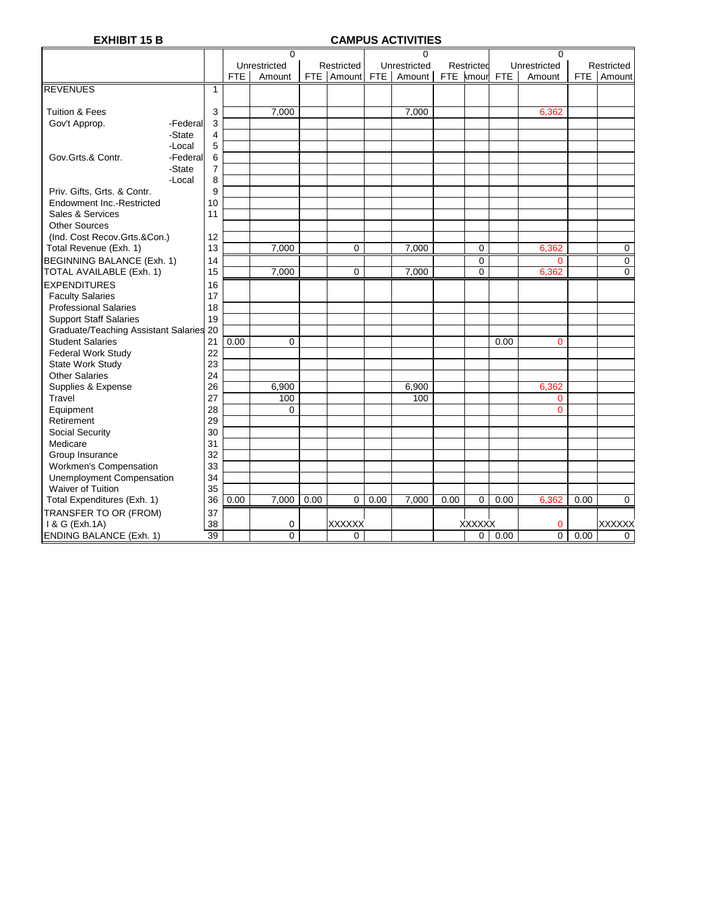# **EXHIBIT 15 B CAMPUS ACTIVITIES**

|                                         |          |    |            | $\Omega$     |      |               |       | $\Omega$     |      |                |            | $\Omega$       |      |                     |
|-----------------------------------------|----------|----|------------|--------------|------|---------------|-------|--------------|------|----------------|------------|----------------|------|---------------------|
|                                         |          |    |            | Unrestricted |      | Restricted    |       | Unrestricted |      | Restricted     |            | Unrestricted   |      | Restricted          |
|                                         |          |    | <b>FTE</b> | Amount       |      | FTE Amount    | FTE I | Amount       |      | FTE \mour      | <b>FTE</b> | Amount         |      | FTE Amount          |
| <b>REVENUES</b>                         |          | 1  |            |              |      |               |       |              |      |                |            |                |      |                     |
|                                         |          |    |            |              |      |               |       |              |      |                |            |                |      |                     |
| <b>Tuition &amp; Fees</b>               |          | 3  |            | 7,000        |      |               |       | 7,000        |      |                |            | 6,362          |      |                     |
| Gov't Approp.                           | -Federal | 3  |            |              |      |               |       |              |      |                |            |                |      |                     |
|                                         | -State   | 4  |            |              |      |               |       |              |      |                |            |                |      |                     |
|                                         | -Local   | 5  |            |              |      |               |       |              |      |                |            |                |      |                     |
| Gov.Grts.& Contr.                       | -Federal | 6  |            |              |      |               |       |              |      |                |            |                |      |                     |
|                                         | -State   | 7  |            |              |      |               |       |              |      |                |            |                |      |                     |
|                                         | -Local   | 8  |            |              |      |               |       |              |      |                |            |                |      |                     |
| Priv. Gifts, Grts. & Contr.             |          | 9  |            |              |      |               |       |              |      |                |            |                |      |                     |
| Endowment Inc.-Restricted               |          | 10 |            |              |      |               |       |              |      |                |            |                |      |                     |
| Sales & Services                        |          | 11 |            |              |      |               |       |              |      |                |            |                |      |                     |
| <b>Other Sources</b>                    |          |    |            |              |      |               |       |              |      |                |            |                |      |                     |
| (Ind. Cost Recov.Grts.&Con.)            |          | 12 |            |              |      |               |       |              |      |                |            |                |      |                     |
| Total Revenue (Exh. 1)                  |          | 13 |            | 7,000        |      | 0             |       | 7,000        |      | 0              |            | 6,362          |      | $\mathbf 0$         |
| <b>BEGINNING BALANCE (Exh. 1)</b>       |          | 14 |            |              |      |               |       |              |      | 0              |            |                |      |                     |
| TOTAL AVAILABLE (Exh. 1)                |          | 15 |            | 7,000        |      | 0             |       | 7.000        |      | $\overline{0}$ |            | 0<br>6,362     |      | 0<br>$\overline{0}$ |
|                                         |          |    |            |              |      |               |       |              |      |                |            |                |      |                     |
| <b>EXPENDITURES</b>                     |          | 16 |            |              |      |               |       |              |      |                |            |                |      |                     |
| <b>Faculty Salaries</b>                 |          | 17 |            |              |      |               |       |              |      |                |            |                |      |                     |
| <b>Professional Salaries</b>            |          | 18 |            |              |      |               |       |              |      |                |            |                |      |                     |
| <b>Support Staff Salaries</b>           |          | 19 |            |              |      |               |       |              |      |                |            |                |      |                     |
| Graduate/Teaching Assistant Salaries 20 |          |    |            |              |      |               |       |              |      |                |            |                |      |                     |
| <b>Student Salaries</b>                 |          | 21 | 0.00       | $\Omega$     |      |               |       |              |      |                | 0.00       | $\overline{0}$ |      |                     |
| <b>Federal Work Study</b>               |          | 22 |            |              |      |               |       |              |      |                |            |                |      |                     |
| State Work Study                        |          | 23 |            |              |      |               |       |              |      |                |            |                |      |                     |
| <b>Other Salaries</b>                   |          | 24 |            |              |      |               |       |              |      |                |            |                |      |                     |
| Supplies & Expense                      |          | 26 |            | 6,900        |      |               |       | 6,900        |      |                |            | 6,362          |      |                     |
| Travel                                  |          | 27 |            | 100          |      |               |       | 100          |      |                |            | 0              |      |                     |
| Equipment                               |          | 28 |            | 0            |      |               |       |              |      |                |            | $\overline{0}$ |      |                     |
| Retirement                              |          | 29 |            |              |      |               |       |              |      |                |            |                |      |                     |
| Social Security                         |          | 30 |            |              |      |               |       |              |      |                |            |                |      |                     |
| Medicare                                |          | 31 |            |              |      |               |       |              |      |                |            |                |      |                     |
| Group Insurance                         |          | 32 |            |              |      |               |       |              |      |                |            |                |      |                     |
| <b>Workmen's Compensation</b>           |          | 33 |            |              |      |               |       |              |      |                |            |                |      |                     |
| <b>Unemployment Compensation</b>        |          | 34 |            |              |      |               |       |              |      |                |            |                |      |                     |
| Waiver of Tuition                       |          | 35 |            |              |      |               |       |              |      |                |            |                |      |                     |
| Total Expenditures (Exh. 1)             |          | 36 | 0.00       | 7.000        | 0.00 | 0             | 0.00  | 7.000        | 0.00 | $\mathbf 0$    | 0.00       | 6.362          | 0.00 | $\mathbf 0$         |
| TRANSFER TO OR (FROM)                   |          | 37 |            |              |      |               |       |              |      |                |            |                |      |                     |
| 1 & G (Exh.1A)                          |          | 38 |            | 0            |      | <b>XXXXXX</b> |       |              |      | <b>XXXXXX</b>  |            | 0              |      | <b>XXXXXX</b>       |
| <b>ENDING BALANCE (Exh. 1)</b>          |          | 39 |            | 0            |      | 0             |       |              |      | 0              | 0.00       | 0              | 0.00 | $\Omega$            |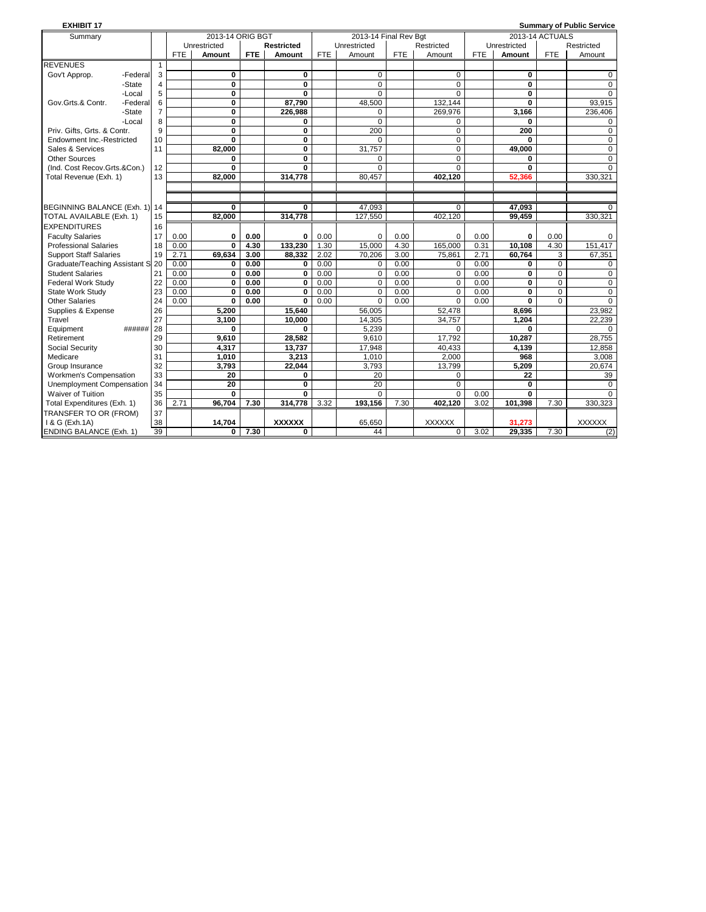| <b>EXHIBIT 17</b>                |                |            |                         |      |               |            |                       |            |               |            |                         |                 | <b>Summary of Public Service</b> |
|----------------------------------|----------------|------------|-------------------------|------|---------------|------------|-----------------------|------------|---------------|------------|-------------------------|-----------------|----------------------------------|
| Summary                          |                |            | 2013-14 ORIG BGT        |      |               |            | 2013-14 Final Rev Bgt |            |               |            |                         | 2013-14 ACTUALS |                                  |
|                                  |                |            | Unrestricted            |      | Restricted    |            | Unrestricted          |            | Restricted    |            | Unrestricted            |                 | Restricted                       |
|                                  |                | <b>FTE</b> | Amount                  | FTE. | Amount        | <b>FTE</b> | Amount                | <b>FTE</b> | Amount        | <b>FTE</b> | Amount                  | <b>FTE</b>      | Amount                           |
| <b>REVENUES</b>                  | $\mathbf{1}$   |            |                         |      |               |            |                       |            |               |            |                         |                 |                                  |
| Gov't Approp.<br>-Federal        | 3              |            | $\bf{0}$                |      | 0             |            | 0                     |            | $\mathbf 0$   |            | 0                       |                 | 0                                |
| -State                           | $\overline{4}$ |            | 0                       |      | $\bf{0}$      |            | 0                     |            | $\mathbf 0$   |            | 0                       |                 | 0                                |
| -Local                           | 5              |            | $\mathbf{0}$            |      | $\mathbf{0}$  |            | $\Omega$              |            | $\Omega$      |            | $\bf{0}$                |                 | $\Omega$                         |
| -Federal<br>Gov.Grts.& Contr.    | 6              |            | $\overline{\mathbf{0}}$ |      | 87,790        |            | 48,500                |            | 132,144       |            | $\overline{\mathbf{0}}$ |                 | 93,915                           |
| -State                           | $\overline{7}$ |            | 0                       |      | 226,988       |            | 0                     |            | 269,976       |            | 3.166                   |                 | 236,406                          |
| -Local                           | 8              |            | $\overline{\mathbf{0}}$ |      | 0             |            | $\Omega$              |            | $\Omega$      |            | 0                       |                 | 0                                |
| Priv. Gifts. Grts. & Contr.      | 9              |            | 0                       |      | 0             |            | 200                   |            | $\mathbf 0$   |            | 200                     |                 | 0                                |
| Endowment Inc.-Restricted        | 10             |            | $\bf{0}$                |      | $\bf{0}$      |            | 0                     |            | $\mathbf 0$   |            | 0                       |                 | 0                                |
| Sales & Services                 | 11             |            | 82.000                  |      | 0             |            | 31.757                |            | $\Omega$      |            | 49.000                  |                 | $\Omega$                         |
| <b>Other Sources</b>             |                |            | 0                       |      | 0             |            | 0                     |            | $\mathbf 0$   |            | 0                       |                 | 0                                |
| (Ind. Cost Recov.Grts.&Con.)     | 12             |            | 0                       |      | 0             |            | 0                     |            | $\Omega$      |            | 0                       |                 | 0                                |
| Total Revenue (Exh. 1)           | 13             |            | 82.000                  |      | 314,778       |            | 80.457                |            | 402,120       |            | 52,366                  |                 | 330,321                          |
|                                  |                |            |                         |      |               |            |                       |            |               |            |                         |                 |                                  |
|                                  |                |            |                         |      |               |            |                       |            |               |            |                         |                 |                                  |
| BEGINNING BALANCE (Exh. 1) 14    |                |            | 0                       |      | 0             |            | 47.093                |            | $\Omega$      |            | 47.093                  |                 | 0                                |
| TOTAL AVAILABLE (Exh. 1)         | 15             |            | 82,000                  |      | 314,778       |            | 127,550               |            | 402,120       |            | 99,459                  |                 | 330,321                          |
| <b>EXPENDITURES</b>              | 16             |            |                         |      |               |            |                       |            |               |            |                         |                 |                                  |
| <b>Faculty Salaries</b>          | 17             | 0.00       | $\bf{0}$                | 0.00 | 0             | 0.00       | 0                     | 0.00       | $\Omega$      | 0.00       | 0                       | 0.00            | 0                                |
| <b>Professional Salaries</b>     | 18             | 0.00       | $\bf{0}$                | 4.30 | 133,230       | 1.30       | 15,000                | 4.30       | 165,000       | 0.31       | 10,108                  | 4.30            | 151,417                          |
| <b>Support Staff Salaries</b>    | 19             | 2.71       | 69,634                  | 3.00 | 88.332        | 2.02       | 70.206                | 3.00       | 75,861        | 2.71       | 60.764                  | 3               | 67.351                           |
| Graduate/Teaching Assistant S    | 20             | 0.00       | 0                       | 0.00 | $\mathbf 0$   | 0.00       | 0                     | 0.00       | $\Omega$      | 0.00       | 0                       | $\Omega$        | $\mathbf 0$                      |
| <b>Student Salaries</b>          | 21             | 0.00       | $\overline{\mathbf{0}}$ | 0.00 | $\mathbf 0$   | 0.00       | 0                     | 0.00       | $\mathbf 0$   | 0.00       | 0                       | 0               | $\mathbf 0$                      |
| <b>Federal Work Study</b>        | 22             | 0.00       | $\bf{0}$                | 0.00 | $\mathbf 0$   | 0.00       | 0                     | 0.00       | $\mathbf 0$   | 0.00       | $\mathbf 0$             | $\mathbf 0$     | 0                                |
| State Work Study                 | 23             | 0.00       | $\bf{0}$                | 0.00 | 0             | 0.00       | $\Omega$              | 0.00       | $\Omega$      | 0.00       | $\bf{0}$                | $\Omega$        | $\mathbf 0$                      |
| <b>Other Salaries</b>            | 24             | 0.00       | $\bf{0}$                | 0.00 | $\mathbf{0}$  | 0.00       | 0                     | 0.00       | $\Omega$      | 0.00       | $\bf{0}$                | $\Omega$        | $\mathbf 0$                      |
| Supplies & Expense               | 26             |            | 5,200                   |      | 15,640        |            | 56,005                |            | 52,478        |            | 8,696                   |                 | 23,982                           |
| Travel                           | 27             |            | 3.100                   |      | 10.000        |            | 14,305                |            | 34,757        |            | 1.204                   |                 | 22,239                           |
| Equipment<br>######              | 28             |            | 0                       |      | $\Omega$      |            | 5,239                 |            | $\Omega$      |            | 0                       |                 | $\Omega$                         |
| Retirement                       | 29             |            | 9.610                   |      | 28.582        |            | 9.610                 |            | 17,792        |            | 10.287                  |                 | 28,755                           |
| Social Security                  | 30             |            | 4,317                   |      | 13.737        |            | 17.948                |            | 40.433        |            | 4.139                   |                 | 12.858                           |
| Medicare                         | 31             |            | 1,010                   |      | 3,213         |            | 1,010                 |            | 2.000         |            | 968                     |                 | 3,008                            |
| Group Insurance                  | 32             |            | 3,793                   |      | 22,044        |            | 3,793                 |            | 13,799        |            | 5,209                   |                 | 20,674                           |
| <b>Workmen's Compensation</b>    | 33             |            | $\overline{20}$         |      | 0             |            | 20                    |            | 0             |            | 22                      |                 | 39                               |
| <b>Unemployment Compensation</b> | 34             |            | 20                      |      | 0             |            | 20                    |            | $\Omega$      |            | 0                       |                 | $\Omega$                         |
| Waiver of Tuition                | 35             |            | $\Omega$                |      | 0             |            | $\Omega$              |            | $\Omega$      | 0.00       | $\mathbf{0}$            |                 | $\Omega$                         |
| Total Expenditures (Exh. 1)      | 36             | 2.71       | 96,704                  | 7.30 | 314,778       | 3.32       | 193,156               | 7.30       | 402,120       | 3.02       | 101,398                 | 7.30            | 330,323                          |
| TRANSFER TO OR (FROM)            | 37             |            |                         |      |               |            |                       |            |               |            |                         |                 |                                  |
| 1 & G (Exh.1A)                   | 38             |            | 14,704                  |      | <b>XXXXXX</b> |            | 65,650                |            | <b>XXXXXX</b> |            | 31,273                  |                 | <b>XXXXXX</b>                    |
| <b>ENDING BALANCE (Exh. 1)</b>   | 39             |            | $\bf{0}$                | 7.30 | 0             |            | 44                    |            | $\Omega$      | 3.02       | 29,335                  | 7.30            | (2)                              |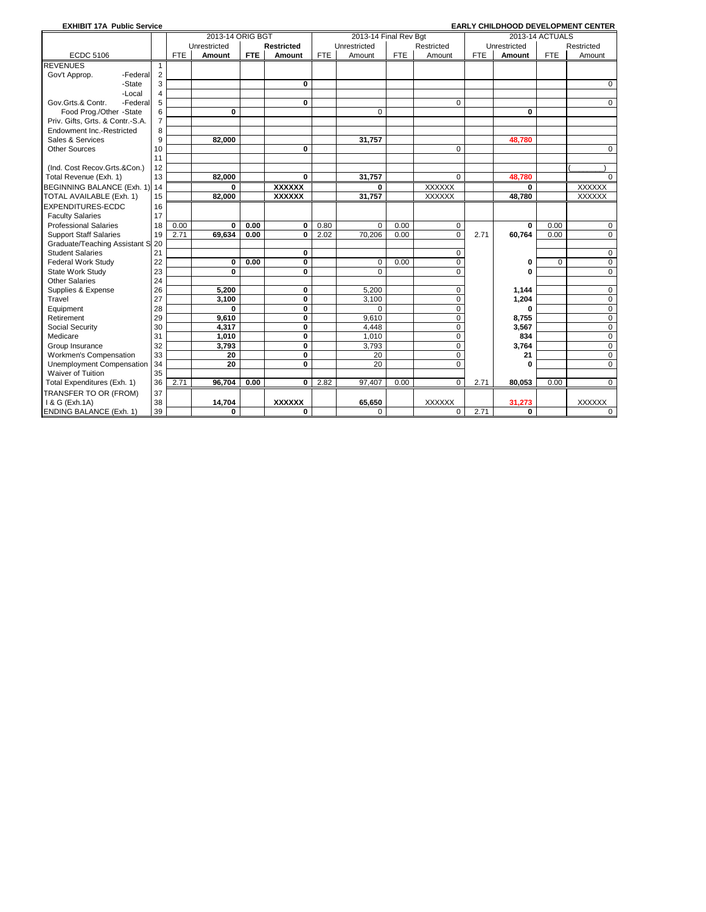| <b>EXHIBIT 17A Public Service</b> |                |            |                  |            |               |            |                       |            |                |            |              |                 | <b>EARLY CHILDHOOD DEVELOPMENT CENTER</b> |
|-----------------------------------|----------------|------------|------------------|------------|---------------|------------|-----------------------|------------|----------------|------------|--------------|-----------------|-------------------------------------------|
|                                   |                |            | 2013-14 ORIG BGT |            |               |            | 2013-14 Final Rev Bgt |            |                |            |              | 2013-14 ACTUALS |                                           |
|                                   |                |            | Unrestricted     |            | Restricted    |            | Unrestricted          |            | Restricted     |            | Unrestricted |                 | Restricted                                |
| <b>ECDC 5106</b>                  |                | <b>FTE</b> | Amount           | <b>FTE</b> | Amount        | <b>FTE</b> | Amount                | <b>FTE</b> | Amount         | <b>FTE</b> | Amount       | <b>FTE</b>      | Amount                                    |
| <b>REVENUES</b>                   |                |            |                  |            |               |            |                       |            |                |            |              |                 |                                           |
| Gov't Approp.<br>-Federal         | $\overline{2}$ |            |                  |            |               |            |                       |            |                |            |              |                 |                                           |
| -State                            | 3              |            |                  |            | 0             |            |                       |            |                |            |              |                 | 0                                         |
| -Local                            | $\overline{4}$ |            |                  |            |               |            |                       |            |                |            |              |                 |                                           |
| Gov.Grts.& Contr.<br>-Federa      | 5              |            |                  |            | 0             |            |                       |            | $\mathbf 0$    |            |              |                 | $\mathbf 0$                               |
| Food Prog./Other -State           | 6              |            | $\bf{0}$         |            |               |            | $\Omega$              |            |                |            | $\bf{0}$     |                 |                                           |
| Priv. Gifts, Grts. & Contr.-S.A.  | $\overline{7}$ |            |                  |            |               |            |                       |            |                |            |              |                 |                                           |
| Endowment Inc.-Restricted         | 8              |            |                  |            |               |            |                       |            |                |            |              |                 |                                           |
| Sales & Services                  | 9              |            | 82.000           |            |               |            | 31.757                |            |                |            | 48,780       |                 |                                           |
| <b>Other Sources</b>              | 10             |            |                  |            | $\bf{0}$      |            |                       |            | $\Omega$       |            |              |                 | $\Omega$                                  |
|                                   | 11             |            |                  |            |               |            |                       |            |                |            |              |                 |                                           |
| (Ind. Cost Recov.Grts.&Con.)      | 12             |            |                  |            |               |            |                       |            |                |            |              |                 |                                           |
| Total Revenue (Exh. 1)            | 13             |            | 82.000           |            | 0             |            | 31.757                |            | $\Omega$       |            | 48.780       |                 | 0                                         |
| <b>BEGINNING BALANCE (Exh. 1)</b> | 14             |            | 0                |            | <b>XXXXXX</b> |            | 0                     |            | <b>XXXXXX</b>  |            | 0            |                 | <b>XXXXXX</b>                             |
| TOTAL AVAILABLE (Exh. 1)          | 15             |            | 82,000           |            | <b>XXXXXX</b> |            | 31,757                |            | <b>XXXXXX</b>  |            | 48,780       |                 | XXXXXX                                    |
| <b>EXPENDITURES-ECDC</b>          | 16             |            |                  |            |               |            |                       |            |                |            |              |                 |                                           |
| <b>Faculty Salaries</b>           | 17             |            |                  |            |               |            |                       |            |                |            |              |                 |                                           |
| <b>Professional Salaries</b>      | 18             | 0.00       | 0                | 0.00       | $\mathbf 0$   | 0.80       | 0                     | 0.00       | $\mathbf 0$    |            | $\bf{0}$     | 0.00            | $\mathbf 0$                               |
| <b>Support Staff Salaries</b>     | 19             | 2.71       | 69,634           | 0.00       | $\bf{0}$      | 2.02       | 70,206                | 0.00       | $\overline{0}$ | 2.71       | 60,764       | 0.00            | $\mathbf 0$                               |
| Graduate/Teaching Assistant S     | 20             |            |                  |            |               |            |                       |            |                |            |              |                 |                                           |
| <b>Student Salaries</b>           | 21             |            |                  |            | 0             |            |                       |            | 0              |            |              |                 | $\mathbf 0$                               |
| <b>Federal Work Study</b>         | 22             |            | 0                | 0.00       | 0             |            | 0                     | 0.00       | $\mathbf 0$    |            | 0            | 0               | 0                                         |
| State Work Study                  | 23             |            | 0                |            | 0             |            | 0                     |            | $\Omega$       |            | O            |                 | 0                                         |
| <b>Other Salaries</b>             | 24             |            |                  |            |               |            |                       |            |                |            |              |                 |                                           |
| Supplies & Expense                | 26             |            | 5,200            |            | $\pmb{0}$     |            | 5,200                 |            | $\mathbf 0$    |            | 1,144        |                 | $\mathbf 0$                               |
| Travel                            | 27             |            | 3,100            |            | $\bf{0}$      |            | 3,100                 |            | $\mathbf 0$    |            | 1,204        |                 | 0                                         |
| Equipment                         | 28             |            | 0                |            | 0             |            | 0                     |            | $\mathbf 0$    |            | 0            |                 | $\mathbf 0$                               |
| Retirement                        | 29             |            | 9.610            |            | $\bf{0}$      |            | 9.610                 |            | $\mathbf 0$    |            | 8,755        |                 | $\mathbf 0$                               |
| Social Security                   | 30             |            | 4,317            |            | $\mathbf 0$   |            | 4,448                 |            | $\mathbf 0$    |            | 3,567        |                 | $\mathbf 0$                               |
| Medicare                          | 31             |            | 1,010            |            | 0             |            | 1,010                 |            | $\Omega$       |            | 834          |                 | 0                                         |
| Group Insurance                   | 32             |            | 3,793            |            | 0             |            | 3,793                 |            | $\Omega$       |            | 3,764        |                 | $\mathbf 0$                               |
| <b>Workmen's Compensation</b>     | 33             |            | 20               |            | $\bf{0}$      |            | 20                    |            | $\mathbf 0$    |            | 21           |                 | $\mathbf 0$                               |
| Unemployment Compensation         | 34             |            | $\overline{20}$  |            | 0             |            | 20                    |            | $\Omega$       |            | O            |                 | $\mathbf 0$                               |
| Waiver of Tuition                 | 35             |            |                  |            |               |            |                       |            |                |            |              |                 |                                           |
| Total Expenditures (Exh. 1)       | 36             | 2.71       | 96.704           | 0.00       | 0             | 2.82       | 97.407                | 0.00       | $\overline{0}$ | 2.71       | 80.053       | 0.00            | $\Omega$                                  |
| TRANSFER TO OR (FROM)             | 37             |            |                  |            |               |            |                       |            |                |            |              |                 |                                           |
| 1 & G (Exh.1A)                    | 38             |            | 14,704           |            | <b>XXXXXX</b> |            | 65,650                |            | <b>XXXXXX</b>  |            | 31.273       |                 | <b>XXXXXX</b>                             |
| <b>ENDING BALANCE (Exh. 1)</b>    | 39             |            | 0                |            | $\bf{0}$      |            | 0                     |            | $\mathbf 0$    | 2.71       | 0            |                 | $\Omega$                                  |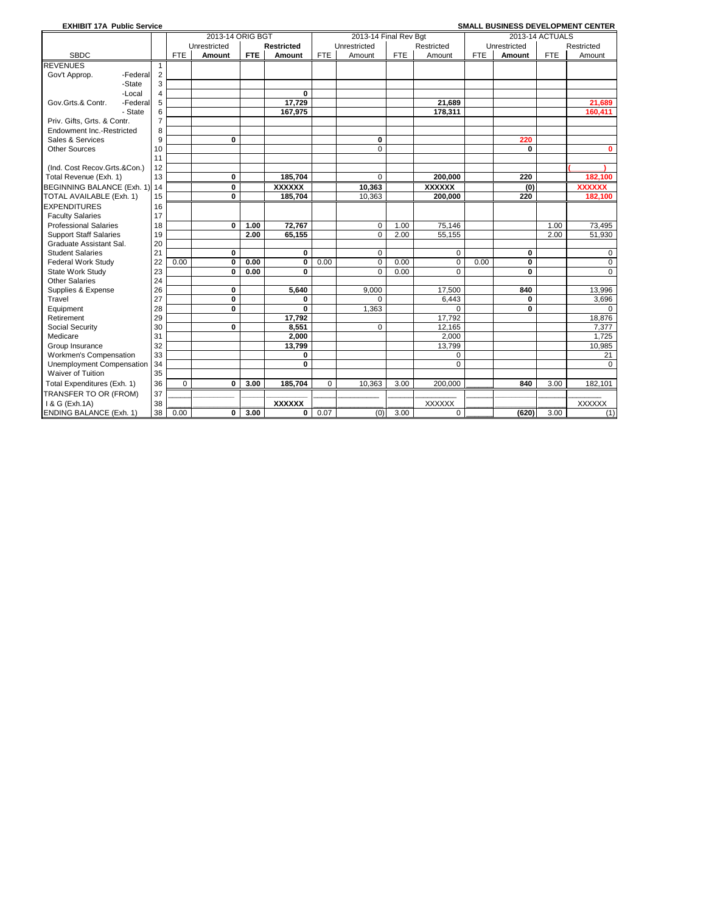| <b>EXHIBIT 17A Public Service</b> |                |             |                  |            |               |            |                       |            |               |            |              |                 | SMALL BUSINESS DEVELOPMENT CENTER |
|-----------------------------------|----------------|-------------|------------------|------------|---------------|------------|-----------------------|------------|---------------|------------|--------------|-----------------|-----------------------------------|
|                                   |                |             | 2013-14 ORIG BGT |            |               |            | 2013-14 Final Rev Bqt |            |               |            |              | 2013-14 ACTUALS |                                   |
|                                   |                |             | Unrestricted     |            | Restricted    |            | Unrestricted          |            | Restricted    |            | Unrestricted |                 | Restricted                        |
| <b>SBDC</b>                       |                | <b>FTE</b>  | Amount           | <b>FTE</b> | Amount        | <b>FTE</b> | Amount                | <b>FTE</b> | Amount        | <b>FTE</b> | Amount       | <b>FTE</b>      | Amount                            |
| <b>REVENUES</b>                   | $\mathbf 1$    |             |                  |            |               |            |                       |            |               |            |              |                 |                                   |
| Gov't Approp.<br>-Federal         | $\overline{2}$ |             |                  |            |               |            |                       |            |               |            |              |                 |                                   |
| -State                            | 3              |             |                  |            |               |            |                       |            |               |            |              |                 |                                   |
| -Local                            | $\overline{4}$ |             |                  |            | 0             |            |                       |            |               |            |              |                 |                                   |
| -Federal<br>Gov.Grts.& Contr.     | 5              |             |                  |            | 17,729        |            |                       |            | 21,689        |            |              |                 | 21,689                            |
| - State                           | 6              |             |                  |            | 167,975       |            |                       |            | 178,311       |            |              |                 | 160,411                           |
| Priv. Gifts. Grts. & Contr.       | $\overline{7}$ |             |                  |            |               |            |                       |            |               |            |              |                 |                                   |
| Endowment Inc.-Restricted         | 8              |             |                  |            |               |            |                       |            |               |            |              |                 |                                   |
| Sales & Services                  | 9              |             | 0                |            |               |            | 0                     |            |               |            | 220          |                 |                                   |
| <b>Other Sources</b>              | 10             |             |                  |            |               |            | $\overline{0}$        |            |               |            | 0            |                 | 0                                 |
|                                   | 11             |             |                  |            |               |            |                       |            |               |            |              |                 |                                   |
| (Ind. Cost Recov.Grts.&Con.)      | 12             |             |                  |            |               |            |                       |            |               |            |              |                 |                                   |
| Total Revenue (Exh. 1)            | 13             |             | 0                |            | 185,704       |            | 0                     |            | 200,000       |            | 220          |                 | 182,100                           |
| BEGINNING BALANCE (Exh. 1)        | 14             |             | 0                |            | <b>XXXXXX</b> |            | 10,363                |            | <b>XXXXXX</b> |            | (0)          |                 | <b>XXXXXX</b>                     |
| TOTAL AVAILABLE (Exh. 1)          | 15             |             | $\mathbf{0}$     |            | 185,704       |            | 10.363                |            | 200,000       |            | 220          |                 | 182,100                           |
| <b>EXPENDITURES</b>               | 16             |             |                  |            |               |            |                       |            |               |            |              |                 |                                   |
| <b>Faculty Salaries</b>           | 17             |             |                  |            |               |            |                       |            |               |            |              |                 |                                   |
| <b>Professional Salaries</b>      | 18             |             | 0                | 1.00       | 72,767        |            | 0                     | 1.00       | 75,146        |            |              | 1.00            | 73,495                            |
| <b>Support Staff Salaries</b>     | 19             |             |                  | 2.00       | 65,155        |            | $\overline{0}$        | 2.00       | 55,155        |            |              | 2.00            | 51,930                            |
| Graduate Assistant Sal.           | 20             |             |                  |            |               |            |                       |            |               |            |              |                 |                                   |
| <b>Student Salaries</b>           | 21             |             | 0                |            | $\mathbf 0$   |            | 0                     |            | $\mathbf 0$   |            | 0            |                 | 0                                 |
| <b>Federal Work Study</b>         | 22             | 0.00        | 0                | 0.00       | $\bf{0}$      | 0.00       | 0                     | 0.00       | $\mathbf 0$   | 0.00       | 0            |                 | 0                                 |
| State Work Study                  | 23             |             | 0                | 0.00       | $\bf{0}$      |            | $\Omega$              | 0.00       | $\Omega$      |            | $\bf{0}$     |                 | $\mathbf 0$                       |
| <b>Other Salaries</b>             | 24             |             |                  |            |               |            |                       |            |               |            |              |                 |                                   |
| Supplies & Expense                | 26             |             | 0                |            | 5.640         |            | 9,000                 |            | 17.500        |            | 840          |                 | 13.996                            |
| Travel                            | 27             |             | 0                |            | 0             |            | $\Omega$              |            | 6.443         |            | 0            |                 | 3,696                             |
| Equipment                         | 28             |             | 0                |            | 0             |            | 1,363                 |            | $\Omega$      |            | $\bf{0}$     |                 | $\Omega$                          |
| Retirement                        | 29             |             |                  |            | 17,792        |            |                       |            | 17.792        |            |              |                 | 18,876                            |
| Social Security                   | 30             |             | $\mathbf{0}$     |            | 8,551         |            | $\Omega$              |            | 12,165        |            |              |                 | 7,377                             |
| Medicare                          | 31             |             |                  |            | 2.000         |            |                       |            | 2,000         |            |              |                 | 1,725                             |
| Group Insurance                   | 32             |             |                  |            | 13,799        |            |                       |            | 13,799        |            |              |                 | 10,985                            |
| Workmen's Compensation            | 33             |             |                  |            | 0             |            |                       |            | $\Omega$      |            |              |                 | 21                                |
| Unemployment Compensation         | 34             |             |                  |            | 0             |            |                       |            | $\Omega$      |            |              |                 | $\Omega$                          |
| Waiver of Tuition                 | 35             |             |                  |            |               |            |                       |            |               |            |              |                 |                                   |
| Total Expenditures (Exh. 1)       | 36             | $\mathbf 0$ | 0                | 3.00       | 185,704       | 0          | 10,363                | 3.00       | 200,000       |            | 840          | 3.00            | 182,101                           |
| TRANSFER TO OR (FROM)             | 37             |             |                  |            |               |            |                       |            |               |            |              |                 |                                   |
| 1 & G (Exh.1A)                    | 38             |             |                  |            | <b>XXXXXX</b> |            |                       |            | <b>XXXXXX</b> |            |              |                 | <b>XXXXXX</b>                     |
| <b>ENDING BALANCE (Exh. 1)</b>    | 38             | 0.00        | 0                | 3.00       | 0             | 0.07       | (0)                   | 3.00       | $\mathbf 0$   |            | (620)        | 3.00            | (1)                               |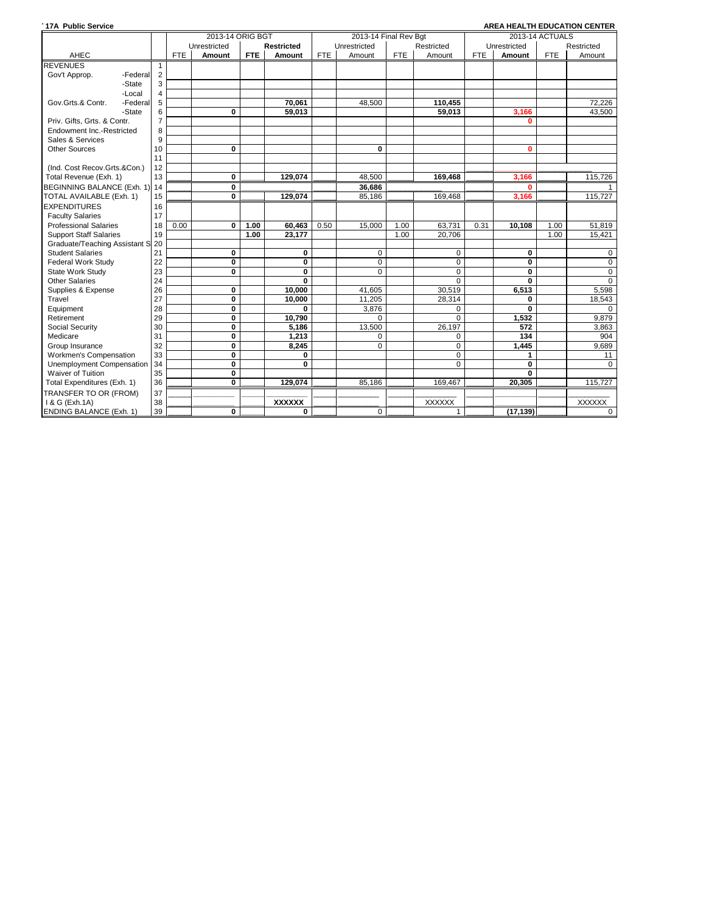| <b>17A Public Service</b>        |                |            |                         |            |                   |            |                       |            |               |            |              |                 | AREA HEALTH EDUCATION CENTER |
|----------------------------------|----------------|------------|-------------------------|------------|-------------------|------------|-----------------------|------------|---------------|------------|--------------|-----------------|------------------------------|
|                                  |                |            | 2013-14 ORIG BGT        |            |                   |            | 2013-14 Final Rev Bqt |            |               |            |              | 2013-14 ACTUALS |                              |
|                                  |                |            | Unrestricted            |            | <b>Restricted</b> |            | Unrestricted          |            | Restricted    |            | Unrestricted |                 | Restricted                   |
| AHEC                             |                | <b>FTE</b> | Amount                  | <b>FTE</b> | Amount            | <b>FTE</b> | Amount                | <b>FTE</b> | Amount        | <b>FTE</b> | Amount       | <b>FTE</b>      | Amount                       |
| <b>REVENUES</b>                  | -1             |            |                         |            |                   |            |                       |            |               |            |              |                 |                              |
| Gov't Approp.<br>-Federal        | $\overline{2}$ |            |                         |            |                   |            |                       |            |               |            |              |                 |                              |
| -State                           | 3              |            |                         |            |                   |            |                       |            |               |            |              |                 |                              |
| -Local                           | $\overline{4}$ |            |                         |            |                   |            |                       |            |               |            |              |                 |                              |
| Gov.Grts.& Contr.<br>-Federal    | 5              |            |                         |            | 70.061            |            | 48,500                |            | 110,455       |            |              |                 | 72,226                       |
| -State                           | 6              |            | $\bf{0}$                |            | 59.013            |            |                       |            | 59.013        |            | 3.166        |                 | 43.500                       |
| Priv. Gifts. Grts. & Contr.      | $\overline{7}$ |            |                         |            |                   |            |                       |            |               |            | n            |                 |                              |
| Endowment Inc.-Restricted        | 8              |            |                         |            |                   |            |                       |            |               |            |              |                 |                              |
| Sales & Services                 | 9              |            |                         |            |                   |            |                       |            |               |            |              |                 |                              |
| <b>Other Sources</b>             | 10             |            | $\bf{0}$                |            |                   |            | 0                     |            |               |            | $\bf{0}$     |                 |                              |
|                                  | 11             |            |                         |            |                   |            |                       |            |               |            |              |                 |                              |
| (Ind. Cost Recov.Grts.&Con.)     | 12             |            |                         |            |                   |            |                       |            |               |            |              |                 |                              |
| Total Revenue (Exh. 1)           | 13             |            | 0                       |            | 129,074           |            | 48,500                |            | 169,468       |            | 3,166        |                 | 115,726                      |
| BEGINNING BALANCE (Exh. 1) 14    |                |            | 0                       |            |                   |            | 36,686                |            |               |            | O            |                 |                              |
| TOTAL AVAILABLE (Exh. 1)         | 15             |            | 0                       |            | 129,074           |            | 85,186                |            | 169.468       |            | 3,166        |                 | 115,727                      |
| <b>EXPENDITURES</b>              | 16             |            |                         |            |                   |            |                       |            |               |            |              |                 |                              |
| <b>Faculty Salaries</b>          | 17             |            |                         |            |                   |            |                       |            |               |            |              |                 |                              |
| <b>Professional Salaries</b>     | 18             | 0.00       | 0                       | 1.00       | 60,463            | 0.50       | 15,000                | 1.00       | 63,731        | 0.31       | 10,108       | 1.00            | 51,819                       |
| <b>Support Staff Salaries</b>    | 19             |            |                         | 1.00       | 23,177            |            |                       | 1.00       | 20.706        |            |              | 1.00            | 15.421                       |
| Graduate/Teaching Assistant S 20 |                |            |                         |            |                   |            |                       |            |               |            |              |                 |                              |
| <b>Student Salaries</b>          | 21             |            | 0                       |            | 0                 |            | 0                     |            | 0             |            | 0            |                 | 0                            |
| <b>Federal Work Study</b>        | 22             |            | $\mathbf 0$             |            | $\mathbf 0$       |            | $\mathbf 0$           |            | $\mathbf 0$   |            | 0            |                 | $\mathbf 0$                  |
| State Work Study                 | 23             |            | 0                       |            | 0                 |            | $\mathbf 0$           |            | $\mathbf 0$   |            | 0            |                 | $\mathbf 0$                  |
| <b>Other Salaries</b>            | 24             |            |                         |            | $\bf{0}$          |            |                       |            | $\Omega$      |            | 0            |                 | $\Omega$                     |
| Supplies & Expense               | 26             |            | 0                       |            | 10,000            |            | 41,605                |            | 30,519        |            | 6,513        |                 | 5,598                        |
| Travel                           | 27             |            | $\bf{0}$                |            | 10.000            |            | 11,205                |            | 28.314        |            | 0            |                 | 18,543                       |
| Equipment                        | 28             |            | $\bf{0}$                |            | 0                 |            | 3,876                 |            | $\Omega$      |            | $\mathbf{0}$ |                 | $\Omega$                     |
| Retirement                       | 29             |            | $\mathbf 0$             |            | 10,790            |            | $\Omega$              |            | $\Omega$      |            | 1,532        |                 | 9,879                        |
| Social Security                  | 30             |            | 0                       |            | 5,186             |            | 13,500                |            | 26.197        |            | 572          |                 | 3,863                        |
| Medicare                         | 31             |            | $\overline{\mathbf{0}}$ |            | 1,213             |            | $\Omega$              |            | 0             |            | 134          |                 | 904                          |
| Group Insurance                  | 32             |            | $\mathbf 0$             |            | 8.245             |            | $\Omega$              |            | $\Omega$      |            | 1.445        |                 | 9,689                        |
| Workmen's Compensation           | 33             |            | 0                       |            | 0                 |            |                       |            | 0             |            | 1            |                 | 11                           |
| <b>Unemployment Compensation</b> | 34             |            | $\mathbf 0$             |            | $\bf{0}$          |            |                       |            | $\Omega$      |            | 0            |                 | $\Omega$                     |
| <b>Waiver of Tuition</b>         | 35             |            | $\bf{0}$                |            |                   |            |                       |            |               |            | $\mathbf{0}$ |                 |                              |
| Total Expenditures (Exh. 1)      | 36             |            | $\overline{\mathbf{0}}$ |            | 129.074           |            | 85.186                |            | 169.467       |            | 20,305       |                 | 115,727                      |
| TRANSFER TO OR (FROM)            | 37             |            |                         |            |                   |            |                       |            |               |            |              |                 |                              |
| 1 & G (Exh.1A)                   | 38             |            |                         |            | <b>XXXXXX</b>     |            |                       |            | <b>XXXXXX</b> |            |              |                 | <b>XXXXXX</b>                |
| <b>ENDING BALANCE (Exh. 1)</b>   | 39             |            | 0                       |            | 0                 |            | $\mathbf 0$           |            | 1             |            | (17, 139)    |                 | $\mathbf 0$                  |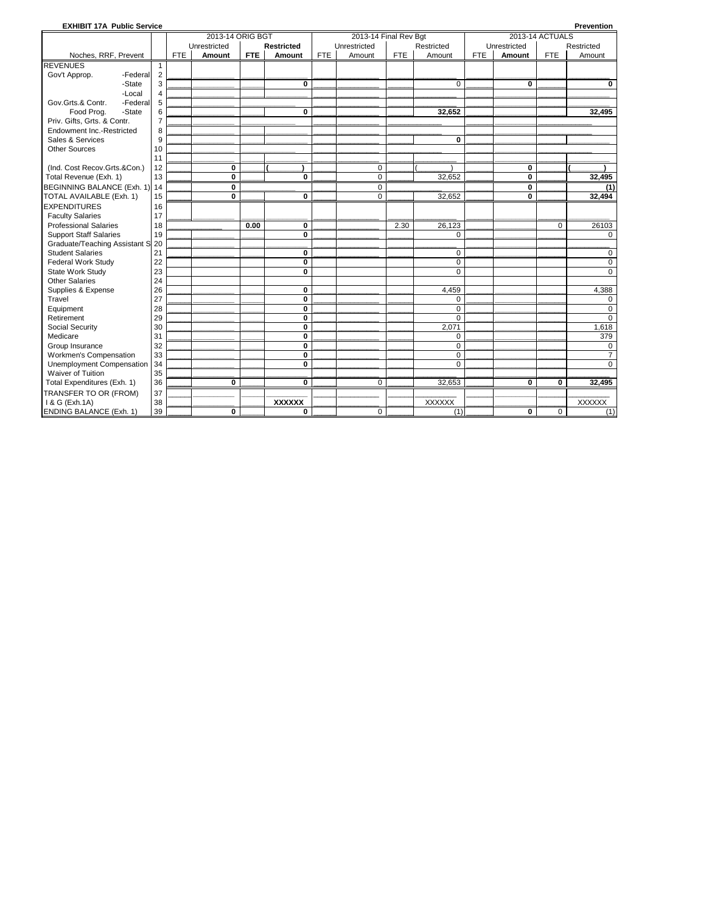| <b>EXHIBIT 17A Public Service</b> |                |            |                  |            |                         |            |                       |            |               |            |              |                 | Prevention     |
|-----------------------------------|----------------|------------|------------------|------------|-------------------------|------------|-----------------------|------------|---------------|------------|--------------|-----------------|----------------|
|                                   |                |            | 2013-14 ORIG BGT |            |                         |            | 2013-14 Final Rev Bqt |            |               |            |              | 2013-14 ACTUALS |                |
|                                   |                |            | Unrestricted     |            | <b>Restricted</b>       |            | Unrestricted          |            | Restricted    |            | Unrestricted |                 | Restricted     |
| Noches, RRF, Prevent              |                | <b>FTE</b> | Amount           | <b>FTE</b> | Amount                  | <b>FTE</b> | Amount                | <b>FTE</b> | Amount        | <b>FTE</b> | Amount       | <b>FTE</b>      | Amount         |
| <b>REVENUES</b>                   | $\mathbf{1}$   |            |                  |            |                         |            |                       |            |               |            |              |                 |                |
| Gov't Approp.<br>-Federal         | $\overline{2}$ |            |                  |            |                         |            |                       |            |               |            |              |                 |                |
| -State                            | 3              |            |                  |            | $\mathbf{0}$            |            |                       |            | $\Omega$      |            | $\bf{0}$     |                 | $\bf{0}$       |
| -Local                            | $\overline{4}$ |            |                  |            |                         |            |                       |            |               |            |              |                 |                |
| Gov.Grts.& Contr.<br>-Federal     | 5              |            |                  |            |                         |            |                       |            |               |            |              |                 |                |
| Food Prog.<br>-State              | 6              |            |                  |            | $\mathbf{0}$            |            |                       |            | 32,652        |            |              |                 | 32,495         |
| Priv. Gifts, Grts. & Contr.       | $\overline{7}$ |            |                  |            |                         |            |                       |            |               |            |              |                 |                |
| Endowment Inc.-Restricted         | 8              |            |                  |            |                         |            |                       |            |               |            |              |                 |                |
| Sales & Services                  | 9              |            |                  |            |                         |            |                       |            | $\bf{0}$      |            |              |                 |                |
| <b>Other Sources</b>              | 10             |            |                  |            |                         |            |                       |            |               |            |              |                 |                |
|                                   | 11             |            |                  |            |                         |            |                       |            |               |            |              |                 |                |
| (Ind. Cost Recov.Grts.&Con.)      | 12             |            | 0                |            |                         |            | $\mathbf 0$           |            |               |            | 0            |                 |                |
| Total Revenue (Exh. 1)            | 13             |            | 0                |            | 0                       |            | $\mathbf 0$           |            | 32,652        |            | 0            |                 | 32,495         |
| BEGINNING BALANCE (Exh. 1)        | 14             |            | 0                |            |                         |            | 0                     |            |               |            | 0            |                 | (1)            |
| TOTAL AVAILABLE (Exh. 1)          | 15             |            | $\bf{0}$         |            | 0                       |            | $\Omega$              |            | 32,652        |            | $\mathbf{0}$ |                 | 32,494         |
| <b>EXPENDITURES</b>               | 16             |            |                  |            |                         |            |                       |            |               |            |              |                 |                |
| <b>Faculty Salaries</b>           | 17             |            |                  |            |                         |            |                       |            |               |            |              |                 |                |
| <b>Professional Salaries</b>      | 18             |            |                  | 0.00       | 0                       |            |                       | 2.30       | 26,123        |            |              | $\Omega$        | 26103          |
| <b>Support Staff Salaries</b>     | 19             |            |                  |            | 0                       |            |                       |            | $\mathbf 0$   |            |              |                 | 0              |
| Graduate/Teaching Assistant S     | 20             |            |                  |            |                         |            |                       |            |               |            |              |                 |                |
| <b>Student Salaries</b>           | 21             |            |                  |            | $\mathbf{0}$            |            |                       |            | $\mathbf 0$   |            |              |                 | 0              |
| <b>Federal Work Study</b>         | 22             |            |                  |            | 0                       |            |                       |            | $\mathbf 0$   |            |              |                 | $\mathbf 0$    |
| State Work Study                  | 23             |            |                  |            | 0                       |            |                       |            | $\Omega$      |            |              |                 | $\Omega$       |
| <b>Other Salaries</b>             | 24             |            |                  |            |                         |            |                       |            |               |            |              |                 |                |
| Supplies & Expense                | 26             |            |                  |            | $\pmb{0}$               |            |                       |            | 4,459         |            |              |                 | 4,388          |
| Travel                            | 27             |            |                  |            | $\mathbf 0$             |            |                       |            | $\mathbf 0$   |            |              |                 | 0              |
| Equipment                         | 28             |            |                  |            | 0                       |            |                       |            | $\mathbf 0$   |            |              |                 | $\Omega$       |
| Retirement                        | 29             |            |                  |            | $\bf{0}$                |            |                       |            | $\Omega$      |            |              |                 | $\Omega$       |
| Social Security                   | 30             |            |                  |            | $\mathbf 0$             |            |                       |            | 2.071         |            |              |                 | 1,618          |
| Medicare                          | 31             |            |                  |            | $\overline{\mathbf{0}}$ |            |                       |            | $\mathbf 0$   |            |              |                 | 379            |
| Group Insurance                   | 32             |            |                  |            | 0                       |            |                       |            | $\mathbf 0$   |            |              |                 | 0              |
| Workmen's Compensation            | 33             |            |                  |            | $\mathbf 0$             |            |                       |            | $\mathbf 0$   |            |              |                 | $\overline{7}$ |
| Unemployment Compensation         | 34             |            |                  |            | $\mathbf{0}$            |            |                       |            | $\Omega$      |            |              |                 | $\Omega$       |
| Waiver of Tuition                 | 35             |            |                  |            |                         |            |                       |            |               |            |              |                 |                |
| Total Expenditures (Exh. 1)       | 36             |            | 0                |            | $\bf{0}$                |            | $\Omega$              |            | 32,653        |            | 0            | $\bf{0}$        | 32.495         |
| TRANSFER TO OR (FROM)             | 37             |            |                  |            |                         |            |                       |            |               |            |              |                 |                |
| 1 & G (Exh.1A)                    | 38             |            |                  |            | <b>XXXXXX</b>           |            |                       |            | <b>XXXXXX</b> |            |              |                 | <b>XXXXXX</b>  |
| <b>ENDING BALANCE (Exh. 1)</b>    | 39             |            | $\bf{0}$         |            | $\bf{0}$                |            | $\Omega$              |            | (1)           |            | 0            | $\mathbf 0$     | (1)            |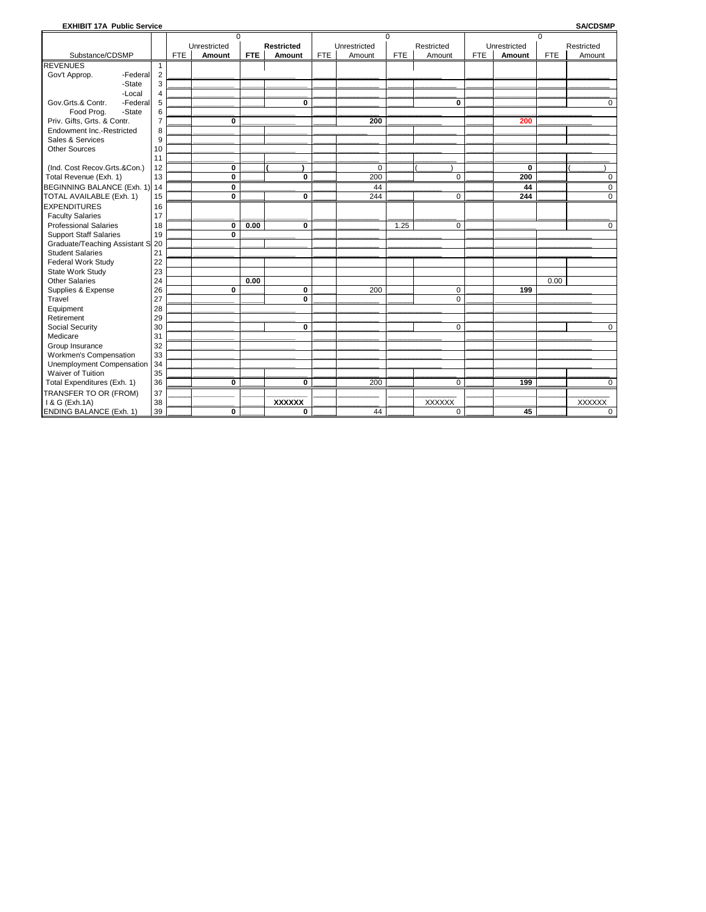## EXHIBIT 17A Public Service

**SA/CDSMP** 

|                                |                | $\Omega$   |              |            |                   |            | $\Omega$     |            |               |            | $\mathbf 0$  |            |               |
|--------------------------------|----------------|------------|--------------|------------|-------------------|------------|--------------|------------|---------------|------------|--------------|------------|---------------|
|                                |                |            | Unrestricted |            | <b>Restricted</b> |            | Unrestricted |            | Restricted    |            | Unrestricted |            | Restricted    |
| Substance/CDSMP                |                | <b>FTE</b> | Amount       | <b>FTE</b> | Amount            | <b>FTE</b> | Amount       | <b>FTE</b> | Amount        | <b>FTE</b> | Amount       | <b>FTE</b> | Amount        |
| <b>REVENUES</b>                | 1              |            |              |            |                   |            |              |            |               |            |              |            |               |
| Gov't Approp.<br>-Federal      | $\overline{2}$ |            |              |            |                   |            |              |            |               |            |              |            |               |
| -State                         | 3              |            |              |            |                   |            |              |            |               |            |              |            |               |
| -Local                         | $\overline{4}$ |            |              |            |                   |            |              |            |               |            |              |            |               |
| Gov.Grts.& Contr.<br>-Federal  | 5              |            |              |            | $\bf{0}$          |            |              |            | $\bf{0}$      |            |              |            | 0             |
| Food Prog.<br>-State           | 6              |            |              |            |                   |            |              |            |               |            |              |            |               |
| Priv. Gifts, Grts. & Contr.    | $\overline{7}$ |            | 0            |            |                   |            | 200          |            |               |            | 200          |            |               |
| Endowment Inc.-Restricted      | 8              |            |              |            |                   |            |              |            |               |            |              |            |               |
| Sales & Services               | 9              |            |              |            |                   |            |              |            |               |            |              |            |               |
| <b>Other Sources</b>           | 10             |            |              |            |                   |            |              |            |               |            |              |            |               |
|                                | 11             |            |              |            |                   |            |              |            |               |            |              |            |               |
| (Ind. Cost Recov.Grts.&Con.)   | 12             |            | 0            |            |                   |            | 0            |            |               |            | 0            |            |               |
| Total Revenue (Exh. 1)         | 13             |            | Ō            |            | 0                 |            | 200          |            | $\mathbf 0$   |            | 200          |            | 0             |
| BEGINNING BALANCE (Exh. 1)     | 14             |            | 0            |            |                   |            | 44           |            |               |            | 44           |            | 0             |
| TOTAL AVAILABLE (Exh. 1)       | 15             |            | 0            |            | 0                 |            | 244          |            | $\mathbf 0$   |            | 244          |            | 0             |
| <b>EXPENDITURES</b>            | 16             |            |              |            |                   |            |              |            |               |            |              |            |               |
| <b>Faculty Salaries</b>        | 17             |            |              |            |                   |            |              |            |               |            |              |            |               |
| <b>Professional Salaries</b>   | 18             |            | 0            | 0.00       | 0                 |            |              | 1.25       | $\mathbf 0$   |            |              |            | $\mathbf 0$   |
| <b>Support Staff Salaries</b>  | 19             |            | 0            |            |                   |            |              |            |               |            |              |            |               |
| Graduate/Teaching Assistant S  | 20             |            |              |            |                   |            |              |            |               |            |              |            |               |
| <b>Student Salaries</b>        | 21             |            |              |            |                   |            |              |            |               |            |              |            |               |
| Federal Work Study             | 22             |            |              |            |                   |            |              |            |               |            |              |            |               |
| State Work Study               | 23             |            |              |            |                   |            |              |            |               |            |              |            |               |
| <b>Other Salaries</b>          | 24             |            |              | 0.00       |                   |            |              |            |               |            |              | 0.00       |               |
| Supplies & Expense             | 26             |            | 0            |            | 0                 |            | 200          |            | $\mathbf 0$   |            | 199          |            |               |
| Travel                         | 27             |            |              |            | $\bf{0}$          |            |              |            | $\mathbf 0$   |            |              |            |               |
| Equipment                      | 28             |            |              |            |                   |            |              |            |               |            |              |            |               |
| Retirement                     | 29             |            |              |            |                   |            |              |            |               |            |              |            |               |
| Social Security                | 30             |            |              |            | 0                 |            |              |            | $\mathbf 0$   |            |              |            | 0             |
| Medicare                       | 31             |            |              |            |                   |            |              |            |               |            |              |            |               |
| Group Insurance                | 32             |            |              |            |                   |            |              |            |               |            |              |            |               |
| Workmen's Compensation         | 33             |            |              |            |                   |            |              |            |               |            |              |            |               |
| Unemployment Compensation      | 34             |            |              |            |                   |            |              |            |               |            |              |            |               |
| Waiver of Tuition              | 35             |            |              |            |                   |            |              |            |               |            |              |            |               |
| Total Expenditures (Exh. 1)    | 36             |            | 0            |            | 0                 |            | 200          |            | $\mathbf 0$   |            | 199          |            | $\Omega$      |
| TRANSFER TO OR (FROM)          | 37             |            |              |            |                   |            |              |            |               |            |              |            |               |
| I & G (Exh.1A)                 | 38             |            |              |            | <b>XXXXXX</b>     |            |              |            | <b>XXXXXX</b> |            |              |            | <b>XXXXXX</b> |
| <b>ENDING BALANCE (Exh. 1)</b> | 39             |            | 0            |            | 0                 |            | 44           |            | $\mathbf 0$   |            | 45           |            | 0             |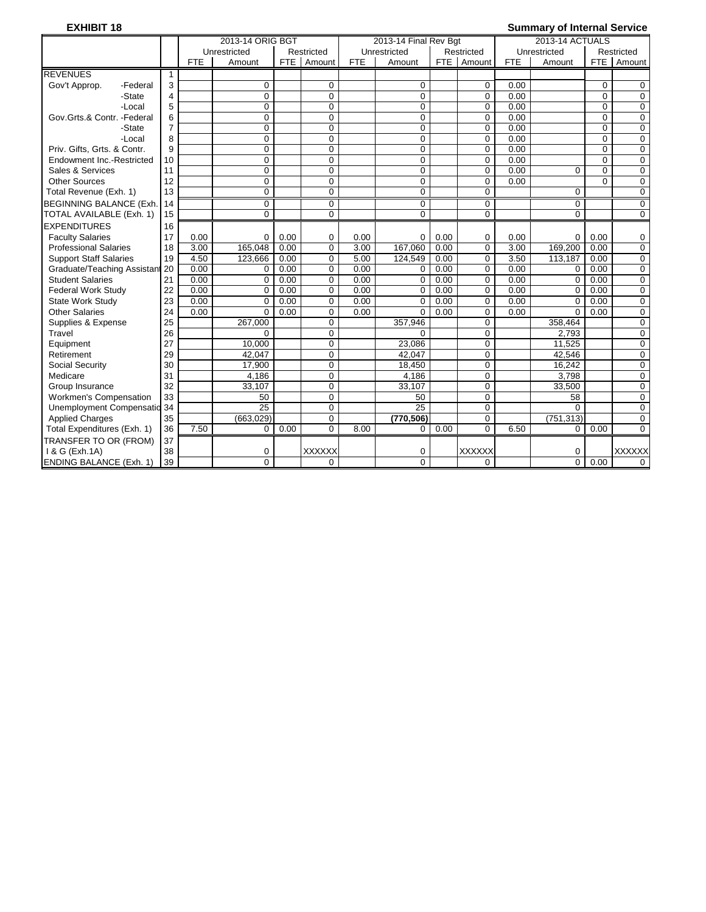## **EXHIBIT 18 Summary of Internal Service**

|                                |              |            | 2013-14 ORIG BGT |            |               |            | 2013-14 Final Rev Bgt |            |               |            | 2013-14 ACTUALS |            |               |
|--------------------------------|--------------|------------|------------------|------------|---------------|------------|-----------------------|------------|---------------|------------|-----------------|------------|---------------|
|                                |              |            | Unrestricted     |            | Restricted    |            | Unrestricted          |            | Restricted    |            | Unrestricted    |            | Restricted    |
|                                |              | <b>FTE</b> | Amount           | <b>FTE</b> | Amount        | <b>FTE</b> | Amount                | <b>FTE</b> | Amount        | <b>FTE</b> | Amount          | <b>FTE</b> | Amount        |
| <b>REVENUES</b>                | $\mathbf{1}$ |            |                  |            |               |            |                       |            |               |            |                 |            |               |
| Gov't Approp.<br>-Federal      | 3            |            | $\Omega$         |            | $\mathbf 0$   |            | $\mathbf 0$           |            | $\mathbf 0$   | 0.00       |                 | $\Omega$   | 0             |
| -State                         | 4            |            | $\Omega$         |            | $\mathbf 0$   |            | 0                     |            | $\mathbf 0$   | 0.00       |                 | $\Omega$   | $\mathbf 0$   |
| -Local                         | 5            |            | $\Omega$         |            | $\mathbf 0$   |            | 0                     |            | $\Omega$      | 0.00       |                 | $\Omega$   | $\mathbf 0$   |
| Gov.Grts.& Contr. -Federal     | 6            |            | $\Omega$         |            | $\mathbf 0$   |            | 0                     |            | $\Omega$      | 0.00       |                 | $\Omega$   | $\mathbf 0$   |
| -State                         | 7            |            | $\Omega$         |            | $\mathbf 0$   |            | 0                     |            | 0             | 0.00       |                 | $\Omega$   | 0             |
| -Local                         | 8            |            | $\Omega$         |            | $\mathbf 0$   |            | 0                     |            | $\mathbf 0$   | 0.00       |                 | $\Omega$   | $\mathbf 0$   |
| Priv. Gifts, Grts. & Contr.    | 9            |            | $\mathbf 0$      |            | $\mathbf 0$   |            | 0                     |            | $\mathbf 0$   | 0.00       |                 | $\Omega$   | $\mathbf 0$   |
| Endowment Inc.-Restricted      | 10           |            | $\Omega$         |            | $\Omega$      |            | 0                     |            | $\Omega$      | 0.00       |                 | $\Omega$   | $\mathbf 0$   |
| Sales & Services               | 11           |            | $\mathbf 0$      |            | $\mathbf 0$   |            | 0                     |            | $\mathbf 0$   | 0.00       | 0               | $\Omega$   | $\mathbf 0$   |
| <b>Other Sources</b>           | 12           |            | $\Omega$         |            | 0             |            | 0                     |            | $\mathbf 0$   | 0.00       |                 | $\Omega$   | $\mathbf 0$   |
| Total Revenue (Exh. 1)         | 13           |            | $\Omega$         |            | $\Omega$      |            | $\Omega$              |            | 0             |            | 0               |            | $\Omega$      |
| <b>BEGINNING BALANCE (Exh.</b> | 14           |            | $\Omega$         |            | $\mathbf 0$   |            | 0                     |            | 0             |            | 0               |            | 0             |
| TOTAL AVAILABLE (Exh. 1)       | 15           |            | $\Omega$         |            | $\Omega$      |            | $\Omega$              |            | $\Omega$      |            | $\overline{0}$  |            | $\Omega$      |
| <b>EXPENDITURES</b>            | 16           |            |                  |            |               |            |                       |            |               |            |                 |            |               |
| <b>Faculty Salaries</b>        | 17           | 0.00       | $\Omega$         | 0.00       | 0             | 0.00       | 0                     | 0.00       | $\mathbf 0$   | 0.00       | $\mathbf 0$     | 0.00       | 0             |
| <b>Professional Salaries</b>   | 18           | 3.00       | 165,048          | 0.00       | $\Omega$      | 3.00       | 167,060               | 0.00       | $\Omega$      | 3.00       | 169,200         | 0.00       | 0             |
| <b>Support Staff Salaries</b>  | 19           | 4.50       | 123.666          | 0.00       | 0             | 5.00       | 124.549               | 0.00       | $\Omega$      | 3.50       | 113.187         | 0.00       | $\mathbf 0$   |
| Graduate/Teaching Assistant    | 20           | 0.00       | $\Omega$         | 0.00       | $\mathbf 0$   | 0.00       | 0                     | 0.00       | $\mathbf 0$   | 0.00       | $\Omega$        | 0.00       | $\mathbf 0$   |
| <b>Student Salaries</b>        | 21           | 0.00       | $\Omega$         | 0.00       | $\mathbf 0$   | 0.00       | 0                     | 0.00       | $\mathbf 0$   | 0.00       | $\mathbf 0$     | 0.00       | 0             |
| <b>Federal Work Study</b>      | 22           | 0.00       | $\mathbf 0$      | 0.00       | 0             | 0.00       | 0                     | 0.00       | $\mathbf 0$   | 0.00       | $\Omega$        | 0.00       | $\mathbf 0$   |
| <b>State Work Study</b>        | 23           | 0.00       | $\Omega$         | 0.00       | $\Omega$      | 0.00       | $\Omega$              | 0.00       | $\Omega$      | 0.00       | $\Omega$        | 0.00       | $\mathbf 0$   |
| <b>Other Salaries</b>          | 24           | 0.00       | $\Omega$         | 0.00       | 0             | 0.00       | $\Omega$              | 0.00       | $\mathbf 0$   | 0.00       | $\Omega$        | 0.00       | $\mathbf 0$   |
| Supplies & Expense             | 25           |            | 267,000          |            | $\mathbf 0$   |            | 357,946               |            | 0             |            | 358,464         |            | 0             |
| Travel                         | 26           |            | $\Omega$         |            | $\Omega$      |            | 0                     |            | $\Omega$      |            | 2.793           |            | $\Omega$      |
| Equipment                      | 27           |            | 10,000           |            | 0             |            | 23,086                |            | 0             |            | 11,525          |            | $\mathbf 0$   |
| Retirement                     | 29           |            | 42,047           |            | $\mathbf 0$   |            | 42,047                |            | 0             |            | 42,546          |            | $\mathbf 0$   |
| Social Security                | 30           |            | 17.900           |            | $\Omega$      |            | 18,450                |            | $\Omega$      |            | 16,242          |            | $\mathbf 0$   |
| Medicare                       | 31           |            | 4,186            |            | $\Omega$      |            | 4,186                 |            | $\Omega$      |            | 3.798           |            | $\mathbf 0$   |
| Group Insurance                | 32           |            | 33,107           |            | $\Omega$      |            | 33,107                |            | 0             |            | 33,500          |            | 0             |
| <b>Workmen's Compensation</b>  | 33           |            | 50               |            | 0             |            | 50                    |            | $\mathbf 0$   |            | 58              |            | $\mathbf 0$   |
| Unemployment Compensatio 34    |              |            | $\overline{25}$  |            | $\mathbf 0$   |            | $\overline{25}$       |            | $\Omega$      |            | $\Omega$        |            | $\Omega$      |
| <b>Applied Charges</b>         | 35           |            | (663, 029)       |            | 0             |            | (770, 506)            |            | $\Omega$      |            | (751, 313)      |            | $\mathbf 0$   |
| Total Expenditures (Exh. 1)    | 36           | 7.50       | $\mathbf 0$      | 0.00       | $\Omega$      | 8.00       | 0                     | 0.00       | $\Omega$      | 6.50       | 0               | 0.00       | $\Omega$      |
| TRANSFER TO OR (FROM)          | 37           |            |                  |            |               |            |                       |            |               |            |                 |            |               |
| 1 & G (Exh.1A)                 | 38           |            | 0                |            | <b>XXXXXX</b> |            | 0                     |            | <b>XXXXXX</b> |            | 0               |            | <b>XXXXXX</b> |
| <b>ENDING BALANCE (Exh. 1)</b> | 39           |            | $\overline{0}$   |            | $\Omega$      |            | $\overline{0}$        |            | 0             |            | $\Omega$        | 0.00       | $\Omega$      |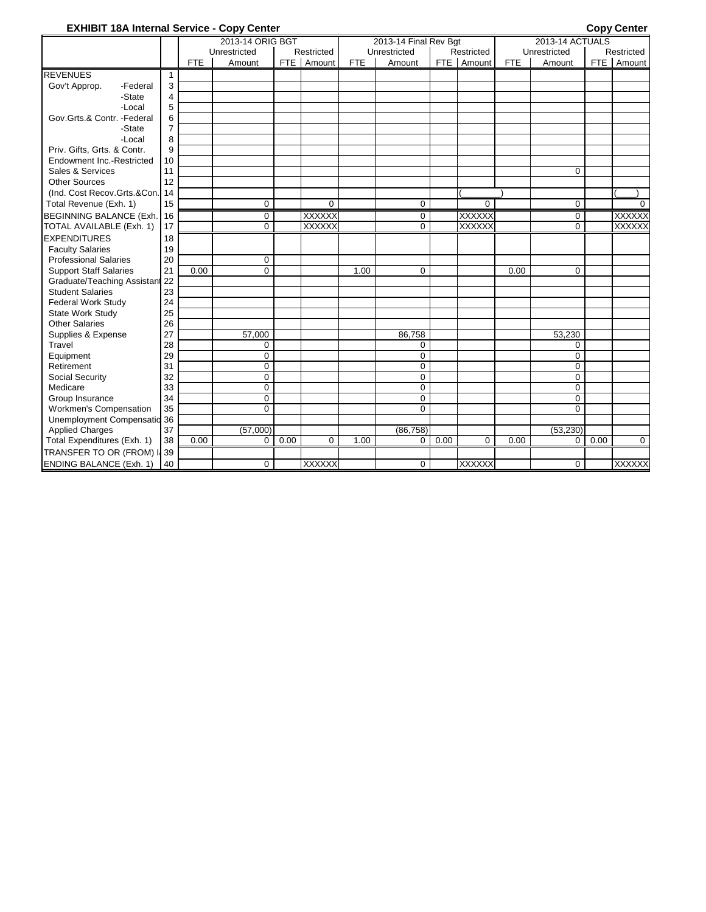## **EXHIBIT 18A Internal Service - Copy Center Copy Center**

|                                |                |            | 2013-14 ORIG BGT |       |               |            | 2013-14 Final Rev Bgt |       |               |            | 2013-14 ACTUALS |       |               |
|--------------------------------|----------------|------------|------------------|-------|---------------|------------|-----------------------|-------|---------------|------------|-----------------|-------|---------------|
|                                |                |            | Unrestricted     |       | Restricted    |            | Unrestricted          |       | Restricted    |            | Unrestricted    |       | Restricted    |
|                                |                | <b>FTE</b> | Amount           | FTE I | Amount        | <b>FTE</b> | Amount                | FTE I | Amount        | <b>FTE</b> | Amount          | FTE I | Amount        |
| <b>REVENUES</b>                | $\mathbf{1}$   |            |                  |       |               |            |                       |       |               |            |                 |       |               |
| Gov't Approp.<br>-Federal      | 3              |            |                  |       |               |            |                       |       |               |            |                 |       |               |
| -State                         | 4              |            |                  |       |               |            |                       |       |               |            |                 |       |               |
| -Local                         | 5              |            |                  |       |               |            |                       |       |               |            |                 |       |               |
| Gov.Grts.& Contr. -Federal     | 6              |            |                  |       |               |            |                       |       |               |            |                 |       |               |
| -State                         | $\overline{7}$ |            |                  |       |               |            |                       |       |               |            |                 |       |               |
| -Local                         | 8              |            |                  |       |               |            |                       |       |               |            |                 |       |               |
| Priv. Gifts, Grts. & Contr.    | 9              |            |                  |       |               |            |                       |       |               |            |                 |       |               |
| Endowment Inc.-Restricted      | 10             |            |                  |       |               |            |                       |       |               |            |                 |       |               |
| Sales & Services               | 11             |            |                  |       |               |            |                       |       |               |            | $\mathbf 0$     |       |               |
| Other Sources                  | 12             |            |                  |       |               |            |                       |       |               |            |                 |       |               |
| (Ind. Cost Recov.Grts.&Con.)   | 14             |            |                  |       |               |            |                       |       |               |            |                 |       |               |
| Total Revenue (Exh. 1)         | 15             |            | $\mathbf 0$      |       | $\mathbf 0$   |            | $\mathbf 0$           |       | $\Omega$      |            | $\mathbf 0$     |       | $\Omega$      |
| <b>BEGINNING BALANCE (Exh.</b> | 16             |            | $\mathbf 0$      |       | <b>XXXXXX</b> |            | $\mathbf 0$           |       | <b>XXXXXX</b> |            | $\mathbf 0$     |       | <b>XXXXXX</b> |
| TOTAL AVAILABLE (Exh. 1)       | 17             |            | $\Omega$         |       | <b>XXXXXX</b> |            | $\overline{0}$        |       | <b>XXXXXX</b> |            | $\overline{0}$  |       | <b>XXXXXX</b> |
| <b>EXPENDITURES</b>            | 18             |            |                  |       |               |            |                       |       |               |            |                 |       |               |
| <b>Faculty Salaries</b>        | 19             |            |                  |       |               |            |                       |       |               |            |                 |       |               |
| <b>Professional Salaries</b>   | 20             |            | 0                |       |               |            |                       |       |               |            |                 |       |               |
| <b>Support Staff Salaries</b>  | 21             | 0.00       | $\Omega$         |       |               | 1.00       | $\mathbf 0$           |       |               | 0.00       | $\Omega$        |       |               |
| Graduate/Teaching Assistant 22 |                |            |                  |       |               |            |                       |       |               |            |                 |       |               |
| <b>Student Salaries</b>        | 23             |            |                  |       |               |            |                       |       |               |            |                 |       |               |
| <b>Federal Work Study</b>      | 24             |            |                  |       |               |            |                       |       |               |            |                 |       |               |
| State Work Study               | 25             |            |                  |       |               |            |                       |       |               |            |                 |       |               |
| <b>Other Salaries</b>          | 26             |            |                  |       |               |            |                       |       |               |            |                 |       |               |
| Supplies & Expense             | 27             |            | 57,000           |       |               |            | 86,758                |       |               |            | 53,230          |       |               |
| Travel                         | 28             |            | $\Omega$         |       |               |            | $\Omega$              |       |               |            | $\Omega$        |       |               |
| Equipment                      | 29             |            | 0                |       |               |            | $\mathbf 0$           |       |               |            | $\mathbf 0$     |       |               |
| Retirement                     | 31             |            | $\mathbf 0$      |       |               |            | $\mathbf 0$           |       |               |            | 0               |       |               |
| Social Security                | 32             |            | $\mathbf 0$      |       |               |            | $\mathbf 0$           |       |               |            | $\mathbf 0$     |       |               |
| Medicare                       | 33             |            | $\mathbf 0$      |       |               |            | $\mathbf 0$           |       |               |            | $\Omega$        |       |               |
| Group Insurance                | 34             |            | $\mathbf 0$      |       |               |            | $\mathbf 0$           |       |               |            | $\Omega$        |       |               |
| Workmen's Compensation         | 35             |            | $\Omega$         |       |               |            | $\Omega$              |       |               |            | $\Omega$        |       |               |
| Unemployment Compensatio 36    |                |            |                  |       |               |            |                       |       |               |            |                 |       |               |
| <b>Applied Charges</b>         | 37             |            | (57,000)         |       |               |            | (86, 758)             |       |               |            | (53, 230)       |       |               |
| Total Expenditures (Exh. 1)    | 38             | 0.00       | $\Omega$         | 0.00  | $\Omega$      | 1.00       | 0                     | 0.00  | $\Omega$      | 0.00       | $\Omega$        | 0.00  | $\Omega$      |
| TRANSFER TO OR (FROM) II 39    |                |            |                  |       |               |            |                       |       |               |            |                 |       |               |
| <b>ENDING BALANCE (Exh. 1)</b> | 40             |            | $\Omega$         |       | <b>XXXXXX</b> |            | $\mathbf 0$           |       | <b>XXXXXX</b> |            | $\Omega$        |       | <b>XXXXXX</b> |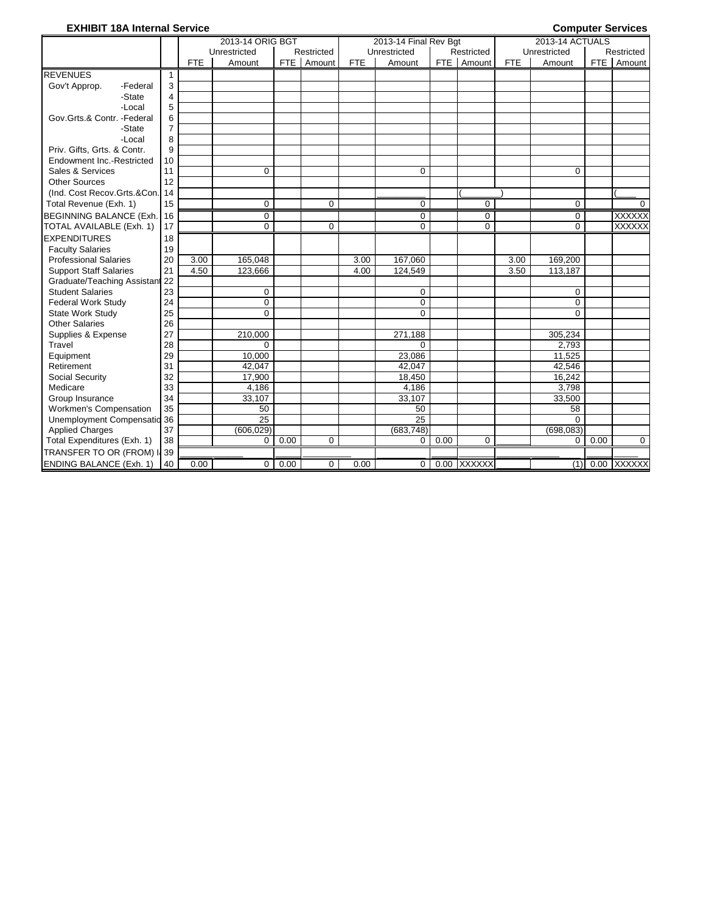## **EXHIBIT 18A Internal Service** Computer Services

|                                |                |            | 2013-14 ORIG BGT |            |             |            | 2013-14 Final Rev Bgt |       |             |            | 2013-14 ACTUALS |       |               |
|--------------------------------|----------------|------------|------------------|------------|-------------|------------|-----------------------|-------|-------------|------------|-----------------|-------|---------------|
|                                |                |            | Unrestricted     |            | Restricted  |            | Unrestricted          |       | Restricted  |            | Unrestricted    |       | Restricted    |
|                                |                | <b>FTE</b> | Amount           | <b>FTE</b> | Amount      | <b>FTE</b> | Amount                | FTE I | Amount      | <b>FTE</b> | Amount          | FTE I | Amount        |
| <b>REVENUES</b>                | 1              |            |                  |            |             |            |                       |       |             |            |                 |       |               |
| Gov't Approp.<br>-Federal      | 3              |            |                  |            |             |            |                       |       |             |            |                 |       |               |
| -State                         | 4              |            |                  |            |             |            |                       |       |             |            |                 |       |               |
| -Local                         | 5              |            |                  |            |             |            |                       |       |             |            |                 |       |               |
| Gov.Grts.& Contr. -Federal     | 6              |            |                  |            |             |            |                       |       |             |            |                 |       |               |
| -State                         | $\overline{7}$ |            |                  |            |             |            |                       |       |             |            |                 |       |               |
| -Local                         | 8              |            |                  |            |             |            |                       |       |             |            |                 |       |               |
| Priv. Gifts, Grts. & Contr.    | 9              |            |                  |            |             |            |                       |       |             |            |                 |       |               |
| Endowment Inc.-Restricted      | 10             |            |                  |            |             |            |                       |       |             |            |                 |       |               |
| Sales & Services               | 11             |            | $\mathbf 0$      |            |             |            | $\Omega$              |       |             |            | $\Omega$        |       |               |
| <b>Other Sources</b>           | 12             |            |                  |            |             |            |                       |       |             |            |                 |       |               |
| (Ind. Cost Recov.Grts.&Con.)   | 14             |            |                  |            |             |            |                       |       |             |            |                 |       |               |
| Total Revenue (Exh. 1)         | 15             |            | $\mathbf 0$      |            | $\Omega$    |            | $\Omega$              |       | $\Omega$    |            | 0               |       | $\Omega$      |
| <b>BEGINNING BALANCE (Exh.</b> | 16             |            | $\mathbf 0$      |            |             |            | $\mathbf 0$           |       | $\mathbf 0$ |            | $\mathbf 0$     |       | <b>XXXXXX</b> |
| TOTAL AVAILABLE (Exh. 1)       | 17             |            | $\mathbf 0$      |            | $\mathbf 0$ |            | 0                     |       | $\mathbf 0$ |            | 0               |       | <b>XXXXXX</b> |
| <b>EXPENDITURES</b>            | 18             |            |                  |            |             |            |                       |       |             |            |                 |       |               |
| <b>Faculty Salaries</b>        | 19             |            |                  |            |             |            |                       |       |             |            |                 |       |               |
| <b>Professional Salaries</b>   | 20             | 3.00       | 165.048          |            |             | 3.00       | 167,060               |       |             | 3.00       | 169,200         |       |               |
| <b>Support Staff Salaries</b>  | 21             | 4.50       | 123,666          |            |             | 4.00       | 124,549               |       |             | 3.50       | 113,187         |       |               |
| Graduate/Teaching Assistan     | 122            |            |                  |            |             |            |                       |       |             |            |                 |       |               |
| <b>Student Salaries</b>        | 23             |            | 0                |            |             |            | 0                     |       |             |            | 0               |       |               |
| <b>Federal Work Study</b>      | 24             |            | $\mathbf 0$      |            |             |            | 0                     |       |             |            | $\Omega$        |       |               |
| <b>State Work Study</b>        | 25             |            | $\Omega$         |            |             |            | $\Omega$              |       |             |            | $\Omega$        |       |               |
| <b>Other Salaries</b>          | 26             |            |                  |            |             |            |                       |       |             |            |                 |       |               |
| Supplies & Expense             | 27             |            | 210.000          |            |             |            | 271.188               |       |             |            | 305,234         |       |               |
| Travel                         | 28             |            | $\Omega$         |            |             |            | $\Omega$              |       |             |            | 2,793           |       |               |
| Equipment                      | 29             |            | 10.000           |            |             |            | 23.086                |       |             |            | 11.525          |       |               |
| Retirement                     | 31             |            | 42.047           |            |             |            | 42,047                |       |             |            | 42,546          |       |               |
| Social Security                | 32             |            | 17,900           |            |             |            | 18,450                |       |             |            | 16,242          |       |               |
| Medicare                       | 33             |            | 4.186            |            |             |            | 4,186                 |       |             |            | 3,798           |       |               |
| Group Insurance                | 34             |            | 33,107           |            |             |            | 33,107                |       |             |            | 33,500          |       |               |
| <b>Workmen's Compensation</b>  | 35             |            | 50               |            |             |            | 50                    |       |             |            | 58              |       |               |
| Unemployment Compensatio 36    |                |            | 25               |            |             |            | 25                    |       |             |            | $\Omega$        |       |               |
| <b>Applied Charges</b>         | 37             |            | (606, 029)       |            |             |            | (683, 748)            |       |             |            | (698, 083)      |       |               |
| Total Expenditures (Exh. 1)    | 38             |            | $\mathbf 0$      | 0.00       | 0           |            | 0                     | 0.00  | $\Omega$    |            | 0               | 0.00  | $\mathbf 0$   |
| TRANSFER TO OR (FROM) I 39     |                |            |                  |            |             |            |                       |       |             |            |                 |       |               |
| <b>ENDING BALANCE (Exh. 1)</b> | 40             | 0.00       | 0                | 0.00       | 0           | 0.00       | 0                     |       | 0.00 XXXXXX |            | (1)             |       | 0.00 XXXXXX   |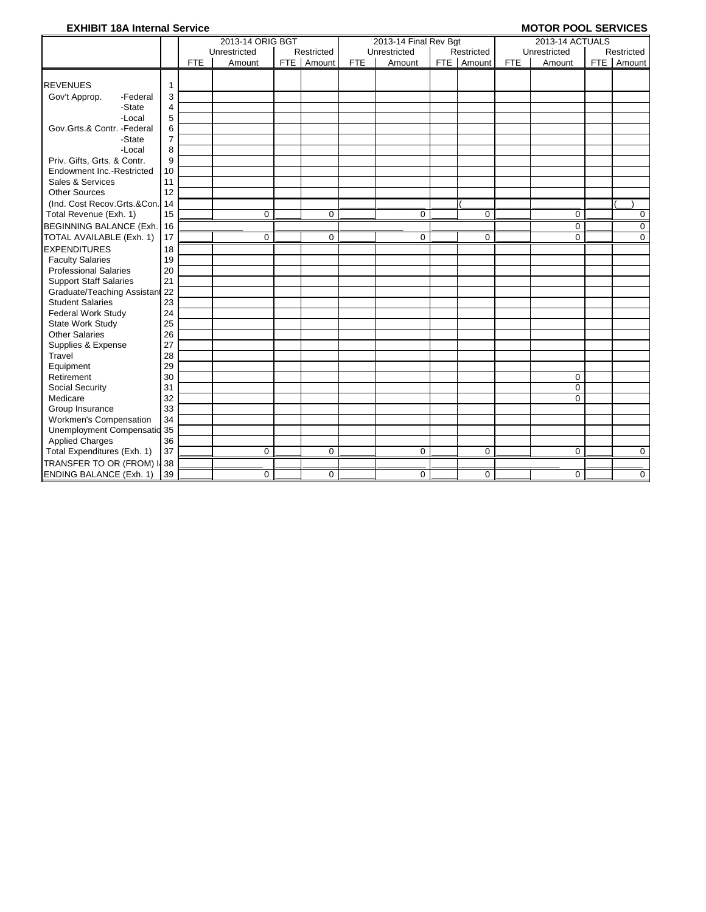## **EXHIBIT 18A Internal Service** MOTOR POOL SERVICES

|                                |                   |            | 2013-14 ORIG BGT |              |            | 2013-14 Final Rev Bgt |              |            | 2013-14 ACTUALS |            |             |
|--------------------------------|-------------------|------------|------------------|--------------|------------|-----------------------|--------------|------------|-----------------|------------|-------------|
|                                |                   |            | Unrestricted     | Restricted   |            | Unrestricted          | Restricted   |            | Unrestricted    |            | Restricted  |
|                                |                   | <b>FTE</b> | Amount           | FTE   Amount | <b>FTE</b> | Amount                | FTE   Amount | <b>FTE</b> | Amount          | <b>FTE</b> | Amount      |
| <b>REVENUES</b>                | $\mathbf{1}$      |            |                  |              |            |                       |              |            |                 |            |             |
| Gov't Approp.<br>-Federal      | 3                 |            |                  |              |            |                       |              |            |                 |            |             |
| -State                         | 4                 |            |                  |              |            |                       |              |            |                 |            |             |
| -Local                         | 5                 |            |                  |              |            |                       |              |            |                 |            |             |
| Gov.Grts.& Contr. - Federal    | 6                 |            |                  |              |            |                       |              |            |                 |            |             |
| -State                         | $\overline{7}$    |            |                  |              |            |                       |              |            |                 |            |             |
| -Local                         | 8                 |            |                  |              |            |                       |              |            |                 |            |             |
| Priv. Gifts, Grts. & Contr.    | 9                 |            |                  |              |            |                       |              |            |                 |            |             |
| Endowment Inc.-Restricted      | 10                |            |                  |              |            |                       |              |            |                 |            |             |
| Sales & Services               | 11                |            |                  |              |            |                       |              |            |                 |            |             |
| <b>Other Sources</b>           | 12                |            |                  |              |            |                       |              |            |                 |            |             |
| (Ind. Cost Recov.Grts.&Con.)   | 14                |            |                  |              |            |                       |              |            |                 |            |             |
| Total Revenue (Exh. 1)         | 15                |            | $\Omega$         | $\mathbf 0$  |            | 0                     | 0            |            | $\mathbf 0$     |            | 0           |
| <b>BEGINNING BALANCE (Exh.</b> | 16                |            |                  |              |            |                       |              |            | 0               |            | $\mathbf 0$ |
| TOTAL AVAILABLE (Exh. 1)       | 17                |            | $\mathbf 0$      | $\mathbf 0$  |            | 0                     | 0            |            | 0               |            | $\mathbf 0$ |
| <b>EXPENDITURES</b>            | 18                |            |                  |              |            |                       |              |            |                 |            |             |
| <b>Faculty Salaries</b>        | 19                |            |                  |              |            |                       |              |            |                 |            |             |
| <b>Professional Salaries</b>   | 20                |            |                  |              |            |                       |              |            |                 |            |             |
| <b>Support Staff Salaries</b>  | 21                |            |                  |              |            |                       |              |            |                 |            |             |
| Graduate/Teaching Assistant 22 |                   |            |                  |              |            |                       |              |            |                 |            |             |
| <b>Student Salaries</b>        | 23                |            |                  |              |            |                       |              |            |                 |            |             |
| Federal Work Study             | 24                |            |                  |              |            |                       |              |            |                 |            |             |
| <b>State Work Study</b>        | 25                |            |                  |              |            |                       |              |            |                 |            |             |
| <b>Other Salaries</b>          | 26                |            |                  |              |            |                       |              |            |                 |            |             |
| Supplies & Expense             | 27                |            |                  |              |            |                       |              |            |                 |            |             |
| Travel                         | 28                |            |                  |              |            |                       |              |            |                 |            |             |
| Equipment                      | 29                |            |                  |              |            |                       |              |            |                 |            |             |
| Retirement                     | 30                |            |                  |              |            |                       |              |            | $\mathbf 0$     |            |             |
| Social Security                | 31                |            |                  |              |            |                       |              |            | $\mathbf 0$     |            |             |
| Medicare                       | 32                |            |                  |              |            |                       |              |            | $\Omega$        |            |             |
| Group Insurance                | 33                |            |                  |              |            |                       |              |            |                 |            |             |
| Workmen's Compensation         | 34                |            |                  |              |            |                       |              |            |                 |            |             |
| Unemployment Compensatio 35    |                   |            |                  |              |            |                       |              |            |                 |            |             |
| <b>Applied Charges</b>         | 36                |            |                  |              |            |                       |              |            |                 |            |             |
| Total Expenditures (Exh. 1)    | 37                |            | $\mathbf 0$      | $\mathbf 0$  |            | 0                     | $\mathbf 0$  |            | $\mathbf 0$     |            | 0           |
| TRANSFER TO OR (FROM)          | $\overline{1}$ 38 |            |                  |              |            |                       |              |            |                 |            |             |
| <b>ENDING BALANCE (Exh. 1)</b> | 39                |            | $\Omega$         | $\mathbf 0$  |            | 0                     | $\mathbf 0$  |            | $\mathbf 0$     |            | $\mathbf 0$ |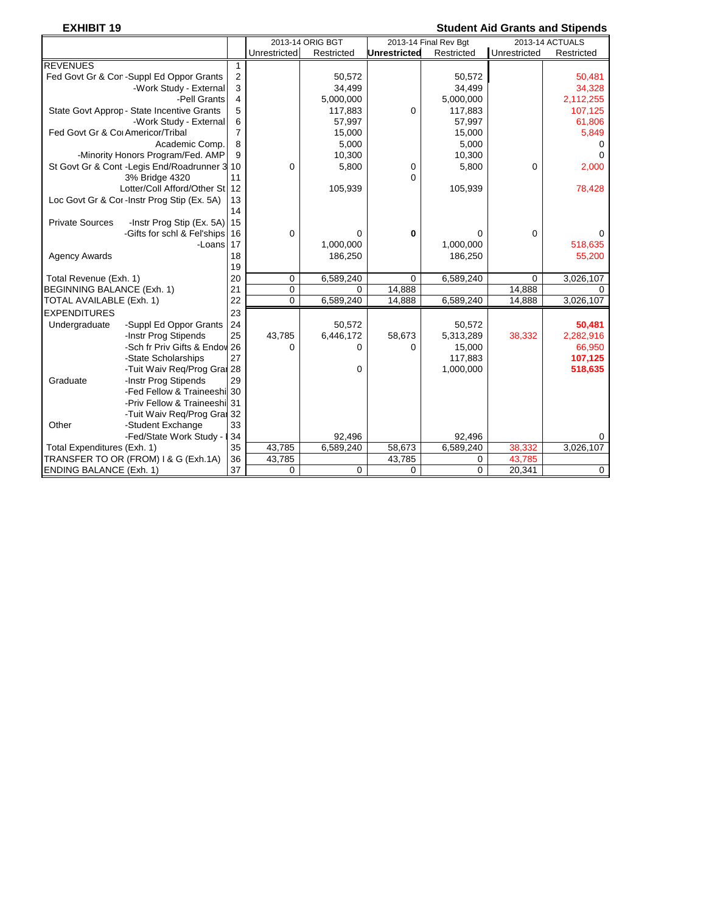# **EXHIBIT 19 Student Aid Grants and Stipends**

|                                                        |                |              | 2013-14 ORIG BGT |              | 2013-14 Final Rev Bgt |              | 2013-14 ACTUALS |
|--------------------------------------------------------|----------------|--------------|------------------|--------------|-----------------------|--------------|-----------------|
|                                                        |                | Unrestricted | Restricted       | Unrestricted | Restricted            | Unrestricted | Restricted      |
| <b>REVENUES</b>                                        | $\mathbf{1}$   |              |                  |              |                       |              |                 |
| Fed Govt Gr & Cor-Suppl Ed Oppor Grants                | $\overline{2}$ |              | 50,572           |              | 50,572                |              | 50,481          |
| -Work Study - External                                 | 3              |              | 34,499           |              | 34,499                |              | 34,328          |
| -Pell Grants                                           | 4              |              | 5,000,000        |              | 5,000,000             |              | 2,112,255       |
| State Govt Approp - State Incentive Grants             | 5              |              | 117,883          | $\mathbf 0$  | 117,883               |              | 107,125         |
| -Work Study - External                                 | 6              |              | 57,997           |              | 57,997                |              | 61,806          |
| Fed Govt Gr & Cor Americor/Tribal                      | $\overline{7}$ |              | 15,000           |              | 15,000                |              | 5,849           |
| Academic Comp.                                         | 8              |              | 5,000            |              | 5,000                 |              | $\Omega$        |
| -Minority Honors Program/Fed. AMP                      | 9              |              | 10,300           |              | 10,300                |              | $\Omega$        |
| St Govt Gr & Cont - Legis End/Roadrunner 3 10          |                | $\mathbf 0$  | 5,800            | 0            | 5,800                 | 0            | 2,000           |
| 3% Bridge 4320                                         | 11             |              |                  | $\Omega$     |                       |              |                 |
| Lotter/Coll Afford/Other St 12                         |                |              | 105,939          |              | 105,939               |              | 78,428          |
| Loc Govt Gr & Cor-Instr Prog Stip (Ex. 5A)             | 13             |              |                  |              |                       |              |                 |
|                                                        | 14             |              |                  |              |                       |              |                 |
| <b>Private Sources</b><br>-Instr Prog Stip (Ex. 5A) 15 |                |              |                  |              |                       |              |                 |
| -Gifts for schl & Fel'ships 16                         |                | $\mathbf 0$  | 0                | 0            | 0                     | 0            |                 |
| -Loans 17                                              |                |              | 1,000,000        |              | 1,000,000             |              | 518,635         |
| <b>Agency Awards</b>                                   | 18             |              | 186,250          |              | 186,250               |              | 55,200          |
|                                                        | 19             |              |                  |              |                       |              |                 |
| Total Revenue (Exh. 1)                                 | 20             | $\mathbf 0$  | 6,589,240        | 0            | 6,589,240             | 0            | 3,026,107       |
| <b>BEGINNING BALANCE (Exh. 1)</b>                      | 21             | $\mathbf 0$  | $\Omega$         | 14,888       |                       | 14,888       | $\Omega$        |
| TOTAL AVAILABLE (Exh. 1)                               | 22             | $\Omega$     | 6,589,240        | 14,888       | 6,589,240             | 14,888       | 3,026,107       |
| <b>EXPENDITURES</b>                                    | 23             |              |                  |              |                       |              |                 |
| -Suppl Ed Oppor Grants<br>Undergraduate                | 24             |              | 50,572           |              | 50,572                |              | 50,481          |
| -Instr Prog Stipends                                   | 25             | 43,785       | 6,446,172        | 58,673       | 5,313,289             | 38,332       | 2,282,916       |
| -Sch fr Priv Gifts & Endov 26                          |                | $\Omega$     | 0                | O            | 15,000                |              | 66,950          |
| -State Scholarships                                    | 27             |              |                  |              | 117,883               |              | 107,125         |
| -Tuit Waiv Reg/Prog Grai 28                            |                |              | 0                |              | 1,000,000             |              | 518,635         |
| -Instr Prog Stipends<br>Graduate                       | 29             |              |                  |              |                       |              |                 |
| -Fed Fellow & Traineeshi 30                            |                |              |                  |              |                       |              |                 |
| -Priv Fellow & Traineeshi 31                           |                |              |                  |              |                       |              |                 |
| -Tuit Waiv Req/Prog Grai 32                            |                |              |                  |              |                       |              |                 |
| Other<br>-Student Exchange                             | 33             |              |                  |              |                       |              |                 |
| -Fed/State Work Study -                                | 34             |              | 92,496           |              | 92,496                |              | 0               |
| Total Expenditures (Exh. 1)                            | 35             | 43,785       | 6,589,240        | 58,673       | 6,589,240             | 38,332       | 3,026,107       |
| TRANSFER TO OR (FROM) I & G (Exh.1A)                   | 36             | 43,785       |                  | 43,785       | 0                     | 43,785       |                 |
| <b>ENDING BALANCE (Exh. 1)</b>                         | 37             | $\mathbf 0$  | 0                | 0            | $\mathbf 0$           | 20,341       | $\mathbf 0$     |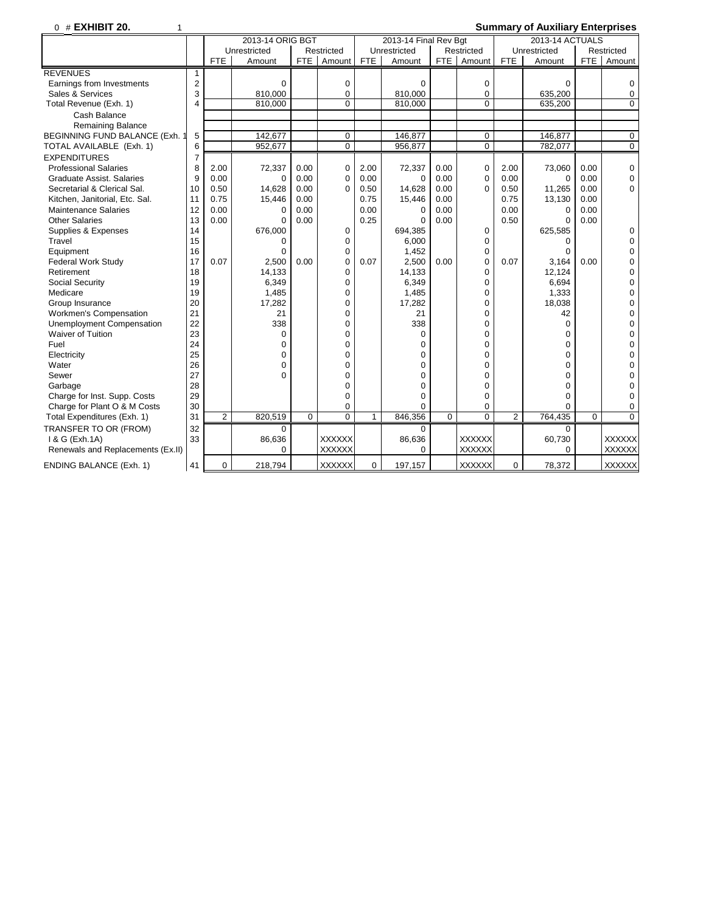0 # **EXHIBIT 20.** 1 **Summary of Auxiliary Enterprises**

|                                   | 2013-14 ORIG BGT |                |              |             |                | 2013-14 Final Rev Bgt |              |      |               | 2013-14 ACTUALS |              |            |               |
|-----------------------------------|------------------|----------------|--------------|-------------|----------------|-----------------------|--------------|------|---------------|-----------------|--------------|------------|---------------|
|                                   |                  |                | Unrestricted |             | Restricted     |                       | Unrestricted |      | Restricted    |                 | Unrestricted |            | Restricted    |
|                                   |                  | <b>FTE</b>     | Amount       | <b>FTE</b>  | Amount         | <b>FTE</b>            | Amount       |      | FTE   Amount  | <b>FTE</b>      | Amount       | <b>FTE</b> | Amount        |
| <b>REVENUES</b>                   | 1                |                |              |             |                |                       |              |      |               |                 |              |            |               |
| Earnings from Investments         | 2                |                | $\Omega$     |             | 0              |                       | $\Omega$     |      | $\mathbf 0$   |                 | $\Omega$     |            | 0             |
| Sales & Services                  | 3                |                | 810.000      |             | $\mathbf 0$    |                       | 810.000      |      | $\mathbf 0$   |                 | 635.200      |            | 0             |
| Total Revenue (Exh. 1)            | $\overline{4}$   |                | 810,000      |             | $\Omega$       |                       | 810.000      |      | $\Omega$      |                 | 635,200      |            | $\mathbf 0$   |
| Cash Balance                      |                  |                |              |             |                |                       |              |      |               |                 |              |            |               |
| <b>Remaining Balance</b>          |                  |                |              |             |                |                       |              |      |               |                 |              |            |               |
| BEGINNING FUND BALANCE (Exh. 1    | 5                |                | 142,677      |             | $\mathbf 0$    |                       | 146.877      |      | $\mathbf 0$   |                 | 146.877      |            | $\mathbf 0$   |
| TOTAL AVAILABLE (Exh. 1)          | 6                |                | 952,677      |             | $\mathbf 0$    |                       | 956,877      |      | $\Omega$      |                 | 782,077      |            | 0             |
| <b>EXPENDITURES</b>               | $\overline{7}$   |                |              |             |                |                       |              |      |               |                 |              |            |               |
| <b>Professional Salaries</b>      | 8                | 2.00           | 72,337       | 0.00        | $\mathbf 0$    | 2.00                  | 72,337       | 0.00 | $\mathbf 0$   | 2.00            | 73,060       | 0.00       | $\pmb{0}$     |
| Graduate Assist, Salaries         | 9                | 0.00           | $\mathbf 0$  | 0.00        | $\Omega$       | 0.00                  | $\Omega$     | 0.00 | $\mathbf 0$   | 0.00            | $\mathbf 0$  | 0.00       | 0             |
| Secretarial & Clerical Sal.       | 10               | 0.50           | 14,628       | 0.00        | $\Omega$       | 0.50                  | 14,628       | 0.00 | $\Omega$      | 0.50            | 11,265       | 0.00       | $\mathbf 0$   |
| Kitchen, Janitorial, Etc. Sal.    | 11               | 0.75           | 15,446       | 0.00        |                | 0.75                  | 15,446       | 0.00 |               | 0.75            | 13,130       | 0.00       |               |
| <b>Maintenance Salaries</b>       | 12               | 0.00           | 0            | 0.00        |                | 0.00                  | 0            | 0.00 |               | 0.00            | 0            | 0.00       |               |
| <b>Other Salaries</b>             | 13               | 0.00           | $\mathbf 0$  | 0.00        |                | 0.25                  | $\Omega$     | 0.00 |               | 0.50            | $\Omega$     | 0.00       |               |
| Supplies & Expenses               | 14               |                | 676,000      |             | $\mathbf 0$    |                       | 694,385      |      | $\mathbf 0$   |                 | 625,585      |            | 0             |
| Travel                            | 15               |                | $\Omega$     |             | $\Omega$       |                       | 6,000        |      | $\Omega$      |                 | $\Omega$     |            | 0             |
| Equipment                         | 16               |                | $\mathbf 0$  |             | $\mathbf 0$    |                       | 1,452        |      | $\mathbf 0$   |                 | $\mathbf 0$  |            | 0             |
| <b>Federal Work Study</b>         | 17               | 0.07           | 2,500        | 0.00        | $\mathbf 0$    | 0.07                  | 2,500        | 0.00 | $\mathbf 0$   | 0.07            | 3,164        | 0.00       | 0             |
| Retirement                        | 18               |                | 14,133       |             | $\mathbf 0$    |                       | 14,133       |      | $\mathbf 0$   |                 | 12,124       |            | 0             |
| Social Security                   | 19               |                | 6,349        |             | $\Omega$       |                       | 6,349        |      | $\Omega$      |                 | 6,694        |            | 0             |
| Medicare                          | 19               |                | 1,485        |             | $\mathbf 0$    |                       | 1,485        |      | $\mathbf 0$   |                 | 1,333        |            | 0             |
| Group Insurance                   | 20               |                | 17,282       |             | $\Omega$       |                       | 17,282       |      | $\mathbf 0$   |                 | 18,038       |            | 0             |
| <b>Workmen's Compensation</b>     | 21               |                | 21           |             | $\Omega$       |                       | 21           |      | $\mathbf 0$   |                 | 42           |            | 0             |
| <b>Unemployment Compensation</b>  | 22               |                | 338          |             | $\Omega$       |                       | 338          |      | $\Omega$      |                 | $\Omega$     |            | $\Omega$      |
| Waiver of Tuition                 | 23               |                | 0            |             | $\Omega$       |                       | $\Omega$     |      | $\mathbf 0$   |                 | 0            |            | 0             |
| Fuel                              | 24               |                | 0            |             | $\Omega$       |                       | $\Omega$     |      | $\mathbf 0$   |                 | $\Omega$     |            | 0             |
| Electricity                       | 25               |                | $\Omega$     |             | $\Omega$       |                       | $\Omega$     |      | $\Omega$      |                 | $\Omega$     |            | 0             |
| Water                             | 26               |                | $\Omega$     |             | $\Omega$       |                       | $\Omega$     |      | $\Omega$      |                 | $\Omega$     |            | $\Omega$      |
| Sewer                             | 27               |                | $\Omega$     |             | $\Omega$       |                       | $\Omega$     |      | $\Omega$      |                 | $\Omega$     |            | $\Omega$      |
| Garbage                           | 28               |                |              |             | $\Omega$       |                       | 0            |      | $\mathbf 0$   |                 | 0            |            | 0             |
| Charge for Inst. Supp. Costs      | 29               |                |              |             | $\Omega$       |                       | $\Omega$     |      | $\mathbf 0$   |                 | 0            |            | 0             |
| Charge for Plant O & M Costs      | 30               |                |              |             | $\Omega$       |                       | $\Omega$     |      | $\Omega$      |                 | 0            |            | 0             |
| Total Expenditures (Exh. 1)       | 31               | $\overline{2}$ | 820,519      | $\mathbf 0$ | $\overline{0}$ | $\mathbf{1}$          | 846,356      | 0    | $\mathbf 0$   | $\overline{2}$  | 764,435      | $\Omega$   | $\mathbf 0$   |
| TRANSFER TO OR (FROM)             | 32               |                | $\Omega$     |             |                |                       | $\Omega$     |      |               |                 | $\Omega$     |            |               |
| 1 & G (Exh.1A)                    | 33               |                | 86,636       |             | <b>XXXXXX</b>  |                       | 86,636       |      | <b>XXXXXX</b> |                 | 60,730       |            | <b>XXXXXX</b> |
| Renewals and Replacements (Ex.II) |                  |                | $\Omega$     |             | <b>XXXXXX</b>  |                       | $\Omega$     |      | <b>XXXXXX</b> |                 | $\Omega$     |            | <b>XXXXXX</b> |
| <b>ENDING BALANCE (Exh. 1)</b>    | 41               | $\mathbf 0$    | 218,794      |             | <b>XXXXXX</b>  | 0                     | 197,157      |      | <b>XXXXXX</b> | $\Omega$        | 78,372       |            | <b>XXXXXX</b> |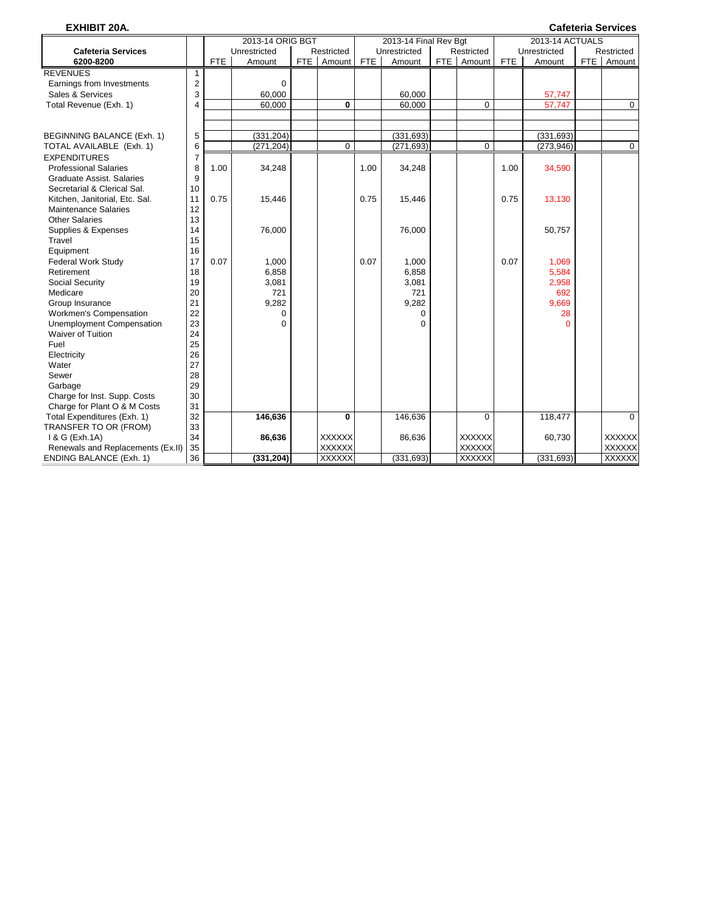| <b>EXHIBIT 20A.</b><br><b>Cafeteria Services</b><br>2013-14 ACTUALS<br>2013-14 ORIG BGT<br>2013-14 Final Rev Bgt |                |            |              |  |               |            |              |  |               |            |              |     |               |
|------------------------------------------------------------------------------------------------------------------|----------------|------------|--------------|--|---------------|------------|--------------|--|---------------|------------|--------------|-----|---------------|
|                                                                                                                  |                |            |              |  |               |            |              |  |               |            |              |     |               |
| <b>Cafeteria Services</b>                                                                                        |                |            | Unrestricted |  | Restricted    |            | Unrestricted |  | Restricted    |            | Unrestricted |     | Restricted    |
| 6200-8200                                                                                                        |                | <b>FTE</b> | Amount       |  | FTE Amount    | <b>FTE</b> | Amount       |  | FTE   Amount  | <b>FTE</b> | Amount       | FTE | Amount        |
| <b>REVENUES</b>                                                                                                  | 1              |            |              |  |               |            |              |  |               |            |              |     |               |
| Earnings from Investments                                                                                        | 2              |            | $\mathbf 0$  |  |               |            |              |  |               |            |              |     |               |
| Sales & Services                                                                                                 | 3              |            | 60,000       |  |               |            | 60,000       |  |               |            | 57,747       |     |               |
| Total Revenue (Exh. 1)                                                                                           | 4              |            | 60,000       |  | 0             |            | 60,000       |  | 0             |            | 57,747       |     | $\mathbf 0$   |
|                                                                                                                  |                |            |              |  |               |            |              |  |               |            |              |     |               |
| BEGINNING BALANCE (Exh. 1)                                                                                       | 5              |            | (331, 204)   |  |               |            | (331, 693)   |  |               |            | (331, 693)   |     |               |
| TOTAL AVAILABLE (Exh. 1)                                                                                         | 6              |            | (271, 204)   |  | 0             |            | (271, 693)   |  | 0             |            | (273, 946)   |     | $\mathbf 0$   |
| <b>EXPENDITURES</b>                                                                                              | $\overline{7}$ |            |              |  |               |            |              |  |               |            |              |     |               |
| <b>Professional Salaries</b>                                                                                     | 8              | 1.00       | 34,248       |  |               | 1.00       | 34,248       |  |               | 1.00       | 34,590       |     |               |
| Graduate Assist, Salaries                                                                                        | 9              |            |              |  |               |            |              |  |               |            |              |     |               |
| Secretarial & Clerical Sal.                                                                                      | 10             |            |              |  |               |            |              |  |               |            |              |     |               |
| Kitchen, Janitorial, Etc. Sal.                                                                                   | 11             | 0.75       | 15,446       |  |               | 0.75       | 15,446       |  |               | 0.75       | 13,130       |     |               |
| <b>Maintenance Salaries</b>                                                                                      | 12             |            |              |  |               |            |              |  |               |            |              |     |               |
| <b>Other Salaries</b>                                                                                            | 13             |            |              |  |               |            |              |  |               |            |              |     |               |
| Supplies & Expenses                                                                                              | 14             |            | 76,000       |  |               |            | 76,000       |  |               |            | 50,757       |     |               |
| Travel                                                                                                           | 15             |            |              |  |               |            |              |  |               |            |              |     |               |
| Equipment                                                                                                        | 16             |            |              |  |               |            |              |  |               |            |              |     |               |
| <b>Federal Work Study</b>                                                                                        | 17             | 0.07       | 1,000        |  |               | 0.07       | 1,000        |  |               | 0.07       | 1,069        |     |               |
| Retirement                                                                                                       | 18             |            | 6,858        |  |               |            | 6,858        |  |               |            | 5,584        |     |               |
| Social Security                                                                                                  | 19             |            | 3,081        |  |               |            | 3,081        |  |               |            | 2,958        |     |               |
| Medicare                                                                                                         | 20             |            | 721          |  |               |            | 721          |  |               |            | 692          |     |               |
| Group Insurance                                                                                                  | 21             |            | 9,282        |  |               |            | 9,282        |  |               |            | 9,669        |     |               |
| Workmen's Compensation                                                                                           | 22             |            | 0            |  |               |            | 0            |  |               |            | 28           |     |               |
| <b>Unemployment Compensation</b>                                                                                 | 23             |            | $\Omega$     |  |               |            | $\Omega$     |  |               |            | O            |     |               |
| <b>Waiver of Tuition</b>                                                                                         | 24             |            |              |  |               |            |              |  |               |            |              |     |               |
| Fuel                                                                                                             | 25             |            |              |  |               |            |              |  |               |            |              |     |               |
| Electricity                                                                                                      | 26             |            |              |  |               |            |              |  |               |            |              |     |               |
| Water                                                                                                            | 27             |            |              |  |               |            |              |  |               |            |              |     |               |
| Sewer                                                                                                            | 28             |            |              |  |               |            |              |  |               |            |              |     |               |
| Garbage                                                                                                          | 29             |            |              |  |               |            |              |  |               |            |              |     |               |
| Charge for Inst. Supp. Costs                                                                                     | 30             |            |              |  |               |            |              |  |               |            |              |     |               |
| Charge for Plant O & M Costs                                                                                     | 31             |            |              |  |               |            |              |  |               |            |              |     |               |
| Total Expenditures (Exh. 1)                                                                                      | 32             |            | 146,636      |  | 0             |            | 146,636      |  | $\Omega$      |            | 118,477      |     | $\Omega$      |
| TRANSFER TO OR (FROM)                                                                                            | 33             |            |              |  |               |            |              |  |               |            |              |     |               |
| 1 & G (Exh.1A)                                                                                                   | 34             |            | 86,636       |  | <b>XXXXXX</b> |            | 86,636       |  | <b>XXXXXX</b> |            | 60,730       |     | <b>XXXXXX</b> |
| Renewals and Replacements (Ex.II)                                                                                | 35             |            |              |  | <b>XXXXXX</b> |            |              |  | <b>XXXXXX</b> |            |              |     | <b>XXXXXX</b> |
| <b>ENDING BALANCE (Exh. 1)</b>                                                                                   | 36             |            | (331, 204)   |  | <b>XXXXXX</b> |            | (331, 693)   |  | <b>XXXXXX</b> |            | (331, 693)   |     | <b>XXXXXX</b> |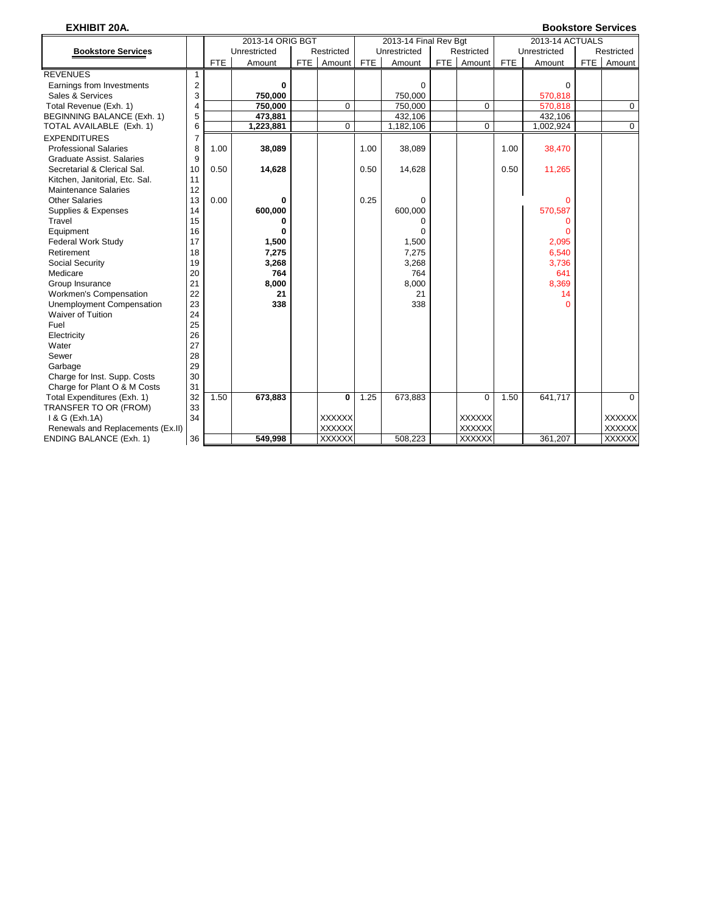# **EXHIBIT 20A. Bookstore Services**

|                                   |    |            | 2013-14 ORIG BGT |       |               |            | 2013-14 Final Rev Bgt |     |               |            | 2013-14 ACTUALS |            |               |
|-----------------------------------|----|------------|------------------|-------|---------------|------------|-----------------------|-----|---------------|------------|-----------------|------------|---------------|
| <b>Bookstore Services</b>         |    |            | Unrestricted     |       | Restricted    |            | Unrestricted          |     | Restricted    |            | Unrestricted    |            | Restricted    |
|                                   |    | <b>FTE</b> | Amount           | FTE I | Amount        | <b>FTE</b> | Amount                | FTE | Amount        | <b>FTE</b> | Amount          | <b>FTE</b> | Amount        |
| <b>REVENUES</b>                   | 1  |            |                  |       |               |            |                       |     |               |            |                 |            |               |
| Earnings from Investments         | 2  |            | 0                |       |               |            | 0                     |     |               |            | $\Omega$        |            |               |
| Sales & Services                  | 3  |            | 750,000          |       |               |            | 750,000               |     |               |            | 570,818         |            |               |
| Total Revenue (Exh. 1)            | 4  |            | 750,000          |       | 0             |            | 750,000               |     | $\Omega$      |            | 570,818         |            | $\mathbf 0$   |
| BEGINNING BALANCE (Exh. 1)        | 5  |            | 473,881          |       |               |            | 432.106               |     |               |            | 432.106         |            |               |
| TOTAL AVAILABLE (Exh. 1)          | 6  |            | 1,223,881        |       | $\mathbf 0$   |            | 1,182,106             |     | $\mathbf 0$   |            | 1,002,924       |            | $\Omega$      |
| <b>EXPENDITURES</b>               | 7  |            |                  |       |               |            |                       |     |               |            |                 |            |               |
| <b>Professional Salaries</b>      | 8  | 1.00       | 38,089           |       |               | 1.00       | 38,089                |     |               | 1.00       | 38,470          |            |               |
| Graduate Assist, Salaries         | 9  |            |                  |       |               |            |                       |     |               |            |                 |            |               |
| Secretarial & Clerical Sal.       | 10 | 0.50       | 14,628           |       |               | 0.50       | 14,628                |     |               | 0.50       | 11,265          |            |               |
| Kitchen, Janitorial, Etc. Sal.    | 11 |            |                  |       |               |            |                       |     |               |            |                 |            |               |
| <b>Maintenance Salaries</b>       | 12 |            |                  |       |               |            |                       |     |               |            |                 |            |               |
| <b>Other Salaries</b>             | 13 | 0.00       | 0                |       |               | 0.25       | $\Omega$              |     |               |            | $\Omega$        |            |               |
| Supplies & Expenses               | 14 |            | 600,000          |       |               |            | 600,000               |     |               |            | 570,587         |            |               |
| Travel                            | 15 |            | O                |       |               |            | O                     |     |               |            |                 |            |               |
| Equipment                         | 16 |            | 0                |       |               |            | 0                     |     |               |            |                 |            |               |
| <b>Federal Work Study</b>         | 17 |            | 1,500            |       |               |            | 1,500                 |     |               |            | 2,095           |            |               |
| Retirement                        | 18 |            | 7,275            |       |               |            | 7,275                 |     |               |            | 6,540           |            |               |
| Social Security                   | 19 |            | 3,268            |       |               |            | 3,268                 |     |               |            | 3,736           |            |               |
| Medicare                          | 20 |            | 764              |       |               |            | 764                   |     |               |            | 641             |            |               |
| Group Insurance                   | 21 |            | 8,000            |       |               |            | 8,000                 |     |               |            | 8,369           |            |               |
| <b>Workmen's Compensation</b>     | 22 |            | 21               |       |               |            | 21                    |     |               |            | 14              |            |               |
| Unemployment Compensation         | 23 |            | 338              |       |               |            | 338                   |     |               |            |                 |            |               |
| <b>Waiver of Tuition</b>          | 24 |            |                  |       |               |            |                       |     |               |            |                 |            |               |
| Fuel                              | 25 |            |                  |       |               |            |                       |     |               |            |                 |            |               |
| Electricity                       | 26 |            |                  |       |               |            |                       |     |               |            |                 |            |               |
| Water                             | 27 |            |                  |       |               |            |                       |     |               |            |                 |            |               |
| Sewer                             | 28 |            |                  |       |               |            |                       |     |               |            |                 |            |               |
| Garbage                           | 29 |            |                  |       |               |            |                       |     |               |            |                 |            |               |
| Charge for Inst. Supp. Costs      | 30 |            |                  |       |               |            |                       |     |               |            |                 |            |               |
| Charge for Plant O & M Costs      | 31 |            |                  |       |               |            |                       |     |               |            |                 |            |               |
| Total Expenditures (Exh. 1)       | 32 | 1.50       | 673,883          |       | 0             | 1.25       | 673,883               |     | $\Omega$      | 1.50       | 641,717         |            | $\Omega$      |
| TRANSFER TO OR (FROM)             | 33 |            |                  |       |               |            |                       |     |               |            |                 |            |               |
| 1 & G (Exh.1A)                    | 34 |            |                  |       | XXXXXX        |            |                       |     | <b>XXXXXX</b> |            |                 |            | <b>XXXXXX</b> |
| Renewals and Replacements (Ex.II) |    |            |                  |       | XXXXXX        |            |                       |     | <b>XXXXXX</b> |            |                 |            | <b>XXXXXX</b> |
| <b>ENDING BALANCE (Exh. 1)</b>    | 36 |            | 549,998          |       | <b>XXXXXX</b> |            | 508.223               |     | <b>XXXXXX</b> |            | 361.207         |            | <b>XXXXXX</b> |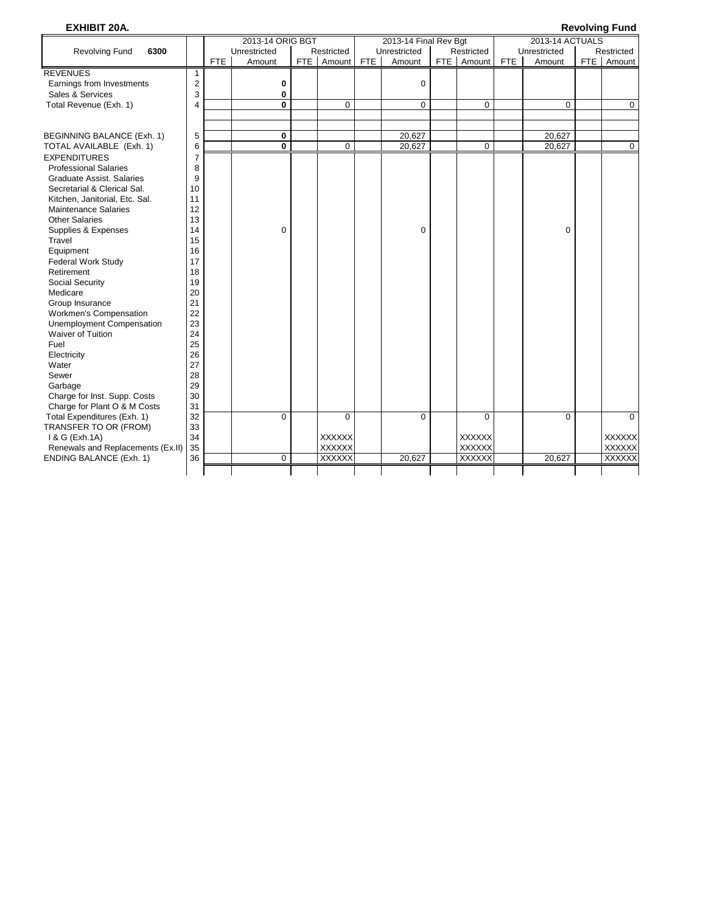| <b>EXHIBIT 20A.</b>               |                |            |                  |     |               |            |                       |               |            |                 | <b>Revolving Fund</b> |
|-----------------------------------|----------------|------------|------------------|-----|---------------|------------|-----------------------|---------------|------------|-----------------|-----------------------|
|                                   |                |            | 2013-14 ORIG BGT |     |               |            | 2013-14 Final Rev Bgt |               |            | 2013-14 ACTUALS |                       |
| <b>Revolving Fund</b><br>6300     |                |            | Unrestricted     |     | Restricted    |            | Unrestricted          | Restricted    |            | Unrestricted    | Restricted            |
|                                   |                | <b>FTE</b> | Amount           | FTE | Amount        | <b>FTE</b> | Amount                | FTE   Amount  | <b>FTE</b> | Amount          | FTE   Amount          |
| <b>REVENUES</b>                   | 1              |            |                  |     |               |            |                       |               |            |                 |                       |
| Earnings from Investments         | 2              |            | 0                |     |               |            | $\mathbf 0$           |               |            |                 |                       |
| Sales & Services                  | 3              |            | 0                |     |               |            |                       |               |            |                 |                       |
| Total Revenue (Exh. 1)            | 4              |            | 0                |     | 0             |            | $\mathbf 0$           | 0             |            | 0               | $\mathbf 0$           |
|                                   |                |            |                  |     |               |            |                       |               |            |                 |                       |
|                                   |                |            |                  |     |               |            |                       |               |            |                 |                       |
| BEGINNING BALANCE (Exh. 1)        | 5              |            | 0                |     |               |            | 20,627                |               |            | 20,627          |                       |
| TOTAL AVAILABLE (Exh. 1)          | 6              |            | 0                |     | $\Omega$      |            | 20,627                | $\Omega$      |            | 20,627          | $\mathbf 0$           |
| <b>EXPENDITURES</b>               | $\overline{7}$ |            |                  |     |               |            |                       |               |            |                 |                       |
| <b>Professional Salaries</b>      | 8              |            |                  |     |               |            |                       |               |            |                 |                       |
| Graduate Assist, Salaries         | 9              |            |                  |     |               |            |                       |               |            |                 |                       |
| Secretarial & Clerical Sal.       | 10             |            |                  |     |               |            |                       |               |            |                 |                       |
| Kitchen, Janitorial, Etc. Sal.    | 11             |            |                  |     |               |            |                       |               |            |                 |                       |
| <b>Maintenance Salaries</b>       | 12             |            |                  |     |               |            |                       |               |            |                 |                       |
| <b>Other Salaries</b>             | 13             |            |                  |     |               |            |                       |               |            |                 |                       |
| Supplies & Expenses               | 14             |            | 0                |     |               |            | $\mathbf 0$           |               |            | $\mathbf 0$     |                       |
| Travel                            | 15             |            |                  |     |               |            |                       |               |            |                 |                       |
| Equipment                         | 16             |            |                  |     |               |            |                       |               |            |                 |                       |
| <b>Federal Work Study</b>         | 17             |            |                  |     |               |            |                       |               |            |                 |                       |
| Retirement                        | 18             |            |                  |     |               |            |                       |               |            |                 |                       |
| Social Security                   | 19             |            |                  |     |               |            |                       |               |            |                 |                       |
| Medicare                          | 20             |            |                  |     |               |            |                       |               |            |                 |                       |
| Group Insurance                   | 21             |            |                  |     |               |            |                       |               |            |                 |                       |
| Workmen's Compensation            | 22             |            |                  |     |               |            |                       |               |            |                 |                       |
| <b>Unemployment Compensation</b>  | 23             |            |                  |     |               |            |                       |               |            |                 |                       |
| Waiver of Tuition                 | 24             |            |                  |     |               |            |                       |               |            |                 |                       |
| Fuel                              | 25             |            |                  |     |               |            |                       |               |            |                 |                       |
| Electricity                       | 26             |            |                  |     |               |            |                       |               |            |                 |                       |
| Water                             | 27             |            |                  |     |               |            |                       |               |            |                 |                       |
| Sewer                             | 28             |            |                  |     |               |            |                       |               |            |                 |                       |
| Garbage                           | 29             |            |                  |     |               |            |                       |               |            |                 |                       |
| Charge for Inst. Supp. Costs      | 30             |            |                  |     |               |            |                       |               |            |                 |                       |
| Charge for Plant O & M Costs      | 31             |            |                  |     |               |            |                       |               |            |                 |                       |
| Total Expenditures (Exh. 1)       | 32             |            | 0                |     | 0             |            | $\Omega$              | $\mathbf 0$   |            | $\mathbf 0$     | $\Omega$              |
| TRANSFER TO OR (FROM)             | 33             |            |                  |     |               |            |                       |               |            |                 |                       |
| 1 & G (Exh.1A)                    | 34             |            |                  |     | <b>XXXXXX</b> |            |                       | <b>XXXXXX</b> |            |                 | <b>XXXXXX</b>         |
| Renewals and Replacements (Ex.II) | 35             |            |                  |     | <b>XXXXXX</b> |            |                       | <b>XXXXXX</b> |            |                 | <b>XXXXXX</b>         |
| <b>ENDING BALANCE (Exh. 1)</b>    | 36             |            | $\mathbf 0$      |     | <b>XXXXXX</b> |            | 20,627                | <b>XXXXXX</b> |            | 20,627          | <b>XXXXXX</b>         |
|                                   |                |            |                  |     |               |            |                       |               |            |                 |                       |
|                                   |                |            |                  |     |               |            |                       |               |            |                 |                       |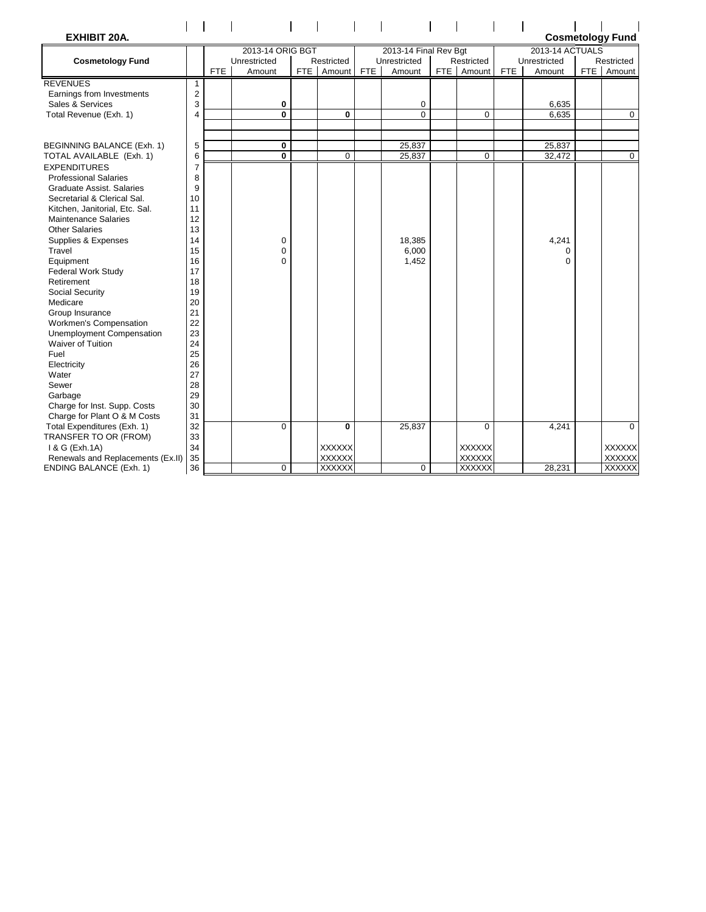| <b>EXHIBIT 20A.</b>                                           |                |      |                        |     |                      |            |                       |                            |            |                 |     | <b>Cosmetology Fund</b> |
|---------------------------------------------------------------|----------------|------|------------------------|-----|----------------------|------------|-----------------------|----------------------------|------------|-----------------|-----|-------------------------|
|                                                               |                |      | 2013-14 ORIG BGT       |     |                      |            | 2013-14 Final Rev Bgt |                            |            | 2013-14 ACTUALS |     |                         |
| <b>Cosmetology Fund</b>                                       |                | FTE. | Unrestricted<br>Amount | FTE | Restricted<br>Amount | <b>FTE</b> | Unrestricted          | Restricted<br>FTE   Amount | <b>FTE</b> | Unrestricted    | FTE | Restricted<br>Amount    |
|                                                               |                |      |                        |     |                      |            | Amount                |                            |            | Amount          |     |                         |
| <b>REVENUES</b>                                               | 1              |      |                        |     |                      |            |                       |                            |            |                 |     |                         |
| Earnings from Investments                                     | 2              |      |                        |     |                      |            |                       |                            |            |                 |     |                         |
| Sales & Services                                              | 3              |      | 0                      |     |                      |            | 0                     |                            |            | 6,635           |     |                         |
| Total Revenue (Exh. 1)                                        | $\overline{4}$ |      | $\mathbf 0$            |     | 0                    |            | $\Omega$              | $\mathbf 0$                |            | 6,635           |     | $\mathbf 0$             |
|                                                               |                |      |                        |     |                      |            |                       |                            |            |                 |     |                         |
| BEGINNING BALANCE (Exh. 1)                                    | 5              |      | 0                      |     |                      |            | 25,837                |                            |            | 25,837          |     |                         |
| TOTAL AVAILABLE (Exh. 1)                                      | 6              |      | 0                      |     | $\mathbf 0$          |            | 25,837                | $\mathbf 0$                |            | 32,472          |     | $\mathbf 0$             |
|                                                               |                |      |                        |     |                      |            |                       |                            |            |                 |     |                         |
| <b>EXPENDITURES</b>                                           | 7              |      |                        |     |                      |            |                       |                            |            |                 |     |                         |
| <b>Professional Salaries</b>                                  | 8<br>9         |      |                        |     |                      |            |                       |                            |            |                 |     |                         |
| Graduate Assist, Salaries                                     |                |      |                        |     |                      |            |                       |                            |            |                 |     |                         |
| Secretarial & Clerical Sal.                                   | 10<br>11       |      |                        |     |                      |            |                       |                            |            |                 |     |                         |
| Kitchen, Janitorial, Etc. Sal.<br><b>Maintenance Salaries</b> | 12             |      |                        |     |                      |            |                       |                            |            |                 |     |                         |
| <b>Other Salaries</b>                                         | 13             |      |                        |     |                      |            |                       |                            |            |                 |     |                         |
|                                                               | 14             |      | $\mathbf 0$            |     |                      |            | 18,385                |                            |            | 4,241           |     |                         |
| Supplies & Expenses<br>Travel                                 | 15             |      | $\mathbf 0$            |     |                      |            | 6,000                 |                            |            | 0               |     |                         |
| Equipment                                                     | 16             |      | $\Omega$               |     |                      |            | 1,452                 |                            |            | $\Omega$        |     |                         |
| <b>Federal Work Study</b>                                     | 17             |      |                        |     |                      |            |                       |                            |            |                 |     |                         |
| Retirement                                                    | 18             |      |                        |     |                      |            |                       |                            |            |                 |     |                         |
| Social Security                                               | 19             |      |                        |     |                      |            |                       |                            |            |                 |     |                         |
| Medicare                                                      | 20             |      |                        |     |                      |            |                       |                            |            |                 |     |                         |
| Group Insurance                                               | 21             |      |                        |     |                      |            |                       |                            |            |                 |     |                         |
| Workmen's Compensation                                        | 22             |      |                        |     |                      |            |                       |                            |            |                 |     |                         |
| <b>Unemployment Compensation</b>                              | 23             |      |                        |     |                      |            |                       |                            |            |                 |     |                         |
| <b>Waiver of Tuition</b>                                      | 24             |      |                        |     |                      |            |                       |                            |            |                 |     |                         |
| Fuel                                                          | 25             |      |                        |     |                      |            |                       |                            |            |                 |     |                         |
| Electricity                                                   | 26             |      |                        |     |                      |            |                       |                            |            |                 |     |                         |
| Water                                                         | 27             |      |                        |     |                      |            |                       |                            |            |                 |     |                         |
| Sewer                                                         | 28             |      |                        |     |                      |            |                       |                            |            |                 |     |                         |
| Garbage                                                       | 29             |      |                        |     |                      |            |                       |                            |            |                 |     |                         |
| Charge for Inst. Supp. Costs                                  | 30             |      |                        |     |                      |            |                       |                            |            |                 |     |                         |
| Charge for Plant O & M Costs                                  | 31             |      |                        |     |                      |            |                       |                            |            |                 |     |                         |
| Total Expenditures (Exh. 1)                                   | 32             |      | $\Omega$               |     | $\bf{0}$             |            | 25,837                | $\Omega$                   |            | 4,241           |     | $\Omega$                |
| TRANSFER TO OR (FROM)                                         | 33             |      |                        |     |                      |            |                       |                            |            |                 |     |                         |
| 1 & G (Exh.1A)                                                | 34             |      |                        |     | <b>XXXXXX</b>        |            |                       | <b>XXXXXX</b>              |            |                 |     | <b>XXXXXX</b>           |
| Renewals and Replacements (Ex.II)                             | 35             |      |                        |     | <b>XXXXXX</b>        |            |                       | <b>XXXXXX</b>              |            |                 |     | <b>XXXXXX</b>           |
| <b>ENDING BALANCE (Exh. 1)</b>                                | 36             |      | $\mathbf 0$            |     | <b>XXXXXX</b>        |            | $\Omega$              | <b>XXXXXX</b>              |            | 28,231          |     | <b>XXXXXX</b>           |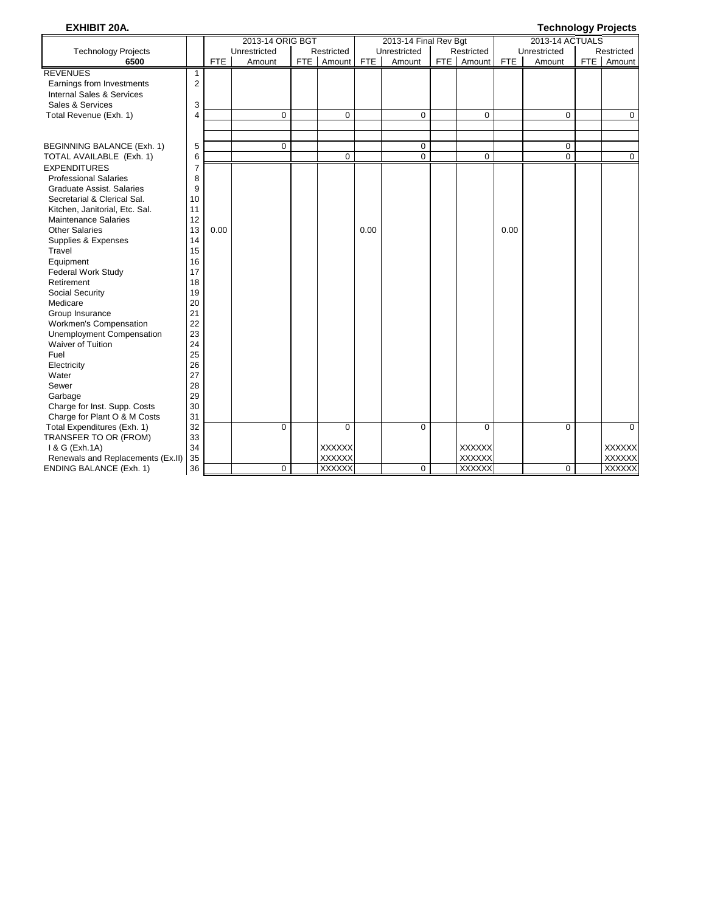#### **EXHIBIT 20A. Technology Projects**

|                                   |                |            | 2013-14 ORIG BGT |     |               |            | 2013-14 Final Rev Bgt |               |            | 2013-14 ACTUALS |               |
|-----------------------------------|----------------|------------|------------------|-----|---------------|------------|-----------------------|---------------|------------|-----------------|---------------|
| <b>Technology Projects</b>        |                |            | Unrestricted     |     | Restricted    |            | Unrestricted          | Restricted    |            | Unrestricted    | Restricted    |
| 6500                              |                | <b>FTE</b> | Amount           | FTE | Amount        | <b>FTE</b> | Amount                | FTE   Amount  | <b>FTE</b> | Amount          | FTE   Amount  |
| <b>REVENUES</b>                   | 1              |            |                  |     |               |            |                       |               |            |                 |               |
| Earnings from Investments         | $\overline{2}$ |            |                  |     |               |            |                       |               |            |                 |               |
| Internal Sales & Services         |                |            |                  |     |               |            |                       |               |            |                 |               |
| Sales & Services                  | 3              |            |                  |     |               |            |                       |               |            |                 |               |
| Total Revenue (Exh. 1)            | 4              |            | $\mathbf 0$      |     | 0             |            | 0                     | 0             |            | 0               | 0             |
|                                   |                |            |                  |     |               |            |                       |               |            |                 |               |
|                                   |                |            |                  |     |               |            |                       |               |            |                 |               |
| BEGINNING BALANCE (Exh. 1)        | 5              |            | $\mathbf 0$      |     |               |            | $\mathbf 0$           |               |            | $\mathbf 0$     |               |
| TOTAL AVAILABLE (Exh. 1)          | 6              |            |                  |     | $\mathbf 0$   |            | 0                     | $\mathbf 0$   |            | $\Omega$        | $\mathbf 0$   |
| <b>EXPENDITURES</b>               | 7              |            |                  |     |               |            |                       |               |            |                 |               |
| <b>Professional Salaries</b>      | 8              |            |                  |     |               |            |                       |               |            |                 |               |
| Graduate Assist, Salaries         | 9              |            |                  |     |               |            |                       |               |            |                 |               |
| Secretarial & Clerical Sal.       | 10             |            |                  |     |               |            |                       |               |            |                 |               |
| Kitchen, Janitorial, Etc. Sal.    | 11             |            |                  |     |               |            |                       |               |            |                 |               |
| <b>Maintenance Salaries</b>       | 12             |            |                  |     |               |            |                       |               |            |                 |               |
| <b>Other Salaries</b>             | 13             | 0.00       |                  |     |               | 0.00       |                       |               | 0.00       |                 |               |
| Supplies & Expenses               | 14             |            |                  |     |               |            |                       |               |            |                 |               |
| Travel                            | 15             |            |                  |     |               |            |                       |               |            |                 |               |
| Equipment                         | 16             |            |                  |     |               |            |                       |               |            |                 |               |
| <b>Federal Work Study</b>         | 17             |            |                  |     |               |            |                       |               |            |                 |               |
| Retirement                        | 18             |            |                  |     |               |            |                       |               |            |                 |               |
| <b>Social Security</b>            | 19             |            |                  |     |               |            |                       |               |            |                 |               |
| Medicare                          | 20             |            |                  |     |               |            |                       |               |            |                 |               |
| Group Insurance                   | 21             |            |                  |     |               |            |                       |               |            |                 |               |
| Workmen's Compensation            | 22             |            |                  |     |               |            |                       |               |            |                 |               |
| <b>Unemployment Compensation</b>  | 23             |            |                  |     |               |            |                       |               |            |                 |               |
| Waiver of Tuition                 | 24             |            |                  |     |               |            |                       |               |            |                 |               |
| Fuel                              | 25             |            |                  |     |               |            |                       |               |            |                 |               |
| Electricity                       | 26             |            |                  |     |               |            |                       |               |            |                 |               |
| Water                             | 27             |            |                  |     |               |            |                       |               |            |                 |               |
| Sewer                             | 28             |            |                  |     |               |            |                       |               |            |                 |               |
| Garbage                           | 29             |            |                  |     |               |            |                       |               |            |                 |               |
| Charge for Inst. Supp. Costs      | 30             |            |                  |     |               |            |                       |               |            |                 |               |
| Charge for Plant O & M Costs      | 31             |            |                  |     |               |            |                       |               |            |                 |               |
| Total Expenditures (Exh. 1)       | 32             |            | $\mathbf 0$      |     | 0             |            | $\Omega$              | $\Omega$      |            | $\Omega$        | $\Omega$      |
| TRANSFER TO OR (FROM)             | 33             |            |                  |     |               |            |                       |               |            |                 |               |
| 1 & G (Exh.1A)                    | 34             |            |                  |     | <b>XXXXXX</b> |            |                       | <b>XXXXXX</b> |            |                 | <b>XXXXXX</b> |
| Renewals and Replacements (Ex.II) | 35             |            |                  |     | <b>XXXXXX</b> |            |                       | XXXXXX        |            |                 | <b>XXXXXX</b> |
| <b>ENDING BALANCE (Exh. 1)</b>    | 36             |            | $\mathbf 0$      |     | <b>XXXXXX</b> |            | 0                     | <b>XXXXXX</b> |            | $\mathbf 0$     | <b>XXXXXX</b> |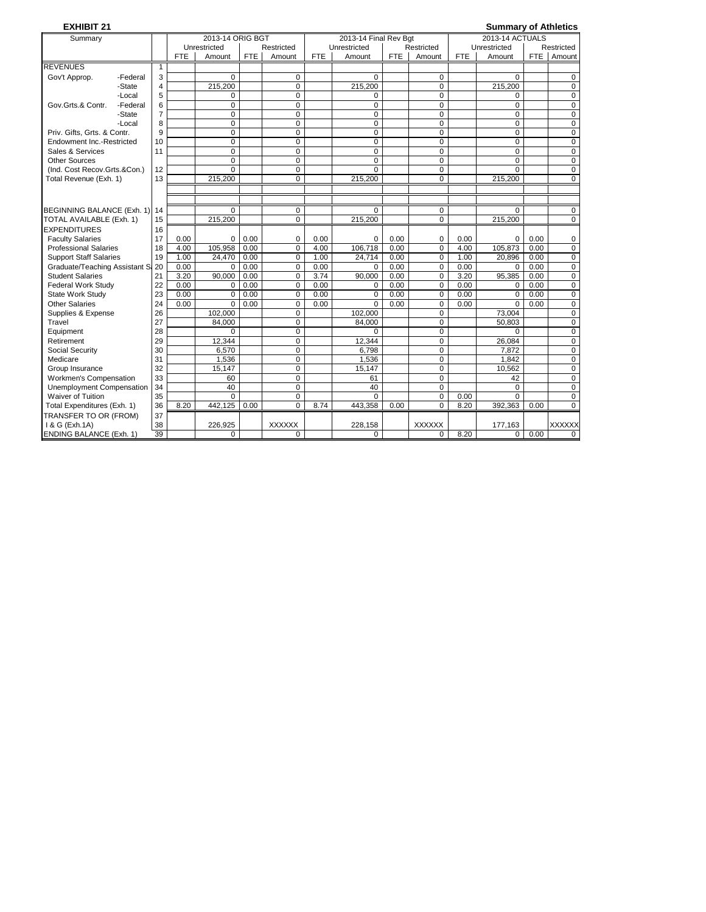| <b>EXHIBIT 21</b>              |          |                |            |                  |            |                |            |                       |            |               |            | <b>Summary of Athletics</b> |      |                |
|--------------------------------|----------|----------------|------------|------------------|------------|----------------|------------|-----------------------|------------|---------------|------------|-----------------------------|------|----------------|
| Summary                        |          |                |            | 2013-14 ORIG BGT |            |                |            | 2013-14 Final Rev Bgt |            |               |            | 2013-14 ACTUALS             |      |                |
|                                |          |                |            | Unrestricted     |            | Restricted     |            | Unrestricted          |            | Restricted    |            | Unrestricted                |      | Restricted     |
|                                |          |                | <b>FTE</b> | Amount           | <b>FTE</b> | Amount         | <b>FTE</b> | Amount                | <b>FTE</b> | Amount        | <b>FTE</b> | Amount                      | FTE  | Amount         |
| <b>REVENUES</b>                |          | $\mathbf{1}$   |            |                  |            |                |            |                       |            |               |            |                             |      |                |
| Gov't Approp.                  | -Federal | 3              |            | $\Omega$         |            | $\mathbf 0$    |            | $\Omega$              |            | 0             |            | $\Omega$                    |      | $\mathbf 0$    |
|                                | -State   | 4              |            | 215,200          |            | 0              |            | 215,200               |            | 0             |            | 215,200                     |      | $\mathbf 0$    |
|                                | -Local   | 5              |            | $\Omega$         |            | $\Omega$       |            | 0                     |            | $\Omega$      |            | $\Omega$                    |      | $\mathbf 0$    |
| Gov.Grts.& Contr.              | -Federal | 6              |            | $\mathbf 0$      |            | $\Omega$       |            | $\mathbf 0$           |            | $\Omega$      |            | $\Omega$                    |      | $\mathbf 0$    |
|                                | -State   | $\overline{7}$ |            | $\pmb{0}$        |            | $\mathbf 0$    |            | $\mathbf 0$           |            | 0             |            | 0                           |      | $\mathbf 0$    |
|                                | -Local   | 8              |            | $\mathbf 0$      |            | $\mathbf 0$    |            | $\mathbf 0$           |            | 0             |            | 0                           |      | $\mathbf 0$    |
| Priv. Gifts. Grts. & Contr.    |          | 9              |            | $\mathbf 0$      |            | $\Omega$       |            | $\mathbf 0$           |            | $\Omega$      |            | $\Omega$                    |      | $\mathbf 0$    |
| Endowment Inc.-Restricted      |          | 10             |            | $\pmb{0}$        |            | $\mathbf 0$    |            | $\pmb{0}$             |            | 0             |            | $\mathbf 0$                 |      | $\mathbf 0$    |
| Sales & Services               |          | 11             |            | $\mathbf 0$      |            | $\mathbf 0$    |            | $\mathbf 0$           |            | $\mathbf 0$   |            | $\mathbf 0$                 |      | $\mathbf 0$    |
| <b>Other Sources</b>           |          |                |            | $\mathbf 0$      |            | $\mathbf 0$    |            | $\mathbf 0$           |            | 0             |            | 0                           |      | $\mathbf 0$    |
| (Ind. Cost Recov.Grts.&Con.)   |          | 12             |            | $\Omega$         |            | 0              |            | $\Omega$              |            | $\Omega$      |            | $\Omega$                    |      | $\mathbf 0$    |
| Total Revenue (Exh. 1)         |          | 13             |            | 215,200          |            | $\Omega$       |            | 215,200               |            | $\Omega$      |            | 215,200                     |      | $\Omega$       |
|                                |          |                |            |                  |            |                |            |                       |            |               |            |                             |      |                |
|                                |          |                |            |                  |            |                |            |                       |            |               |            |                             |      |                |
| BEGINNING BALANCE (Exh. 1)     |          | 14             |            | $\Omega$         |            | $\mathbf 0$    |            | $\Omega$              |            | 0             |            | $\Omega$                    |      | $\mathbf 0$    |
| TOTAL AVAILABLE (Exh. 1)       |          | 15             |            | 215,200          |            | $\Omega$       |            | 215,200               |            | $\Omega$      |            | 215,200                     |      | $\Omega$       |
| <b>EXPENDITURES</b>            |          | 16             |            |                  |            |                |            |                       |            |               |            |                             |      |                |
| <b>Faculty Salaries</b>        |          | 17             | 0.00       | $\mathbf 0$      | 0.00       | $\mathbf 0$    | 0.00       | $\mathbf 0$           | 0.00       | 0             | 0.00       | 0                           | 0.00 | 0              |
| <b>Professional Salaries</b>   |          | 18             | 4.00       | 105.958          | 0.00       | $\mathbf 0$    | 4.00       | 106.718               | 0.00       | 0             | 4.00       | 105.873                     | 0.00 | $\mathbf 0$    |
| <b>Support Staff Salaries</b>  |          | 19             | 1.00       | 24,470           | 0.00       | $\mathbf 0$    | 1.00       | 24,714                | 0.00       | 0             | 1.00       | 20.896                      | 0.00 | $\mathbf 0$    |
| Graduate/Teaching Assistant Sa |          | 20             | 0.00       | 0                | 0.00       | $\Omega$       | 0.00       | $\mathbf 0$           | 0.00       | $\Omega$      | 0.00       | 0                           | 0.00 | $\mathbf 0$    |
| <b>Student Salaries</b>        |          | 21             | 3.20       | 90,000           | 0.00       | $\mathbf 0$    | 3.74       | 90,000                | 0.00       | 0             | 3.20       | 95,385                      | 0.00 | $\overline{0}$ |
| <b>Federal Work Study</b>      |          | 22             | 0.00       | $\mathbf 0$      | 0.00       | 0              | 0.00       | $\mathbf 0$           | 0.00       | 0             | 0.00       | $\Omega$                    | 0.00 | $\mathbf 0$    |
| State Work Study               |          | 23             | 0.00       | $\Omega$         | 0.00       | $\Omega$       | 0.00       | $\mathbf 0$           | 0.00       | $\Omega$      | 0.00       | $\Omega$                    | 0.00 | $\mathbf 0$    |
| <b>Other Salaries</b>          |          | 24             | 0.00       | $\Omega$         | 0.00       | $\Omega$       | 0.00       | $\Omega$              | 0.00       | $\Omega$      | 0.00       | $\Omega$                    | 0.00 | $\pmb{0}$      |
| Supplies & Expense             |          | 26             |            | 102,000          |            | 0              |            | 102,000               |            | 0             |            | 73.004                      |      | $\mathbf 0$    |
| Travel                         |          | 27             |            | 84.000           |            | $\Omega$       |            | 84,000                |            | $\Omega$      |            | 50,803                      |      | $\mathbf 0$    |
| Equipment                      |          | 28             |            | $\Omega$         |            | $\mathbf 0$    |            | $\Omega$              |            | $\Omega$      |            | $\Omega$                    |      | $\mathbf 0$    |
| Retirement                     |          | 29             |            | 12,344           |            | $\mathbf 0$    |            | 12,344                |            | 0             |            | 26,084                      |      | $\mathbf 0$    |
| Social Security                |          | 30             |            | 6.570            |            | $\Omega$       |            | 6.798                 |            | $\Omega$      |            | 7.872                       |      | $\mathbf 0$    |
| Medicare                       |          | 31             |            | 1,536            |            | $\mathbf 0$    |            | 1,536                 |            | 0             |            | 1,842                       |      | $\mathbf 0$    |
| Group Insurance                |          | 32             |            | 15,147           |            | 0              |            | 15,147                |            | 0             |            | 10.562                      |      | $\mathbf 0$    |
| Workmen's Compensation         |          | 33             |            | 60               |            | 0              |            | 61                    |            | 0             |            | 42                          |      | $\overline{0}$ |
| Unemployment Compensation      |          | 34             |            | 40               |            | $\Omega$       |            | 40                    |            | $\mathbf 0$   |            | $\Omega$                    |      | $\mathbf 0$    |
| Waiver of Tuition              |          | 35             |            | $\Omega$         |            | 0              |            | $\Omega$              |            | 0             | 0.00       | $\Omega$                    |      | $\mathbf 0$    |
| Total Expenditures (Exh. 1)    |          | 36             | 8.20       | 442,125          | 0.00       | $\overline{0}$ | 8.74       | 443,358               | 0.00       | $\Omega$      | 8.20       | 392,363                     | 0.00 | $\overline{0}$ |
| TRANSFER TO OR (FROM)          |          | 37             |            |                  |            |                |            |                       |            |               |            |                             |      |                |
| 1 & G (Exh.1A)                 |          | 38             |            | 226.925          |            | <b>XXXXXX</b>  |            | 228,158               |            | <b>XXXXXX</b> |            | 177.163                     |      | <b>XXXXXX</b>  |
| <b>ENDING BALANCE (Exh. 1)</b> |          | 39             |            | $\Omega$         |            | $\Omega$       |            | $\Omega$              |            | $\Omega$      | 8.20       | 0                           | 0.00 | $\Omega$       |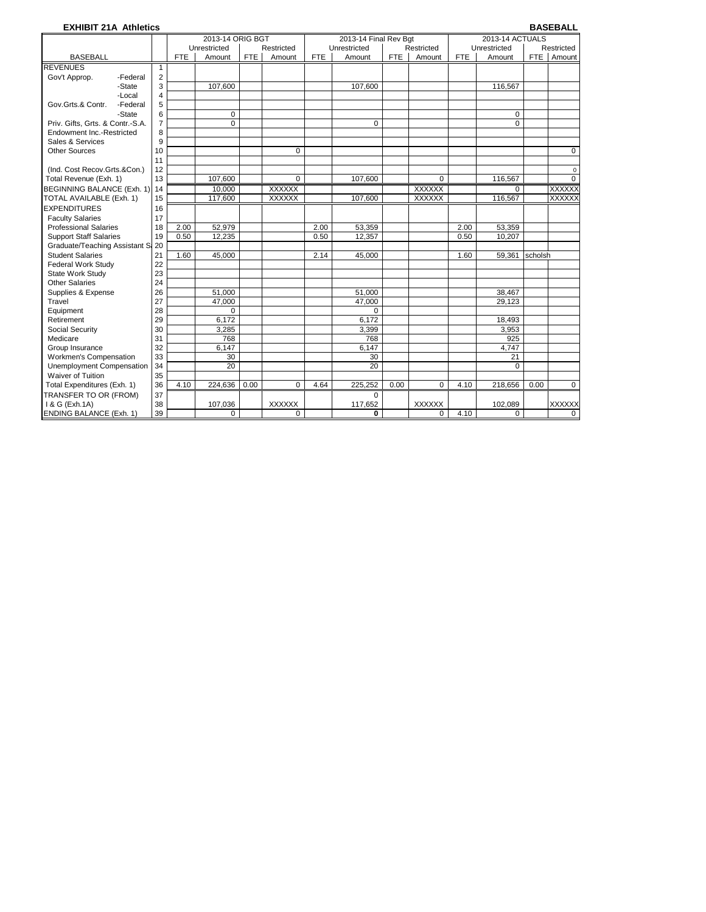#### **EXHIBIT 21A Athletics BASEBALL**

|                                   |                                                          |            | 2013-14 ORIG BGT |            |               |            | 2013-14 Final Rev Bgt |            |               |            | 2013-14 ACTUALS |         |               |
|-----------------------------------|----------------------------------------------------------|------------|------------------|------------|---------------|------------|-----------------------|------------|---------------|------------|-----------------|---------|---------------|
|                                   | Unrestricted<br>Unrestricted<br>Restricted<br>Restricted |            |                  |            |               |            |                       |            | Unrestricted  |            | Restricted      |         |               |
| <b>BASEBALL</b>                   |                                                          | <b>FTE</b> | Amount           | <b>FTE</b> | Amount        | <b>FTE</b> | Amount                | <b>FTE</b> | Amount        | <b>FTE</b> | Amount          |         | FTE Amount    |
| <b>REVENUES</b>                   | $\mathbf{1}$                                             |            |                  |            |               |            |                       |            |               |            |                 |         |               |
| Gov't Approp.<br>-Federal         | 2                                                        |            |                  |            |               |            |                       |            |               |            |                 |         |               |
| -State                            | 3                                                        |            | 107.600          |            |               |            | 107,600               |            |               |            | 116.567         |         |               |
| -Local                            | $\overline{4}$                                           |            |                  |            |               |            |                       |            |               |            |                 |         |               |
| Gov.Grts.& Contr.<br>-Federal     | 5                                                        |            |                  |            |               |            |                       |            |               |            |                 |         |               |
| -State                            | 6                                                        |            | $\mathbf 0$      |            |               |            |                       |            |               |            | 0               |         |               |
| Priv. Gifts, Grts. & Contr.-S.A.  | $\overline{7}$                                           |            | $\Omega$         |            |               |            | $\Omega$              |            |               |            | $\Omega$        |         |               |
| Endowment Inc.-Restricted         | 8                                                        |            |                  |            |               |            |                       |            |               |            |                 |         |               |
| Sales & Services                  | 9                                                        |            |                  |            |               |            |                       |            |               |            |                 |         |               |
| <b>Other Sources</b>              | 10                                                       |            |                  |            | $\Omega$      |            |                       |            |               |            |                 |         | $\mathbf 0$   |
|                                   | 11                                                       |            |                  |            |               |            |                       |            |               |            |                 |         |               |
| (Ind. Cost Recov.Grts.&Con.)      | 12                                                       |            |                  |            |               |            |                       |            |               |            |                 |         | $\mathbf 0$   |
| Total Revenue (Exh. 1)            | 13                                                       |            | 107,600          |            | $\Omega$      |            | 107,600               |            | $\Omega$      |            | 116,567         |         | $\Omega$      |
| BEGINNING BALANCE (Exh. 1) 14     |                                                          |            | 10.000           |            | <b>XXXXXX</b> |            |                       |            | <b>XXXXXX</b> |            | $\Omega$        |         | <b>XXXXXX</b> |
| TOTAL AVAILABLE (Exh. 1)          | 15                                                       |            | 117,600          |            | <b>XXXXXX</b> |            | 107,600               |            | <b>XXXXXX</b> |            | 116,567         |         | <b>XXXXXX</b> |
| <b>EXPENDITURES</b>               | 16                                                       |            |                  |            |               |            |                       |            |               |            |                 |         |               |
| <b>Faculty Salaries</b>           | 17                                                       |            |                  |            |               |            |                       |            |               |            |                 |         |               |
| <b>Professional Salaries</b>      | 18                                                       | 2.00       | 52,979           |            |               | 2.00       | 53,359                |            |               | 2.00       | 53,359          |         |               |
| <b>Support Staff Salaries</b>     | 19                                                       | 0.50       | 12.235           |            |               | 0.50       | 12.357                |            |               | 0.50       | 10,207          |         |               |
| Graduate/Teaching Assistant S: 20 |                                                          |            |                  |            |               |            |                       |            |               |            |                 |         |               |
| <b>Student Salaries</b>           | 21                                                       | 1.60       | 45.000           |            |               | 2.14       | 45.000                |            |               | 1.60       | 59.361          | scholsh |               |
| <b>Federal Work Study</b>         | 22                                                       |            |                  |            |               |            |                       |            |               |            |                 |         |               |
| State Work Study                  | 23                                                       |            |                  |            |               |            |                       |            |               |            |                 |         |               |
| <b>Other Salaries</b>             | 24                                                       |            |                  |            |               |            |                       |            |               |            |                 |         |               |
| Supplies & Expense                | 26                                                       |            | 51.000           |            |               |            | 51,000                |            |               |            | 38,467          |         |               |
| Travel                            | 27                                                       |            | 47.000           |            |               |            | 47.000                |            |               |            | 29.123          |         |               |
| Equipment                         | 28                                                       |            | $\mathbf 0$      |            |               |            | $\Omega$              |            |               |            |                 |         |               |
| Retirement                        | 29                                                       |            | 6.172            |            |               |            | 6.172                 |            |               |            | 18.493          |         |               |
| Social Security                   | 30                                                       |            | 3,285            |            |               |            | 3,399                 |            |               |            | 3,953           |         |               |
| Medicare                          | 31                                                       |            | 768              |            |               |            | 768                   |            |               |            | 925             |         |               |
| Group Insurance                   | 32                                                       |            | 6.147            |            |               |            | 6,147                 |            |               |            | 4.747           |         |               |
| Workmen's Compensation            | 33                                                       |            | 30               |            |               |            | 30                    |            |               |            | 21              |         |               |
| Unemployment Compensation         | 34                                                       |            | 20               |            |               |            | 20                    |            |               |            | $\Omega$        |         |               |
| Waiver of Tuition                 | 35                                                       |            |                  |            |               |            |                       |            |               |            |                 |         |               |
| Total Expenditures (Exh. 1)       | 36                                                       | 4.10       | 224,636          | 0.00       | $\Omega$      | 4.64       | 225,252               | 0.00       | $\Omega$      | 4.10       | 218,656         | 0.00    | $\mathbf 0$   |
| TRANSFER TO OR (FROM)             | 37                                                       |            |                  |            |               |            | $\Omega$              |            |               |            |                 |         |               |
| 1 & G (Exh.1A)                    | 38                                                       |            | 107,036          |            | <b>XXXXXX</b> |            | 117,652               |            | XXXXXX        |            | 102,089         |         | <b>XXXXXX</b> |
| <b>ENDING BALANCE (Exh. 1)</b>    | 39                                                       |            | 0                |            | $\mathbf 0$   |            | 0                     |            | $\Omega$      | 4.10       | 0               |         | 0             |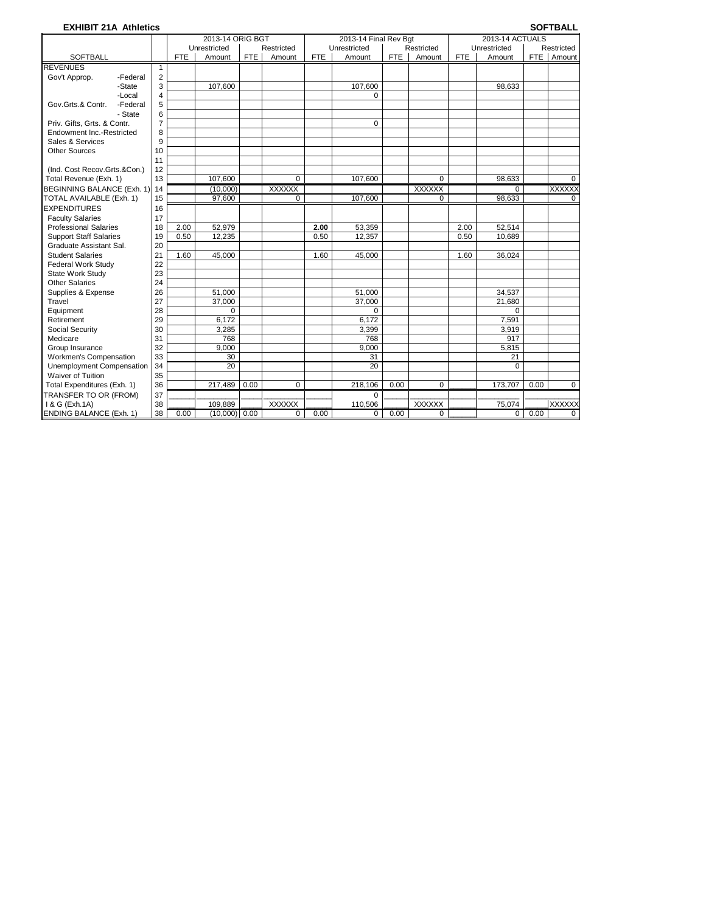#### **EXHIBIT 21A Athletics SOFTBALL**

|                                |          |                |            | 2013-14 ORIG BGT |            |               |            | 2013-14 Final Rev Bgt |            |               |            | 2013-14 ACTUALS |      |               |
|--------------------------------|----------|----------------|------------|------------------|------------|---------------|------------|-----------------------|------------|---------------|------------|-----------------|------|---------------|
|                                |          |                |            | Unrestricted     |            | Restricted    |            | Unrestricted          |            | Restricted    |            | Unrestricted    |      | Restricted    |
| <b>SOFTBALL</b>                |          |                | <b>FTE</b> | Amount           | <b>FTE</b> | Amount        | <b>FTE</b> | Amount                | <b>FTE</b> | Amount        | <b>FTE</b> | Amount          |      | FTE Amount    |
| <b>REVENUES</b>                |          | -1             |            |                  |            |               |            |                       |            |               |            |                 |      |               |
| Gov't Approp.                  | -Federal | 2              |            |                  |            |               |            |                       |            |               |            |                 |      |               |
|                                | -State   | 3              |            | 107.600          |            |               |            | 107,600               |            |               |            | 98.633          |      |               |
|                                | -Local   | 4              |            |                  |            |               |            | $\Omega$              |            |               |            |                 |      |               |
| Gov.Grts.& Contr.              | -Federal | 5              |            |                  |            |               |            |                       |            |               |            |                 |      |               |
|                                | - State  | 6              |            |                  |            |               |            |                       |            |               |            |                 |      |               |
| Priv. Gifts, Grts. & Contr.    |          | $\overline{7}$ |            |                  |            |               |            | $\mathbf 0$           |            |               |            |                 |      |               |
| Endowment Inc.-Restricted      |          | 8              |            |                  |            |               |            |                       |            |               |            |                 |      |               |
| Sales & Services               |          | 9              |            |                  |            |               |            |                       |            |               |            |                 |      |               |
| <b>Other Sources</b>           |          | 10             |            |                  |            |               |            |                       |            |               |            |                 |      |               |
|                                |          | 11             |            |                  |            |               |            |                       |            |               |            |                 |      |               |
| (Ind. Cost Recov.Grts.&Con.)   |          | 12             |            |                  |            |               |            |                       |            |               |            |                 |      |               |
| Total Revenue (Exh. 1)         |          | 13             |            | 107,600          |            | $\Omega$      |            | 107,600               |            | $\mathbf 0$   |            | 98,633          |      | $\mathbf 0$   |
| BEGINNING BALANCE (Exh. 1) 14  |          |                |            | (10.000)         |            | <b>XXXXXX</b> |            |                       |            | <b>XXXXXX</b> |            | $\Omega$        |      | <b>XXXXXX</b> |
| TOTAL AVAILABLE (Exh. 1)       |          | 15             |            | 97,600           |            | $\Omega$      |            | 107,600               |            | $\Omega$      |            | 98,633          |      | $\Omega$      |
| <b>EXPENDITURES</b>            |          | 16             |            |                  |            |               |            |                       |            |               |            |                 |      |               |
| <b>Faculty Salaries</b>        |          | 17             |            |                  |            |               |            |                       |            |               |            |                 |      |               |
| <b>Professional Salaries</b>   |          | 18             | 2.00       | 52.979           |            |               | 2.00       | 53.359                |            |               | 2.00       | 52.514          |      |               |
| <b>Support Staff Salaries</b>  |          | 19             | 0.50       | 12,235           |            |               | 0.50       | 12,357                |            |               | 0.50       | 10.689          |      |               |
| Graduate Assistant Sal.        |          | 20             |            |                  |            |               |            |                       |            |               |            |                 |      |               |
| <b>Student Salaries</b>        |          | 21             | 1.60       | 45,000           |            |               | 1.60       | 45,000                |            |               | 1.60       | 36,024          |      |               |
| <b>Federal Work Study</b>      |          | 22             |            |                  |            |               |            |                       |            |               |            |                 |      |               |
| State Work Study               |          | 23             |            |                  |            |               |            |                       |            |               |            |                 |      |               |
| <b>Other Salaries</b>          |          | 24             |            |                  |            |               |            |                       |            |               |            |                 |      |               |
| Supplies & Expense             |          | 26             |            | 51,000           |            |               |            | 51,000                |            |               |            | 34,537          |      |               |
| Travel                         |          | 27             |            | 37,000           |            |               |            | 37,000                |            |               |            | 21,680          |      |               |
| Equipment                      |          | 28             |            | 0                |            |               |            | $\mathbf 0$           |            |               |            | 0               |      |               |
| Retirement                     |          | 29             |            | 6,172            |            |               |            | 6,172                 |            |               |            | 7,591           |      |               |
| Social Security                |          | 30             |            | 3,285            |            |               |            | 3,399                 |            |               |            | 3,919           |      |               |
| Medicare                       |          | 31             |            | 768              |            |               |            | 768                   |            |               |            | 917             |      |               |
| Group Insurance                |          | 32             |            | 9,000            |            |               |            | 9,000                 |            |               |            | 5,815           |      |               |
| <b>Workmen's Compensation</b>  |          | 33             |            | 30               |            |               |            | 31                    |            |               |            | 21              |      |               |
| Unemployment Compensation      |          | 34             |            | 20               |            |               |            | 20                    |            |               |            | $\Omega$        |      |               |
| Waiver of Tuition              |          | 35             |            |                  |            |               |            |                       |            |               |            |                 |      |               |
| Total Expenditures (Exh. 1)    |          | 36             |            | 217.489          | 0.00       | $\Omega$      |            | 218,106               | 0.00       | $\Omega$      |            | 173,707         | 0.00 | $\Omega$      |
| TRANSFER TO OR (FROM)          |          | 37             |            |                  |            |               |            | $\Omega$              |            |               |            |                 |      |               |
| 1 & G (Exh.1A)                 |          | 38             |            | 109,889          |            | <b>XXXXXX</b> |            | 110,506               |            | <b>XXXXXX</b> |            | 75,074          |      | <b>XXXXXX</b> |
| <b>ENDING BALANCE (Exh. 1)</b> |          | 38             | 0.00       | $(10,000)$ 0.00  |            | 0             | 0.00       | 0                     | 0.00       | $\mathbf 0$   |            | 0               | 0.00 | $\Omega$      |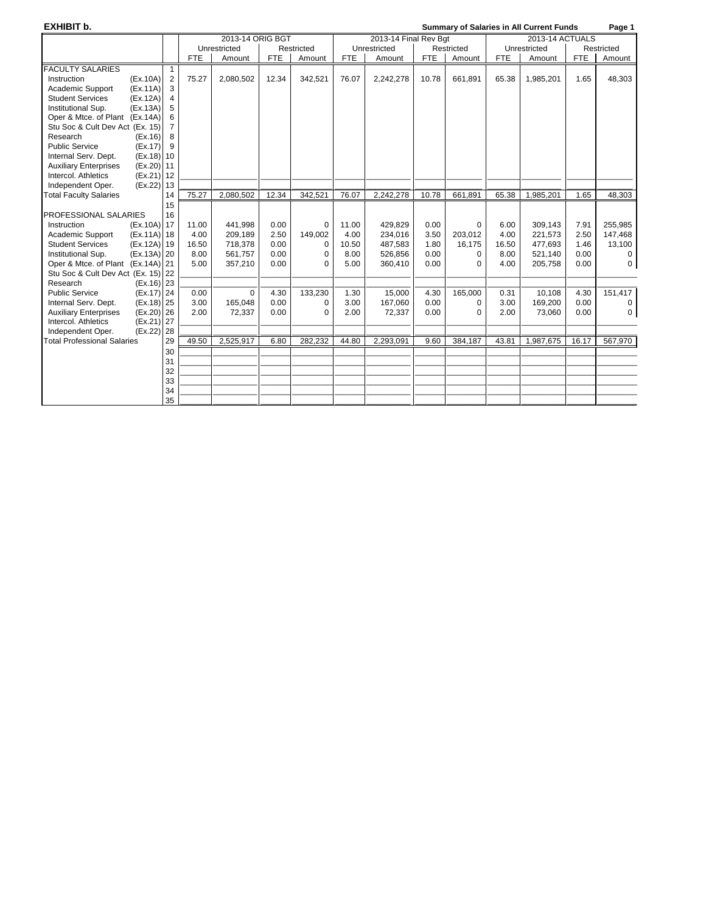**EXHIBIT b. Summary of Salaries in All Current Funds Page 1**

|                                              |    |            | 2013-14 ORIG BGT |            |            |            | 2013-14 Final Rev Bqt |            |            |            | 2013-14 ACTUALS |            | .           |
|----------------------------------------------|----|------------|------------------|------------|------------|------------|-----------------------|------------|------------|------------|-----------------|------------|-------------|
|                                              |    |            | Unrestricted     |            | Restricted |            | Unrestricted          |            | Restricted |            | Unrestricted    |            | Restricted  |
|                                              |    | <b>FTE</b> | Amount           | <b>FTE</b> | Amount     | <b>FTE</b> | Amount                | <b>FTE</b> | Amount     | <b>FTE</b> | Amount          | <b>FTE</b> | Amount      |
| <b>FACULTY SALARIES</b>                      | 1  |            |                  |            |            |            |                       |            |            |            |                 |            |             |
| (EX.10A)<br>Instruction                      | 2  | 75.27      | 2,080,502        | 12.34      | 342,521    | 76.07      | 2,242,278             | 10.78      | 661,891    | 65.38      | 1,985,201       | 1.65       | 48,303      |
| Academic Support<br>(EX.11A)                 | 3  |            |                  |            |            |            |                       |            |            |            |                 |            |             |
| <b>Student Services</b><br>(EX.12A)          | 4  |            |                  |            |            |            |                       |            |            |            |                 |            |             |
| Institutional Sup.<br>(EX.13A)               | 5  |            |                  |            |            |            |                       |            |            |            |                 |            |             |
| Oper & Mtce. of Plant (Ex.14A)               | 6  |            |                  |            |            |            |                       |            |            |            |                 |            |             |
| Stu Soc & Cult Dev Act (Ex. 15)              | 7  |            |                  |            |            |            |                       |            |            |            |                 |            |             |
| Research<br>(EX.16)                          | 8  |            |                  |            |            |            |                       |            |            |            |                 |            |             |
| <b>Public Service</b><br>(EX.17)             | 9  |            |                  |            |            |            |                       |            |            |            |                 |            |             |
| Internal Serv. Dept.<br>$(Ex.18)$ 10         |    |            |                  |            |            |            |                       |            |            |            |                 |            |             |
| <b>Auxiliary Enterprises</b><br>(Ex.20) 11   |    |            |                  |            |            |            |                       |            |            |            |                 |            |             |
| Intercol. Athletics<br>(Ex.21) 12            |    |            |                  |            |            |            |                       |            |            |            |                 |            |             |
| Independent Oper.<br>(Ex.22) 13              |    |            |                  |            |            |            |                       |            |            |            |                 |            |             |
| <b>Total Faculty Salaries</b>                | 14 | 75.27      | 2,080,502        | 12.34      | 342,521    | 76.07      | 2,242,278             | 10.78      | 661,891    | 65.38      | 1,985,201       | 1.65       | 48,303      |
|                                              | 15 |            |                  |            |            |            |                       |            |            |            |                 |            |             |
| PROFESSIONAL SALARIES                        | 16 |            |                  |            |            |            |                       |            |            |            |                 |            |             |
| (Ex.10A) 17<br>Instruction                   |    | 11.00      | 441,998          | 0.00       | 0          | 11.00      | 429.829               | 0.00       | 0          | 6.00       | 309.143         | 7.91       | 255,985     |
| Academic Support<br>(Ex.11A) 18              |    | 4.00       | 209,189          | 2.50       | 149,002    | 4.00       | 234,016               | 3.50       | 203,012    | 4.00       | 221,573         | 2.50       | 147,468     |
| <b>Student Services</b><br>(Ex.12A) 19       |    | 16.50      | 718,378          | 0.00       | 0          | 10.50      | 487.583               | 1.80       | 16.175     | 16.50      | 477.693         | 1.46       | 13,100      |
| Institutional Sup.<br>(Ex.13A) 20            |    | 8.00       | 561,757          | 0.00       | 0          | 8.00       | 526.856               | 0.00       | $\Omega$   | 8.00       | 521.140         | 0.00       | 0           |
| Oper & Mtce. of Plant (Ex.14A) 21            |    | 5.00       | 357,210          | 0.00       | $\Omega$   | 5.00       | 360.410               | 0.00       | $\Omega$   | 4.00       | 205,758         | 0.00       | $\mathbf 0$ |
| Stu Soc & Cult Dev Act (Ex. 15) 22           |    |            |                  |            |            |            |                       |            |            |            |                 |            |             |
| $(Ex.16)$ 23<br>Research                     |    |            |                  |            |            |            |                       |            |            |            |                 |            |             |
| <b>Public Service</b><br>(Ex.17) 24          |    | 0.00       | $\mathbf 0$      | 4.30       | 133,230    | 1.30       | 15,000                | 4.30       | 165,000    | 0.31       | 10,108          | 4.30       | 151,417     |
| (Ex.18) 25<br>Internal Serv. Dept.           |    | 3.00       | 165.048          | 0.00       | 0          | 3.00       | 167,060               | 0.00       | $\Omega$   | 3.00       | 169,200         | 0.00       | 0           |
| $(Ex.20)$ 26<br><b>Auxiliary Enterprises</b> |    | 2.00       | 72,337           | 0.00       | $\Omega$   | 2.00       | 72,337                | 0.00       | 0          | 2.00       | 73,060          | 0.00       | 0           |
| (Ex.21) 27<br>Intercol. Athletics            |    |            |                  |            |            |            |                       |            |            |            |                 |            |             |
| $(Ex.22)$ 28<br>Independent Oper.            |    |            |                  |            |            |            |                       |            |            |            |                 |            |             |
| <b>Total Professional Salaries</b>           | 29 | 49.50      | 2,525,917        | 6.80       | 282,232    | 44.80      | 2,293,091             | 9.60       | 384,187    | 43.81      | 1,987,675       | 16.17      | 567,970     |
|                                              | 30 |            |                  |            |            |            |                       |            |            |            |                 |            |             |
|                                              | 31 |            |                  |            |            |            |                       |            |            |            |                 |            |             |
|                                              | 32 |            |                  |            |            |            |                       |            |            |            |                 |            |             |
|                                              | 33 |            |                  |            |            |            |                       |            |            |            |                 |            |             |
|                                              | 34 |            |                  |            |            |            |                       |            |            |            |                 |            |             |
|                                              | 35 |            |                  |            |            |            |                       |            |            |            |                 |            |             |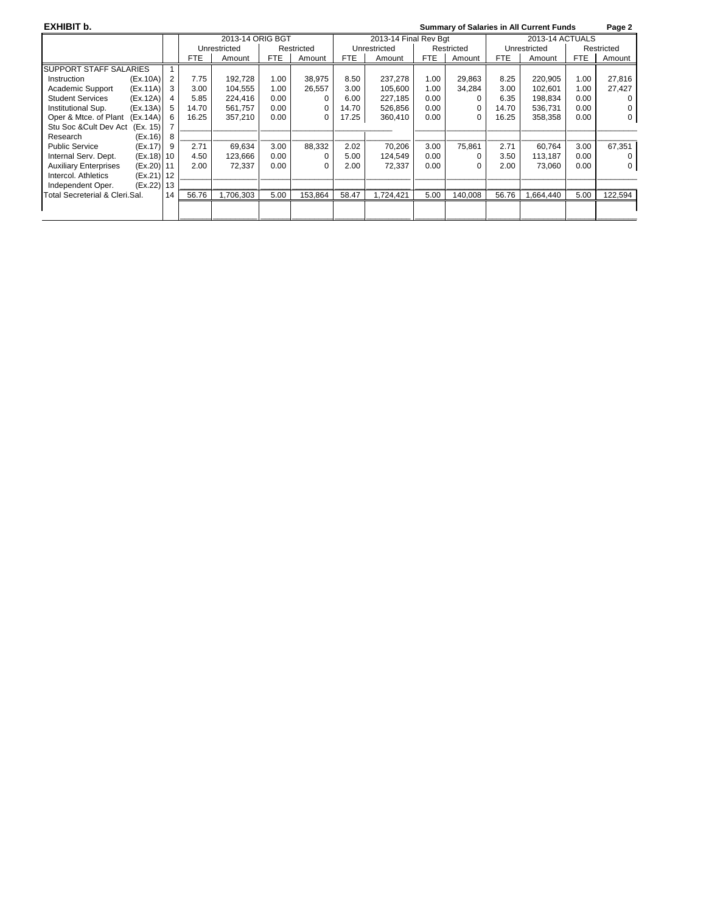| EXHIBIT b.                        |              |    |            |                  |            |            |            |                       |            |            |       | <b>Summary of Salaries in All Current Funds</b> |            | Page 2     |
|-----------------------------------|--------------|----|------------|------------------|------------|------------|------------|-----------------------|------------|------------|-------|-------------------------------------------------|------------|------------|
|                                   |              |    |            | 2013-14 ORIG BGT |            |            |            | 2013-14 Final Rev Bgt |            |            |       | 2013-14 ACTUALS                                 |            |            |
|                                   |              |    |            | Unrestricted     |            | Restricted |            | Unrestricted          |            | Restricted |       | Unrestricted                                    |            | Restricted |
|                                   |              |    | <b>FTE</b> | Amount           | <b>FTE</b> | Amount     | <b>FTE</b> | Amount                | <b>FTE</b> | Amount     | FTE   | Amount                                          | <b>FTE</b> | Amount     |
| <b>SUPPORT STAFF SALARIES</b>     |              |    |            |                  |            |            |            |                       |            |            |       |                                                 |            |            |
| Instruction                       | (EX.10A)     | 2  | 7.75       | 192,728          | 1.00       | 38,975     | 8.50       | 237,278               | 1.00       | 29,863     | 8.25  | 220,905                                         | 1.00       | 27,816     |
| Academic Support                  | (EX.11A)     | 3  | 3.00       | 104.555          | 1.00       | 26,557     | 3.00       | 105.600               | 1.00       | 34,284     | 3.00  | 102.601                                         | 1.00       | 27,427     |
| <b>Student Services</b>           | (EX.12A)     |    | 5.85       | 224,416          | 0.00       |            | 6.00       | 227.185               | 0.00       |            | 6.35  | 198.834                                         | 0.00       |            |
| Institutional Sup.                | (EX.13A)     | 5  | 14.70      | 561,757          | 0.00       | 0          | 14.70      | 526,856               | 0.00       | 0          | 14.70 | 536,731                                         | 0.00       |            |
| Oper & Mtce. of Plant<br>(EX.14A) |              | 6  | 16.25      | 357,210          | 0.00       | 0          | 17.25      | 360.410               | 0.00       | $\Omega$   | 16.25 | 358,358                                         | 0.00       | 0          |
| Stu Soc & Cult Dev Act            | (Ex. 15)     |    |            |                  |            |            |            |                       |            |            |       |                                                 |            |            |
| Research                          | (Ex.16)      | 8  |            |                  |            |            |            |                       |            |            |       |                                                 |            |            |
| <b>Public Service</b>             | (Ex.17)      | 9  | 2.71       | 69,634           | 3.00       | 88,332     | 2.02       | 70,206                | 3.00       | 75,861     | 2.71  | 60.764                                          | 3.00       | 67,351     |
| Internal Serv. Dept.              | $(Ex.18)$ 10 |    | 4.50       | 123,666          | 0.00       |            | 5.00       | 124,549               | 0.00       | $\Omega$   | 3.50  | 113.187                                         | 0.00       |            |
| <b>Auxiliary Enterprises</b>      | (Ex.20) 11   |    | 2.00       | 72,337           | 0.00       | 0          | 2.00       | 72,337                | 0.00       | $\Omega$   | 2.00  | 73.060                                          | 0.00       |            |
| Intercol. Athletics               | (Ex.21) 12   |    |            |                  |            |            |            |                       |            |            |       |                                                 |            |            |
| Independent Oper.                 | (Ex.22) 13   |    |            |                  |            |            |            |                       |            |            |       |                                                 |            |            |
| Total Secreterial & Cleri.Sal.    |              | 14 | 56.76      | ,706,303         | 5.00       | 153,864    | 58.47      | 1,724,421             | 5.00       | 140,008    | 56.76 | 1,664,440                                       | 5.00       | 122,594    |
|                                   |              |    |            |                  |            |            |            |                       |            |            |       |                                                 |            |            |
|                                   |              |    |            |                  |            |            |            |                       |            |            |       |                                                 |            |            |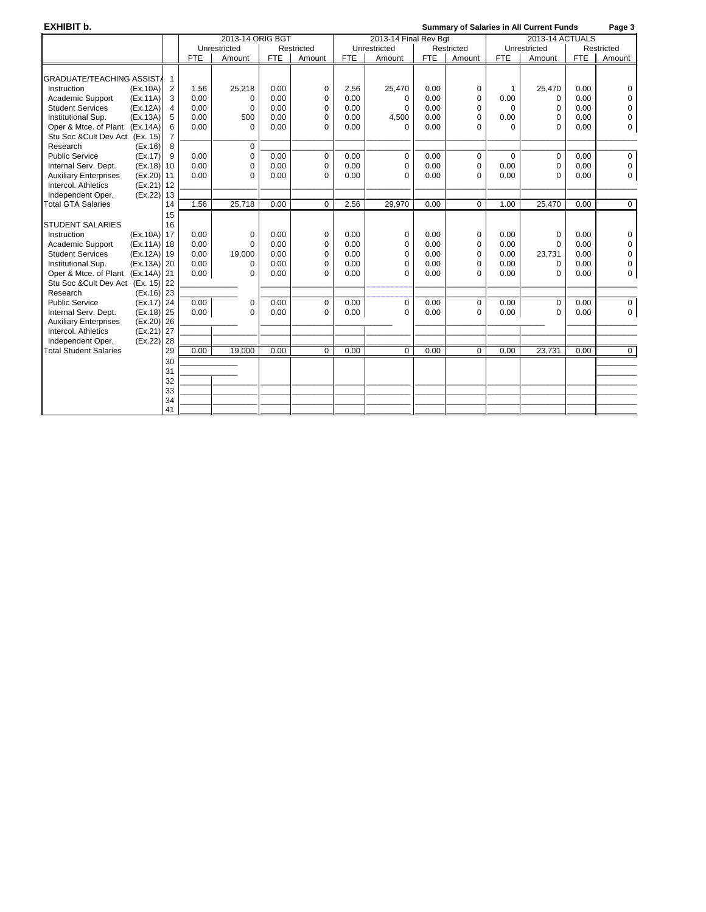**EXHIBIT b. Summary of Salaries in All Current Funds Page 3** 2013-14 ORIG BGT 2013-14 Final Rev Bgt 2013-14 ACTUALS<br>
2013-14 ACTUALS<br>
2013-14 Actual Directricted Restricted Restricted Restricted Restricted Unrestricted | Restricted | Unrestricted | Restricted | Unrestricted | Restricted | Restricted | Restricted | Restricted | Restricted | Restricted | Restricted | Restricted | Restricted | Restricted | Restricted | Restrict Amount | FTE | Amount | FTE | Amount | FTE | Amount | FTE | Amount GRADUATE/TEACHING ASSIST<br>Instruction (Ex.10A) 2 Instruction (Ex.10A) 2 | 1.56 | 25,218 | 0.00 | 0 | 2.56 | 25,470 | 0.00 | 0 | 0 | 1 | 25,470 | 0.00 | 0 Academic Support (Ex.11A) 3 0.00 0 0.00 0 0.00 0 0.00 0 0.00 0 0.00 0 0.00 0 0.00 0 0 0.00 0 0 0.00 0 0 0.00 0 Student Services (Ex.12A) 4 0.00 0 0.00 0 0.00 0 0.00 0 0 0 0.00 0 Institutional Sup. (Ex.13A) 5 | 0.00 | 500 | 0.00 | 0 | 0.00 | 4,500 | 0.00 | 0 | 0.00 | 0 | 0.00 | 0 Oper & Mtce. of Plant (Ex.14A) 6 0.00 0 0.00 0 0.00 0 0.00 0 0 0 0.00 0 Stu Soc &Cult Dev Act (Ex. 15) 7<br>Research (Ex.16) 8 Research (Ex.16) 8 0 \_\_\_\_\_\_\_\_\_\_\_\_\_ \_\_\_\_\_\_\_\_\_\_\_\_\_\_\_\_\_\_\_\_\_\_\_ \_\_\_\_\_\_\_\_\_\_ \_\_\_\_\_\_\_\_\_\_\_\_\_ \_\_\_\_\_\_\_\_\_\_\_\_\_\_\_\_\_\_\_\_\_\_\_ \_\_\_\_\_\_\_\_\_\_ \_\_\_\_\_\_\_\_\_\_\_\_\_ \_\_\_\_\_\_\_\_\_\_ Public Service (Ex.17) 9 0.00 0 0.00 0 0.00 0 0.00 0 0 0 0.00 0 Internal Serv. Dept. (Ex.18) 10 0.00 0 0.00 0 0.00 0 0.00 0 0.00 0 0.00 0 Auxiliary Enterprises (Ex.20)<br>Intercol. Athletics (Ex.21) Intercol. Athletics (Ex.21) 12<br>Independent Oper. (Ex.22) 13 Independent Oper. (Ex.22) 13 \_\_\_\_\_\_\_\_\_\_\_\_\_ \_\_\_\_\_\_\_\_\_\_ \_\_\_\_\_\_\_\_\_\_\_\_\_ \_\_\_\_\_\_\_\_\_\_\_\_\_\_\_\_\_\_\_\_\_\_\_ \_\_\_\_\_\_\_\_\_\_ \_\_\_\_\_\_\_\_\_\_\_\_\_ \_\_\_\_\_\_\_\_\_\_\_\_\_\_\_\_\_\_\_\_\_\_\_ \_\_\_\_\_\_\_\_\_\_ \_\_\_\_\_\_\_\_\_\_\_\_\_ \_\_\_\_\_\_\_\_\_\_ Total GTA Salaries 14 15 STUDENT SALARIES | 16<br>
Instruction (Ex.10A) 17 Instruction (Ex.10A) 17 0.00 0 0.00 0 0.00 0 0.00 0 0.00 0 0.00 0 Academic Support (Ex.11A) 18 0.00 0 0.00 0 0.00 0 0.00 0 0.00 0 0.00 0 0.00 0 0.00 0 0 0.00 0 0 0.00 0 0 0.00 0<br>Student Services (Ex.12A) 19 0.00 19,000 0.00 0.00 0 0.00 0 0.00 0 0.00 0 0.00 23,731 0.00 0 Student Services (Ex.12A) 19 0.00 19,000 0.00 0 0.00 0 0.00 0 0.00 23,731 0.00 0 Institutional Sup. (Ex.13A) 20 0.00 0 0.00 0 0.00 0 0.00 0 0.00 0 0.00 0 0.00 0 0.00 0 0 0.00 0 0 0.00 0 0 0.0<br>Oper & Mtce. of Plant (Ex.14A) 21 0.00 0 0.00 0 0.00 0 0.00 0 0.00 0 0.00 0 0.00 0 0.00 0 0.00 0 0.00 0 0 0.00 Oper & Mtce. of Plant (Ex.14A) 21. Stu Soc &Cult Dev Act (Ex. 15) 22<br>
Research (Ex.16) 23<br>
Public Service (Ex.17) 24 Research (Ex.16) 23 \_\_\_\_\_\_\_\_\_\_\_\_\_ \_\_\_\_\_\_\_\_\_\_\_\_\_ \_\_\_\_\_\_\_\_\_\_\_\_\_\_\_\_\_\_\_\_\_\_\_ \_\_\_\_\_\_\_\_\_\_ \_\_\_\_\_\_\_\_\_\_\_\_\_ \_\_\_\_\_\_\_\_\_\_\_\_\_\_\_\_\_\_\_\_\_\_\_ \_\_\_\_\_\_\_\_\_\_ \_\_\_\_\_\_\_\_\_\_\_\_\_ \_\_\_\_\_\_\_\_\_\_ Public Service (Ex.17) 24 0.00 0 0.00 0 0.00 0 0.00 0 0.00 0 0.00 0 Internal Serv. Dept. (Ex.18) 25 0.00 0 0.00 0 0.00 0 0.00 0 0.00 0 0.00 0 Auxiliary Enterprises (Ex.20) 26<br>Intercol. Athletics (Ex.21) 27 Intercol. Athletics (Ex.21) 27 \_\_\_\_\_\_\_\_\_\_\_\_\_ \_\_\_\_\_\_\_\_\_\_ \_\_\_\_\_\_\_\_\_\_\_\_\_ \_\_\_\_\_\_\_\_\_\_\_\_\_\_\_\_\_\_\_\_\_\_\_ \_\_\_\_\_\_\_\_\_\_ \_\_\_\_\_\_\_\_\_\_\_\_\_ \_\_\_\_\_\_\_\_\_\_\_\_\_\_\_\_\_\_\_\_\_\_\_ \_\_\_\_\_\_\_\_\_\_ \_\_\_\_\_\_\_\_\_\_\_\_\_ \_\_\_\_\_\_\_\_\_\_ Independent Oper. (Ex.22) 28 \_\_\_\_\_\_\_\_\_\_\_\_\_ \_\_\_\_\_\_\_\_\_\_ \_\_\_\_\_\_\_\_\_\_\_\_\_ \_\_\_\_\_\_\_\_\_\_\_\_\_\_\_\_\_\_\_\_\_\_\_ \_\_\_\_\_\_\_\_\_\_ \_\_\_\_\_\_\_\_\_\_\_\_\_ \_\_\_\_\_\_\_\_\_\_\_\_\_\_\_\_\_\_\_\_\_\_\_ \_\_\_\_\_\_\_\_\_\_ \_\_\_\_\_\_\_\_\_\_\_\_\_ \_\_\_\_\_\_\_\_\_\_ **Total Student Salaries** 30 \_\_\_\_\_\_\_\_\_\_\_\_\_ \_\_\_\_\_\_\_\_\_\_ 31 \_\_\_\_\_\_\_\_\_\_\_\_\_ \_\_\_\_\_\_\_\_\_\_ 32 \_\_\_\_\_\_\_\_\_\_\_\_\_ \_\_\_\_\_\_\_\_\_\_ \_\_\_\_\_\_\_\_\_\_\_\_\_ \_\_\_\_\_\_\_\_\_\_\_\_\_\_\_\_\_\_\_\_\_\_\_ \_\_\_\_\_\_\_\_\_\_ \_\_\_\_\_\_\_\_\_\_\_\_\_ \_\_\_\_\_\_\_\_\_\_\_\_\_\_\_\_\_\_\_\_\_\_\_ \_\_\_\_\_\_\_\_\_\_ \_\_\_\_\_\_\_\_\_\_\_\_\_ \_\_\_\_\_\_\_\_\_\_ 33 \_\_\_\_\_\_\_\_\_\_\_\_\_ \_\_\_\_\_\_\_\_\_\_ \_\_\_\_\_\_\_\_\_\_\_\_\_ \_\_\_\_\_\_\_\_\_\_\_\_\_\_\_\_\_\_\_\_\_\_\_ \_\_\_\_\_\_\_\_\_\_ \_\_\_\_\_\_\_\_\_\_\_\_\_ \_\_\_\_\_\_\_\_\_\_\_\_\_\_\_\_\_\_\_\_\_\_\_ \_\_\_\_\_\_\_\_\_\_ \_\_\_\_\_\_\_\_\_\_\_\_\_ \_\_\_\_\_\_\_\_\_\_ 34 \_\_\_\_\_\_\_\_\_\_\_\_\_ \_\_\_\_\_\_\_\_\_\_ \_\_\_\_\_\_\_\_\_\_\_\_\_ \_\_\_\_\_\_\_\_\_\_\_\_\_\_\_\_\_\_\_\_\_\_\_ \_\_\_\_\_\_\_\_\_\_ \_\_\_\_\_\_\_\_\_\_\_\_\_ \_\_\_\_\_\_\_\_\_\_\_\_\_\_\_\_\_\_\_\_\_\_\_ \_\_\_\_\_\_\_\_\_\_ \_\_\_\_\_\_\_\_\_\_\_\_\_ \_\_\_\_\_\_\_\_\_\_ 41 \_\_\_\_\_\_\_\_\_\_\_\_\_ \_\_\_\_\_\_\_\_\_\_ \_\_\_\_\_\_\_\_\_\_\_\_\_ \_\_\_\_\_\_\_\_\_\_\_\_\_\_\_\_\_\_\_\_\_\_\_ \_\_\_\_\_\_\_\_\_\_ \_\_\_\_\_\_\_\_\_\_\_\_\_ \_\_\_\_\_\_\_\_\_\_\_\_\_\_\_\_\_\_\_\_\_\_\_ \_\_\_\_\_\_\_\_\_\_ \_\_\_\_\_\_\_\_\_\_\_\_\_ \_\_\_\_\_\_\_\_\_\_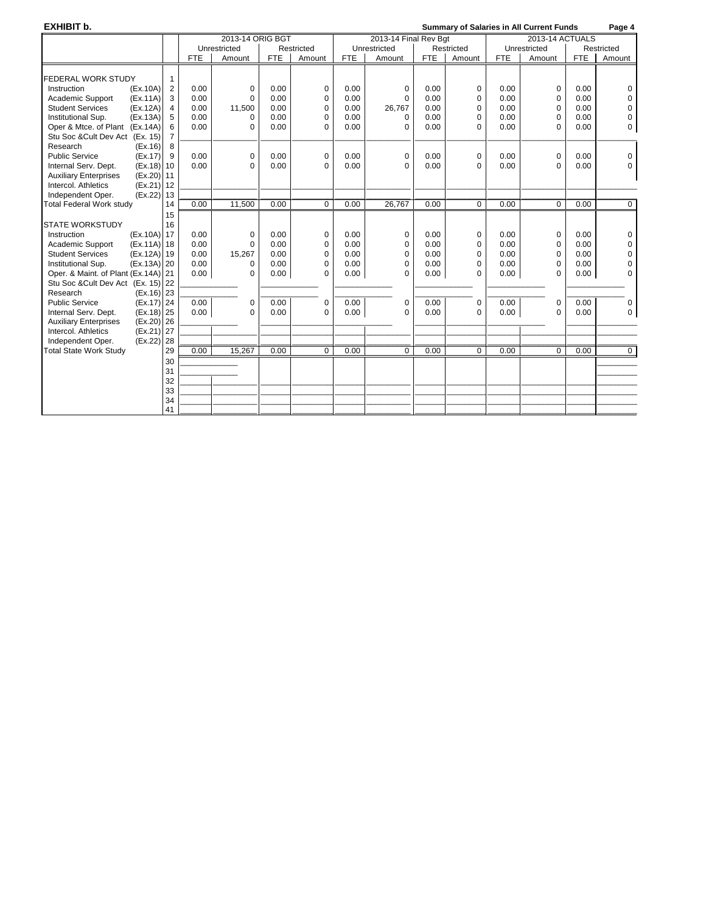**EXHIBIT b. CONSULTANT CONSULTER SUMMARY OF SUMMARY OF Salaries in All Current Funds** Page 4

|                                              |                |            | 2013-14 ORIG BGT |            |             |            | 2013-14 Final Rev Bgt |            |             |            | 2013-14 ACTUALS |            |             |
|----------------------------------------------|----------------|------------|------------------|------------|-------------|------------|-----------------------|------------|-------------|------------|-----------------|------------|-------------|
|                                              |                |            | Unrestricted     |            | Restricted  |            | Unrestricted          |            | Restricted  |            | Unrestricted    |            | Restricted  |
|                                              |                | <b>FTE</b> | Amount           | <b>FTE</b> | Amount      | <b>FTE</b> | Amount                | <b>FTE</b> | Amount      | <b>FTE</b> | Amount          | <b>FTE</b> | Amount      |
|                                              |                |            |                  |            |             |            |                       |            |             |            |                 |            |             |
| <b>FEDERAL WORK STUDY</b>                    | 1              |            |                  |            |             |            |                       |            |             |            |                 |            |             |
| Instruction<br>(EX.10A)                      | $\overline{2}$ | 0.00       | 0                | 0.00       | $\pmb{0}$   | 0.00       | $\mathbf 0$           | 0.00       | 0           | 0.00       | $\mathbf 0$     | 0.00       | 0           |
| Academic Support<br>(EX.11A)                 | 3              | 0.00       | $\mathbf 0$      | 0.00       | 0           | 0.00       | $\Omega$              | 0.00       | 0           | 0.00       | 0               | 0.00       | 0           |
| <b>Student Services</b><br>(EX.12A)          | $\overline{4}$ | 0.00       | 11,500           | 0.00       | $\Omega$    | 0.00       | 26,767                | 0.00       | 0           | 0.00       | 0               | 0.00       | 0           |
| Institutional Sup.<br>(EX.13A)               | 5              | 0.00       | $\Omega$         | 0.00       | $\Omega$    | 0.00       | $\Omega$              | 0.00       | 0           | 0.00       | 0               | 0.00       | 0           |
| Oper & Mtce. of Plant (Ex.14A)               | 6              | 0.00       | $\Omega$         | 0.00       | $\Omega$    | 0.00       | $\Omega$              | 0.00       | $\Omega$    | 0.00       | $\Omega$        | 0.00       | 0           |
| Stu Soc & Cult Dev Act (Ex. 15)              | $\overline{7}$ |            |                  |            |             |            |                       |            |             |            |                 |            |             |
| Research<br>(EX.16)                          | 8              |            |                  |            |             |            |                       |            |             |            |                 |            |             |
| <b>Public Service</b><br>(EX.17)             | 9              | 0.00       | $\mathbf 0$      | 0.00       | $\mathbf 0$ | 0.00       | $\mathbf 0$           | 0.00       | 0           | 0.00       | $\mathbf 0$     | 0.00       | 0           |
| Internal Serv. Dept.<br>$(Ex.18)$ 10         |                | 0.00       | $\Omega$         | 0.00       | $\mathbf 0$ | 0.00       | $\Omega$              | 0.00       | $\Omega$    | 0.00       | $\mathbf 0$     | 0.00       | $\Omega$    |
| $(Ex.20)$ 11<br><b>Auxiliary Enterprises</b> |                |            |                  |            |             |            |                       |            |             |            |                 |            |             |
| Intercol. Athletics<br>(Ex.21) 12            |                |            |                  |            |             |            |                       |            |             |            |                 |            |             |
| (Ex.22) 13<br>Independent Oper.              |                |            |                  |            |             |            |                       |            |             |            |                 |            |             |
| <b>Total Federal Work study</b>              | 14             | 0.00       | 11,500           | 0.00       | $\mathbf 0$ | 0.00       | 26,767                | 0.00       | $\mathbf 0$ | 0.00       | $\mathbf 0$     | 0.00       | 0           |
|                                              | 15             |            |                  |            |             |            |                       |            |             |            |                 |            |             |
| <b>STATE WORKSTUDY</b>                       | 16             |            |                  |            |             |            |                       |            |             |            |                 |            |             |
| (Ex.10A) 17<br>Instruction                   |                | 0.00       | $\mathbf 0$      | 0.00       | $\mathbf 0$ | 0.00       | $\mathbf 0$           | 0.00       | 0           | 0.00       | $\mathbf 0$     | 0.00       | 0           |
| Academic Support<br>(Ex.11A) 18              |                | 0.00       | $\Omega$         | 0.00       | $\mathbf 0$ | 0.00       | $\Omega$              | 0.00       | 0           | 0.00       | $\mathbf 0$     | 0.00       | 0           |
| <b>Student Services</b><br>(Ex.12A) 19       |                | 0.00       | 15,267           | 0.00       | $\Omega$    | 0.00       | $\Omega$              | 0.00       | 0           | 0.00       | $\mathbf 0$     | 0.00       | $\Omega$    |
| Institutional Sup.<br>(Ex.13A) 20            |                | 0.00       | $\mathbf 0$      | 0.00       | $\mathbf 0$ | 0.00       | 0                     | 0.00       | 0           | 0.00       | $\mathbf 0$     | 0.00       | 0           |
| Oper. & Maint. of Plant (Ex.14A) 21          |                | 0.00       | $\Omega$         | 0.00       | $\Omega$    | 0.00       | $\Omega$              | 0.00       | 0           | 0.00       | $\Omega$        | 0.00       | $\Omega$    |
| Stu Soc & Cult Dev Act (Ex. 15) 22           |                |            |                  |            |             |            |                       |            |             |            |                 |            |             |
| $(Ex.16)$ 23<br>Research                     |                |            |                  |            |             |            |                       |            |             |            |                 |            |             |
| <b>Public Service</b><br>(Ex.17) 24          |                | 0.00       | $\mathbf 0$      | 0.00       | $\mathbf 0$ | 0.00       | $\mathbf 0$           | 0.00       | 0           | 0.00       | $\mathbf 0$     | 0.00       | 0           |
| Internal Serv. Dept.<br>(Ex.18) 25           |                | 0.00       | $\Omega$         | 0.00       | $\Omega$    | 0.00       | $\Omega$              | 0.00       | $\Omega$    | 0.00       | $\Omega$        | 0.00       | 0           |
| $(Ex.20)$ 26<br><b>Auxiliary Enterprises</b> |                |            |                  |            |             |            |                       |            |             |            |                 |            |             |
| Intercol. Athletics<br>(Ex.21) 27            |                |            |                  |            |             |            |                       |            |             |            |                 |            |             |
| Independent Oper.<br>(Ex.22) 28              |                |            |                  |            |             |            |                       |            |             |            |                 |            |             |
| <b>Total State Work Study</b>                | 29             | 0.00       | 15,267           | 0.00       | 0           | 0.00       | 0                     | 0.00       | 0           | 0.00       | 0               | 0.00       | $\mathbf 0$ |
|                                              | 30             |            |                  |            |             |            |                       |            |             |            |                 |            |             |
|                                              | 31             |            |                  |            |             |            |                       |            |             |            |                 |            |             |
|                                              | 32             |            |                  |            |             |            |                       |            |             |            |                 |            |             |
|                                              | 33             |            |                  |            |             |            |                       |            |             |            |                 |            |             |
|                                              |                |            |                  |            |             |            |                       |            |             |            |                 |            |             |
|                                              | 34             |            |                  |            |             |            |                       |            |             |            |                 |            |             |
|                                              | 41             |            |                  |            |             |            |                       |            |             |            |                 |            |             |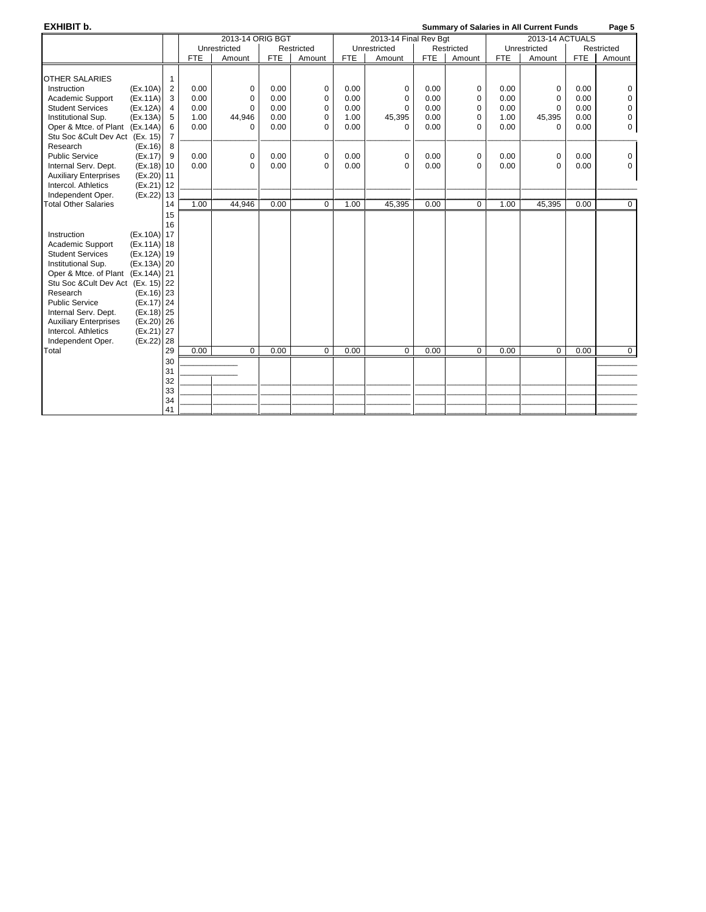**EXHIBIT b. Summary of Salaries in All Current Funds Page 5** 2013-14 ORIG BGT 2013-14 Final Rev Bgt 2013-14 ACTUALS<br>
2013-14 ACTUALS<br>
2013-14 Actual Directricted Restricted Restricted Restricted Restricted Unrestricted | Restricted | Unrestricted | Restricted | Unrestricted | Restricted | Restricted | Restricted | Restricted | Restricted | Restricted | Restricted | Restricted | Restricted | Restricted | Restricted | Restrict FTE | Amount | FTE | Amount | FTE | Amount | FTE | Amount OTHER SALARIES | 1<br>
Instruction (Ex.10A) 2 Instruction (Ex.10A) 2 0.00 0 0.00 0 0.00 0 0.00 0 0.00 0 0.00 0 Academic Support (Ex.11A) 3 0.00 0 0.00 0 0.00 0 0.00 0 0.00 0 0.00 0 Student Services (Ex.12A) 4 0.00 0 0.00 0 0.00 0 0.00 0 0.00 0 0.00 0 Institutional Sup. (Ex.13A) 5 | 1.00 | 44,946 | 0.00 | 0 | 1.00 | 45,395 | 0.00 | 0 | 1.00 | 45,395 | 0.00 | 0<br>Oper & Mtce. of Plant (Ex.14A) 6 | 0.00 | 0.00 | 0.00 | 0.00 | 0.00 | 0.00 | 0.00 | 0.00 | 0.00 | 0.00 | 0.00 Oper & Mtce. of Plant (Ex.14A) Stu Soc &Cult Dev Act (Ex. 15) 7<br>Research (Ex. 16) 8 Research<br>Public Service Public Service (Ex.17) 9 0.00 0 0.00 0 0.00 0 0.00 0 0.00 0 0.00 0 Internal Serv. Dept. (Ex.18) 10 0.00 0 0.00 0 0.00 0 0.00 0 0.00 0 0.00 0 0.00 0 0.00 0 0 0.00 0 0 0 0.00 0 0<br>Auxiliary Enterprises (Ex.20) 11 0 0.00 0 0 0.00 0 0 0.00 0 0 0.00 0 0 0.00 0 0 0.00 0 0 0 0 0 0 0 0 0 0 0 0 0 Auxiliary Enterprises (Ex.20) 11<br>Intercol. Athletics (Ex.21) 12 Intercol. Athletics (Ex.21) 12<br>Independent Oper. (Ex.22) 13 Independent Oper. (Ex.22) 13 \_\_\_\_\_\_\_\_\_\_\_\_\_ \_\_\_\_\_\_\_\_\_\_ \_\_\_\_\_\_\_\_\_\_\_\_\_ \_\_\_\_\_\_\_\_\_\_\_\_\_\_\_\_\_\_\_\_\_\_\_ \_\_\_\_\_\_\_\_\_\_ \_\_\_\_\_\_\_\_\_\_\_\_\_ \_\_\_\_\_\_\_\_\_\_\_\_\_\_\_\_\_\_\_\_\_\_\_ \_\_\_\_\_\_\_\_\_\_ \_\_\_\_\_\_\_\_\_\_\_\_\_ \_\_\_\_\_\_\_\_\_\_ Total Other Salaries 14 15 16 Instruction (Ex.10A) 17<br>Academic Support (Ex.11A) 18 Academic Support Student Services (Ex.12A) 19<br>Institutional Sup. (Ex.13A) 20 Institutional Sup. Oper & Mtce. of Plant (Ex.14A) 21 Stu Soc &Cult Dev Act (Ex. 15) 22 Research (Ex.16) 23 Public Service (Ex.17) 24 Internal Serv. Dept. (Ex.18) 25<br>Auxiliary Enterprises (Ex.20) 26 Auxiliary Enterprises (Ex.20) 26<br>Intercol. Athletics (Ex.21) 27 Intercol. Athletics (Ex.21) 27<br>Independent Oper. (Ex.22) 28 Independent Oper. (Ex.22) 28<br>Total 29 Total 29 0.00 0 0.00 0 0.00 0 0.00 0 0.00 0 0.00 0 30 \_\_\_\_\_\_\_\_\_\_\_\_\_ \_\_\_\_\_\_\_\_\_\_ 31 \_\_\_\_\_\_\_\_\_\_\_\_\_ \_\_\_\_\_\_\_\_\_\_ 32 \_\_\_\_\_\_\_\_\_\_\_\_\_ \_\_\_\_\_\_\_\_\_\_ \_\_\_\_\_\_\_\_\_\_\_\_\_ \_\_\_\_\_\_\_\_\_\_\_\_\_\_\_\_\_\_\_\_\_\_\_ \_\_\_\_\_\_\_\_\_\_ \_\_\_\_\_\_\_\_\_\_\_\_\_ \_\_\_\_\_\_\_\_\_\_\_\_\_\_\_\_\_\_\_\_\_\_\_ \_\_\_\_\_\_\_\_\_\_ \_\_\_\_\_\_\_\_\_\_\_\_\_ \_\_\_\_\_\_\_\_\_\_ 33 \_\_\_\_\_\_\_\_\_\_\_\_\_ \_\_\_\_\_\_\_\_\_\_ \_\_\_\_\_\_\_\_\_\_\_\_\_ \_\_\_\_\_\_\_\_\_\_\_\_\_\_\_\_\_\_\_\_\_\_\_ \_\_\_\_\_\_\_\_\_\_ \_\_\_\_\_\_\_\_\_\_\_\_\_ \_\_\_\_\_\_\_\_\_\_\_\_\_\_\_\_\_\_\_\_\_\_\_ \_\_\_\_\_\_\_\_\_\_ \_\_\_\_\_\_\_\_\_\_\_\_\_ \_\_\_\_\_\_\_\_\_\_ 34 \_\_\_\_\_\_\_\_\_\_\_\_\_ \_\_\_\_\_\_\_\_\_\_ \_\_\_\_\_\_\_\_\_\_\_\_\_ \_\_\_\_\_\_\_\_\_\_\_\_\_\_\_\_\_\_\_\_\_\_\_ \_\_\_\_\_\_\_\_\_\_ \_\_\_\_\_\_\_\_\_\_\_\_\_ \_\_\_\_\_\_\_\_\_\_\_\_\_\_\_\_\_\_\_\_\_\_\_ \_\_\_\_\_\_\_\_\_\_ \_\_\_\_\_\_\_\_\_\_\_\_\_ \_\_\_\_\_\_\_\_\_\_ 41 \_\_\_\_\_\_\_\_\_\_\_\_\_ \_\_\_\_\_\_\_\_\_\_ \_\_\_\_\_\_\_\_\_\_\_\_\_ \_\_\_\_\_\_\_\_\_\_\_\_\_\_\_\_\_\_\_\_\_\_\_ \_\_\_\_\_\_\_\_\_\_ \_\_\_\_\_\_\_\_\_\_\_\_\_ \_\_\_\_\_\_\_\_\_\_\_\_\_\_\_\_\_\_\_\_\_\_\_ \_\_\_\_\_\_\_\_\_\_ \_\_\_\_\_\_\_\_\_\_\_\_\_ \_\_\_\_\_\_\_\_\_\_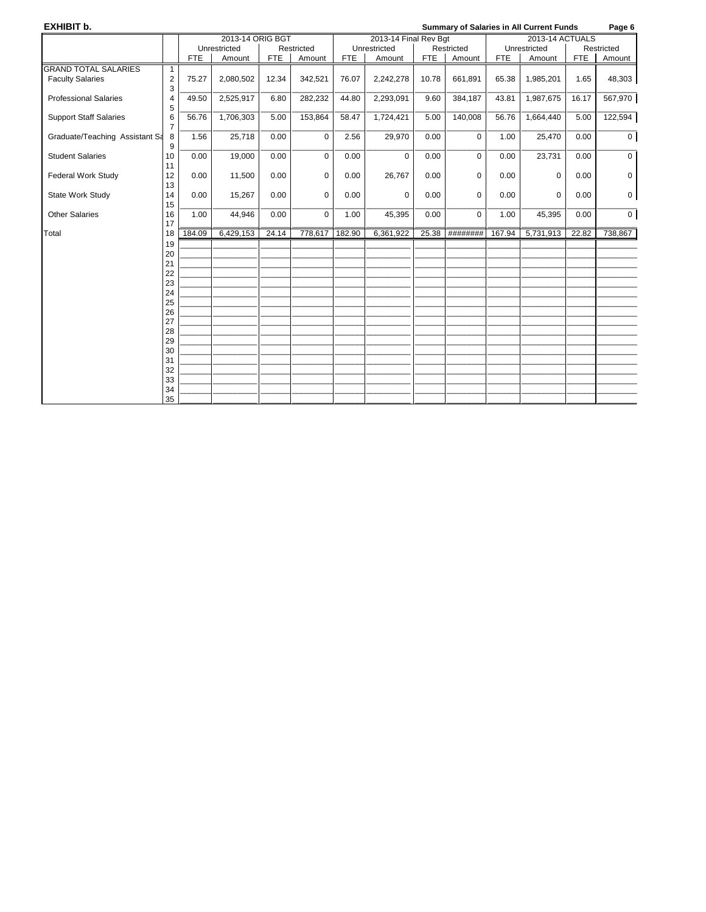| EXHIBIT b.                     |                |            |                  |            |             |            |                       |            |             |            | <b>Summary of Salaries in All Current Funds</b> |            | Page 6      |
|--------------------------------|----------------|------------|------------------|------------|-------------|------------|-----------------------|------------|-------------|------------|-------------------------------------------------|------------|-------------|
|                                |                |            | 2013-14 ORIG BGT |            |             |            | 2013-14 Final Rev Bgt |            |             |            | 2013-14 ACTUALS                                 |            |             |
|                                |                |            | Unrestricted     |            | Restricted  |            | Unrestricted          |            | Restricted  |            | Unrestricted                                    |            | Restricted  |
|                                |                | <b>FTE</b> | Amount           | <b>FTE</b> | Amount      | <b>FTE</b> | Amount                | <b>FTE</b> | Amount      | <b>FTE</b> | Amount                                          | <b>FTE</b> | Amount      |
| <b>GRAND TOTAL SALARIES</b>    | $\mathbf{1}$   |            |                  |            |             |            |                       |            |             |            |                                                 |            |             |
| <b>Faculty Salaries</b>        | $\mathbf 2$    | 75.27      | 2,080,502        | 12.34      | 342,521     | 76.07      | 2,242,278             | 10.78      | 661.891     | 65.38      | 1,985,201                                       | 1.65       | 48,303      |
|                                | 3              |            |                  |            |             |            |                       |            |             |            |                                                 |            |             |
| <b>Professional Salaries</b>   | $\overline{4}$ | 49.50      | 2,525,917        | 6.80       | 282,232     | 44.80      | 2,293,091             | 9.60       | 384,187     | 43.81      | 1,987,675                                       | 16.17      | 567,970     |
|                                | 5              |            |                  |            |             |            |                       |            |             |            |                                                 |            |             |
| <b>Support Staff Salaries</b>  | 6              | 56.76      | 1,706,303        | 5.00       | 153,864     | 58.47      | 1,724,421             | 5.00       | 140,008     | 56.76      | 1,664,440                                       | 5.00       | 122,594     |
|                                | $\overline{7}$ |            |                  |            |             |            |                       |            |             |            |                                                 |            |             |
| Graduate/Teaching Assistant Sa | 8<br>9         | 1.56       | 25,718           | 0.00       | $\mathbf 0$ | 2.56       | 29,970                | 0.00       | $\mathbf 0$ | 1.00       | 25,470                                          | 0.00       | $\mathbf 0$ |
| <b>Student Salaries</b>        | 10             | 0.00       | 19,000           | 0.00       | $\mathbf 0$ | 0.00       | $\mathbf 0$           | 0.00       | $\mathbf 0$ | 0.00       | 23,731                                          | 0.00       | $\mathbf 0$ |
|                                | 11             |            |                  |            |             |            |                       |            |             |            |                                                 |            |             |
| <b>Federal Work Study</b>      | 12             | 0.00       | 11,500           | 0.00       | 0           | 0.00       | 26,767                | 0.00       | 0           | 0.00       | $\mathbf 0$                                     | 0.00       | $\mathbf 0$ |
|                                | 13             |            |                  |            |             |            |                       |            |             |            |                                                 |            |             |
| State Work Study               | 14             | 0.00       | 15,267           | 0.00       | $\Omega$    | 0.00       | $\Omega$              | 0.00       | $\Omega$    | 0.00       | $\Omega$                                        | 0.00       | $\mathbf 0$ |
|                                | 15             |            |                  |            |             |            |                       |            |             |            |                                                 |            |             |
| <b>Other Salaries</b>          | 16             | 1.00       | 44,946           | 0.00       | 0           | 1.00       | 45,395                | 0.00       | $\Omega$    | 1.00       | 45,395                                          | 0.00       | $\mathbf 0$ |
|                                | 17             |            |                  |            |             |            |                       |            |             |            |                                                 |            |             |
| Total                          | 18             | 184.09     | 6,429,153        | 24.14      | 778,617     | 182.90     | 6,361,922             | 25.38      | ########    | 167.94     | 5,731,913                                       | 22.82      | 738,867     |
|                                | 19             |            |                  |            |             |            |                       |            |             |            |                                                 |            |             |
|                                | 20             |            |                  |            |             |            |                       |            |             |            |                                                 |            |             |
|                                | 21             |            |                  |            |             |            |                       |            |             |            |                                                 |            |             |
|                                | 22             |            |                  |            |             |            |                       |            |             |            |                                                 |            |             |
|                                | 23             |            |                  |            |             |            |                       |            |             |            |                                                 |            |             |
|                                | 24<br>25       |            |                  |            |             |            |                       |            |             |            |                                                 |            |             |
|                                | 26             |            |                  |            |             |            |                       |            |             |            |                                                 |            |             |
|                                | 27             |            |                  |            |             |            |                       |            |             |            |                                                 |            |             |
|                                | 28             |            |                  |            |             |            |                       |            |             |            |                                                 |            |             |
|                                | 29             |            |                  |            |             |            |                       |            |             |            |                                                 |            |             |
|                                | 30             |            |                  |            |             |            |                       |            |             |            |                                                 |            |             |
|                                | 31             |            |                  |            |             |            |                       |            |             |            |                                                 |            |             |
|                                | 32             |            |                  |            |             |            |                       |            |             |            |                                                 |            |             |
|                                | 33             |            |                  |            |             |            |                       |            |             |            |                                                 |            |             |
|                                | 34             |            |                  |            |             |            |                       |            |             |            |                                                 |            |             |
|                                | 35             |            |                  |            |             |            |                       |            |             |            |                                                 |            |             |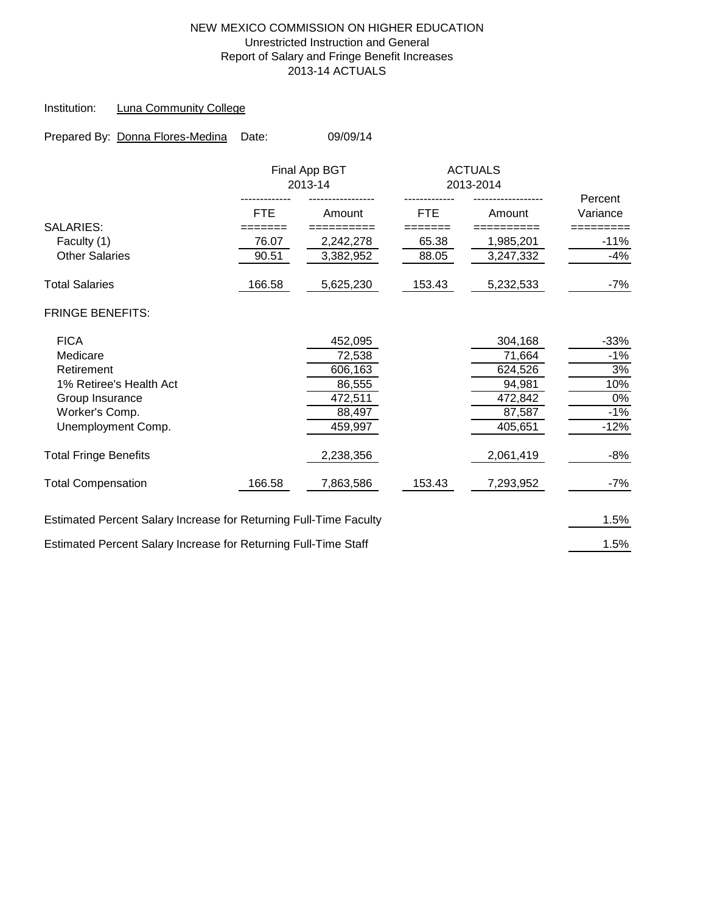### NEW MEXICO COMMISSION ON HIGHER EDUCATION Unrestricted Instruction and General Report of Salary and Fringe Benefit Increases 2013-14 ACTUALS

### Institution: Luna Community College

| Prepared By: Donna Flores-Medina                                  | Date:  | 09/09/14                 |            |                             |                     |
|-------------------------------------------------------------------|--------|--------------------------|------------|-----------------------------|---------------------|
|                                                                   |        | Final App BGT<br>2013-14 |            | <b>ACTUALS</b><br>2013-2014 |                     |
|                                                                   | FTE.   | Amount                   | <b>FTE</b> | Amount                      | Percent<br>Variance |
| <b>SALARIES:</b>                                                  | ====== | ========                 | =====      | ========                    |                     |
| Faculty (1)                                                       | 76.07  | 2,242,278                | 65.38      | 1,985,201                   | $-11%$              |
| <b>Other Salaries</b>                                             | 90.51  | 3,382,952                | 88.05      | 3,247,332                   | $-4%$               |
| <b>Total Salaries</b>                                             | 166.58 | 5,625,230                | 153.43     | 5,232,533                   | $-7%$               |
| <b>FRINGE BENEFITS:</b>                                           |        |                          |            |                             |                     |
| <b>FICA</b>                                                       |        | 452,095                  |            | 304,168                     | $-33%$              |
| Medicare                                                          |        | 72,538                   |            | 71,664                      | $-1%$               |
| Retirement                                                        |        | 606,163                  |            | 624,526                     | 3%                  |
| 1% Retiree's Health Act                                           |        | 86,555                   |            | 94,981                      | 10%                 |
| Group Insurance                                                   |        | 472,511                  |            | 472,842                     | 0%                  |
| Worker's Comp.                                                    |        | 88,497                   |            | 87,587                      | $-1%$               |
| Unemployment Comp.                                                |        | 459,997                  |            | 405,651                     | $-12%$              |
| <b>Total Fringe Benefits</b>                                      |        | 2,238,356                |            | 2,061,419                   | $-8%$               |
| <b>Total Compensation</b>                                         | 166.58 | 7,863,586                | 153.43     | 7,293,952                   | $-7%$               |
| Estimated Percent Salary Increase for Returning Full-Time Faculty |        |                          |            |                             | 1.5%                |
| Estimated Percent Salary Increase for Returning Full-Time Staff   |        |                          |            |                             | 1.5%                |
|                                                                   |        |                          |            |                             |                     |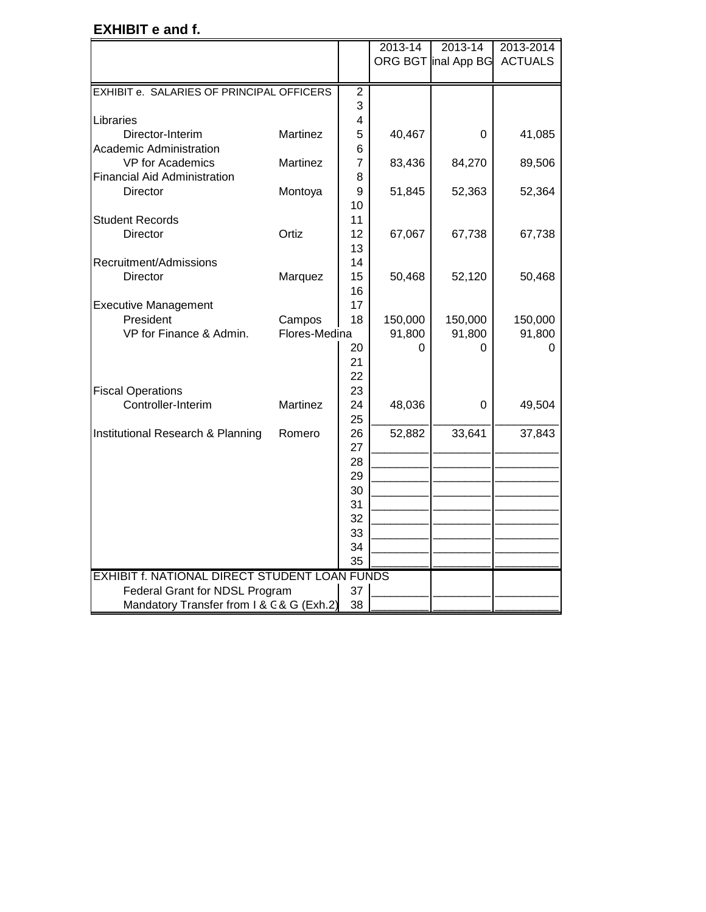## **EXHIBIT e and f.**

|                                               |               |                | 2013-14 | 2013-14             | 2013-2014      |
|-----------------------------------------------|---------------|----------------|---------|---------------------|----------------|
|                                               |               |                |         | ORG BGT inal App BG | <b>ACTUALS</b> |
|                                               |               |                |         |                     |                |
| EXHIBIT e. SALARIES OF PRINCIPAL OFFICERS     |               | $\mathbf 2$    |         |                     |                |
|                                               |               | 3              |         |                     |                |
| Libraries                                     |               | 4              |         |                     |                |
| Director-Interim                              | Martinez      | 5              | 40,467  | 0                   | 41,085         |
| <b>Academic Administration</b>                |               | 6              |         |                     |                |
| VP for Academics                              | Martinez      | $\overline{7}$ | 83,436  | 84,270              | 89,506         |
| <b>Financial Aid Administration</b>           |               | 8              |         |                     |                |
| <b>Director</b>                               | Montoya       | 9              | 51,845  | 52,363              | 52,364         |
|                                               |               | 10             |         |                     |                |
| <b>Student Records</b>                        |               | 11             |         |                     |                |
| <b>Director</b>                               | Ortiz         | 12             | 67,067  | 67,738              | 67,738         |
|                                               |               | 13             |         |                     |                |
| Recruitment/Admissions                        |               | 14             |         |                     |                |
| <b>Director</b>                               | Marquez       | 15             | 50,468  | 52,120              | 50,468         |
|                                               |               | 16             |         |                     |                |
| <b>Executive Management</b>                   |               | 17             |         |                     |                |
| President                                     | Campos        | 18             | 150,000 | 150,000             | 150,000        |
| VP for Finance & Admin.                       | Flores-Medina |                | 91,800  | 91,800              | 91,800         |
|                                               |               | 20             | 0       | U                   | U              |
|                                               |               | 21             |         |                     |                |
|                                               |               | 22             |         |                     |                |
| <b>Fiscal Operations</b>                      |               | 23             |         |                     |                |
| Controller-Interim                            | Martinez      | 24             | 48,036  | 0                   | 49,504         |
|                                               |               | 25             |         |                     |                |
| Institutional Research & Planning             | Romero        | 26             | 52,882  | 33,641              | 37,843         |
|                                               |               | 27             |         |                     |                |
|                                               |               | 28             |         |                     |                |
|                                               |               | 29             |         |                     |                |
|                                               |               | 30             |         |                     |                |
|                                               |               | 31             |         |                     |                |
|                                               |               | 32             |         |                     |                |
|                                               |               | 33<br>34       |         |                     |                |
|                                               |               | 35             |         |                     |                |
| EXHIBIT f. NATIONAL DIRECT STUDENT LOAN FUNDS |               |                |         |                     |                |
| Federal Grant for NDSL Program                |               | 37             |         |                     |                |
| Mandatory Transfer from I & C & G (Exh.2)     |               | 38             |         |                     |                |
|                                               |               |                |         |                     |                |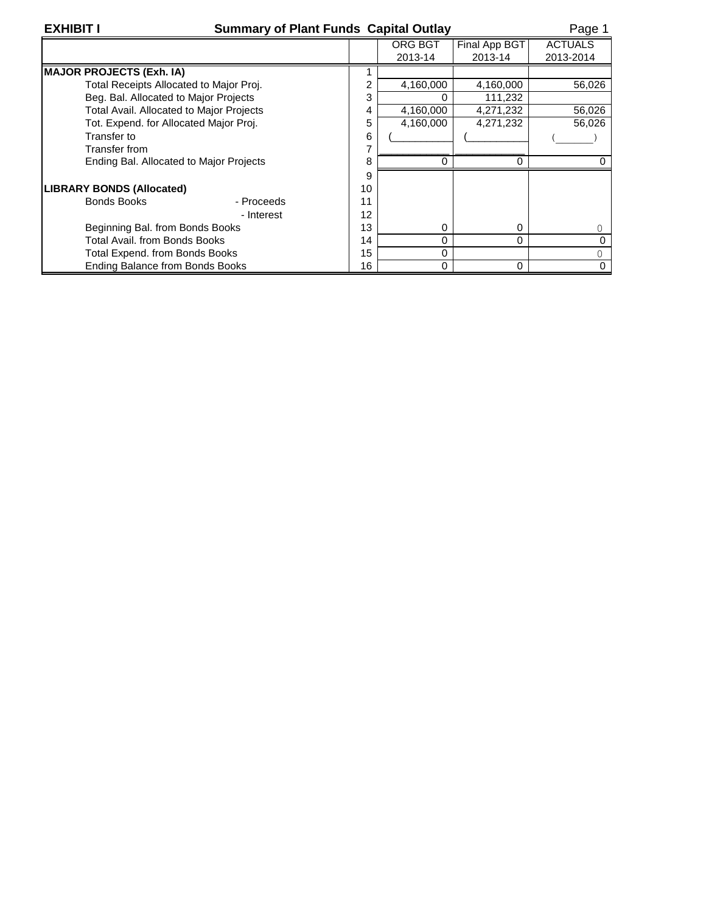| <b>XHIBI</b> |  |
|--------------|--|
|--------------|--|

## **Summary of Plant Funds Capital Outlay** Page 1

|                                          |    | <b>ORG BGT</b> | Final App BGT | <b>ACTUALS</b> |
|------------------------------------------|----|----------------|---------------|----------------|
|                                          |    | 2013-14        | 2013-14       | 2013-2014      |
| <b>MAJOR PROJECTS (Exh. IA)</b>          |    |                |               |                |
| Total Receipts Allocated to Major Proj.  | 2  | 4,160,000      | 4,160,000     | 56,026         |
| Beg. Bal. Allocated to Major Projects    | 3  |                | 111,232       |                |
| Total Avail. Allocated to Major Projects | 4  | 4,160,000      | 4,271,232     | 56,026         |
| Tot. Expend. for Allocated Major Proj.   | 5  | 4,160,000      | 4,271,232     | 56,026         |
| Transfer to                              | 6  |                |               |                |
| Transfer from                            |    |                |               |                |
| Ending Bal. Allocated to Major Projects  | 8  |                | ი             |                |
|                                          | 9  |                |               |                |
| <b>LIBRARY BONDS (Allocated)</b>         | 10 |                |               |                |
| <b>Bonds Books</b><br>- Proceeds         | 11 |                |               |                |
| - Interest                               | 12 |                |               |                |
| Beginning Bal. from Bonds Books          | 13 | $\Omega$       | 0             |                |
| Total Avail, from Bonds Books            | 14 | $\Omega$       | 0             |                |
| Total Expend. from Bonds Books           | 15 | $\Omega$       |               |                |
| <b>Ending Balance from Bonds Books</b>   | 16 | $\Omega$       | 0             |                |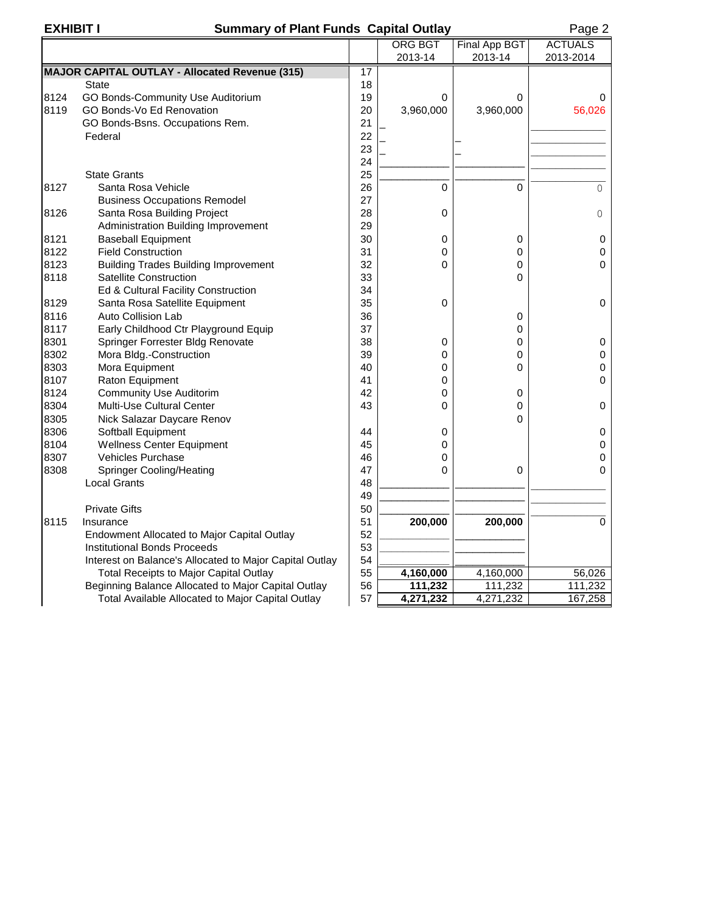## **EXHIBIT I Summary of Plant Funds Capital Outlay Page 2**

|      |                                                         |    | <b>ORG BGT</b> | Final App BGT | <b>ACTUALS</b> |
|------|---------------------------------------------------------|----|----------------|---------------|----------------|
|      |                                                         |    | 2013-14        | 2013-14       | 2013-2014      |
|      | <b>MAJOR CAPITAL OUTLAY - Allocated Revenue (315)</b>   | 17 |                |               |                |
|      | <b>State</b>                                            | 18 |                |               |                |
| 8124 | GO Bonds-Community Use Auditorium                       | 19 | $\Omega$       | 0             | 0              |
| 8119 | GO Bonds-Vo Ed Renovation                               | 20 | 3,960,000      | 3,960,000     | 56,026         |
|      | GO Bonds-Bsns. Occupations Rem.                         | 21 |                |               |                |
|      | Federal                                                 | 22 |                |               |                |
|      |                                                         | 23 |                |               |                |
|      |                                                         | 24 |                |               |                |
|      | <b>State Grants</b>                                     | 25 |                |               |                |
| 8127 | Santa Rosa Vehicle                                      | 26 | $\Omega$       | 0             | $\Omega$       |
|      | <b>Business Occupations Remodel</b>                     | 27 |                |               |                |
| 8126 | Santa Rosa Building Project                             | 28 | 0              |               | 0              |
|      | Administration Building Improvement                     | 29 |                |               |                |
| 8121 | <b>Baseball Equipment</b>                               | 30 | 0              | 0             | 0              |
| 8122 | <b>Field Construction</b>                               | 31 | $\mathbf 0$    | 0             | 0              |
| 8123 | <b>Building Trades Building Improvement</b>             | 32 | $\Omega$       | 0             | $\overline{0}$ |
| 8118 | <b>Satellite Construction</b>                           | 33 |                | $\mathbf 0$   |                |
|      | Ed & Cultural Facility Construction                     | 34 |                |               |                |
| 8129 | Santa Rosa Satellite Equipment                          | 35 | 0              |               | 0              |
| 8116 | <b>Auto Collision Lab</b>                               | 36 |                | 0             |                |
| 8117 | Early Childhood Ctr Playground Equip                    | 37 |                | 0             |                |
| 8301 | Springer Forrester Bldg Renovate                        | 38 | 0              | 0             | 0              |
| 8302 | Mora Bldg.-Construction                                 | 39 | 0              | 0             | 0              |
| 8303 | Mora Equipment                                          | 40 | 0              | 0             | 0              |
| 8107 | Raton Equipment                                         | 41 | $\mathbf 0$    |               | 0              |
| 8124 | <b>Community Use Auditorim</b>                          | 42 | 0              | 0             |                |
| 8304 | <b>Multi-Use Cultural Center</b>                        | 43 | $\Omega$       | 0             | 0              |
| 8305 | Nick Salazar Daycare Renov                              |    |                | 0             |                |
| 8306 | Softball Equipment                                      | 44 | 0              |               | 0              |
| 8104 | <b>Wellness Center Equipment</b>                        | 45 | 0              |               | 0              |
| 8307 | Vehicles Purchase                                       | 46 | 0              |               | 0              |
| 8308 | <b>Springer Cooling/Heating</b>                         | 47 | $\Omega$       | 0             | 0              |
|      | <b>Local Grants</b>                                     | 48 |                |               |                |
|      |                                                         | 49 |                |               |                |
|      | <b>Private Gifts</b>                                    | 50 |                |               |                |
| 8115 | Insurance                                               | 51 | 200,000        | 200,000       | $\Omega$       |
|      | Endowment Allocated to Major Capital Outlay             | 52 |                |               |                |
|      | <b>Institutional Bonds Proceeds</b>                     | 53 |                |               |                |
|      | Interest on Balance's Allocated to Major Capital Outlay | 54 |                |               |                |
|      | <b>Total Receipts to Major Capital Outlay</b>           | 55 | 4,160,000      | 4,160,000     | 56,026         |
|      | Beginning Balance Allocated to Major Capital Outlay     | 56 | 111,232        | 111,232       | 111,232        |
|      | Total Available Allocated to Major Capital Outlay       | 57 | 4,271,232      | 4,271,232     | 167,258        |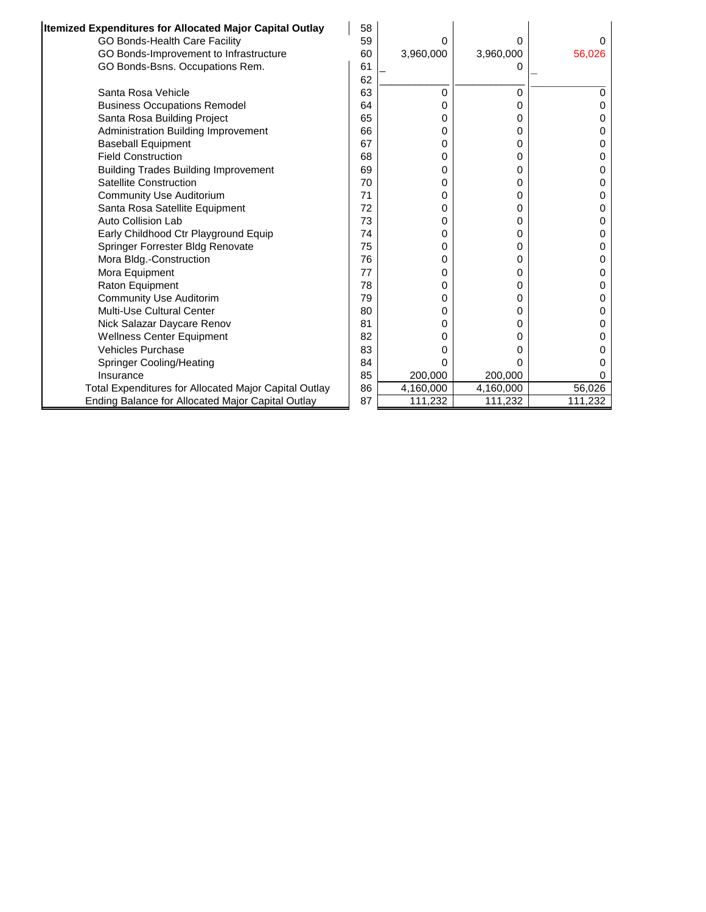| Itemized Expenditures for Allocated Major Capital Outlay     | 58 |           |           |         |
|--------------------------------------------------------------|----|-----------|-----------|---------|
| GO Bonds-Health Care Facility                                | 59 | 0         | 0         | 0       |
| GO Bonds-Improvement to Infrastructure                       | 60 | 3,960,000 | 3,960,000 | 56,026  |
| GO Bonds-Bsns. Occupations Rem.                              | 61 |           |           |         |
|                                                              | 62 |           |           |         |
| Santa Rosa Vehicle                                           | 63 | 0         | 0         | 0       |
| <b>Business Occupations Remodel</b>                          | 64 | 0         | 0         | 0       |
| Santa Rosa Building Project                                  | 65 | 0         | 0         |         |
| Administration Building Improvement                          | 66 | 0         | 0         |         |
| <b>Baseball Equipment</b>                                    | 67 | 0         | 0         | 0       |
| <b>Field Construction</b>                                    | 68 | 0         | 0         | 0       |
| <b>Building Trades Building Improvement</b>                  | 69 | 0         | 0         | 0       |
| <b>Satellite Construction</b>                                | 70 | 0         | 0         | 0       |
| <b>Community Use Auditorium</b>                              | 71 | 0         | 0         | 0       |
| Santa Rosa Satellite Equipment                               | 72 | 0         | 0         | 0       |
| Auto Collision Lab                                           | 73 | 0         | 0         | 0       |
| Early Childhood Ctr Playground Equip                         | 74 | 0         | 0         | 0       |
| Springer Forrester Bldg Renovate                             | 75 | 0         | 0         | O       |
| Mora Bldg.-Construction                                      | 76 | 0         | 0         | 0       |
| Mora Equipment                                               | 77 | 0         | 0         |         |
| Raton Equipment                                              | 78 | 0         | 0         | O       |
| <b>Community Use Auditorim</b>                               | 79 | 0         | 0         |         |
| Multi-Use Cultural Center                                    | 80 | 0         | 0         | O       |
| Nick Salazar Daycare Renov                                   | 81 | 0         | 0         | O       |
| <b>Wellness Center Equipment</b>                             | 82 | 0         | 0         |         |
| <b>Vehicles Purchase</b>                                     | 83 | ი         | 0         |         |
| Springer Cooling/Heating                                     | 84 | 0         | 0         |         |
| Insurance                                                    | 85 | 200,000   | 200,000   |         |
| <b>Total Expenditures for Allocated Major Capital Outlay</b> | 86 | 4,160,000 | 4,160,000 | 56,026  |
| Ending Balance for Allocated Major Capital Outlay            | 87 | 111,232   | 111,232   | 111,232 |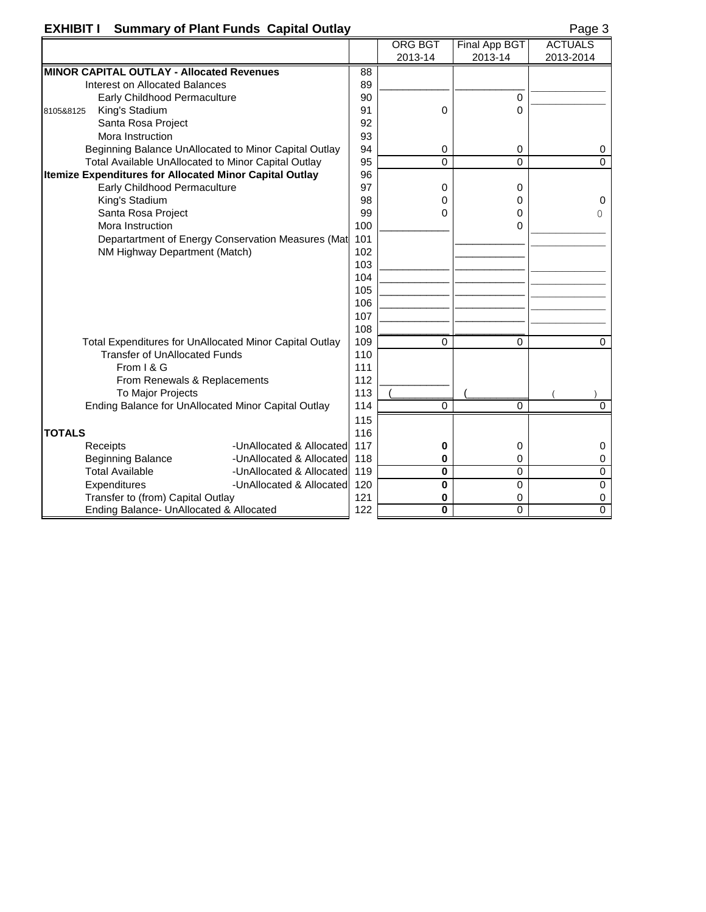## **EXHIBIT I** Summary of Plant Funds Capital Outlay **Page 3 ASS ASSEMBLEM**

|--|

|                                                  |                                                                |                                                         |     | ORG BGT     | Final App BGT | <b>ACTUALS</b> |
|--------------------------------------------------|----------------------------------------------------------------|---------------------------------------------------------|-----|-------------|---------------|----------------|
|                                                  |                                                                |                                                         |     | 2013-14     | 2013-14       | 2013-2014      |
| <b>MINOR CAPITAL OUTLAY - Allocated Revenues</b> |                                                                | 88                                                      |     |             |               |                |
|                                                  | Interest on Allocated Balances                                 |                                                         | 89  |             |               |                |
|                                                  | Early Childhood Permaculture                                   |                                                         | 90  |             | $\Omega$      |                |
| 8105&8125                                        | King's Stadium                                                 |                                                         | 91  | $\Omega$    | 0             |                |
|                                                  | Santa Rosa Project                                             |                                                         | 92  |             |               |                |
|                                                  | Mora Instruction                                               |                                                         | 93  |             |               |                |
|                                                  |                                                                | Beginning Balance UnAllocated to Minor Capital Outlay   | 94  | $\mathbf 0$ | 0             | 0              |
|                                                  | Total Available UnAllocated to Minor Capital Outlay            |                                                         | 95  | $\Omega$    | 0             | $\Omega$       |
|                                                  | <b>Itemize Expenditures for Allocated Minor Capital Outlay</b> |                                                         | 96  |             |               |                |
|                                                  | Early Childhood Permaculture                                   |                                                         | 97  | 0           | 0             |                |
|                                                  | King's Stadium                                                 |                                                         | 98  | 0           | 0             | 0              |
|                                                  | Santa Rosa Project                                             |                                                         | 99  | $\Omega$    | 0             | 0              |
|                                                  | Mora Instruction                                               |                                                         | 100 |             | 0             |                |
|                                                  |                                                                | Departartment of Energy Conservation Measures (Mat      | 101 |             |               |                |
|                                                  | NM Highway Department (Match)                                  |                                                         | 102 |             |               |                |
|                                                  |                                                                |                                                         | 103 |             |               |                |
|                                                  |                                                                |                                                         | 104 |             |               |                |
|                                                  |                                                                |                                                         | 105 |             |               |                |
|                                                  |                                                                |                                                         | 106 |             |               |                |
|                                                  |                                                                |                                                         | 107 |             |               |                |
|                                                  |                                                                |                                                         | 108 |             |               |                |
|                                                  |                                                                | Total Expenditures for UnAllocated Minor Capital Outlay | 109 | $\Omega$    | 0             | $\Omega$       |
|                                                  | <b>Transfer of UnAllocated Funds</b>                           |                                                         | 110 |             |               |                |
|                                                  | From I & G                                                     |                                                         | 111 |             |               |                |
|                                                  | From Renewals & Replacements                                   |                                                         | 112 |             |               |                |
|                                                  | To Major Projects                                              |                                                         | 113 |             |               |                |
|                                                  | Ending Balance for UnAllocated Minor Capital Outlay            |                                                         | 114 | $\Omega$    | 0             | $\Omega$       |
|                                                  |                                                                |                                                         | 115 |             |               |                |
| <b>TOTALS</b>                                    |                                                                |                                                         | 116 |             |               |                |
|                                                  | Receipts                                                       | -UnAllocated & Allocated                                | 117 | 0           | 0             | 0              |
|                                                  | <b>Beginning Balance</b>                                       | -UnAllocated & Allocated 118                            |     | 0           | 0             | 0              |
|                                                  | <b>Total Available</b>                                         | -UnAllocated & Allocated 119                            |     | $\bf{0}$    | 0             | 0              |
|                                                  | Expenditures                                                   | -UnAllocated & Allocated                                | 120 | $\bf{0}$    | $\Omega$      | $\mathbf 0$    |
|                                                  | Transfer to (from) Capital Outlay                              |                                                         | 121 | 0           | 0             | 0              |
|                                                  | Ending Balance- UnAllocated & Allocated                        |                                                         | 122 | $\bf{0}$    | 0             | $\overline{0}$ |
|                                                  |                                                                |                                                         |     |             |               |                |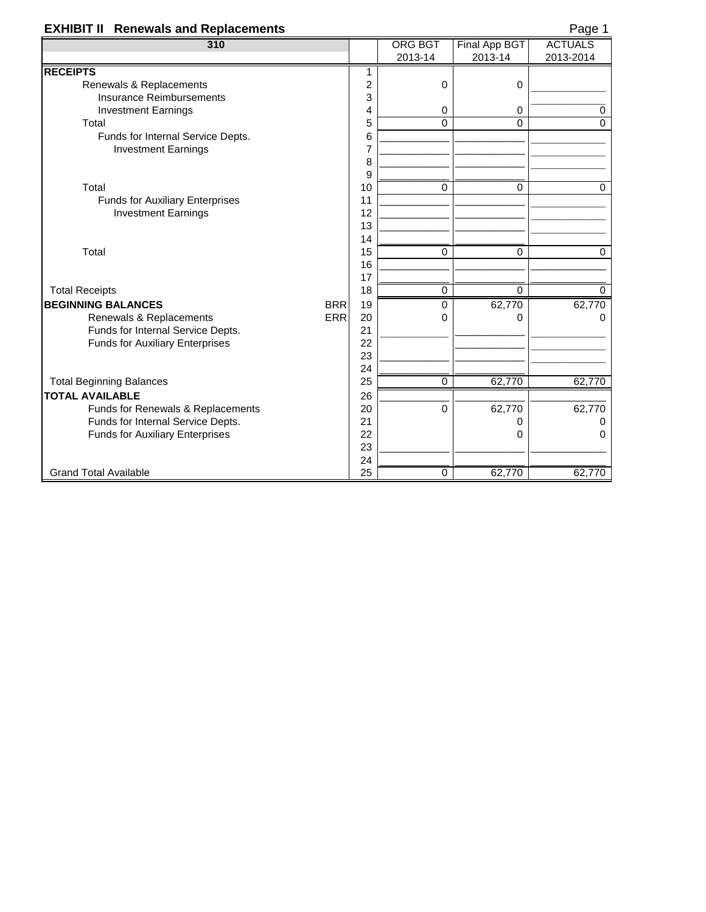## **EXHIBIT II** Renewals and Replacements **Page 1** Page 1

| 310                                     |                | <b>ORG BGT</b> | Final App BGT | <b>ACTUALS</b> |
|-----------------------------------------|----------------|----------------|---------------|----------------|
|                                         |                | 2013-14        | 2013-14       | 2013-2014      |
| <b>RECEIPTS</b>                         | 1              |                |               |                |
| Renewals & Replacements                 | $\overline{c}$ | 0              | 0             |                |
| <b>Insurance Reimbursements</b>         | 3              |                |               |                |
| <b>Investment Earnings</b>              | 4              | 0              | 0             | 0              |
| Total                                   | 5              | $\mathbf 0$    | $\Omega$      | $\mathbf 0$    |
| Funds for Internal Service Depts.       | 6              |                |               |                |
| <b>Investment Earnings</b>              | $\overline{7}$ |                |               |                |
|                                         | 8              |                |               |                |
|                                         | 9              |                |               |                |
| Total                                   | 10             | $\mathbf 0$    | 0             | 0              |
| Funds for Auxiliary Enterprises         | 11             |                |               |                |
| <b>Investment Earnings</b>              | 12             |                |               |                |
|                                         | 13             |                |               |                |
|                                         | 14             |                |               |                |
| Total                                   | 15             | 0              | 0             | $\mathbf 0$    |
|                                         | 16             |                |               |                |
|                                         | 17             |                |               |                |
| <b>Total Receipts</b>                   | 18             | 0              | $\Omega$      | $\mathbf 0$    |
| <b>BRR</b><br><b>BEGINNING BALANCES</b> | 19             | $\mathbf 0$    | 62,770        | 62,770         |
| <b>ERR</b><br>Renewals & Replacements   | 20             | 0              | $\Omega$      | 0              |
| Funds for Internal Service Depts.       | 21             |                |               |                |
| <b>Funds for Auxiliary Enterprises</b>  | 22             |                |               |                |
|                                         | 23             |                |               |                |
|                                         | 24             |                |               |                |
| <b>Total Beginning Balances</b>         | 25             | $\mathbf 0$    | 62,770        | 62,770         |
| <b>TOTAL AVAILABLE</b>                  |                |                |               |                |
| Funds for Renewals & Replacements       | 20             | $\Omega$       | 62,770        | 62,770         |
| Funds for Internal Service Depts.       | 21             |                | 0             | 0              |
| <b>Funds for Auxiliary Enterprises</b>  | 22             |                | 0             | $\Omega$       |
|                                         | 23             |                |               |                |
|                                         | 24             |                |               |                |
| <b>Grand Total Available</b>            | 25             | $\mathbf 0$    | 62,770        | 62,770         |